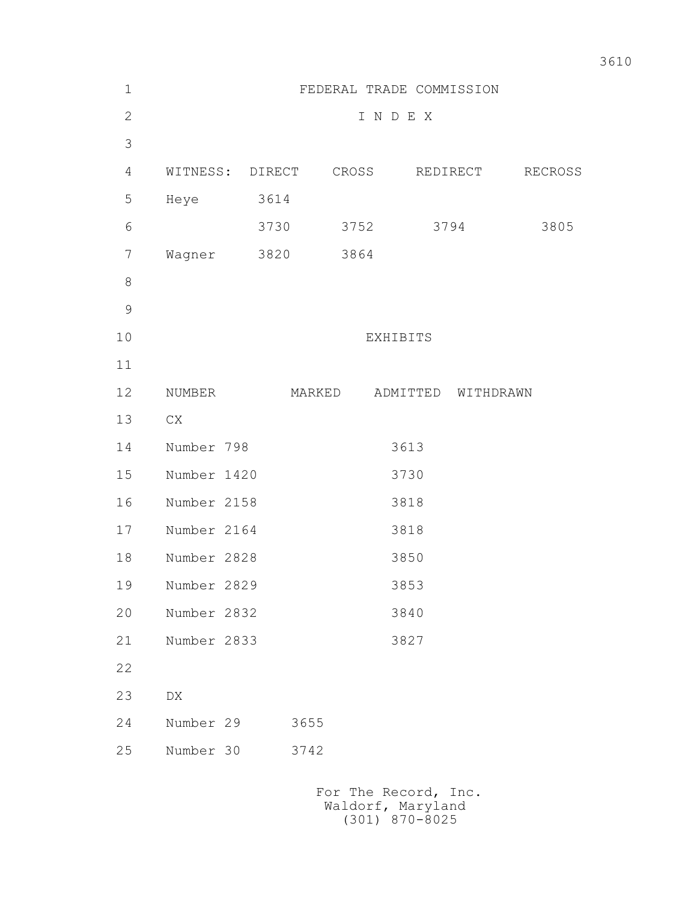| $1\,$          | FEDERAL TRADE COMMISSION                  |        |        |       |          |           |         |
|----------------|-------------------------------------------|--------|--------|-------|----------|-----------|---------|
| $\mathbf{2}$   | INDEX                                     |        |        |       |          |           |         |
| 3              |                                           |        |        |       |          |           |         |
| $\overline{4}$ | WITNESS:                                  | DIRECT |        | CROSS |          | REDIRECT  | RECROSS |
| 5              | Heye                                      | 3614   |        |       |          |           |         |
| 6              |                                           | 3730   |        | 3752  |          | 3794      | 3805    |
| $\overline{7}$ | Wagner                                    | 3820   |        | 3864  |          |           |         |
| $\,8\,$        |                                           |        |        |       |          |           |         |
| $\mathcal{G}$  |                                           |        |        |       |          |           |         |
| 10             | EXHIBITS                                  |        |        |       |          |           |         |
| 11             |                                           |        |        |       |          |           |         |
| 12             | NUMBER                                    |        | MARKED |       | ADMITTED | WITHDRAWN |         |
| 13             | ${\rm CX}$                                |        |        |       |          |           |         |
| 14             | Number 798                                |        |        |       | 3613     |           |         |
| 15             | Number 1420                               |        |        |       | 3730     |           |         |
| 16             | Number 2158                               |        |        |       | 3818     |           |         |
| 17             | Number 2164                               |        |        |       | 3818     |           |         |
| 18             | Number 2828                               |        |        |       | 3850     |           |         |
| 19             | Number 2829                               |        |        |       | 3853     |           |         |
| 20             | Number 2832                               |        |        |       | 3840     |           |         |
| 21             | Number 2833                               |        |        |       | 3827     |           |         |
| 22             |                                           |        |        |       |          |           |         |
| 23             | DX                                        |        |        |       |          |           |         |
| 24             | Number 29                                 |        | 3655   |       |          |           |         |
| 25             | Number 30                                 |        | 3742   |       |          |           |         |
|                | For The Record, Inc.<br>Waldorf, Maryland |        |        |       |          |           |         |

(301) 870-8025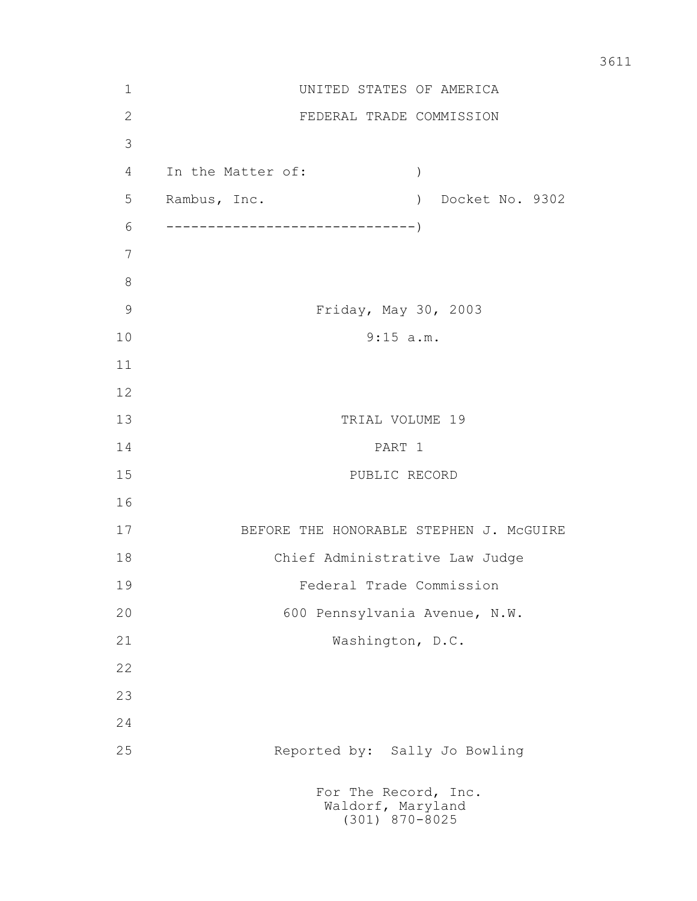| $\mathbf 1$   |                                | UNITED STATES OF AMERICA                                      |  |  |  |  |
|---------------|--------------------------------|---------------------------------------------------------------|--|--|--|--|
| $\sqrt{2}$    |                                | FEDERAL TRADE COMMISSION                                      |  |  |  |  |
| 3             |                                |                                                               |  |  |  |  |
| 4             | In the Matter of:              | $\mathcal{C}$                                                 |  |  |  |  |
| 5             | Rambus, Inc.                   | ) Docket No. 9302                                             |  |  |  |  |
| 6             |                                |                                                               |  |  |  |  |
| 7             |                                |                                                               |  |  |  |  |
| $8\,$         |                                |                                                               |  |  |  |  |
| $\mathcal{G}$ |                                | Friday, May 30, 2003                                          |  |  |  |  |
| 10            | 9:15 a.m.                      |                                                               |  |  |  |  |
| 11            |                                |                                                               |  |  |  |  |
| 12            |                                |                                                               |  |  |  |  |
| 13            |                                | TRIAL VOLUME 19                                               |  |  |  |  |
| 14            | PART 1                         |                                                               |  |  |  |  |
| 15            |                                | PUBLIC RECORD                                                 |  |  |  |  |
| 16            |                                |                                                               |  |  |  |  |
| 17            |                                | BEFORE THE HONORABLE STEPHEN J. MCGUIRE                       |  |  |  |  |
| 18            | Chief Administrative Law Judge |                                                               |  |  |  |  |
| 19            | Federal Trade Commission       |                                                               |  |  |  |  |
| 20            | 600 Pennsylvania Avenue, N.W.  |                                                               |  |  |  |  |
| 21            |                                | Washington, D.C.                                              |  |  |  |  |
| 22            |                                |                                                               |  |  |  |  |
| 23            |                                |                                                               |  |  |  |  |
| 24            |                                |                                                               |  |  |  |  |
| 25            |                                | Reported by: Sally Jo Bowling                                 |  |  |  |  |
|               |                                | For The Record, Inc.<br>Waldorf, Maryland<br>$(301)$ 870-8025 |  |  |  |  |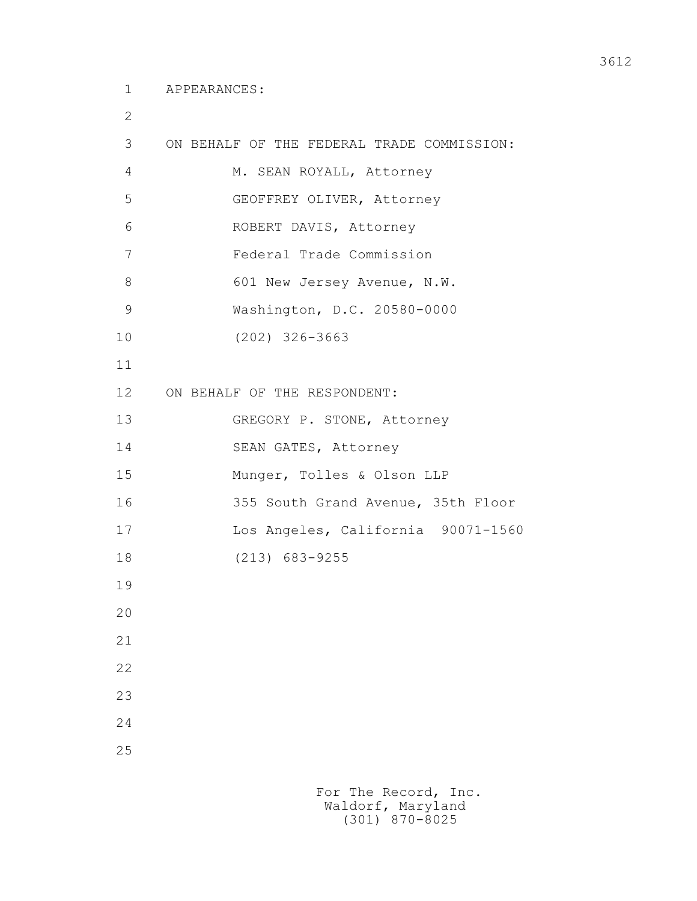2

| 3               | ON BEHALF OF THE FEDERAL TRADE COMMISSION: |
|-----------------|--------------------------------------------|
| 4               | M. SEAN ROYALL, Attorney                   |
| 5               | GEOFFREY OLIVER, Attorney                  |
| 6               | ROBERT DAVIS, Attorney                     |
| 7               | Federal Trade Commission                   |
| $8\,$           | 601 New Jersey Avenue, N.W.                |
| $\mathcal{G}$   | Washington, D.C. 20580-0000                |
| 10              | $(202)$ 326-3663                           |
| 11              |                                            |
| 12 <sup>°</sup> | ON BEHALF OF THE RESPONDENT:               |
| 13              | GREGORY P. STONE, Attorney                 |
| 14              | SEAN GATES, Attorney                       |
| 15              | Munger, Tolles & Olson LLP                 |
| 16              | 355 South Grand Avenue, 35th Floor         |
| 17              | Los Angeles, California 90071-1560         |
| 18              | $(213)$ 683-9255                           |
| 19              |                                            |
| 20              |                                            |
| 21              |                                            |
| 22              |                                            |
| 23              |                                            |
| 24              |                                            |
| 25              |                                            |
|                 |                                            |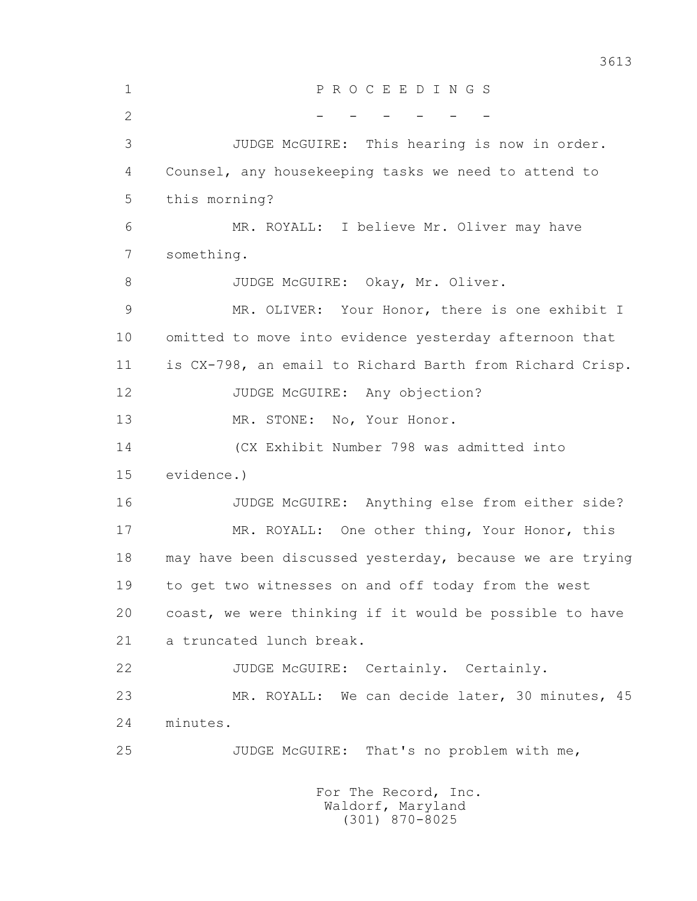1 P R O C E E D I N G S  $2$  - - - - - - - 3 JUDGE McGUIRE: This hearing is now in order. 4 Counsel, any housekeeping tasks we need to attend to 5 this morning? 6 MR. ROYALL: I believe Mr. Oliver may have 7 something. 8 JUDGE McGUIRE: Okay, Mr. Oliver. 9 MR. OLIVER: Your Honor, there is one exhibit I 10 omitted to move into evidence yesterday afternoon that 11 is CX-798, an email to Richard Barth from Richard Crisp. 12 JUDGE McGUIRE: Any objection? 13 MR. STONE: No, Your Honor. 14 (CX Exhibit Number 798 was admitted into 15 evidence.) 16 JUDGE McGUIRE: Anything else from either side? 17 MR. ROYALL: One other thing, Your Honor, this 18 may have been discussed yesterday, because we are trying 19 to get two witnesses on and off today from the west 20 coast, we were thinking if it would be possible to have 21 a truncated lunch break. 22 JUDGE McGUIRE: Certainly. Certainly. 23 MR. ROYALL: We can decide later, 30 minutes, 45 24 minutes. 25 JUDGE McGUIRE: That's no problem with me, For The Record, Inc.

 Waldorf, Maryland (301) 870-8025

3613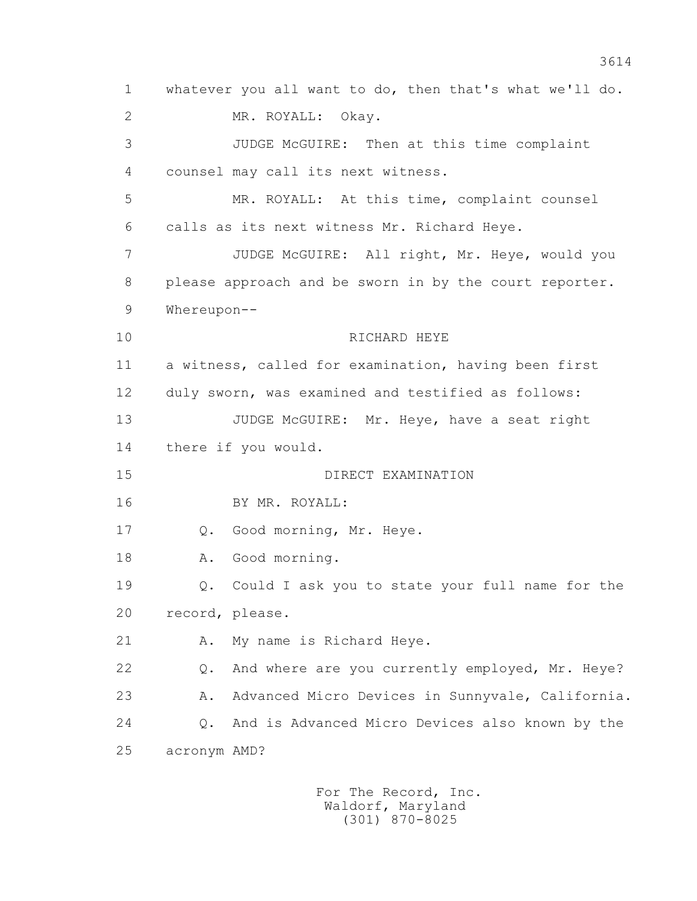1 whatever you all want to do, then that's what we'll do. 2 MR. ROYALL: Okay. 3 JUDGE McGUIRE: Then at this time complaint 4 counsel may call its next witness. 5 MR. ROYALL: At this time, complaint counsel 6 calls as its next witness Mr. Richard Heye. 7 JUDGE McGUIRE: All right, Mr. Heye, would you 8 please approach and be sworn in by the court reporter. 9 Whereupon-- 10 RICHARD HEYE 11 a witness, called for examination, having been first 12 duly sworn, was examined and testified as follows: 13 JUDGE McGUIRE: Mr. Heye, have a seat right 14 there if you would. 15 DIRECT EXAMINATION 16 BY MR. ROYALL: 17 Q. Good morning, Mr. Heye. 18 A. Good morning. 19 Q. Could I ask you to state your full name for the 20 record, please. 21 A. My name is Richard Heye. 22 Q. And where are you currently employed, Mr. Heye? 23 A. Advanced Micro Devices in Sunnyvale, California. 24 Q. And is Advanced Micro Devices also known by the 25 acronym AMD?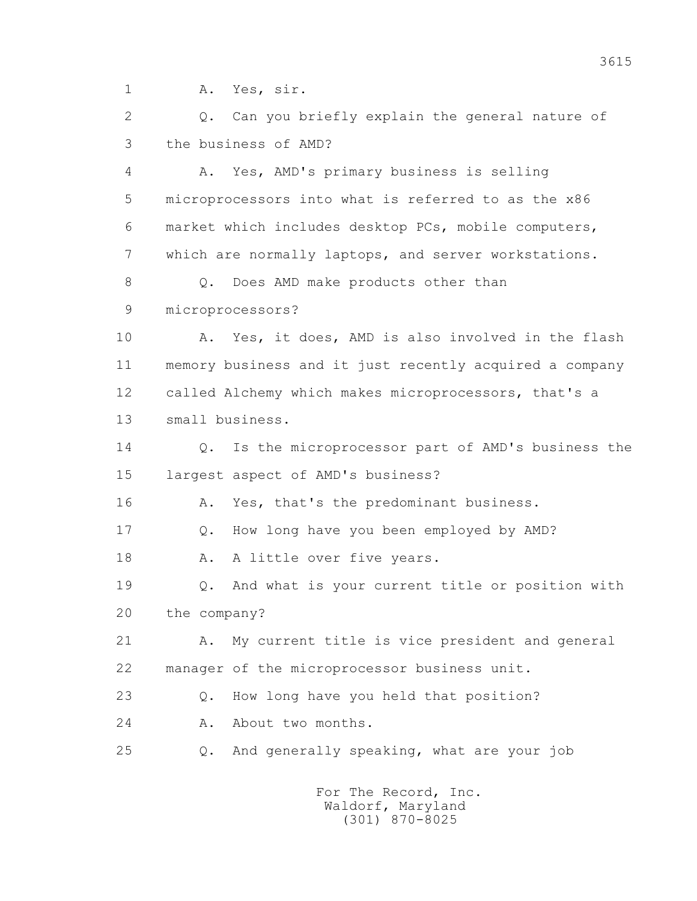1 A. Yes, sir.

2 0. Can you briefly explain the general nature of 3 the business of AMD?

 4 A. Yes, AMD's primary business is selling 5 microprocessors into what is referred to as the x86 6 market which includes desktop PCs, mobile computers, 7 which are normally laptops, and server workstations. 8 0. Does AMD make products other than 9 microprocessors? 10 A. Yes, it does, AMD is also involved in the flash 11 memory business and it just recently acquired a company 12 called Alchemy which makes microprocessors, that's a 13 small business. 14 0. Is the microprocessor part of AMD's business the 15 largest aspect of AMD's business? 16 A. Yes, that's the predominant business. 17 Q. How long have you been employed by AMD? 18 A. A little over five years. 19 Q. And what is your current title or position with 20 the company? 21 A. My current title is vice president and general 22 manager of the microprocessor business unit. 23 Q. How long have you held that position? 24 A. About two months. 25 Q. And generally speaking, what are your job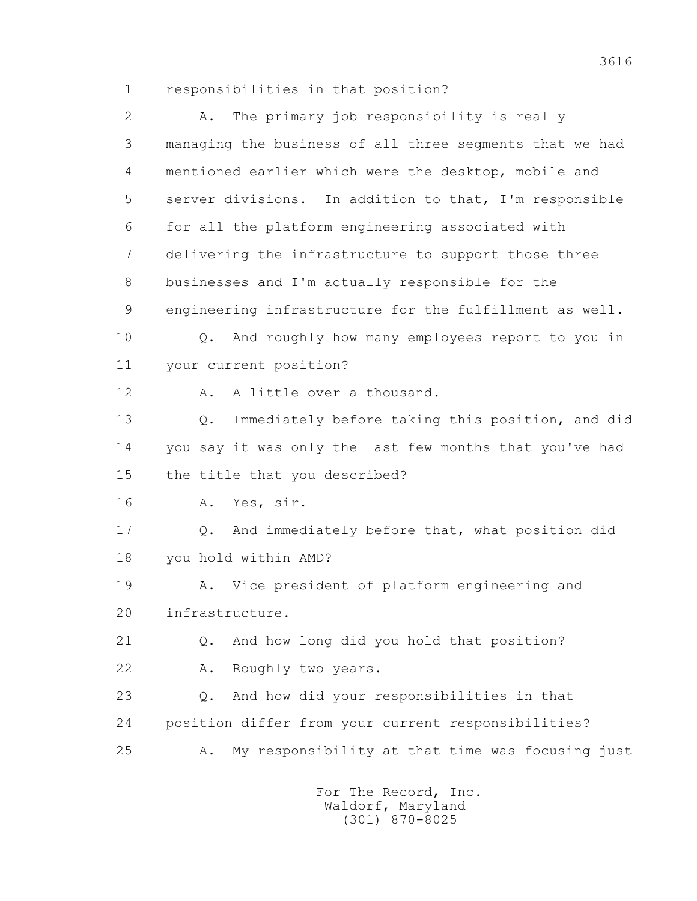1 responsibilities in that position?

 2 A. The primary job responsibility is really 3 managing the business of all three segments that we had 4 mentioned earlier which were the desktop, mobile and 5 server divisions. In addition to that, I'm responsible 6 for all the platform engineering associated with 7 delivering the infrastructure to support those three 8 businesses and I'm actually responsible for the 9 engineering infrastructure for the fulfillment as well. 10 Q. And roughly how many employees report to you in 11 your current position? 12 A. A little over a thousand. 13 Q. Immediately before taking this position, and did 14 you say it was only the last few months that you've had 15 the title that you described? 16 A. Yes, sir. 17 Q. And immediately before that, what position did 18 you hold within AMD? 19 A. Vice president of platform engineering and 20 infrastructure. 21 Q. And how long did you hold that position? 22 A. Roughly two years. 23 Q. And how did your responsibilities in that 24 position differ from your current responsibilities? 25 A. My responsibility at that time was focusing just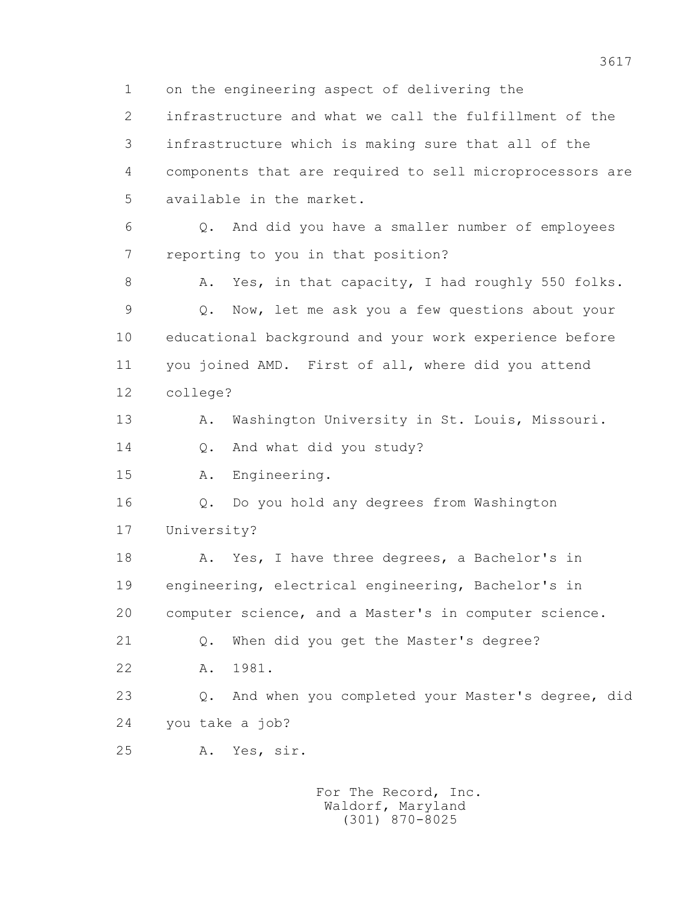1 on the engineering aspect of delivering the 2 infrastructure and what we call the fulfillment of the 3 infrastructure which is making sure that all of the 4 components that are required to sell microprocessors are 5 available in the market. 6 Q. And did you have a smaller number of employees 7 reporting to you in that position? 8 A. Yes, in that capacity, I had roughly 550 folks. 9 Q. Now, let me ask you a few questions about your 10 educational background and your work experience before 11 you joined AMD. First of all, where did you attend 12 college? 13 A. Washington University in St. Louis, Missouri. 14 0. And what did you study? 15 A. Engineering. 16 Q. Do you hold any degrees from Washington 17 University? 18 A. Yes, I have three degrees, a Bachelor's in 19 engineering, electrical engineering, Bachelor's in 20 computer science, and a Master's in computer science. 21 Q. When did you get the Master's degree? 22 A. 1981. 23 Q. And when you completed your Master's degree, did 24 you take a job? 25 A. Yes, sir. For The Record, Inc.

 Waldorf, Maryland (301) 870-8025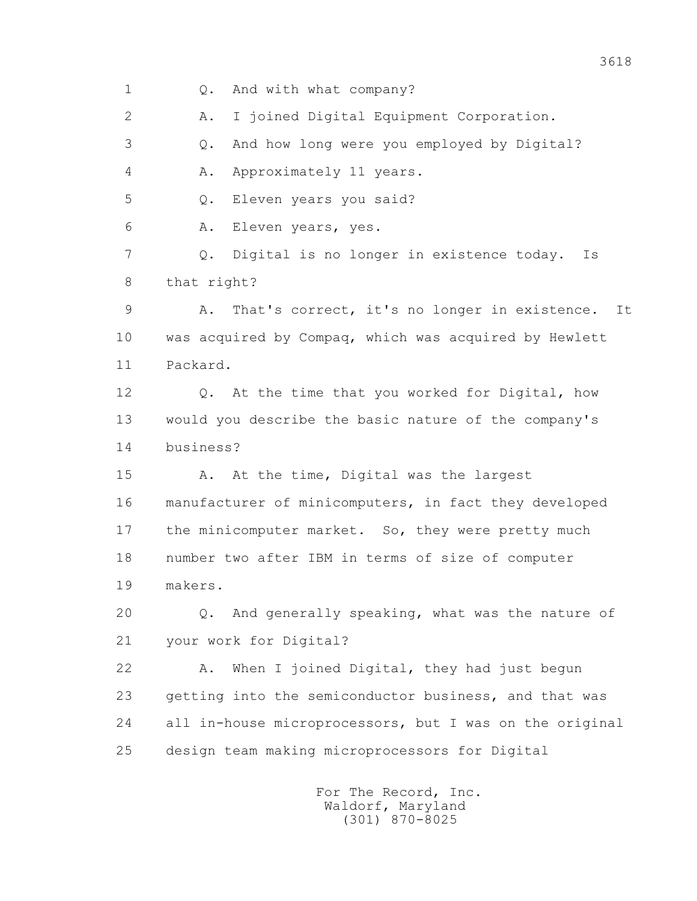1 Q. And with what company? 2 A. I joined Digital Equipment Corporation. 3 Q. And how long were you employed by Digital? 4 A. Approximately 11 years. 5 Q. Eleven years you said? 6 A. Eleven years, yes. 7 Q. Digital is no longer in existence today. Is 8 that right? 9 A. That's correct, it's no longer in existence. It 10 was acquired by Compaq, which was acquired by Hewlett 11 Packard. 12 Q. At the time that you worked for Digital, how 13 would you describe the basic nature of the company's 14 business? 15 A. At the time, Digital was the largest 16 manufacturer of minicomputers, in fact they developed 17 the minicomputer market. So, they were pretty much 18 number two after IBM in terms of size of computer 19 makers. 20 Q. And generally speaking, what was the nature of 21 your work for Digital? 22 A. When I joined Digital, they had just begun 23 getting into the semiconductor business, and that was 24 all in-house microprocessors, but I was on the original 25 design team making microprocessors for Digital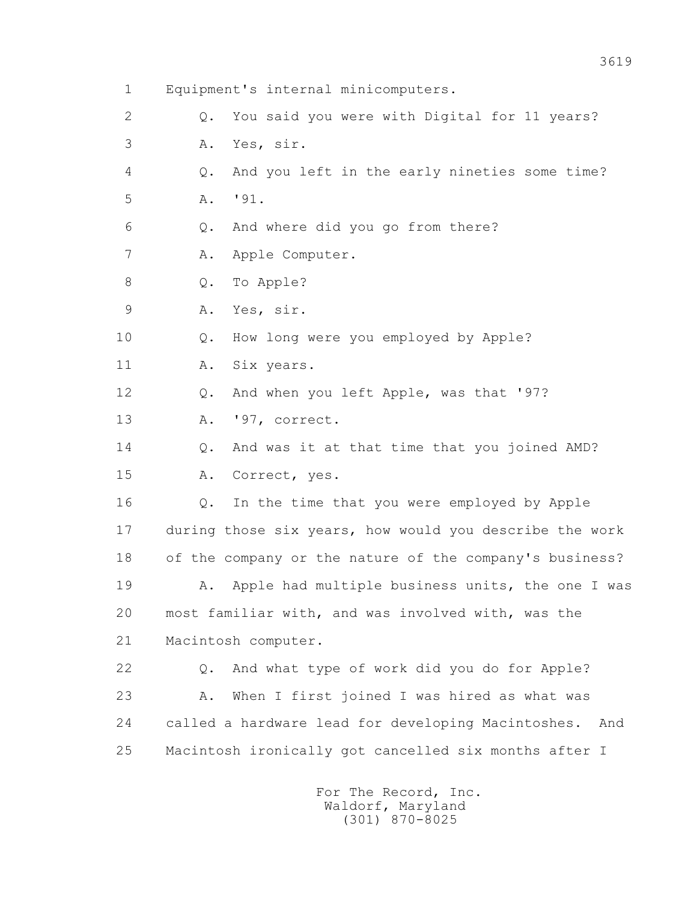1 Equipment's internal minicomputers. 2 Q. You said you were with Digital for 11 years? 3 A. Yes, sir. 4 Q. And you left in the early nineties some time? 5 A. '91. 6 Q. And where did you go from there? 7 A. Apple Computer. 8 Q. To Apple? 9 A. Yes, sir. 10 Q. How long were you employed by Apple? 11 A. Six years. 12 Q. And when you left Apple, was that '97? 13 A. '97, correct. 14 0. And was it at that time that you joined AMD? 15 A. Correct, yes. 16 Q. In the time that you were employed by Apple 17 during those six years, how would you describe the work 18 of the company or the nature of the company's business? 19 A. Apple had multiple business units, the one I was 20 most familiar with, and was involved with, was the 21 Macintosh computer. 22 Q. And what type of work did you do for Apple? 23 A. When I first joined I was hired as what was 24 called a hardware lead for developing Macintoshes. And 25 Macintosh ironically got cancelled six months after I For The Record, Inc. Waldorf, Maryland

(301) 870-8025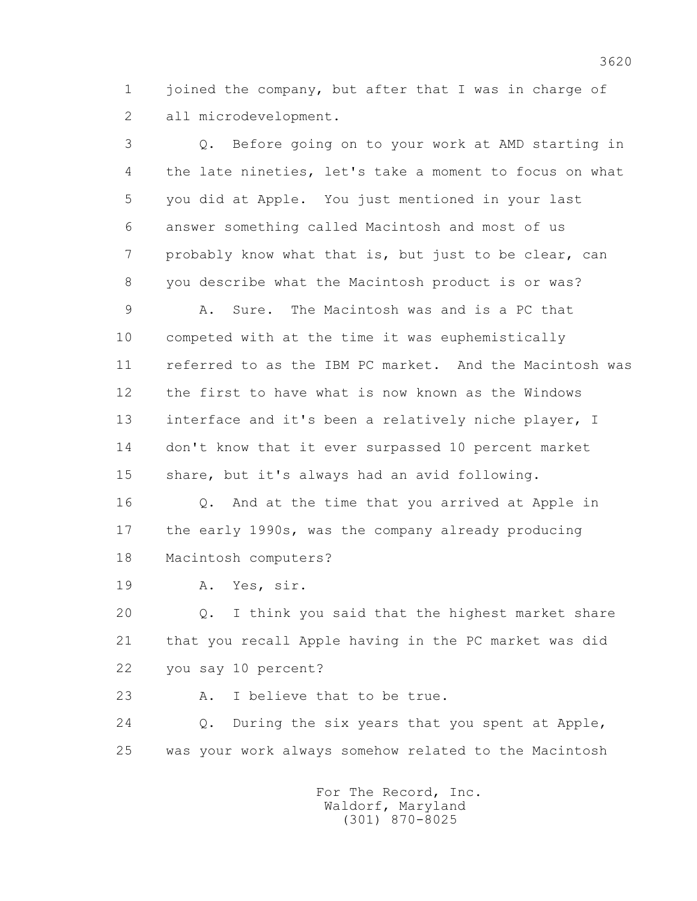1 joined the company, but after that I was in charge of 2 all microdevelopment.

 3 Q. Before going on to your work at AMD starting in 4 the late nineties, let's take a moment to focus on what 5 you did at Apple. You just mentioned in your last 6 answer something called Macintosh and most of us 7 probably know what that is, but just to be clear, can 8 you describe what the Macintosh product is or was?

 9 A. Sure. The Macintosh was and is a PC that 10 competed with at the time it was euphemistically 11 referred to as the IBM PC market. And the Macintosh was 12 the first to have what is now known as the Windows 13 interface and it's been a relatively niche player, I 14 don't know that it ever surpassed 10 percent market 15 share, but it's always had an avid following.

 16 Q. And at the time that you arrived at Apple in 17 the early 1990s, was the company already producing 18 Macintosh computers?

19 A. Yes, sir.

 20 Q. I think you said that the highest market share 21 that you recall Apple having in the PC market was did 22 you say 10 percent?

23 A. I believe that to be true.

 24 Q. During the six years that you spent at Apple, 25 was your work always somehow related to the Macintosh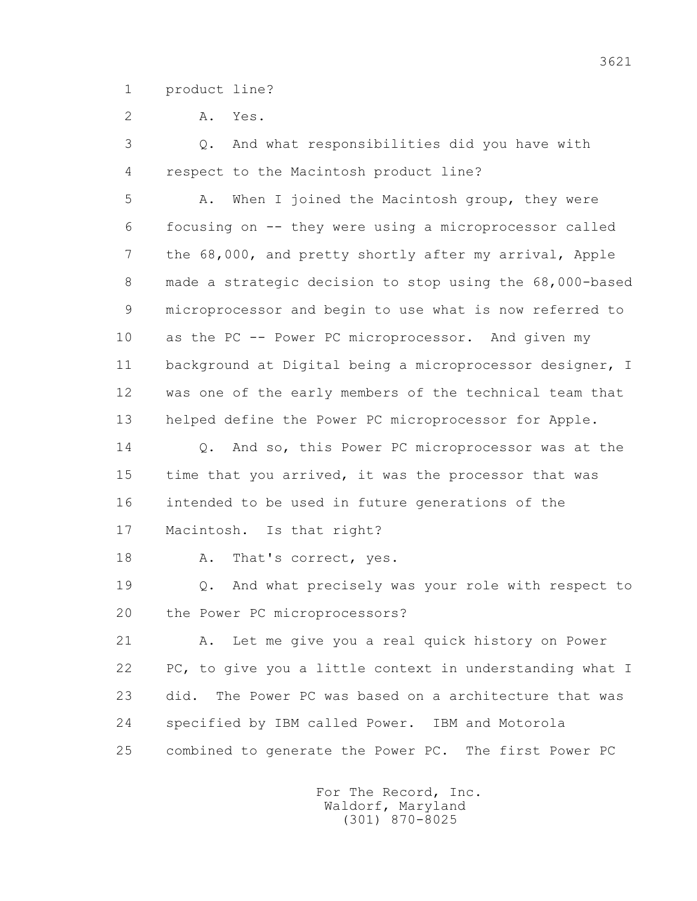1 product line?

2 A. Yes.

 3 Q. And what responsibilities did you have with 4 respect to the Macintosh product line?

 5 A. When I joined the Macintosh group, they were 6 focusing on -- they were using a microprocessor called 7 the 68,000, and pretty shortly after my arrival, Apple 8 made a strategic decision to stop using the 68,000-based 9 microprocessor and begin to use what is now referred to 10 as the PC -- Power PC microprocessor. And given my 11 background at Digital being a microprocessor designer, I 12 was one of the early members of the technical team that 13 helped define the Power PC microprocessor for Apple.

14 0. And so, this Power PC microprocessor was at the 15 time that you arrived, it was the processor that was 16 intended to be used in future generations of the 17 Macintosh. Is that right?

18 A. That's correct, yes.

 19 Q. And what precisely was your role with respect to 20 the Power PC microprocessors?

 21 A. Let me give you a real quick history on Power 22 PC, to give you a little context in understanding what I 23 did. The Power PC was based on a architecture that was 24 specified by IBM called Power. IBM and Motorola 25 combined to generate the Power PC. The first Power PC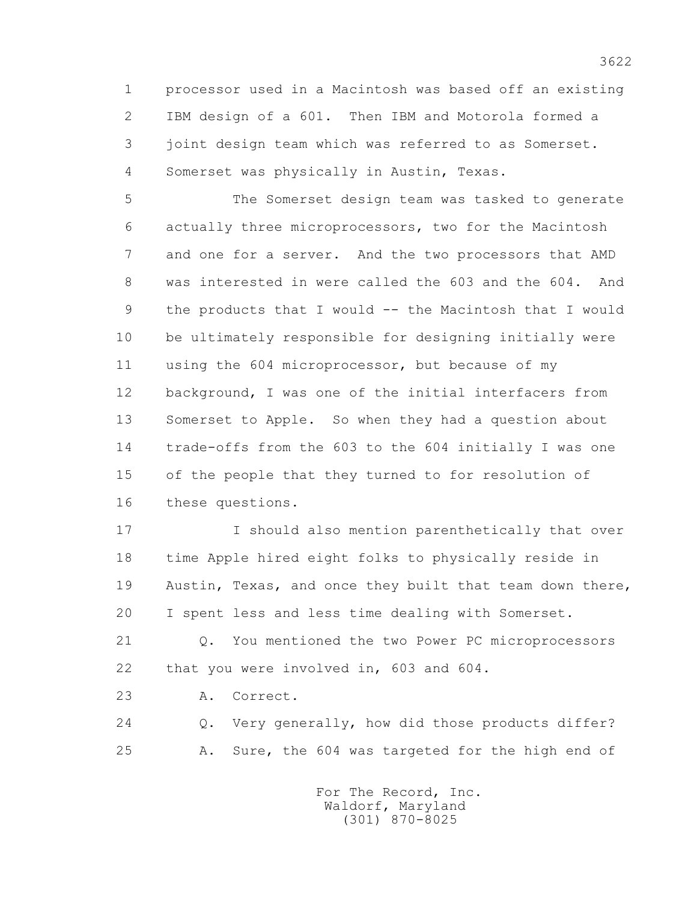1 processor used in a Macintosh was based off an existing 2 IBM design of a 601. Then IBM and Motorola formed a 3 joint design team which was referred to as Somerset. 4 Somerset was physically in Austin, Texas.

 5 The Somerset design team was tasked to generate 6 actually three microprocessors, two for the Macintosh 7 and one for a server. And the two processors that AMD 8 was interested in were called the 603 and the 604. And 9 the products that I would -- the Macintosh that I would 10 be ultimately responsible for designing initially were 11 using the 604 microprocessor, but because of my 12 background, I was one of the initial interfacers from 13 Somerset to Apple. So when they had a question about 14 trade-offs from the 603 to the 604 initially I was one 15 of the people that they turned to for resolution of 16 these questions.

 17 I should also mention parenthetically that over 18 time Apple hired eight folks to physically reside in 19 Austin, Texas, and once they built that team down there, 20 I spent less and less time dealing with Somerset.

 21 Q. You mentioned the two Power PC microprocessors 22 that you were involved in, 603 and 604.

23 A. Correct.

 24 Q. Very generally, how did those products differ? 25 A. Sure, the 604 was targeted for the high end of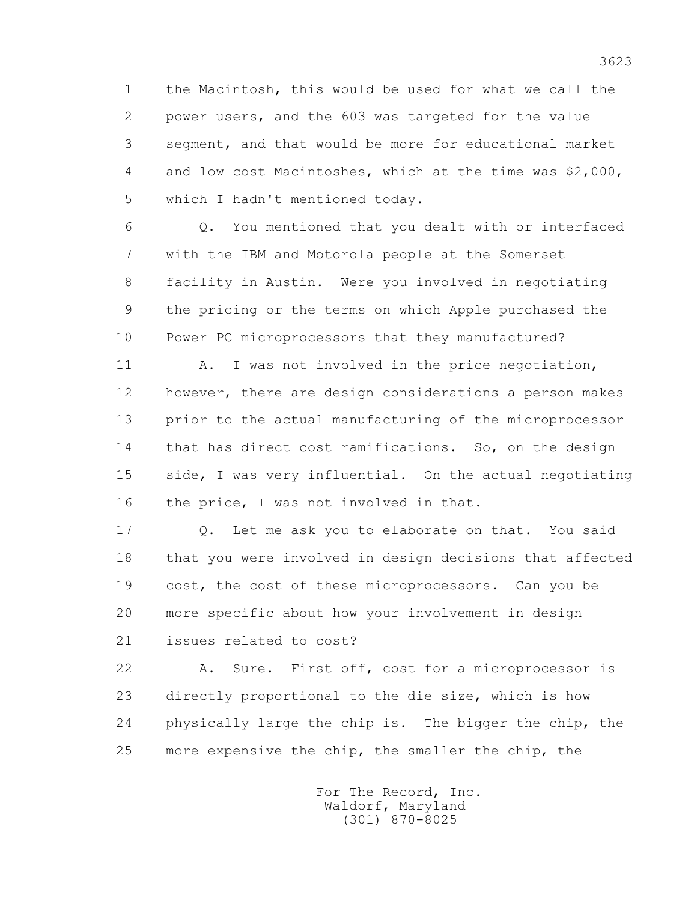1 the Macintosh, this would be used for what we call the 2 power users, and the 603 was targeted for the value 3 segment, and that would be more for educational market 4 and low cost Macintoshes, which at the time was \$2,000, 5 which I hadn't mentioned today.

 6 Q. You mentioned that you dealt with or interfaced 7 with the IBM and Motorola people at the Somerset 8 facility in Austin. Were you involved in negotiating 9 the pricing or the terms on which Apple purchased the 10 Power PC microprocessors that they manufactured?

11 A. I was not involved in the price negotiation, 12 however, there are design considerations a person makes 13 prior to the actual manufacturing of the microprocessor 14 that has direct cost ramifications. So, on the design 15 side, I was very influential. On the actual negotiating 16 the price, I was not involved in that.

 17 Q. Let me ask you to elaborate on that. You said 18 that you were involved in design decisions that affected 19 cost, the cost of these microprocessors. Can you be 20 more specific about how your involvement in design 21 issues related to cost?

 22 A. Sure. First off, cost for a microprocessor is 23 directly proportional to the die size, which is how 24 physically large the chip is. The bigger the chip, the 25 more expensive the chip, the smaller the chip, the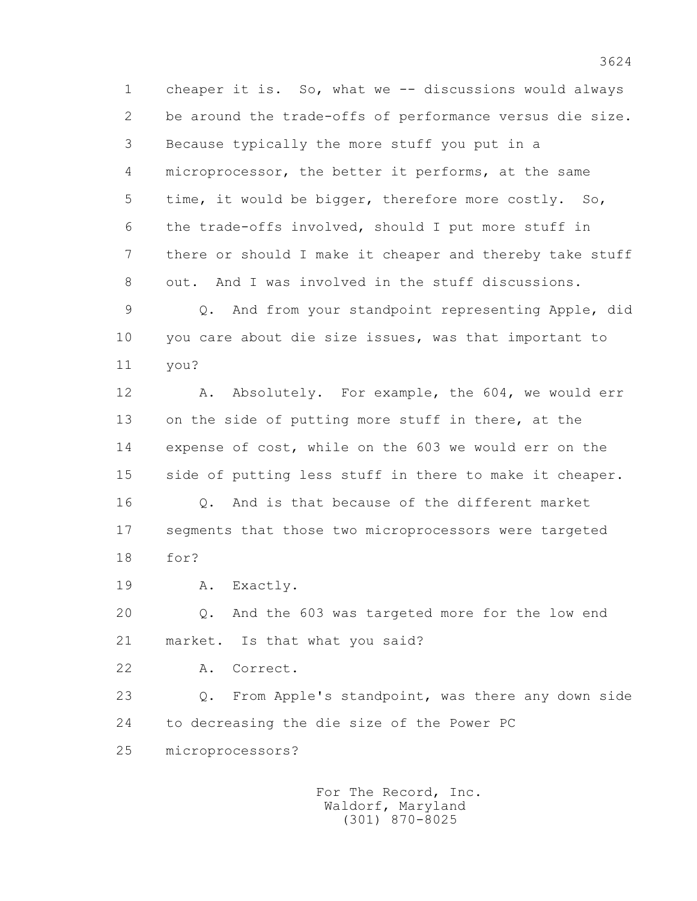1 cheaper it is. So, what we -- discussions would always 2 be around the trade-offs of performance versus die size. 3 Because typically the more stuff you put in a 4 microprocessor, the better it performs, at the same 5 time, it would be bigger, therefore more costly. So, 6 the trade-offs involved, should I put more stuff in 7 there or should I make it cheaper and thereby take stuff 8 out. And I was involved in the stuff discussions.

 9 Q. And from your standpoint representing Apple, did 10 you care about die size issues, was that important to 11 you?

12 A. Absolutely. For example, the 604, we would err 13 on the side of putting more stuff in there, at the 14 expense of cost, while on the 603 we would err on the 15 side of putting less stuff in there to make it cheaper. 16 Q. And is that because of the different market 17 segments that those two microprocessors were targeted 18 for?

19 A. Exactly.

 20 Q. And the 603 was targeted more for the low end 21 market. Is that what you said?

22 A. Correct.

 23 Q. From Apple's standpoint, was there any down side 24 to decreasing the die size of the Power PC

25 microprocessors?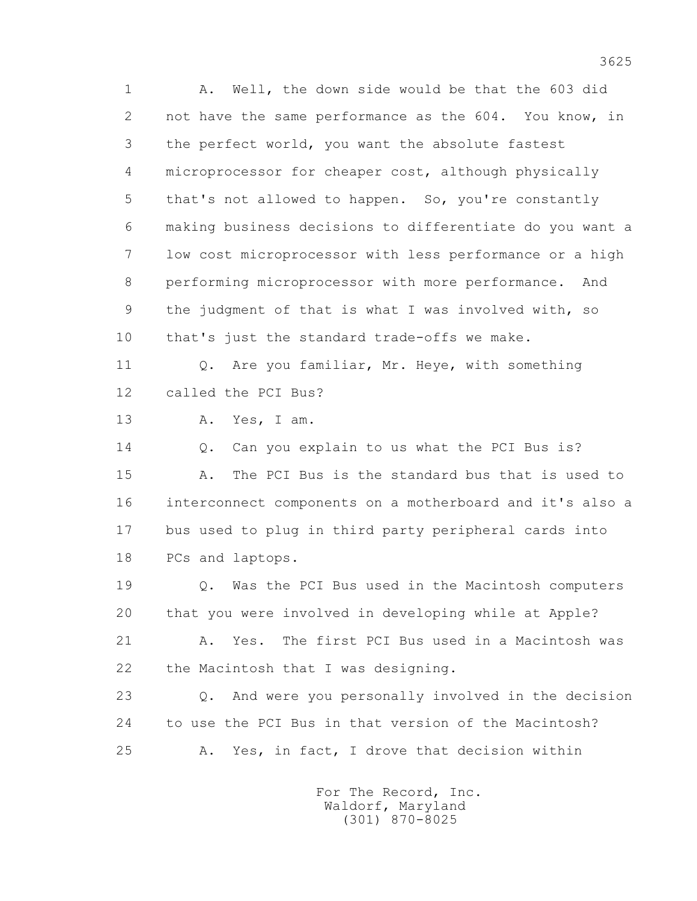1 A. Well, the down side would be that the 603 did 2 not have the same performance as the 604. You know, in 3 the perfect world, you want the absolute fastest 4 microprocessor for cheaper cost, although physically 5 that's not allowed to happen. So, you're constantly 6 making business decisions to differentiate do you want a 7 low cost microprocessor with less performance or a high 8 performing microprocessor with more performance. And 9 the judgment of that is what I was involved with, so 10 that's just the standard trade-offs we make. 11 O. Are you familiar, Mr. Heye, with something 12 called the PCI Bus? 13 A. Yes, I am. 14 0. Can you explain to us what the PCI Bus is? 15 A. The PCI Bus is the standard bus that is used to 16 interconnect components on a motherboard and it's also a 17 bus used to plug in third party peripheral cards into 18 PCs and laptops. 19 Q. Was the PCI Bus used in the Macintosh computers 20 that you were involved in developing while at Apple?

 21 A. Yes. The first PCI Bus used in a Macintosh was 22 the Macintosh that I was designing.

 23 Q. And were you personally involved in the decision 24 to use the PCI Bus in that version of the Macintosh? 25 A. Yes, in fact, I drove that decision within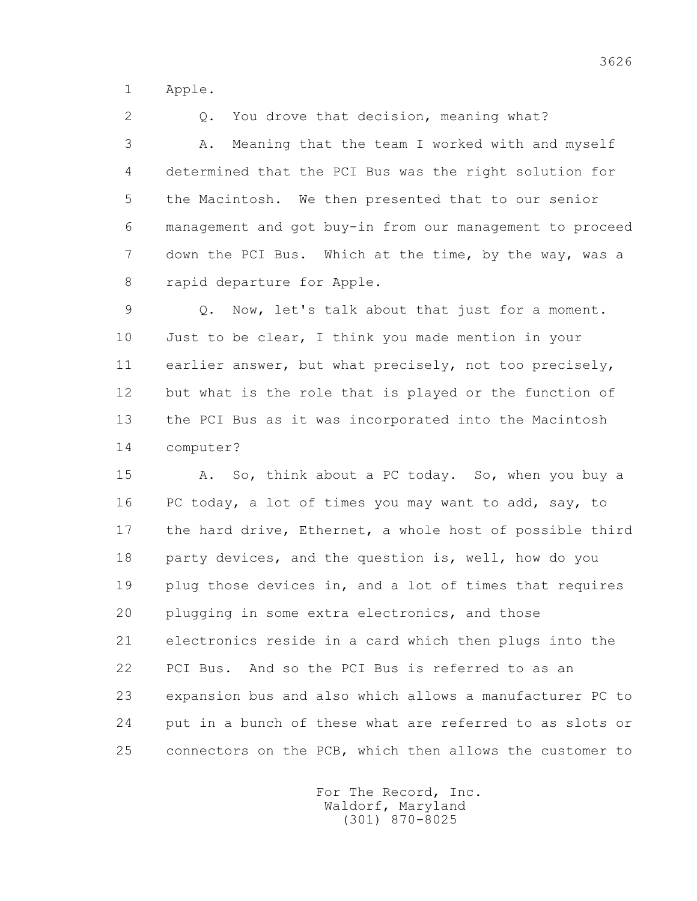1 Apple.

2 0. You drove that decision, meaning what? 3 A. Meaning that the team I worked with and myself 4 determined that the PCI Bus was the right solution for 5 the Macintosh. We then presented that to our senior 6 management and got buy-in from our management to proceed 7 down the PCI Bus. Which at the time, by the way, was a 8 rapid departure for Apple.

 9 Q. Now, let's talk about that just for a moment. 10 Just to be clear, I think you made mention in your 11 earlier answer, but what precisely, not too precisely, 12 but what is the role that is played or the function of 13 the PCI Bus as it was incorporated into the Macintosh 14 computer?

 15 A. So, think about a PC today. So, when you buy a 16 PC today, a lot of times you may want to add, say, to 17 the hard drive, Ethernet, a whole host of possible third 18 party devices, and the question is, well, how do you 19 plug those devices in, and a lot of times that requires 20 plugging in some extra electronics, and those 21 electronics reside in a card which then plugs into the 22 PCI Bus. And so the PCI Bus is referred to as an 23 expansion bus and also which allows a manufacturer PC to 24 put in a bunch of these what are referred to as slots or 25 connectors on the PCB, which then allows the customer to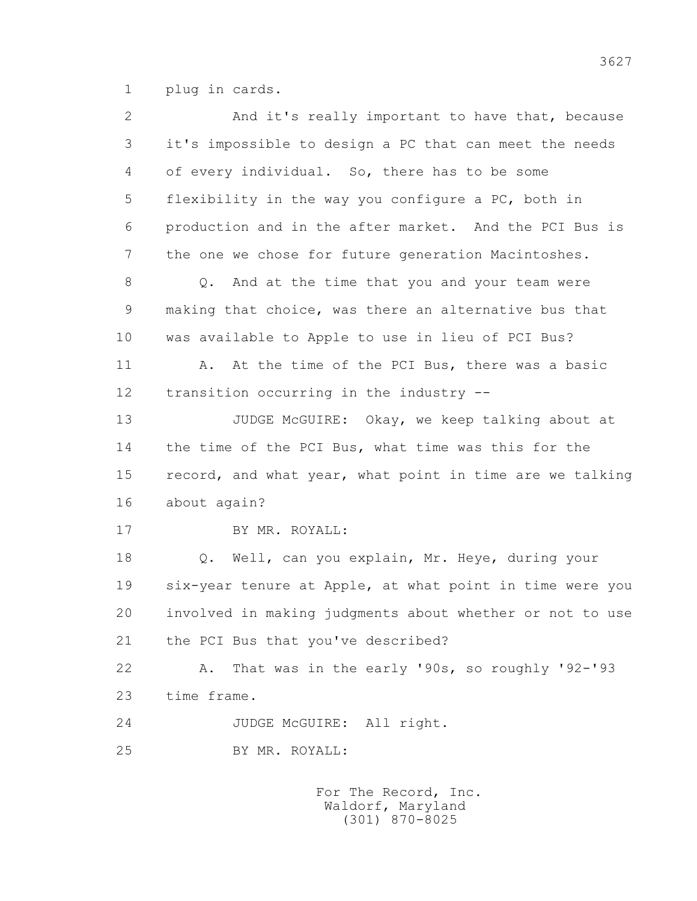1 plug in cards.

 2 And it's really important to have that, because 3 it's impossible to design a PC that can meet the needs 4 of every individual. So, there has to be some 5 flexibility in the way you configure a PC, both in 6 production and in the after market. And the PCI Bus is 7 the one we chose for future generation Macintoshes. 8 Q. And at the time that you and your team were 9 making that choice, was there an alternative bus that 10 was available to Apple to use in lieu of PCI Bus? 11 A. At the time of the PCI Bus, there was a basic 12 transition occurring in the industry -- 13 JUDGE McGUIRE: Okay, we keep talking about at 14 the time of the PCI Bus, what time was this for the 15 record, and what year, what point in time are we talking 16 about again? 17 BY MR. ROYALL: 18 Q. Well, can you explain, Mr. Heye, during your 19 six-year tenure at Apple, at what point in time were you 20 involved in making judgments about whether or not to use 21 the PCI Bus that you've described? 22 A. That was in the early '90s, so roughly '92-'93 23 time frame. 24 JUDGE McGUIRE: All right. 25 BY MR. ROYALL: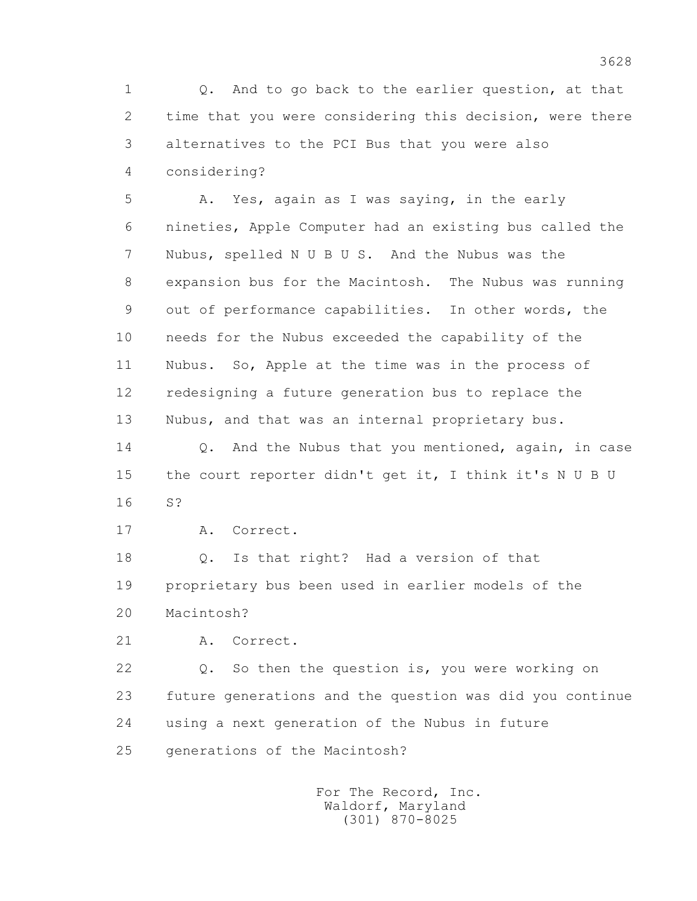1 Q. And to go back to the earlier question, at that 2 time that you were considering this decision, were there 3 alternatives to the PCI Bus that you were also 4 considering?

 5 A. Yes, again as I was saying, in the early 6 nineties, Apple Computer had an existing bus called the 7 Nubus, spelled N U B U S. And the Nubus was the 8 expansion bus for the Macintosh. The Nubus was running 9 out of performance capabilities. In other words, the 10 needs for the Nubus exceeded the capability of the 11 Nubus. So, Apple at the time was in the process of 12 redesigning a future generation bus to replace the 13 Nubus, and that was an internal proprietary bus.

14 0. And the Nubus that you mentioned, again, in case 15 the court reporter didn't get it, I think it's N U B U 16 S?

17 A. Correct.

 18 Q. Is that right? Had a version of that 19 proprietary bus been used in earlier models of the 20 Macintosh?

21 A. Correct.

 22 Q. So then the question is, you were working on 23 future generations and the question was did you continue 24 using a next generation of the Nubus in future 25 generations of the Macintosh?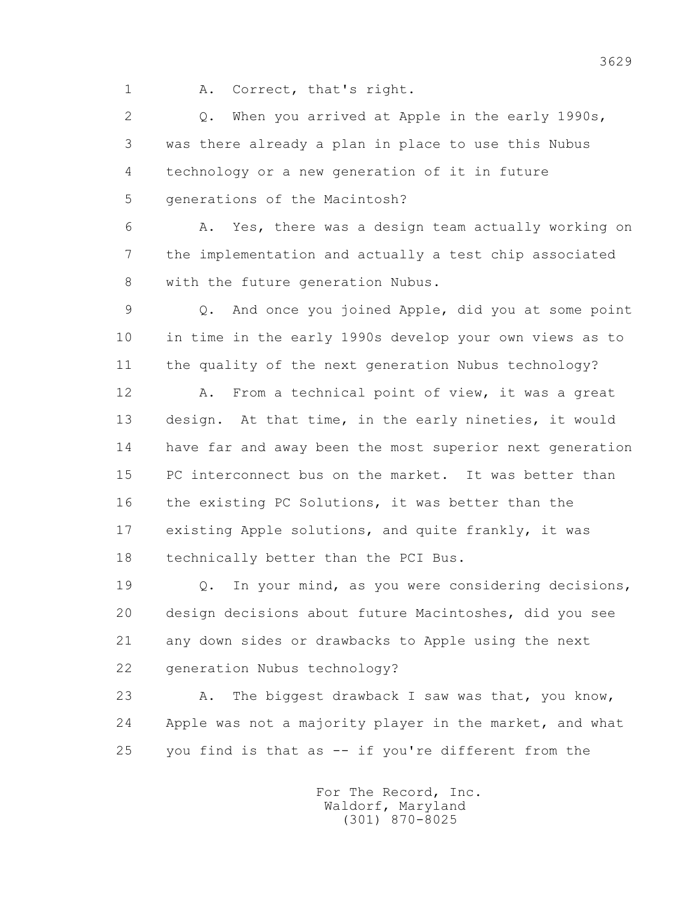1 A. Correct, that's right.

 2 Q. When you arrived at Apple in the early 1990s, 3 was there already a plan in place to use this Nubus 4 technology or a new generation of it in future 5 generations of the Macintosh?

 6 A. Yes, there was a design team actually working on 7 the implementation and actually a test chip associated 8 with the future generation Nubus.

 9 Q. And once you joined Apple, did you at some point 10 in time in the early 1990s develop your own views as to 11 the quality of the next generation Nubus technology?

 12 A. From a technical point of view, it was a great 13 design. At that time, in the early nineties, it would 14 have far and away been the most superior next generation 15 PC interconnect bus on the market. It was better than 16 the existing PC Solutions, it was better than the 17 existing Apple solutions, and quite frankly, it was 18 technically better than the PCI Bus.

 19 Q. In your mind, as you were considering decisions, 20 design decisions about future Macintoshes, did you see 21 any down sides or drawbacks to Apple using the next 22 generation Nubus technology?

23 A. The biggest drawback I saw was that, you know, 24 Apple was not a majority player in the market, and what 25 you find is that as -- if you're different from the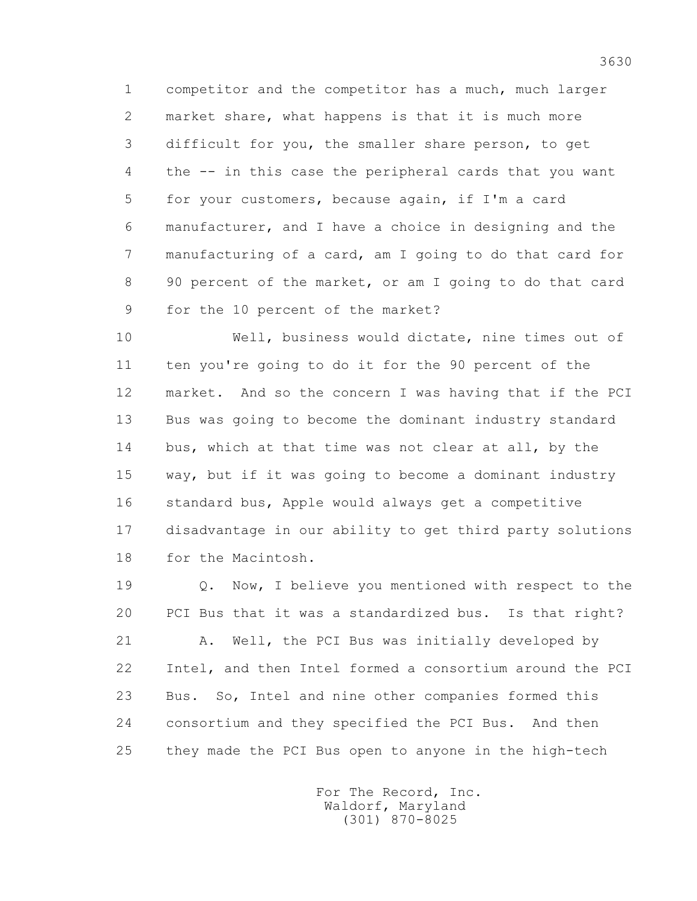1 competitor and the competitor has a much, much larger 2 market share, what happens is that it is much more 3 difficult for you, the smaller share person, to get 4 the -- in this case the peripheral cards that you want 5 for your customers, because again, if I'm a card 6 manufacturer, and I have a choice in designing and the 7 manufacturing of a card, am I going to do that card for 8 90 percent of the market, or am I going to do that card 9 for the 10 percent of the market?

 10 Well, business would dictate, nine times out of 11 ten you're going to do it for the 90 percent of the 12 market. And so the concern I was having that if the PCI 13 Bus was going to become the dominant industry standard 14 bus, which at that time was not clear at all, by the 15 way, but if it was going to become a dominant industry 16 standard bus, Apple would always get a competitive 17 disadvantage in our ability to get third party solutions 18 for the Macintosh.

 19 Q. Now, I believe you mentioned with respect to the 20 PCI Bus that it was a standardized bus. Is that right? 21 A. Well, the PCI Bus was initially developed by 22 Intel, and then Intel formed a consortium around the PCI 23 Bus. So, Intel and nine other companies formed this

 24 consortium and they specified the PCI Bus. And then 25 they made the PCI Bus open to anyone in the high-tech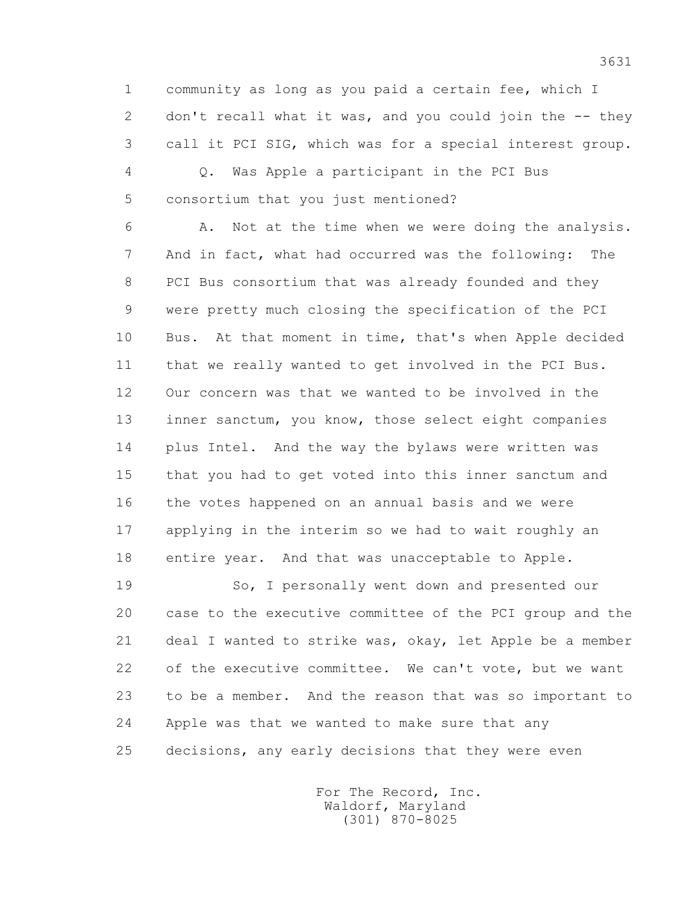1 community as long as you paid a certain fee, which I 2 don't recall what it was, and you could join the -- they 3 call it PCI SIG, which was for a special interest group.

 4 Q. Was Apple a participant in the PCI Bus 5 consortium that you just mentioned?

 6 A. Not at the time when we were doing the analysis. 7 And in fact, what had occurred was the following: The 8 PCI Bus consortium that was already founded and they 9 were pretty much closing the specification of the PCI 10 Bus. At that moment in time, that's when Apple decided 11 that we really wanted to get involved in the PCI Bus. 12 Our concern was that we wanted to be involved in the 13 inner sanctum, you know, those select eight companies 14 plus Intel. And the way the bylaws were written was 15 that you had to get voted into this inner sanctum and 16 the votes happened on an annual basis and we were 17 applying in the interim so we had to wait roughly an 18 entire year. And that was unacceptable to Apple.

 19 So, I personally went down and presented our 20 case to the executive committee of the PCI group and the 21 deal I wanted to strike was, okay, let Apple be a member 22 of the executive committee. We can't vote, but we want 23 to be a member. And the reason that was so important to 24 Apple was that we wanted to make sure that any 25 decisions, any early decisions that they were even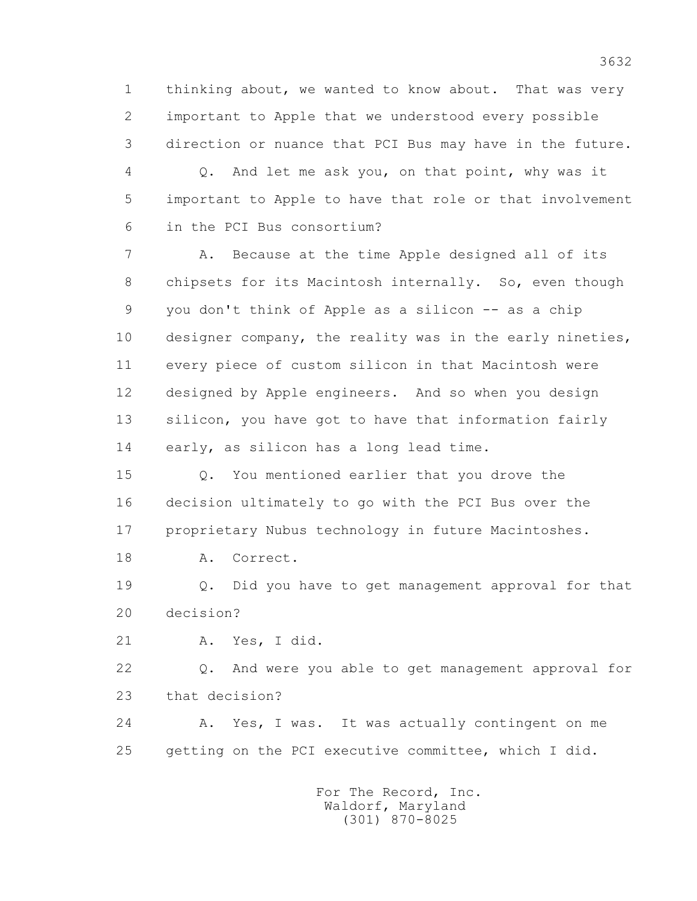1 thinking about, we wanted to know about. That was very 2 important to Apple that we understood every possible 3 direction or nuance that PCI Bus may have in the future.

 4 Q. And let me ask you, on that point, why was it 5 important to Apple to have that role or that involvement 6 in the PCI Bus consortium?

 7 A. Because at the time Apple designed all of its 8 chipsets for its Macintosh internally. So, even though 9 you don't think of Apple as a silicon -- as a chip 10 designer company, the reality was in the early nineties, 11 every piece of custom silicon in that Macintosh were 12 designed by Apple engineers. And so when you design 13 silicon, you have got to have that information fairly 14 early, as silicon has a long lead time.

 15 Q. You mentioned earlier that you drove the 16 decision ultimately to go with the PCI Bus over the 17 proprietary Nubus technology in future Macintoshes.

18 A. Correct.

 19 Q. Did you have to get management approval for that 20 decision?

21 A. Yes, I did.

 22 Q. And were you able to get management approval for 23 that decision?

24 A. Yes, I was. It was actually contingent on me 25 getting on the PCI executive committee, which I did.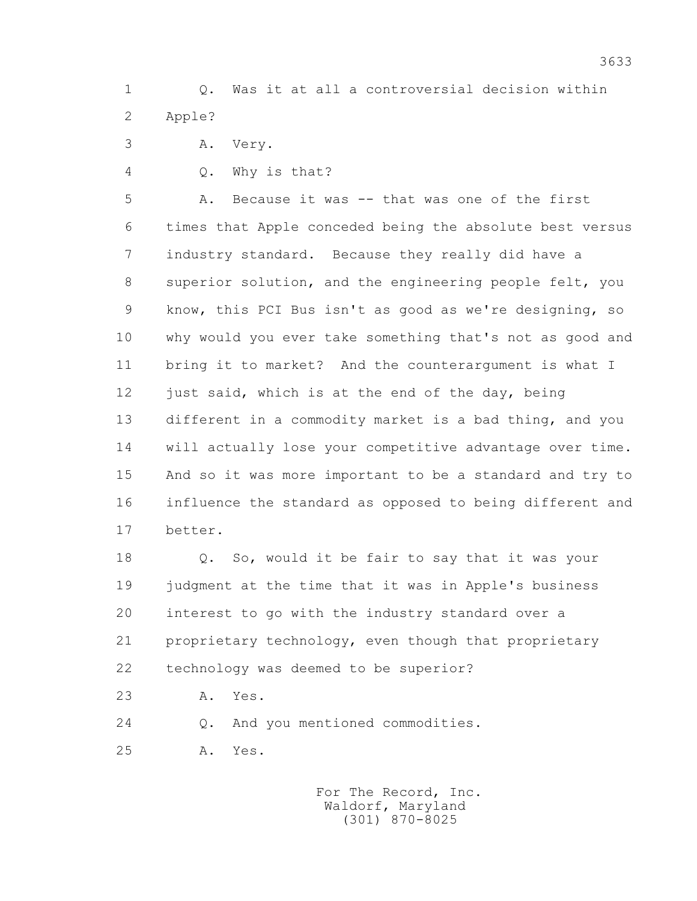1 Q. Was it at all a controversial decision within 2 Apple?

3 A. Very.

4 Q. Why is that?

 5 A. Because it was -- that was one of the first 6 times that Apple conceded being the absolute best versus 7 industry standard. Because they really did have a 8 superior solution, and the engineering people felt, you 9 know, this PCI Bus isn't as good as we're designing, so 10 why would you ever take something that's not as good and 11 bring it to market? And the counterargument is what I 12 just said, which is at the end of the day, being 13 different in a commodity market is a bad thing, and you 14 will actually lose your competitive advantage over time. 15 And so it was more important to be a standard and try to 16 influence the standard as opposed to being different and 17 better.

 18 Q. So, would it be fair to say that it was your 19 judgment at the time that it was in Apple's business 20 interest to go with the industry standard over a 21 proprietary technology, even though that proprietary 22 technology was deemed to be superior?

23 A. Yes.

24 Q. And you mentioned commodities.

25 A. Yes.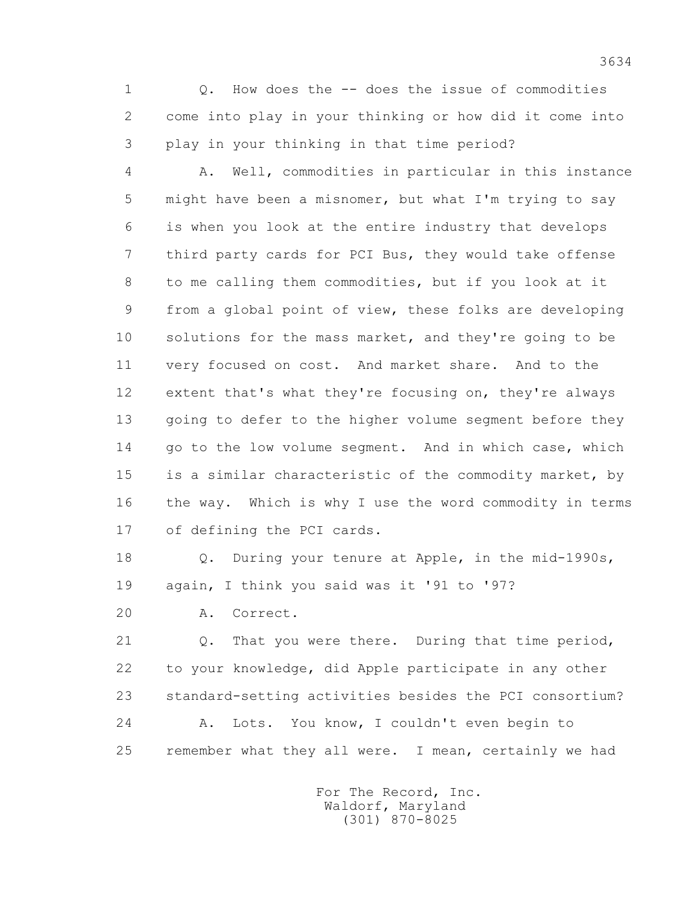1 Q. How does the -- does the issue of commodities 2 come into play in your thinking or how did it come into 3 play in your thinking in that time period?

 4 A. Well, commodities in particular in this instance 5 might have been a misnomer, but what I'm trying to say 6 is when you look at the entire industry that develops 7 third party cards for PCI Bus, they would take offense 8 to me calling them commodities, but if you look at it 9 from a global point of view, these folks are developing 10 solutions for the mass market, and they're going to be 11 very focused on cost. And market share. And to the 12 extent that's what they're focusing on, they're always 13 going to defer to the higher volume segment before they 14 go to the low volume segment. And in which case, which 15 is a similar characteristic of the commodity market, by 16 the way. Which is why I use the word commodity in terms 17 of defining the PCI cards.

 18 Q. During your tenure at Apple, in the mid-1990s, 19 again, I think you said was it '91 to '97?

20 A. Correct.

 21 Q. That you were there. During that time period, 22 to your knowledge, did Apple participate in any other 23 standard-setting activities besides the PCI consortium? 24 A. Lots. You know, I couldn't even begin to 25 remember what they all were. I mean, certainly we had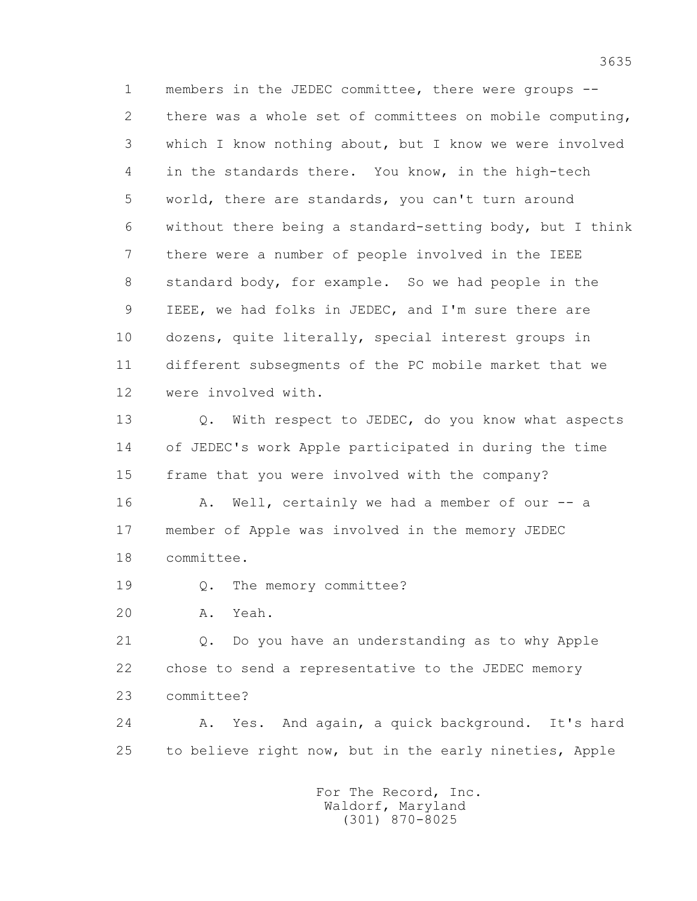1 members in the JEDEC committee, there were groups -- 2 there was a whole set of committees on mobile computing, 3 which I know nothing about, but I know we were involved 4 in the standards there. You know, in the high-tech 5 world, there are standards, you can't turn around 6 without there being a standard-setting body, but I think 7 there were a number of people involved in the IEEE 8 standard body, for example. So we had people in the 9 IEEE, we had folks in JEDEC, and I'm sure there are 10 dozens, quite literally, special interest groups in 11 different subsegments of the PC mobile market that we 12 were involved with.

13 0. With respect to JEDEC, do you know what aspects 14 of JEDEC's work Apple participated in during the time 15 frame that you were involved with the company? 16 A. Well, certainly we had a member of our -- a

 17 member of Apple was involved in the memory JEDEC 18 committee.

19 Q. The memory committee?

20 A. Yeah.

 21 Q. Do you have an understanding as to why Apple 22 chose to send a representative to the JEDEC memory 23 committee?

 24 A. Yes. And again, a quick background. It's hard 25 to believe right now, but in the early nineties, Apple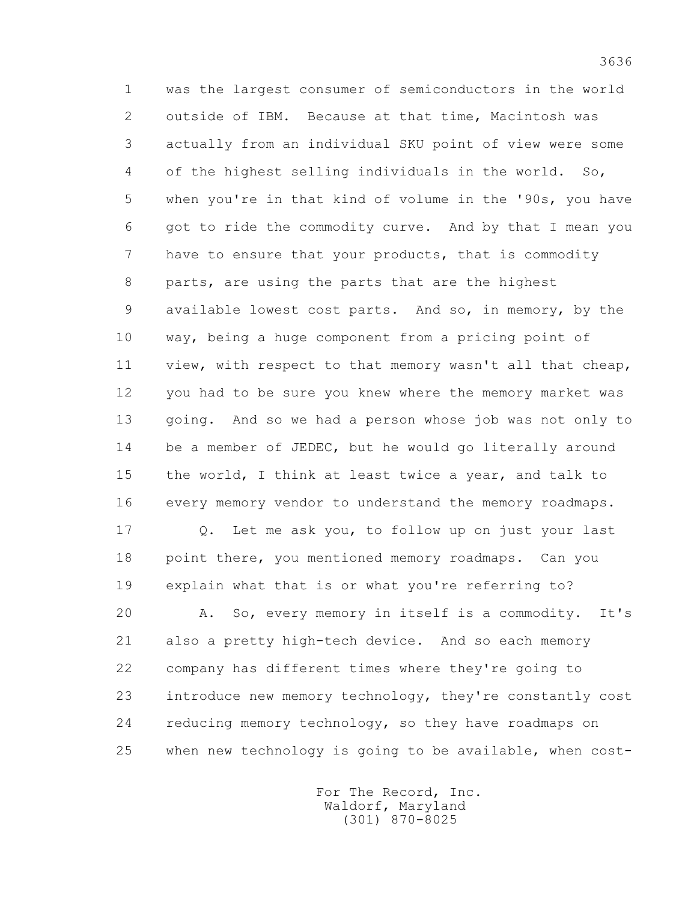1 was the largest consumer of semiconductors in the world 2 outside of IBM. Because at that time, Macintosh was 3 actually from an individual SKU point of view were some 4 of the highest selling individuals in the world. So, 5 when you're in that kind of volume in the '90s, you have 6 got to ride the commodity curve. And by that I mean you 7 have to ensure that your products, that is commodity 8 parts, are using the parts that are the highest 9 available lowest cost parts. And so, in memory, by the 10 way, being a huge component from a pricing point of 11 view, with respect to that memory wasn't all that cheap, 12 you had to be sure you knew where the memory market was 13 going. And so we had a person whose job was not only to 14 be a member of JEDEC, but he would go literally around 15 the world, I think at least twice a year, and talk to 16 every memory vendor to understand the memory roadmaps.

 17 Q. Let me ask you, to follow up on just your last 18 point there, you mentioned memory roadmaps. Can you 19 explain what that is or what you're referring to?

 20 A. So, every memory in itself is a commodity. It's 21 also a pretty high-tech device. And so each memory 22 company has different times where they're going to 23 introduce new memory technology, they're constantly cost 24 reducing memory technology, so they have roadmaps on 25 when new technology is going to be available, when cost-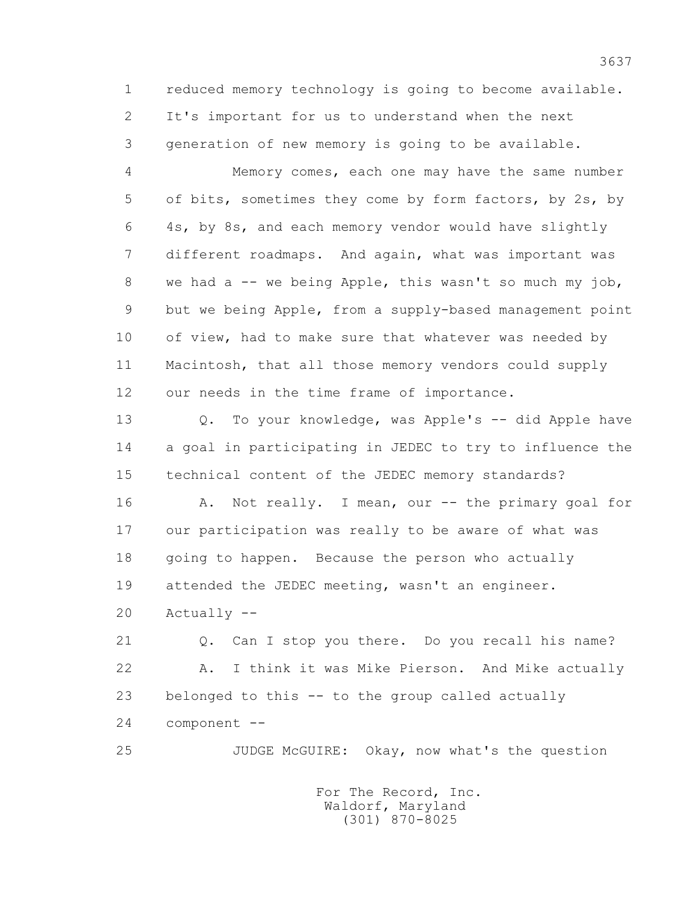1 reduced memory technology is going to become available. 2 It's important for us to understand when the next 3 generation of new memory is going to be available.

 4 Memory comes, each one may have the same number 5 of bits, sometimes they come by form factors, by 2s, by 6 4s, by 8s, and each memory vendor would have slightly 7 different roadmaps. And again, what was important was 8 we had a -- we being Apple, this wasn't so much my job, 9 but we being Apple, from a supply-based management point 10 of view, had to make sure that whatever was needed by 11 Macintosh, that all those memory vendors could supply 12 our needs in the time frame of importance.

13 0. To your knowledge, was Apple's -- did Apple have 14 a goal in participating in JEDEC to try to influence the 15 technical content of the JEDEC memory standards?

16 A. Not really. I mean, our -- the primary goal for 17 our participation was really to be aware of what was 18 going to happen. Because the person who actually 19 attended the JEDEC meeting, wasn't an engineer.

20 Actually --

 21 Q. Can I stop you there. Do you recall his name? 22 A. I think it was Mike Pierson. And Mike actually 23 belonged to this -- to the group called actually 24 component --

25 JUDGE McGUIRE: Okay, now what's the question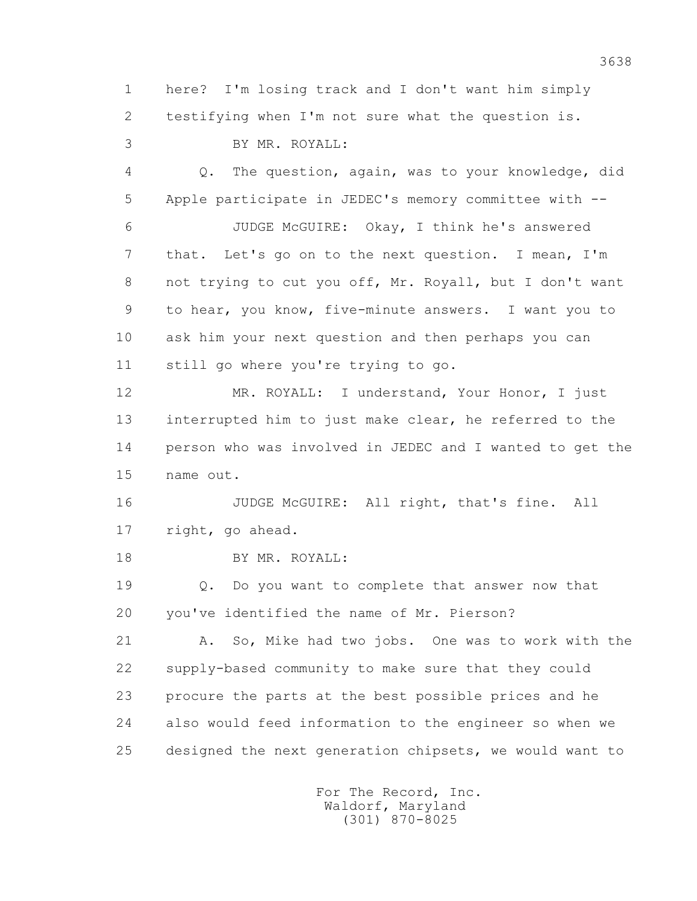1 here? I'm losing track and I don't want him simply 2 testifying when I'm not sure what the question is. 3 BY MR. ROYALL: 4 Q. The question, again, was to your knowledge, did 5 Apple participate in JEDEC's memory committee with -- 6 JUDGE McGUIRE: Okay, I think he's answered 7 that. Let's go on to the next question. I mean, I'm 8 not trying to cut you off, Mr. Royall, but I don't want 9 to hear, you know, five-minute answers. I want you to 10 ask him your next question and then perhaps you can 11 still go where you're trying to go. 12 MR. ROYALL: I understand, Your Honor, I just 13 interrupted him to just make clear, he referred to the 14 person who was involved in JEDEC and I wanted to get the 15 name out. 16 JUDGE McGUIRE: All right, that's fine. All

17 right, go ahead.

18 BY MR. ROYALL:

 19 Q. Do you want to complete that answer now that 20 you've identified the name of Mr. Pierson?

 21 A. So, Mike had two jobs. One was to work with the 22 supply-based community to make sure that they could 23 procure the parts at the best possible prices and he 24 also would feed information to the engineer so when we 25 designed the next generation chipsets, we would want to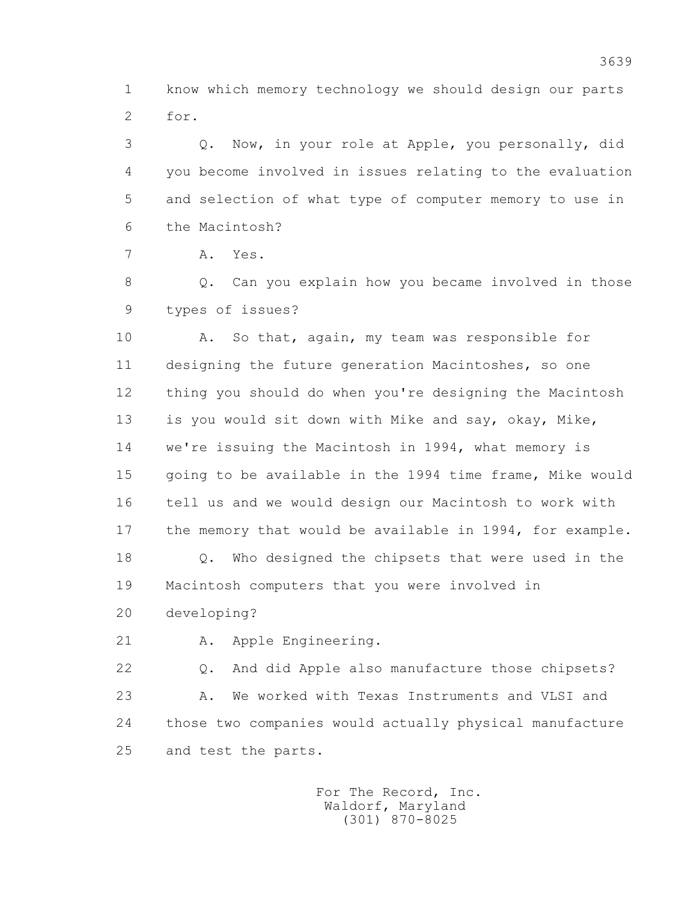1 know which memory technology we should design our parts 2 for.

 3 Q. Now, in your role at Apple, you personally, did 4 you become involved in issues relating to the evaluation 5 and selection of what type of computer memory to use in 6 the Macintosh?

7 A. Yes.

 8 Q. Can you explain how you became involved in those 9 types of issues?

 10 A. So that, again, my team was responsible for 11 designing the future generation Macintoshes, so one 12 thing you should do when you're designing the Macintosh 13 is you would sit down with Mike and say, okay, Mike, 14 we're issuing the Macintosh in 1994, what memory is 15 going to be available in the 1994 time frame, Mike would 16 tell us and we would design our Macintosh to work with 17 the memory that would be available in 1994, for example.

 18 Q. Who designed the chipsets that were used in the 19 Macintosh computers that you were involved in

20 developing?

21 A. Apple Engineering.

 22 Q. And did Apple also manufacture those chipsets? 23 A. We worked with Texas Instruments and VLSI and 24 those two companies would actually physical manufacture 25 and test the parts.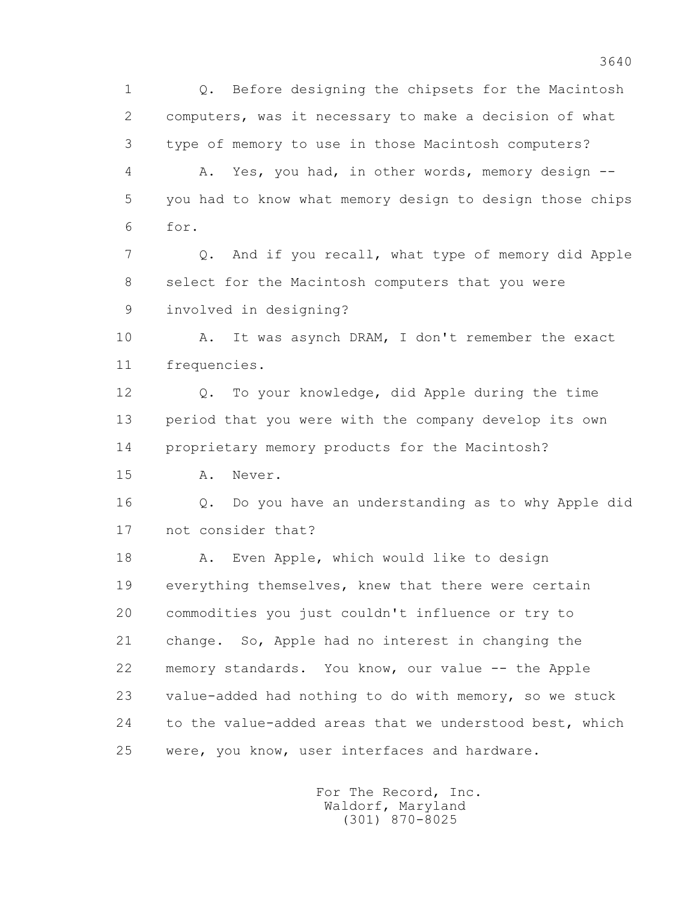1 Q. Before designing the chipsets for the Macintosh 2 computers, was it necessary to make a decision of what 3 type of memory to use in those Macintosh computers? 4 A. Yes, you had, in other words, memory design -- 5 you had to know what memory design to design those chips 6 for. 7 Q. And if you recall, what type of memory did Apple 8 select for the Macintosh computers that you were 9 involved in designing? 10 A. It was asynch DRAM, I don't remember the exact 11 frequencies. 12 Q. To your knowledge, did Apple during the time 13 period that you were with the company develop its own 14 proprietary memory products for the Macintosh? 15 A. Never. 16 Q. Do you have an understanding as to why Apple did 17 not consider that? 18 A. Even Apple, which would like to design 19 everything themselves, knew that there were certain 20 commodities you just couldn't influence or try to 21 change. So, Apple had no interest in changing the 22 memory standards. You know, our value -- the Apple 23 value-added had nothing to do with memory, so we stuck 24 to the value-added areas that we understood best, which 25 were, you know, user interfaces and hardware.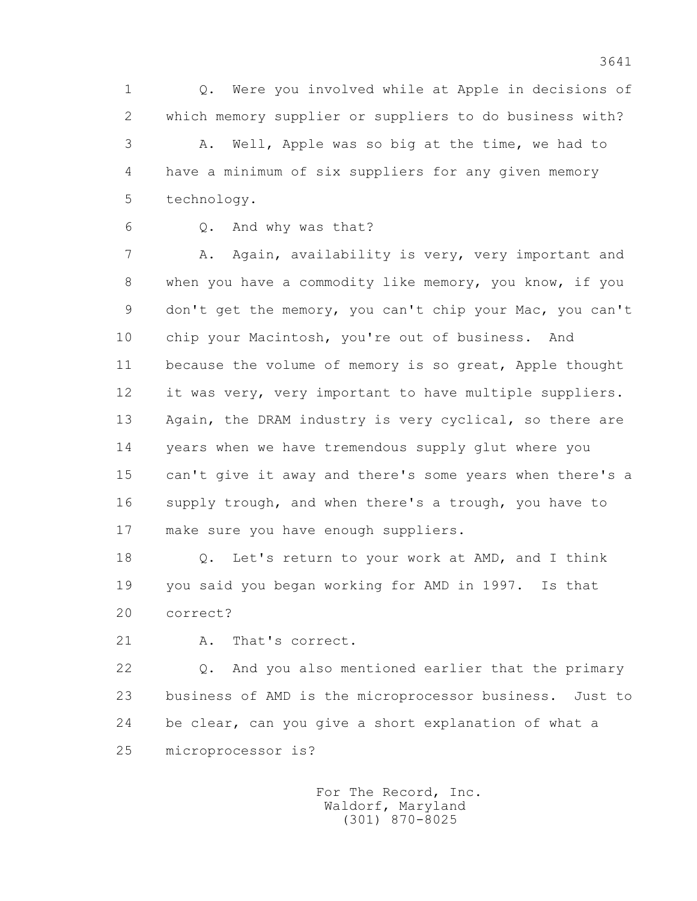1 Q. Were you involved while at Apple in decisions of 2 which memory supplier or suppliers to do business with? 3 A. Well, Apple was so big at the time, we had to 4 have a minimum of six suppliers for any given memory 5 technology.

6 Q. And why was that?

 7 A. Again, availability is very, very important and 8 when you have a commodity like memory, you know, if you 9 don't get the memory, you can't chip your Mac, you can't 10 chip your Macintosh, you're out of business. And 11 because the volume of memory is so great, Apple thought 12 it was very, very important to have multiple suppliers. 13 Again, the DRAM industry is very cyclical, so there are 14 years when we have tremendous supply glut where you 15 can't give it away and there's some years when there's a 16 supply trough, and when there's a trough, you have to 17 make sure you have enough suppliers.

 18 Q. Let's return to your work at AMD, and I think 19 you said you began working for AMD in 1997. Is that 20 correct?

21 A. That's correct.

 22 Q. And you also mentioned earlier that the primary 23 business of AMD is the microprocessor business. Just to 24 be clear, can you give a short explanation of what a 25 microprocessor is?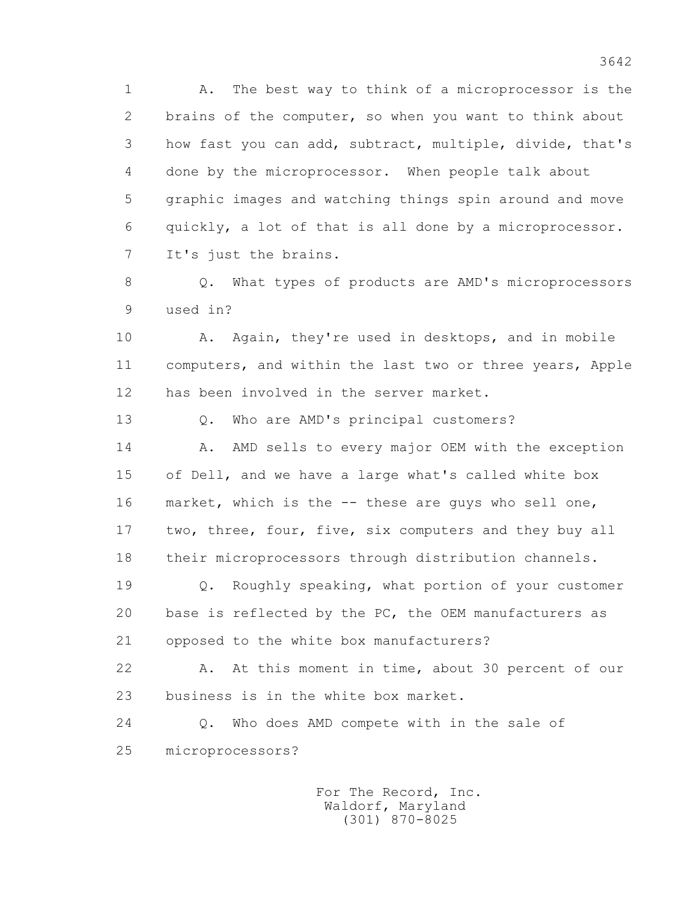1 A. The best way to think of a microprocessor is the 2 brains of the computer, so when you want to think about 3 how fast you can add, subtract, multiple, divide, that's 4 done by the microprocessor. When people talk about 5 graphic images and watching things spin around and move 6 quickly, a lot of that is all done by a microprocessor. 7 It's just the brains.

 8 Q. What types of products are AMD's microprocessors 9 used in?

10 A. Again, they're used in desktops, and in mobile 11 computers, and within the last two or three years, Apple 12 has been involved in the server market.

13 Q. Who are AMD's principal customers?

14 A. AMD sells to every major OEM with the exception 15 of Dell, and we have a large what's called white box 16 market, which is the -- these are guys who sell one, 17 two, three, four, five, six computers and they buy all 18 their microprocessors through distribution channels.

 19 Q. Roughly speaking, what portion of your customer 20 base is reflected by the PC, the OEM manufacturers as 21 opposed to the white box manufacturers?

 22 A. At this moment in time, about 30 percent of our 23 business is in the white box market.

 24 Q. Who does AMD compete with in the sale of 25 microprocessors?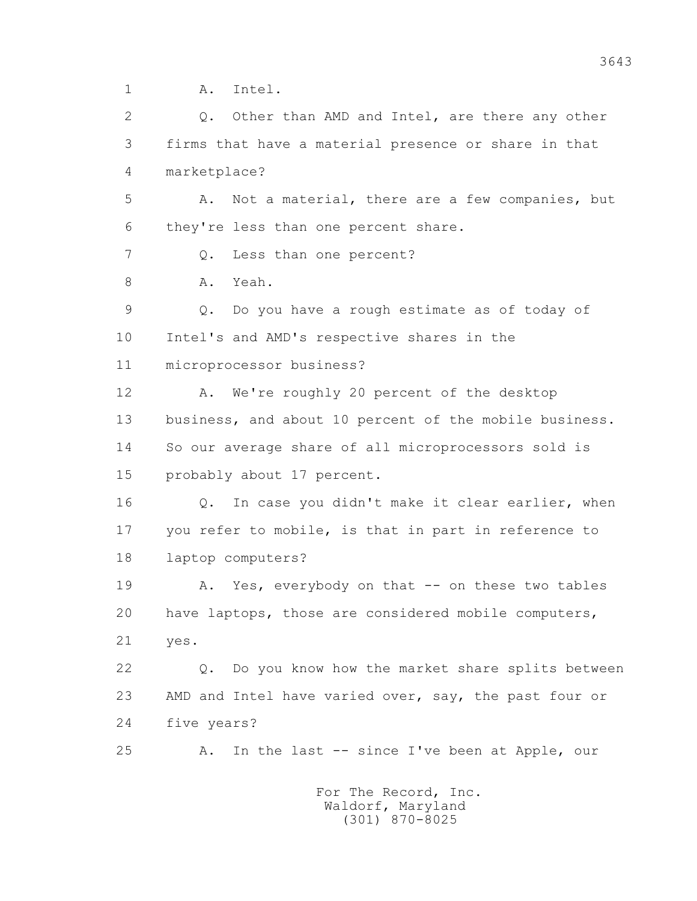1 A. Intel.

2 0. Other than AMD and Intel, are there any other 3 firms that have a material presence or share in that 4 marketplace? 5 A. Not a material, there are a few companies, but 6 they're less than one percent share. 7 Q. Less than one percent? 8 A. Yeah. 9 Q. Do you have a rough estimate as of today of 10 Intel's and AMD's respective shares in the 11 microprocessor business? 12 A. We're roughly 20 percent of the desktop 13 business, and about 10 percent of the mobile business. 14 So our average share of all microprocessors sold is 15 probably about 17 percent. 16 0. In case you didn't make it clear earlier, when 17 you refer to mobile, is that in part in reference to 18 laptop computers? 19 A. Yes, everybody on that -- on these two tables 20 have laptops, those are considered mobile computers, 21 yes. 22 Q. Do you know how the market share splits between 23 AMD and Intel have varied over, say, the past four or 24 five years? 25 A. In the last -- since I've been at Apple, our For The Record, Inc.

 Waldorf, Maryland (301) 870-8025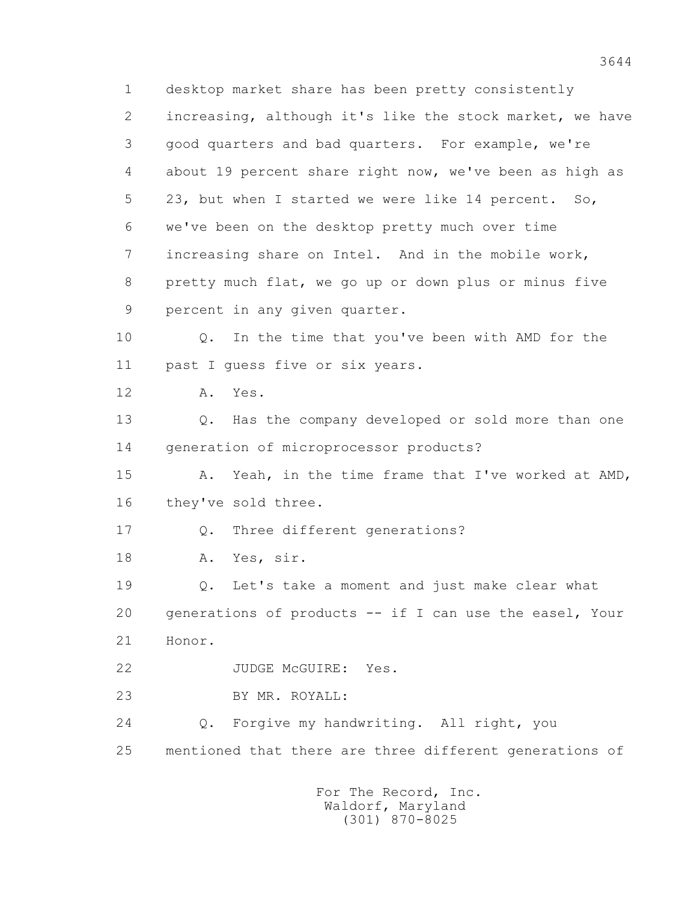1 desktop market share has been pretty consistently 2 increasing, although it's like the stock market, we have 3 good quarters and bad quarters. For example, we're 4 about 19 percent share right now, we've been as high as 5 23, but when I started we were like 14 percent. So, 6 we've been on the desktop pretty much over time 7 increasing share on Intel. And in the mobile work, 8 pretty much flat, we go up or down plus or minus five 9 percent in any given quarter. 10 Q. In the time that you've been with AMD for the 11 past I guess five or six years. 12 A. Yes. 13 Q. Has the company developed or sold more than one 14 generation of microprocessor products? 15 A. Yeah, in the time frame that I've worked at AMD, 16 they've sold three. 17 Q. Three different generations? 18 A. Yes, sir. 19 Q. Let's take a moment and just make clear what 20 generations of products -- if I can use the easel, Your 21 Honor. 22 JUDGE McGUIRE: Yes. 23 BY MR. ROYALL: 24 Q. Forgive my handwriting. All right, you 25 mentioned that there are three different generations of For The Record, Inc.

 Waldorf, Maryland (301) 870-8025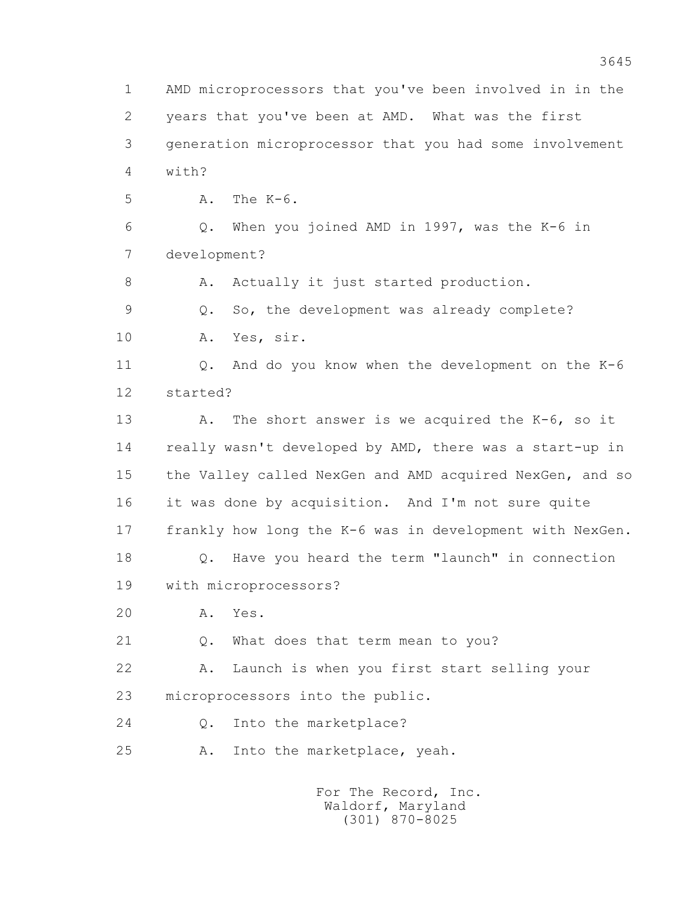1 AMD microprocessors that you've been involved in in the 2 years that you've been at AMD. What was the first 3 generation microprocessor that you had some involvement 4 with? 5 A. The K-6. 6 Q. When you joined AMD in 1997, was the K-6 in 7 development? 8 A. Actually it just started production. 9 Q. So, the development was already complete? 10 A. Yes, sir. 11 Q. And do you know when the development on the K-6 12 started? 13 A. The short answer is we acquired the K-6, so it 14 really wasn't developed by AMD, there was a start-up in 15 the Valley called NexGen and AMD acquired NexGen, and so 16 it was done by acquisition. And I'm not sure quite 17 frankly how long the K-6 was in development with NexGen. 18 Q. Have you heard the term "launch" in connection 19 with microprocessors? 20 A. Yes. 21 Q. What does that term mean to you? 22 A. Launch is when you first start selling your 23 microprocessors into the public. 24 0. Into the marketplace? 25 A. Into the marketplace, yeah.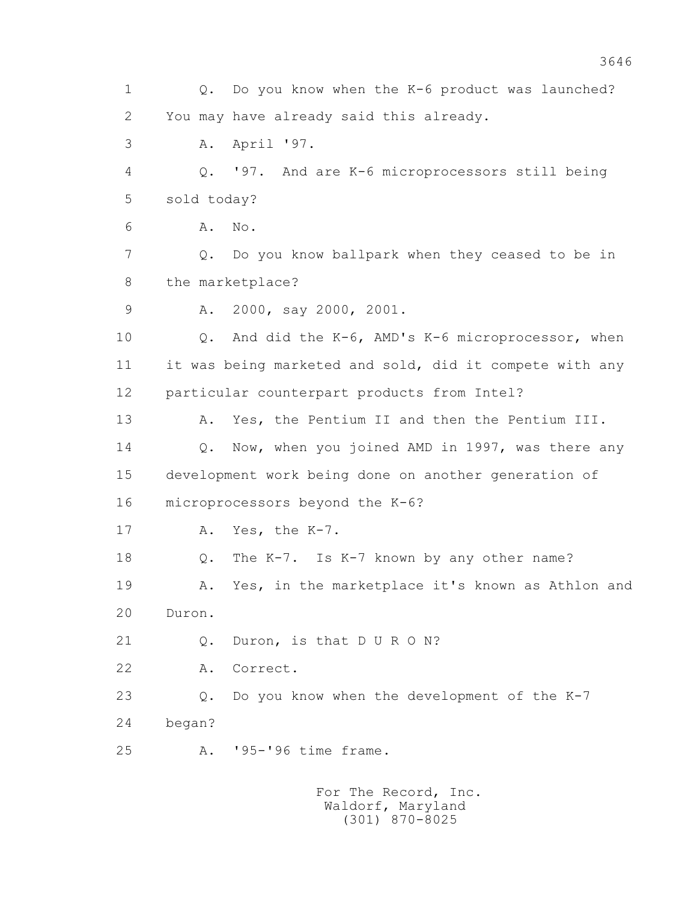1 Q. Do you know when the K-6 product was launched? 2 You may have already said this already. 3 A. April '97. 4 Q. '97. And are K-6 microprocessors still being 5 sold today? 6 A. No. 7 Q. Do you know ballpark when they ceased to be in 8 the marketplace? 9 A. 2000, say 2000, 2001. 10 Q. And did the K-6, AMD's K-6 microprocessor, when 11 it was being marketed and sold, did it compete with any 12 particular counterpart products from Intel? 13 A. Yes, the Pentium II and then the Pentium III. 14 Q. Now, when you joined AMD in 1997, was there any 15 development work being done on another generation of 16 microprocessors beyond the K-6? 17 A. Yes, the K-7. 18 Q. The K-7. Is K-7 known by any other name? 19 A. Yes, in the marketplace it's known as Athlon and 20 Duron. 21 Q. Duron, is that D U R O N? 22 A. Correct. 23 Q. Do you know when the development of the K-7 24 began? 25 A. '95-'96 time frame. For The Record, Inc.

 Waldorf, Maryland (301) 870-8025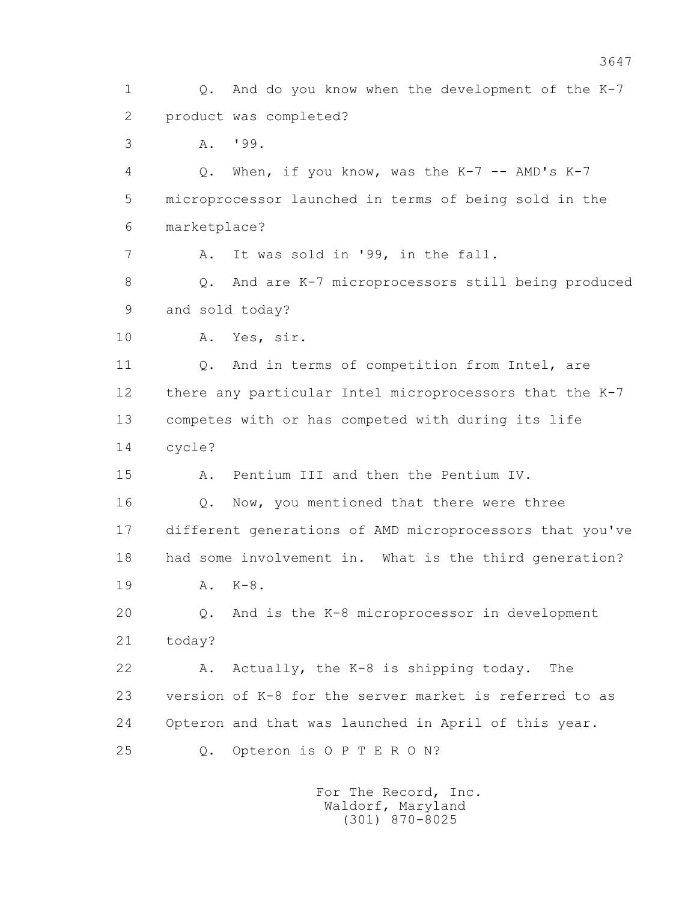1 Q. And do you know when the development of the K-7 2 product was completed? 3 A. '99. 4 Q. When, if you know, was the K-7 -- AMD's K-7 5 microprocessor launched in terms of being sold in the 6 marketplace? 7 A. It was sold in '99, in the fall. 8 Q. And are K-7 microprocessors still being produced 9 and sold today? 10 A. Yes, sir. 11 0. And in terms of competition from Intel, are 12 there any particular Intel microprocessors that the K-7 13 competes with or has competed with during its life 14 cycle? 15 A. Pentium III and then the Pentium IV. 16 Q. Now, you mentioned that there were three 17 different generations of AMD microprocessors that you've 18 had some involvement in. What is the third generation? 19 A. K-8. 20 Q. And is the K-8 microprocessor in development 21 today? 22 A. Actually, the K-8 is shipping today. The 23 version of K-8 for the server market is referred to as 24 Opteron and that was launched in April of this year. 25 Q. Opteron is O P T E R O N?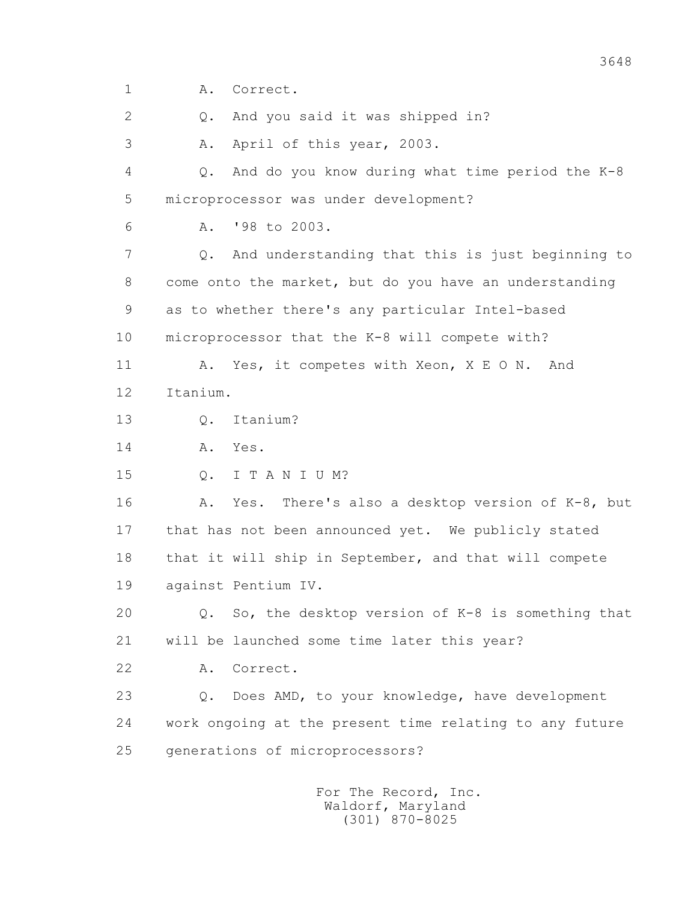1 A. Correct.

2 Q. And you said it was shipped in?

3 A. April of this year, 2003.

 4 Q. And do you know during what time period the K-8 5 microprocessor was under development?

6 A. '98 to 2003.

 7 Q. And understanding that this is just beginning to 8 come onto the market, but do you have an understanding 9 as to whether there's any particular Intel-based

10 microprocessor that the K-8 will compete with?

11 A. Yes, it competes with Xeon, X E O N. And 12 Itanium.

13 Q. Itanium?

14 A. Yes.

15 Q. I T A N I U M?

 16 A. Yes. There's also a desktop version of K-8, but 17 that has not been announced yet. We publicly stated 18 that it will ship in September, and that will compete 19 against Pentium IV.

 20 Q. So, the desktop version of K-8 is something that 21 will be launched some time later this year?

22 A. Correct.

 23 Q. Does AMD, to your knowledge, have development 24 work ongoing at the present time relating to any future 25 generations of microprocessors?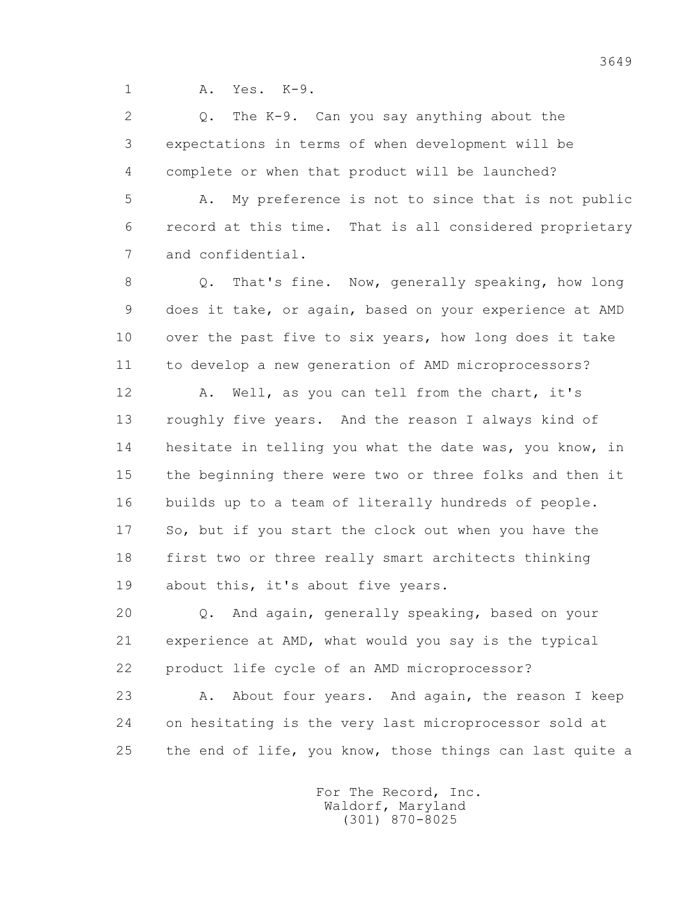1 A. Yes. K-9.

 2 Q. The K-9. Can you say anything about the 3 expectations in terms of when development will be 4 complete or when that product will be launched?

 5 A. My preference is not to since that is not public 6 record at this time. That is all considered proprietary 7 and confidential.

8 Q. That's fine. Now, generally speaking, how long 9 does it take, or again, based on your experience at AMD 10 over the past five to six years, how long does it take 11 to develop a new generation of AMD microprocessors?

 12 A. Well, as you can tell from the chart, it's 13 roughly five years. And the reason I always kind of 14 hesitate in telling you what the date was, you know, in 15 the beginning there were two or three folks and then it 16 builds up to a team of literally hundreds of people. 17 So, but if you start the clock out when you have the 18 first two or three really smart architects thinking 19 about this, it's about five years.

 20 Q. And again, generally speaking, based on your 21 experience at AMD, what would you say is the typical 22 product life cycle of an AMD microprocessor?

23 A. About four years. And again, the reason I keep 24 on hesitating is the very last microprocessor sold at 25 the end of life, you know, those things can last quite a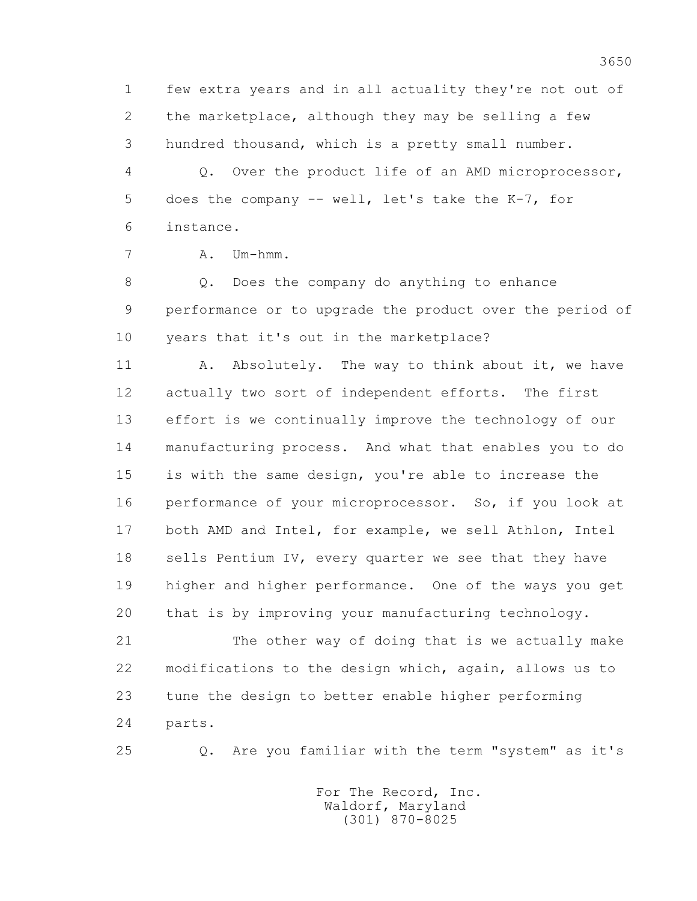1 few extra years and in all actuality they're not out of 2 the marketplace, although they may be selling a few 3 hundred thousand, which is a pretty small number.

 4 Q. Over the product life of an AMD microprocessor, 5 does the company -- well, let's take the K-7, for 6 instance.

```
 7 A. Um-hmm.
```
 8 Q. Does the company do anything to enhance 9 performance or to upgrade the product over the period of 10 years that it's out in the marketplace?

11 A. Absolutely. The way to think about it, we have 12 actually two sort of independent efforts. The first 13 effort is we continually improve the technology of our 14 manufacturing process. And what that enables you to do 15 is with the same design, you're able to increase the 16 performance of your microprocessor. So, if you look at 17 both AMD and Intel, for example, we sell Athlon, Intel 18 sells Pentium IV, every quarter we see that they have 19 higher and higher performance. One of the ways you get 20 that is by improving your manufacturing technology.

 21 The other way of doing that is we actually make 22 modifications to the design which, again, allows us to 23 tune the design to better enable higher performing 24 parts.

25 Q. Are you familiar with the term "system" as it's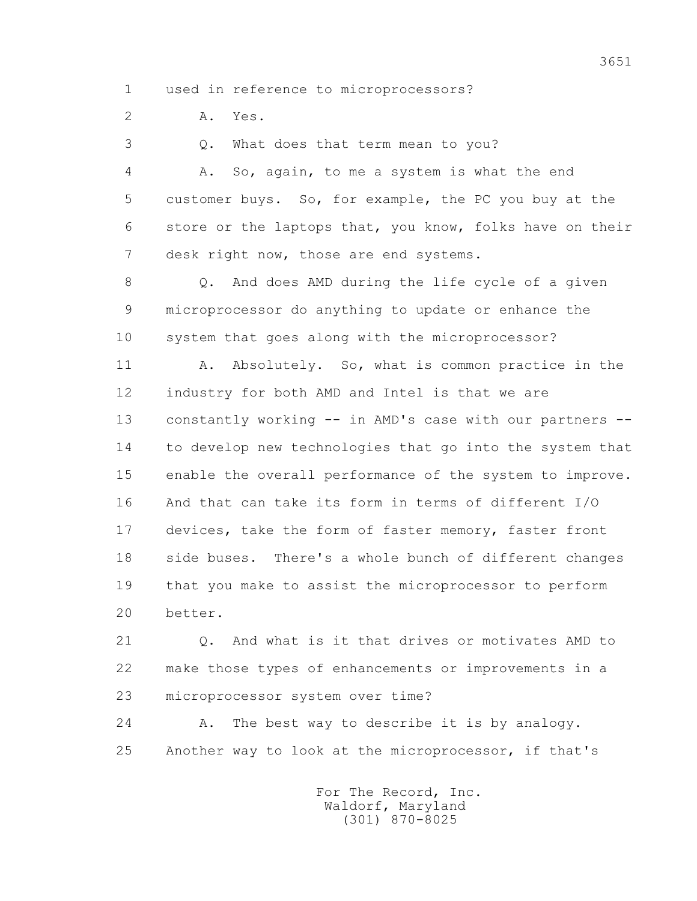1 used in reference to microprocessors?

2 A. Yes.

3 Q. What does that term mean to you?

 4 A. So, again, to me a system is what the end 5 customer buys. So, for example, the PC you buy at the 6 store or the laptops that, you know, folks have on their 7 desk right now, those are end systems.

 8 Q. And does AMD during the life cycle of a given 9 microprocessor do anything to update or enhance the 10 system that goes along with the microprocessor?

11 A. Absolutely. So, what is common practice in the 12 industry for both AMD and Intel is that we are 13 constantly working -- in AMD's case with our partners -- 14 to develop new technologies that go into the system that 15 enable the overall performance of the system to improve. 16 And that can take its form in terms of different I/O 17 devices, take the form of faster memory, faster front 18 side buses. There's a whole bunch of different changes 19 that you make to assist the microprocessor to perform 20 better.

 21 Q. And what is it that drives or motivates AMD to 22 make those types of enhancements or improvements in a 23 microprocessor system over time?

 24 A. The best way to describe it is by analogy. 25 Another way to look at the microprocessor, if that's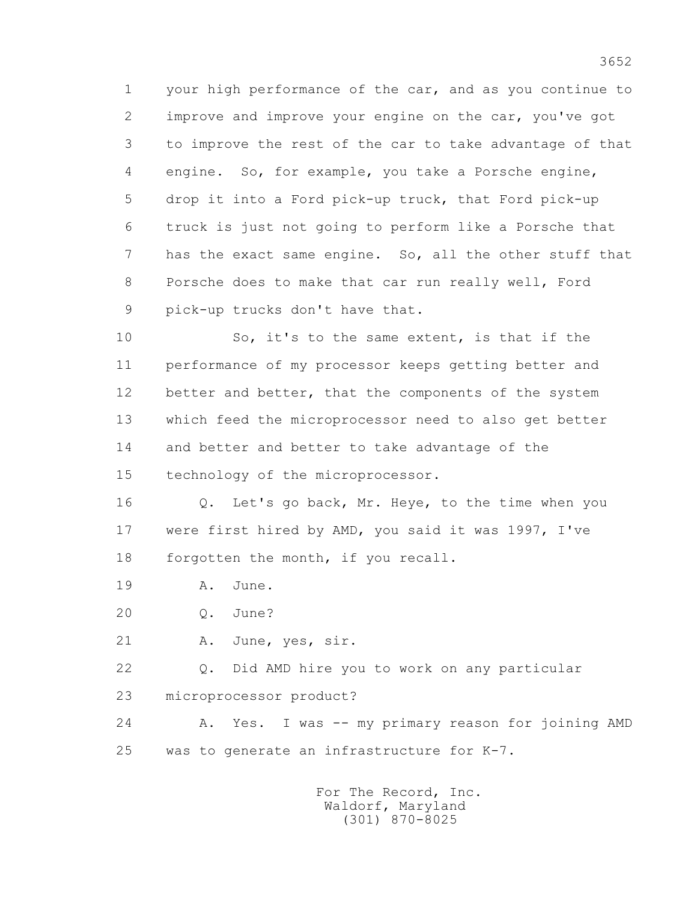1 your high performance of the car, and as you continue to 2 improve and improve your engine on the car, you've got 3 to improve the rest of the car to take advantage of that 4 engine. So, for example, you take a Porsche engine, 5 drop it into a Ford pick-up truck, that Ford pick-up 6 truck is just not going to perform like a Porsche that 7 has the exact same engine. So, all the other stuff that 8 Porsche does to make that car run really well, Ford 9 pick-up trucks don't have that.

 10 So, it's to the same extent, is that if the 11 performance of my processor keeps getting better and 12 better and better, that the components of the system 13 which feed the microprocessor need to also get better 14 and better and better to take advantage of the 15 technology of the microprocessor.

 16 Q. Let's go back, Mr. Heye, to the time when you 17 were first hired by AMD, you said it was 1997, I've 18 forgotten the month, if you recall.

19 A. June.

20 Q. June?

21 A. June, yes, sir.

 22 Q. Did AMD hire you to work on any particular 23 microprocessor product?

 24 A. Yes. I was -- my primary reason for joining AMD 25 was to generate an infrastructure for K-7.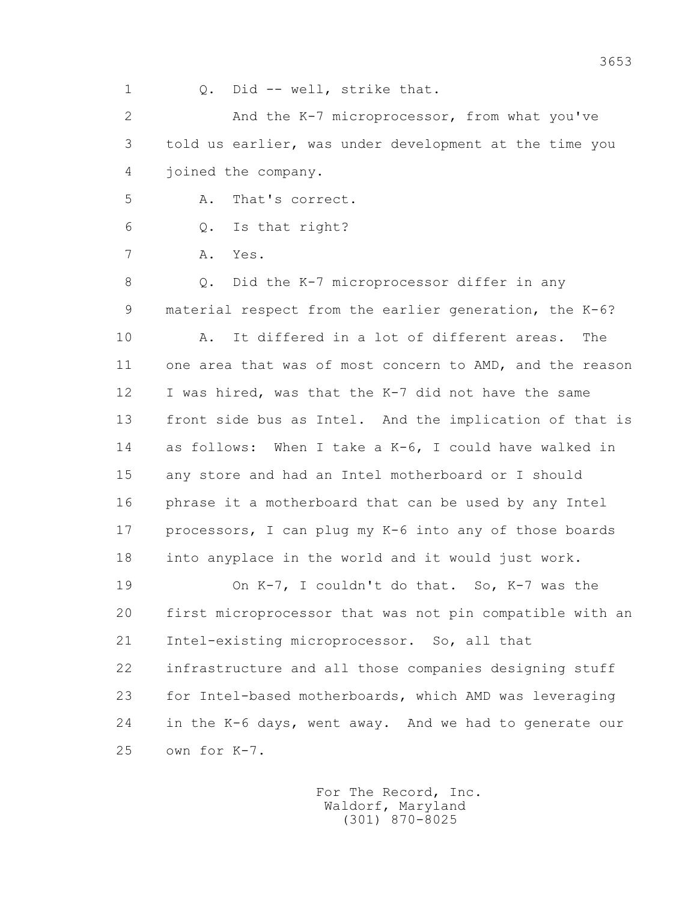2 And the K-7 microprocessor, from what you've 3 told us earlier, was under development at the time you 4 joined the company. 5 A. That's correct. 6 Q. Is that right? 7 A. Yes. 8 Q. Did the K-7 microprocessor differ in any 9 material respect from the earlier generation, the K-6? 10 A. It differed in a lot of different areas. The 11 one area that was of most concern to AMD, and the reason 12 I was hired, was that the K-7 did not have the same 13 front side bus as Intel. And the implication of that is 14 as follows: When I take a K-6, I could have walked in 15 any store and had an Intel motherboard or I should 16 phrase it a motherboard that can be used by any Intel 17 processors, I can plug my K-6 into any of those boards 18 into anyplace in the world and it would just work. 19 On K-7, I couldn't do that. So, K-7 was the 20 first microprocessor that was not pin compatible with an

1 Q. Did -- well, strike that.

 21 Intel-existing microprocessor. So, all that 22 infrastructure and all those companies designing stuff 23 for Intel-based motherboards, which AMD was leveraging 24 in the K-6 days, went away. And we had to generate our 25 own for K-7.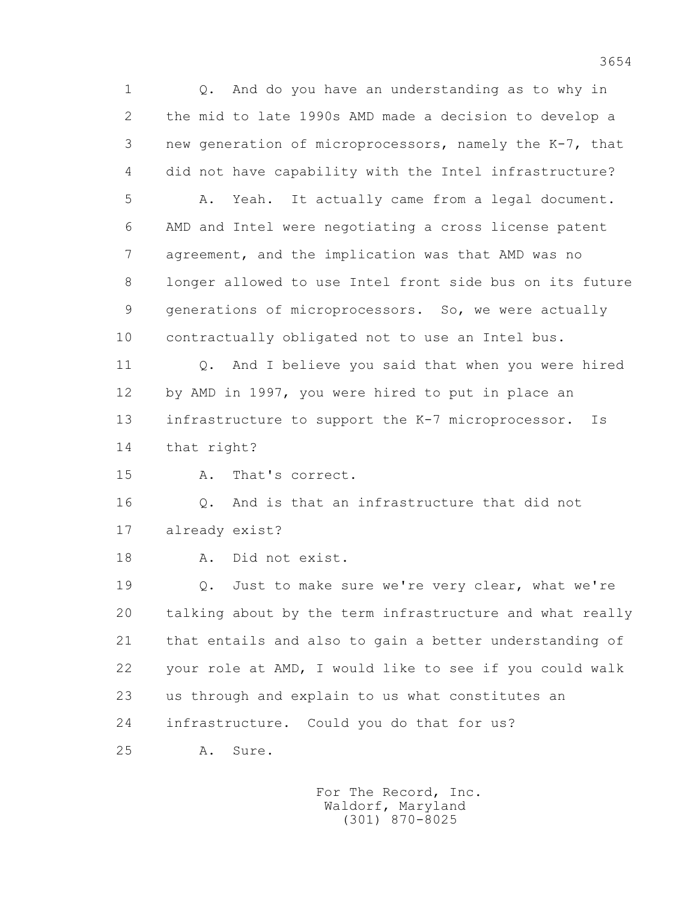1 Q. And do you have an understanding as to why in 2 the mid to late 1990s AMD made a decision to develop a 3 new generation of microprocessors, namely the K-7, that 4 did not have capability with the Intel infrastructure? 5 A. Yeah. It actually came from a legal document. 6 AMD and Intel were negotiating a cross license patent 7 agreement, and the implication was that AMD was no 8 longer allowed to use Intel front side bus on its future 9 generations of microprocessors. So, we were actually 10 contractually obligated not to use an Intel bus. 11 Q. And I believe you said that when you were hired 12 by AMD in 1997, you were hired to put in place an 13 infrastructure to support the K-7 microprocessor. Is 14 that right? 15 A. That's correct. 16 Q. And is that an infrastructure that did not 17 already exist? 18 A. Did not exist. 19 Q. Just to make sure we're very clear, what we're 20 talking about by the term infrastructure and what really 21 that entails and also to gain a better understanding of 22 your role at AMD, I would like to see if you could walk 23 us through and explain to us what constitutes an 24 infrastructure. Could you do that for us? 25 A. Sure.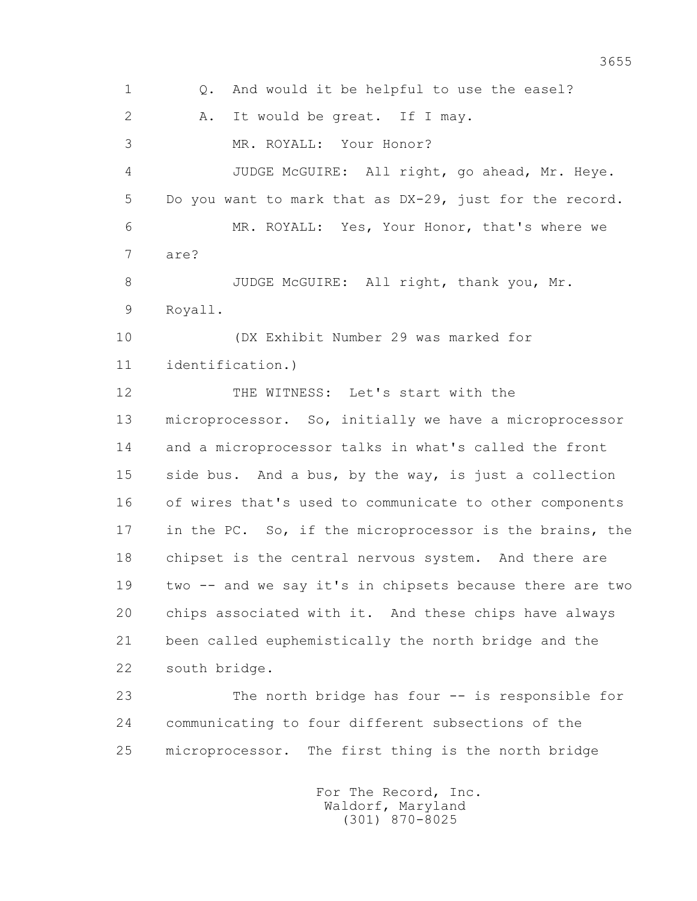1 Q. And would it be helpful to use the easel? 2 A. It would be great. If I may. 3 MR. ROYALL: Your Honor? 4 JUDGE McGUIRE: All right, go ahead, Mr. Heye. 5 Do you want to mark that as DX-29, just for the record. 6 MR. ROYALL: Yes, Your Honor, that's where we 7 are? 8 JUDGE McGUIRE: All right, thank you, Mr. 9 Royall. 10 (DX Exhibit Number 29 was marked for 11 identification.) 12 THE WITNESS: Let's start with the 13 microprocessor. So, initially we have a microprocessor 14 and a microprocessor talks in what's called the front 15 side bus. And a bus, by the way, is just a collection 16 of wires that's used to communicate to other components 17 in the PC. So, if the microprocessor is the brains, the 18 chipset is the central nervous system. And there are 19 two -- and we say it's in chipsets because there are two 20 chips associated with it. And these chips have always 21 been called euphemistically the north bridge and the 22 south bridge. 23 The north bridge has four -- is responsible for 24 communicating to four different subsections of the 25 microprocessor. The first thing is the north bridge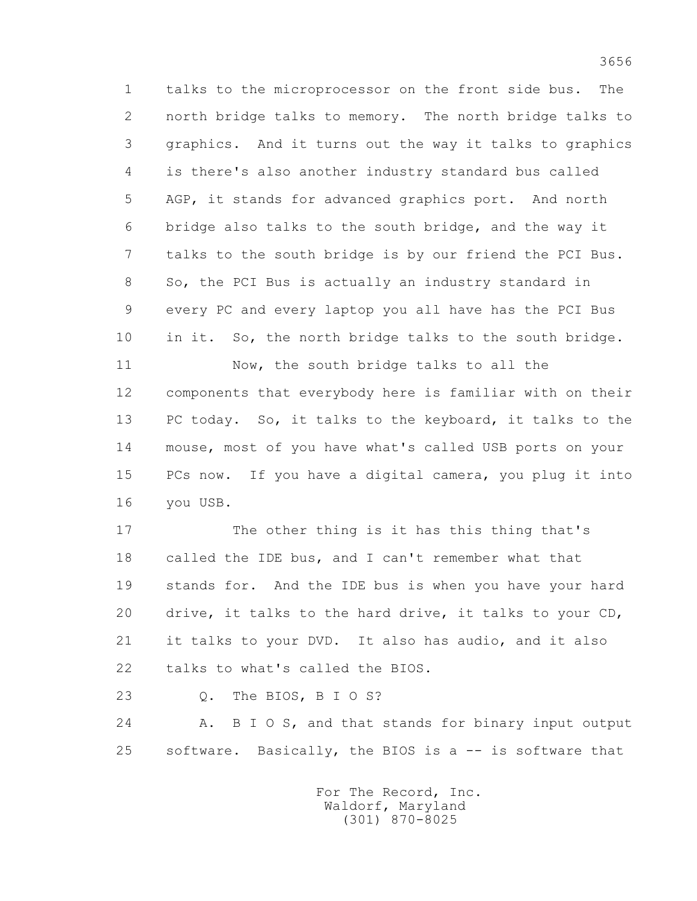1 talks to the microprocessor on the front side bus. The 2 north bridge talks to memory. The north bridge talks to 3 graphics. And it turns out the way it talks to graphics 4 is there's also another industry standard bus called 5 AGP, it stands for advanced graphics port. And north 6 bridge also talks to the south bridge, and the way it 7 talks to the south bridge is by our friend the PCI Bus. 8 So, the PCI Bus is actually an industry standard in 9 every PC and every laptop you all have has the PCI Bus 10 in it. So, the north bridge talks to the south bridge. 11 Now, the south bridge talks to all the 12 components that everybody here is familiar with on their

 13 PC today. So, it talks to the keyboard, it talks to the 14 mouse, most of you have what's called USB ports on your 15 PCs now. If you have a digital camera, you plug it into 16 you USB.

 17 The other thing is it has this thing that's 18 called the IDE bus, and I can't remember what that 19 stands for. And the IDE bus is when you have your hard 20 drive, it talks to the hard drive, it talks to your CD, 21 it talks to your DVD. It also has audio, and it also 22 talks to what's called the BIOS.

23 Q. The BIOS, B I O S?

24 A. B I O S, and that stands for binary input output 25 software. Basically, the BIOS is a -- is software that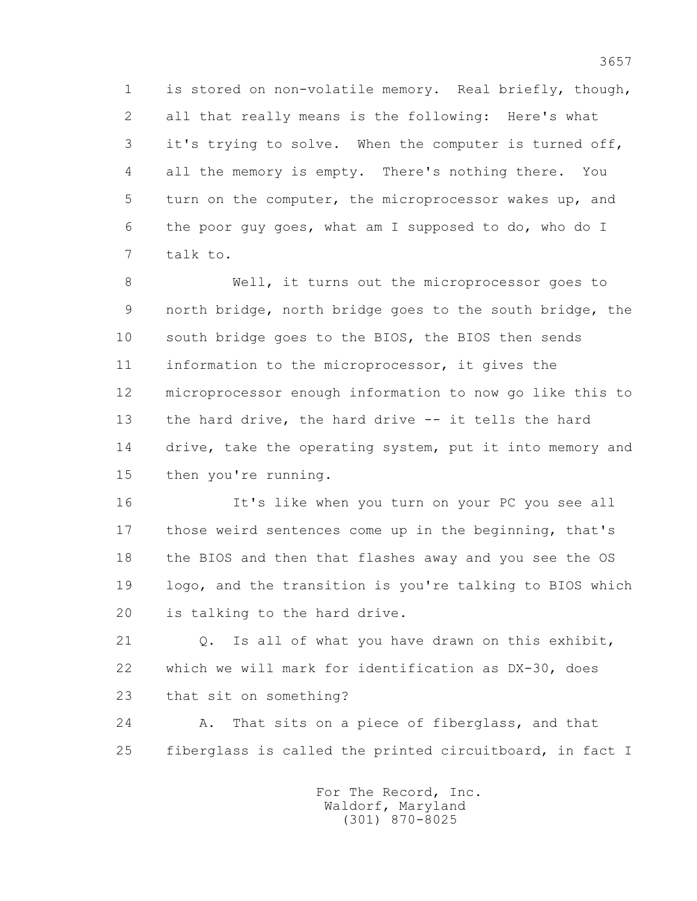1 is stored on non-volatile memory. Real briefly, though, 2 all that really means is the following: Here's what 3 it's trying to solve. When the computer is turned off, 4 all the memory is empty. There's nothing there. You 5 turn on the computer, the microprocessor wakes up, and 6 the poor guy goes, what am I supposed to do, who do I 7 talk to.

 8 Well, it turns out the microprocessor goes to 9 north bridge, north bridge goes to the south bridge, the 10 south bridge goes to the BIOS, the BIOS then sends 11 information to the microprocessor, it gives the 12 microprocessor enough information to now go like this to 13 the hard drive, the hard drive -- it tells the hard 14 drive, take the operating system, put it into memory and 15 then you're running.

 16 It's like when you turn on your PC you see all 17 those weird sentences come up in the beginning, that's 18 the BIOS and then that flashes away and you see the OS 19 logo, and the transition is you're talking to BIOS which 20 is talking to the hard drive.

 21 Q. Is all of what you have drawn on this exhibit, 22 which we will mark for identification as DX-30, does 23 that sit on something?

 24 A. That sits on a piece of fiberglass, and that 25 fiberglass is called the printed circuitboard, in fact I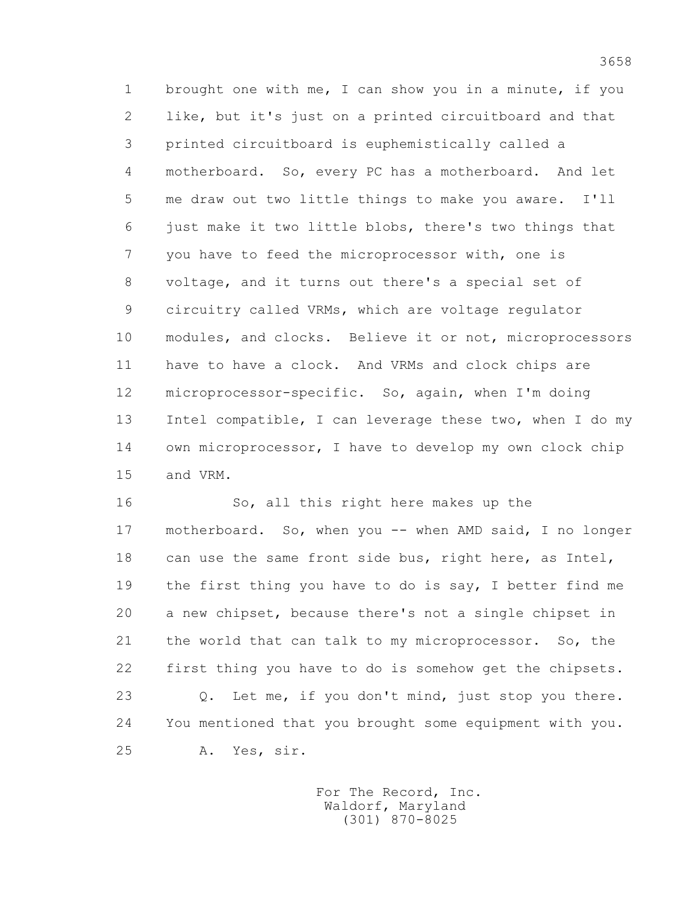1 brought one with me, I can show you in a minute, if you 2 like, but it's just on a printed circuitboard and that 3 printed circuitboard is euphemistically called a 4 motherboard. So, every PC has a motherboard. And let 5 me draw out two little things to make you aware. I'll 6 just make it two little blobs, there's two things that 7 you have to feed the microprocessor with, one is 8 voltage, and it turns out there's a special set of 9 circuitry called VRMs, which are voltage regulator 10 modules, and clocks. Believe it or not, microprocessors 11 have to have a clock. And VRMs and clock chips are 12 microprocessor-specific. So, again, when I'm doing 13 Intel compatible, I can leverage these two, when I do my 14 own microprocessor, I have to develop my own clock chip 15 and VRM.

 16 So, all this right here makes up the 17 motherboard. So, when you -- when AMD said, I no longer 18 can use the same front side bus, right here, as Intel, 19 the first thing you have to do is say, I better find me 20 a new chipset, because there's not a single chipset in 21 the world that can talk to my microprocessor. So, the 22 first thing you have to do is somehow get the chipsets. 23 Q. Let me, if you don't mind, just stop you there. 24 You mentioned that you brought some equipment with you. 25 A. Yes, sir.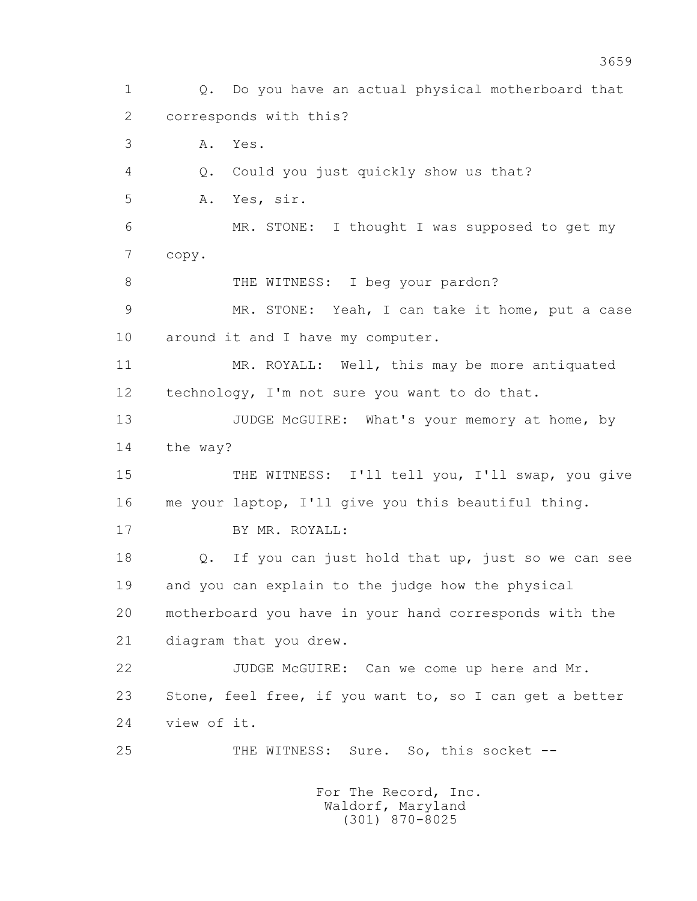1 Q. Do you have an actual physical motherboard that 2 corresponds with this? 3 A. Yes. 4 Q. Could you just quickly show us that? 5 A. Yes, sir. 6 MR. STONE: I thought I was supposed to get my 7 copy. 8 THE WITNESS: I beg your pardon? 9 MR. STONE: Yeah, I can take it home, put a case 10 around it and I have my computer. 11 MR. ROYALL: Well, this may be more antiquated 12 technology, I'm not sure you want to do that. 13 JUDGE McGUIRE: What's your memory at home, by 14 the way? 15 THE WITNESS: I'll tell you, I'll swap, you give 16 me your laptop, I'll give you this beautiful thing. 17 BY MR. ROYALL: 18 Q. If you can just hold that up, just so we can see 19 and you can explain to the judge how the physical 20 motherboard you have in your hand corresponds with the 21 diagram that you drew. 22 JUDGE McGUIRE: Can we come up here and Mr. 23 Stone, feel free, if you want to, so I can get a better 24 view of it. 25 THE WITNESS: Sure. So, this socket -- For The Record, Inc.

 Waldorf, Maryland (301) 870-8025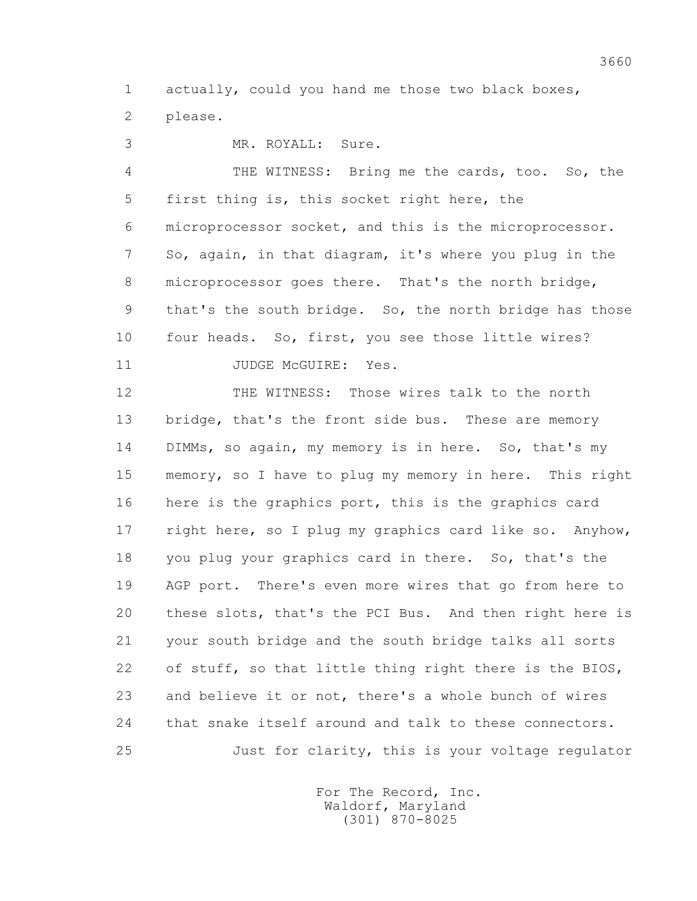1 actually, could you hand me those two black boxes, 2 please.

3 MR. ROYALL: Sure.

 4 THE WITNESS: Bring me the cards, too. So, the 5 first thing is, this socket right here, the 6 microprocessor socket, and this is the microprocessor. 7 So, again, in that diagram, it's where you plug in the 8 microprocessor goes there. That's the north bridge, 9 that's the south bridge. So, the north bridge has those 10 four heads. So, first, you see those little wires?

11 JUDGE McGUIRE: Yes.

 12 THE WITNESS: Those wires talk to the north 13 bridge, that's the front side bus. These are memory 14 DIMMs, so again, my memory is in here. So, that's my 15 memory, so I have to plug my memory in here. This right 16 here is the graphics port, this is the graphics card 17 right here, so I plug my graphics card like so. Anyhow, 18 you plug your graphics card in there. So, that's the 19 AGP port. There's even more wires that go from here to 20 these slots, that's the PCI Bus. And then right here is 21 your south bridge and the south bridge talks all sorts 22 of stuff, so that little thing right there is the BIOS, 23 and believe it or not, there's a whole bunch of wires 24 that snake itself around and talk to these connectors. 25 Just for clarity, this is your voltage regulator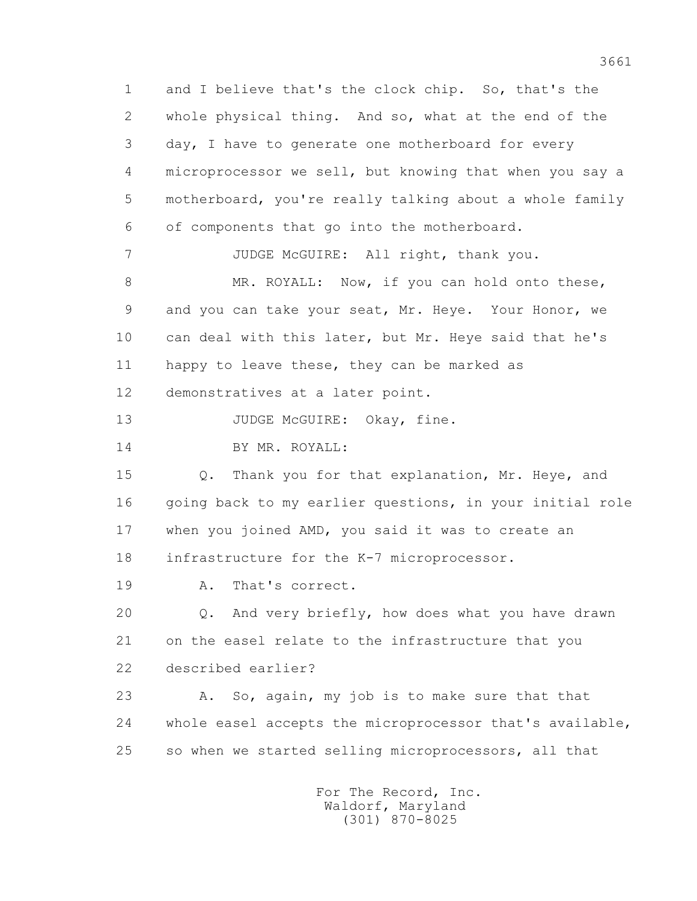1 and I believe that's the clock chip. So, that's the 2 whole physical thing. And so, what at the end of the 3 day, I have to generate one motherboard for every 4 microprocessor we sell, but knowing that when you say a 5 motherboard, you're really talking about a whole family 6 of components that go into the motherboard. 7 JUDGE McGUIRE: All right, thank you. 8 MR. ROYALL: Now, if you can hold onto these, 9 and you can take your seat, Mr. Heye. Your Honor, we 10 can deal with this later, but Mr. Heye said that he's 11 happy to leave these, they can be marked as 12 demonstratives at a later point. 13 JUDGE McGUIRE: Okay, fine. 14 BY MR. ROYALL: 15 Q. Thank you for that explanation, Mr. Heye, and 16 going back to my earlier questions, in your initial role 17 when you joined AMD, you said it was to create an 18 infrastructure for the K-7 microprocessor. 19 A. That's correct. 20 Q. And very briefly, how does what you have drawn 21 on the easel relate to the infrastructure that you 22 described earlier? 23 A. So, again, my job is to make sure that that 24 whole easel accepts the microprocessor that's available, 25 so when we started selling microprocessors, all that For The Record, Inc.

 Waldorf, Maryland (301) 870-8025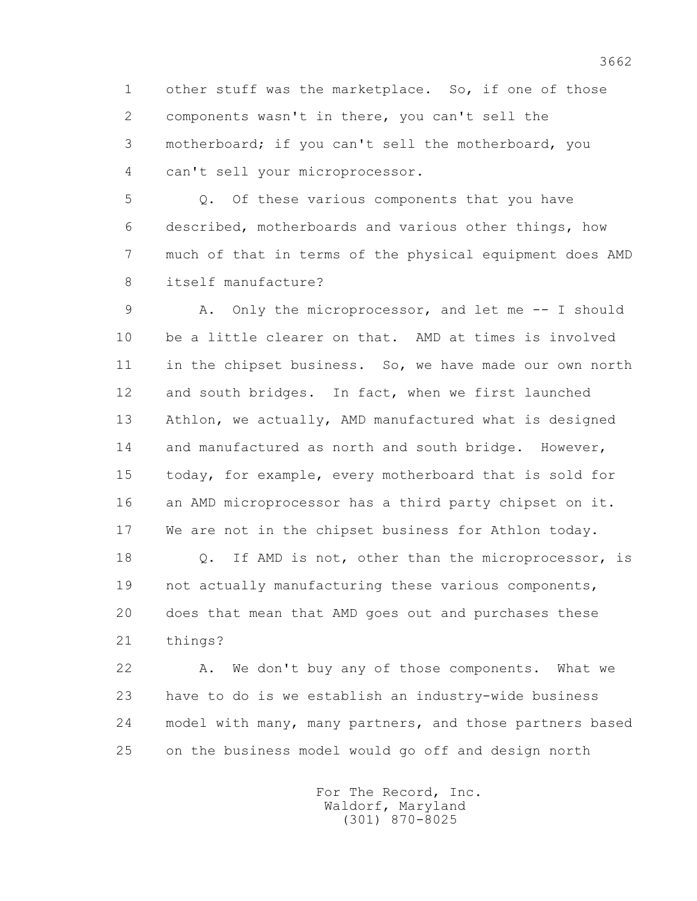1 other stuff was the marketplace. So, if one of those 2 components wasn't in there, you can't sell the 3 motherboard; if you can't sell the motherboard, you 4 can't sell your microprocessor.

 5 Q. Of these various components that you have 6 described, motherboards and various other things, how 7 much of that in terms of the physical equipment does AMD 8 itself manufacture?

 9 A. Only the microprocessor, and let me -- I should 10 be a little clearer on that. AMD at times is involved 11 in the chipset business. So, we have made our own north 12 and south bridges. In fact, when we first launched 13 Athlon, we actually, AMD manufactured what is designed 14 and manufactured as north and south bridge. However, 15 today, for example, every motherboard that is sold for 16 an AMD microprocessor has a third party chipset on it. 17 We are not in the chipset business for Athlon today.

 18 Q. If AMD is not, other than the microprocessor, is 19 not actually manufacturing these various components, 20 does that mean that AMD goes out and purchases these 21 things?

 22 A. We don't buy any of those components. What we 23 have to do is we establish an industry-wide business 24 model with many, many partners, and those partners based 25 on the business model would go off and design north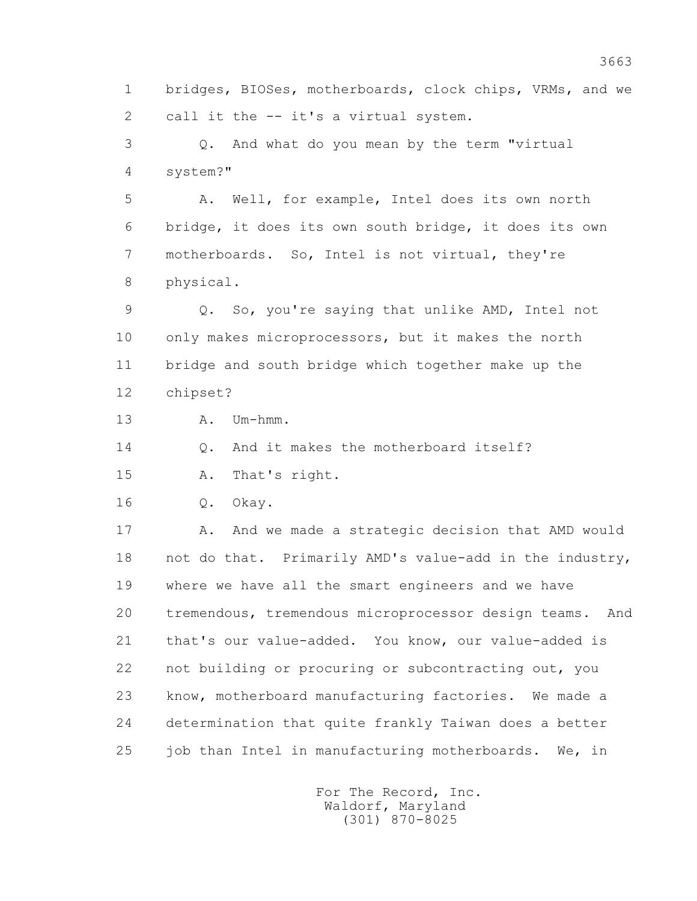1 bridges, BIOSes, motherboards, clock chips, VRMs, and we 2 call it the -- it's a virtual system.

 3 Q. And what do you mean by the term "virtual 4 system?"

 5 A. Well, for example, Intel does its own north 6 bridge, it does its own south bridge, it does its own 7 motherboards. So, Intel is not virtual, they're 8 physical.

 9 Q. So, you're saying that unlike AMD, Intel not 10 only makes microprocessors, but it makes the north 11 bridge and south bridge which together make up the 12 chipset?

13 A. Um-hmm.

14 Q. And it makes the motherboard itself?

15 A. That's right.

16 Q. Okay.

17 A. And we made a strategic decision that AMD would 18 not do that. Primarily AMD's value-add in the industry, 19 where we have all the smart engineers and we have 20 tremendous, tremendous microprocessor design teams. And 21 that's our value-added. You know, our value-added is 22 not building or procuring or subcontracting out, you 23 know, motherboard manufacturing factories. We made a 24 determination that quite frankly Taiwan does a better 25 job than Intel in manufacturing motherboards. We, in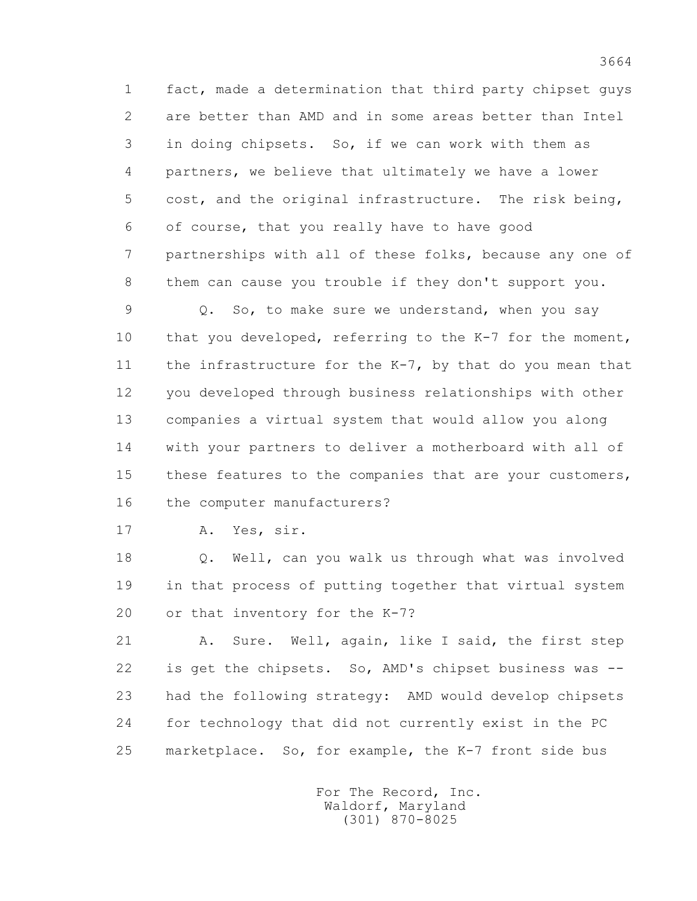1 fact, made a determination that third party chipset guys 2 are better than AMD and in some areas better than Intel 3 in doing chipsets. So, if we can work with them as 4 partners, we believe that ultimately we have a lower 5 cost, and the original infrastructure. The risk being, 6 of course, that you really have to have good 7 partnerships with all of these folks, because any one of 8 them can cause you trouble if they don't support you.

 9 Q. So, to make sure we understand, when you say 10 that you developed, referring to the K-7 for the moment, 11 the infrastructure for the K-7, by that do you mean that 12 you developed through business relationships with other 13 companies a virtual system that would allow you along 14 with your partners to deliver a motherboard with all of 15 these features to the companies that are your customers, 16 the computer manufacturers?

17 A. Yes, sir.

 18 Q. Well, can you walk us through what was involved 19 in that process of putting together that virtual system 20 or that inventory for the K-7?

21 A. Sure. Well, again, like I said, the first step 22 is get the chipsets. So, AMD's chipset business was -- 23 had the following strategy: AMD would develop chipsets 24 for technology that did not currently exist in the PC 25 marketplace. So, for example, the K-7 front side bus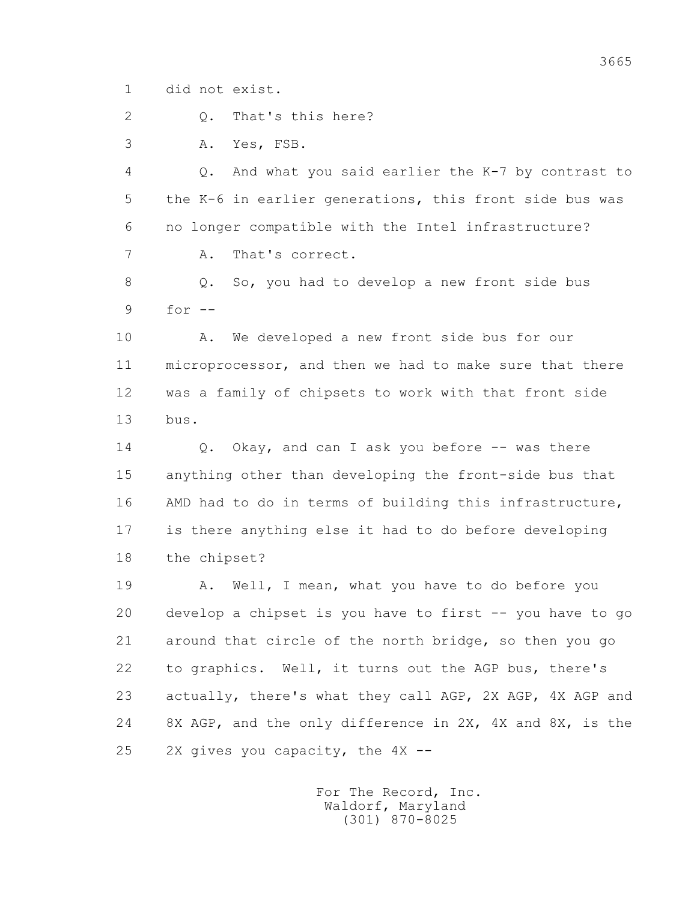1 did not exist.

2 Q. That's this here?

3 A. Yes, FSB.

 4 Q. And what you said earlier the K-7 by contrast to 5 the K-6 in earlier generations, this front side bus was 6 no longer compatible with the Intel infrastructure? 7 A. That's correct.

 8 Q. So, you had to develop a new front side bus 9 for --

 10 A. We developed a new front side bus for our 11 microprocessor, and then we had to make sure that there 12 was a family of chipsets to work with that front side 13 bus.

14 Q. Okay, and can I ask you before -- was there 15 anything other than developing the front-side bus that 16 AMD had to do in terms of building this infrastructure, 17 is there anything else it had to do before developing 18 the chipset?

19 A. Well, I mean, what you have to do before you 20 develop a chipset is you have to first -- you have to go 21 around that circle of the north bridge, so then you go 22 to graphics. Well, it turns out the AGP bus, there's 23 actually, there's what they call AGP, 2X AGP, 4X AGP and 24 8X AGP, and the only difference in 2X, 4X and 8X, is the 25 2X gives you capacity, the 4X --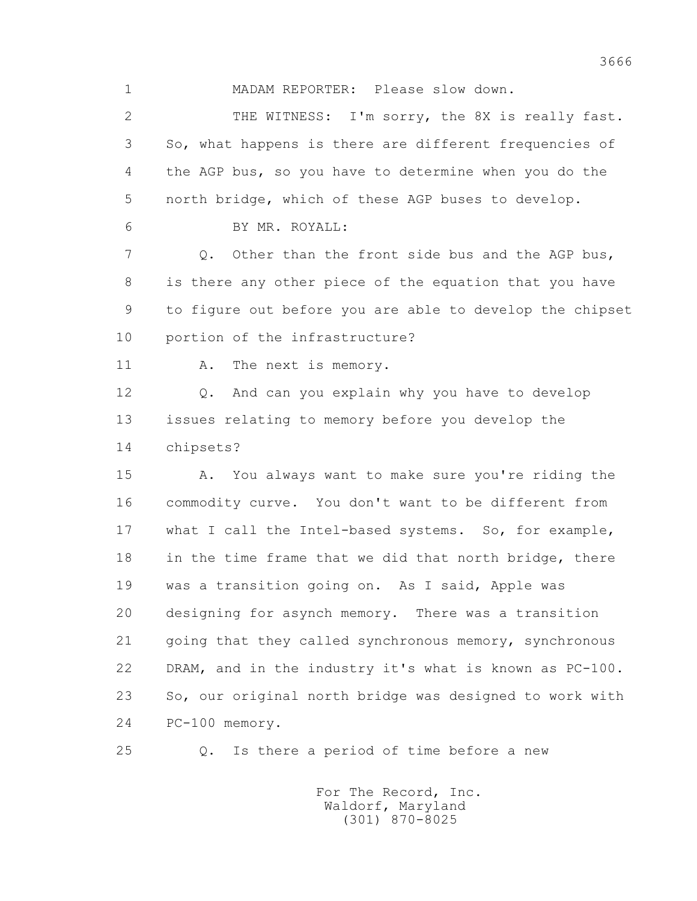1 MADAM REPORTER: Please slow down.

 2 THE WITNESS: I'm sorry, the 8X is really fast. 3 So, what happens is there are different frequencies of 4 the AGP bus, so you have to determine when you do the 5 north bridge, which of these AGP buses to develop.

6 BY MR. ROYALL:

 7 Q. Other than the front side bus and the AGP bus, 8 is there any other piece of the equation that you have 9 to figure out before you are able to develop the chipset 10 portion of the infrastructure?

11 A. The next is memory.

 12 Q. And can you explain why you have to develop 13 issues relating to memory before you develop the 14 chipsets?

 15 A. You always want to make sure you're riding the 16 commodity curve. You don't want to be different from 17 what I call the Intel-based systems. So, for example, 18 in the time frame that we did that north bridge, there 19 was a transition going on. As I said, Apple was 20 designing for asynch memory. There was a transition 21 going that they called synchronous memory, synchronous 22 DRAM, and in the industry it's what is known as PC-100. 23 So, our original north bridge was designed to work with 24 PC-100 memory.

25 Q. Is there a period of time before a new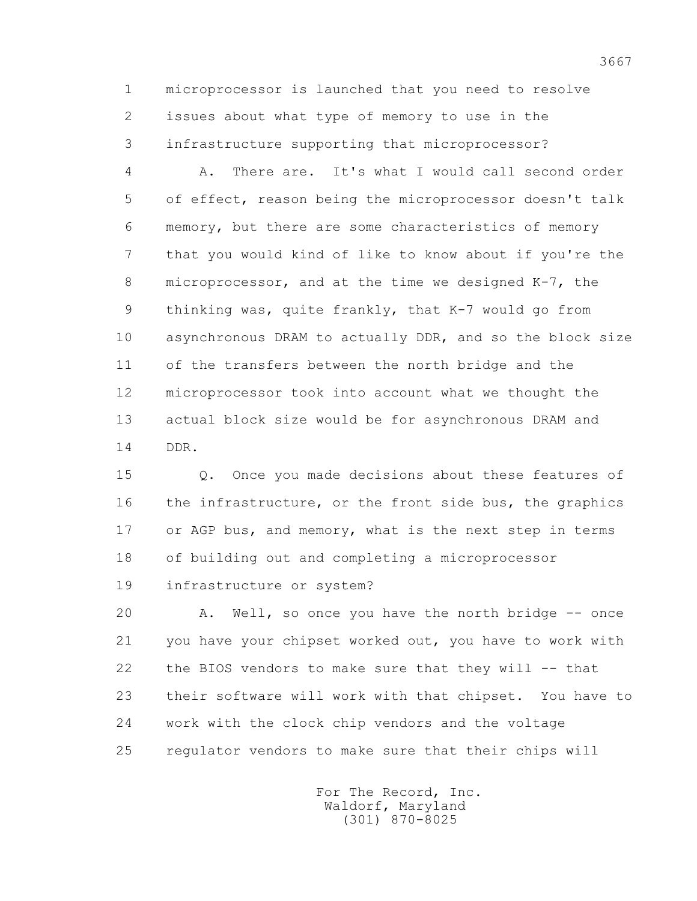1 microprocessor is launched that you need to resolve 2 issues about what type of memory to use in the 3 infrastructure supporting that microprocessor?

 4 A. There are. It's what I would call second order 5 of effect, reason being the microprocessor doesn't talk 6 memory, but there are some characteristics of memory 7 that you would kind of like to know about if you're the 8 microprocessor, and at the time we designed K-7, the 9 thinking was, quite frankly, that K-7 would go from 10 asynchronous DRAM to actually DDR, and so the block size 11 of the transfers between the north bridge and the 12 microprocessor took into account what we thought the 13 actual block size would be for asynchronous DRAM and 14 DDR.

 15 Q. Once you made decisions about these features of 16 the infrastructure, or the front side bus, the graphics 17 or AGP bus, and memory, what is the next step in terms 18 of building out and completing a microprocessor 19 infrastructure or system?

 20 A. Well, so once you have the north bridge -- once 21 you have your chipset worked out, you have to work with 22 the BIOS vendors to make sure that they will -- that 23 their software will work with that chipset. You have to 24 work with the clock chip vendors and the voltage 25 regulator vendors to make sure that their chips will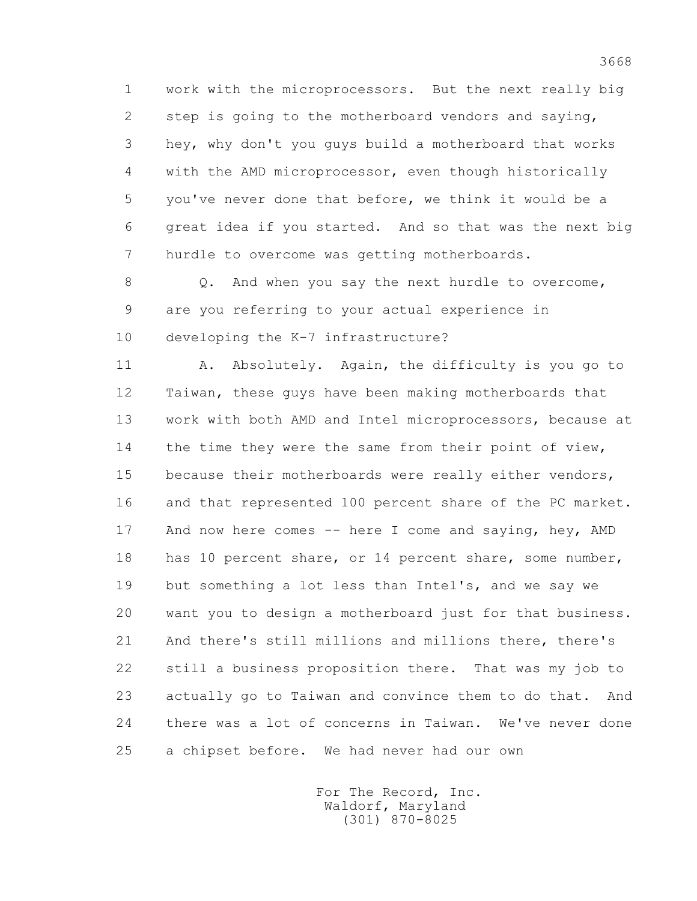1 work with the microprocessors. But the next really big 2 step is going to the motherboard vendors and saying, 3 hey, why don't you guys build a motherboard that works 4 with the AMD microprocessor, even though historically 5 you've never done that before, we think it would be a 6 great idea if you started. And so that was the next big 7 hurdle to overcome was getting motherboards.

 8 Q. And when you say the next hurdle to overcome, 9 are you referring to your actual experience in 10 developing the K-7 infrastructure?

 11 A. Absolutely. Again, the difficulty is you go to 12 Taiwan, these guys have been making motherboards that 13 work with both AMD and Intel microprocessors, because at 14 the time they were the same from their point of view, 15 because their motherboards were really either vendors, 16 and that represented 100 percent share of the PC market. 17 And now here comes -- here I come and saying, hey, AMD 18 has 10 percent share, or 14 percent share, some number, 19 but something a lot less than Intel's, and we say we 20 want you to design a motherboard just for that business. 21 And there's still millions and millions there, there's 22 still a business proposition there. That was my job to 23 actually go to Taiwan and convince them to do that. And 24 there was a lot of concerns in Taiwan. We've never done 25 a chipset before. We had never had our own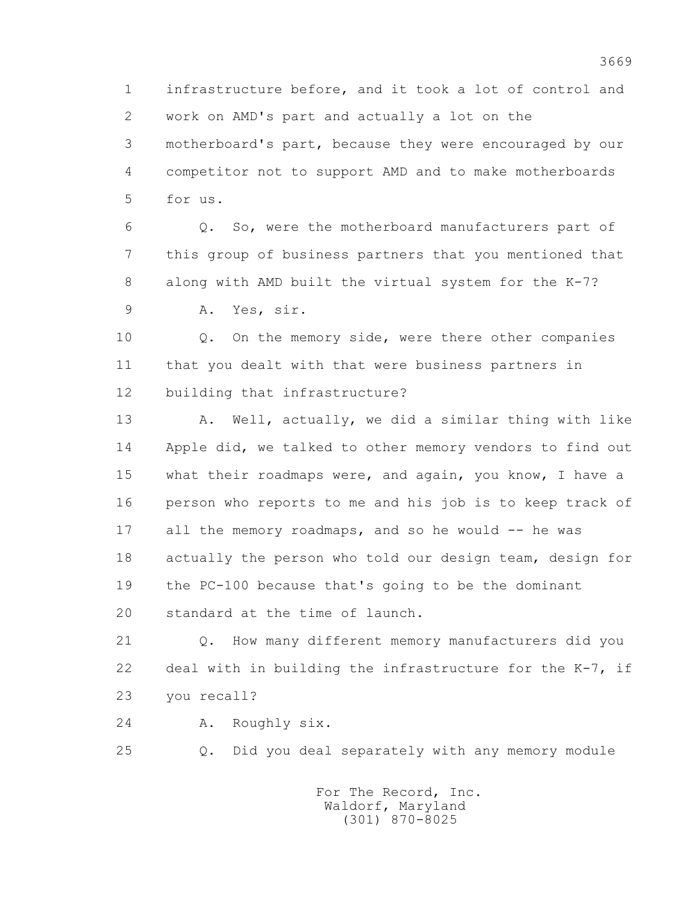1 infrastructure before, and it took a lot of control and 2 work on AMD's part and actually a lot on the 3 motherboard's part, because they were encouraged by our 4 competitor not to support AMD and to make motherboards 5 for us.

 6 Q. So, were the motherboard manufacturers part of 7 this group of business partners that you mentioned that 8 along with AMD built the virtual system for the K-7?

9 A. Yes, sir.

 10 Q. On the memory side, were there other companies 11 that you dealt with that were business partners in 12 building that infrastructure?

13 A. Well, actually, we did a similar thing with like 14 Apple did, we talked to other memory vendors to find out 15 what their roadmaps were, and again, you know, I have a 16 person who reports to me and his job is to keep track of 17 all the memory roadmaps, and so he would -- he was 18 actually the person who told our design team, design for 19 the PC-100 because that's going to be the dominant 20 standard at the time of launch.

 21 Q. How many different memory manufacturers did you 22 deal with in building the infrastructure for the K-7, if 23 you recall?

24 A. Roughly six.

25 Q. Did you deal separately with any memory module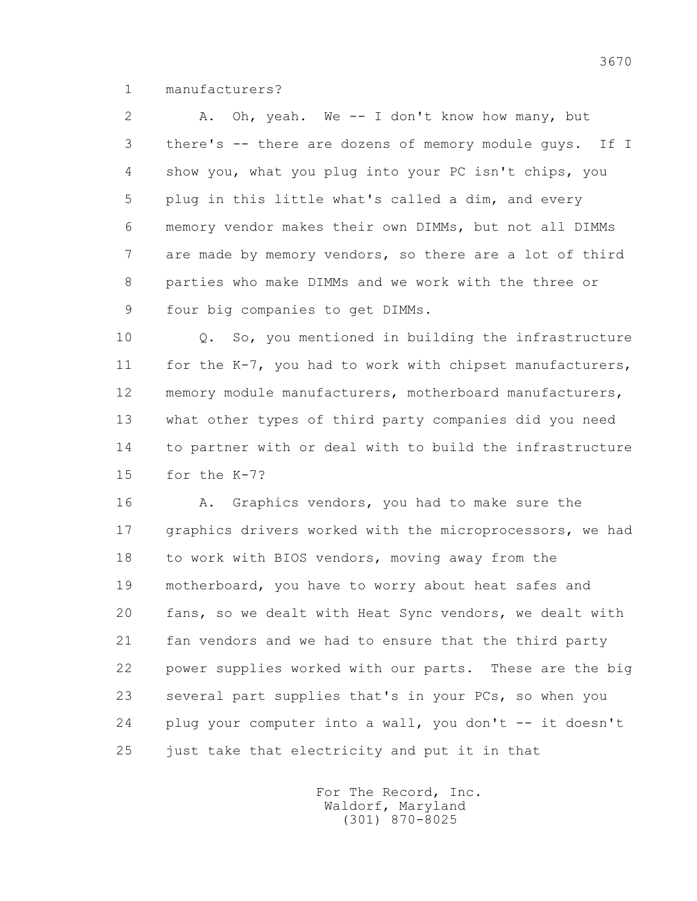1 manufacturers?

 2 A. Oh, yeah. We -- I don't know how many, but 3 there's -- there are dozens of memory module guys. If I 4 show you, what you plug into your PC isn't chips, you 5 plug in this little what's called a dim, and every 6 memory vendor makes their own DIMMs, but not all DIMMs 7 are made by memory vendors, so there are a lot of third 8 parties who make DIMMs and we work with the three or 9 four big companies to get DIMMs.

 10 Q. So, you mentioned in building the infrastructure 11 for the K-7, you had to work with chipset manufacturers, 12 memory module manufacturers, motherboard manufacturers, 13 what other types of third party companies did you need 14 to partner with or deal with to build the infrastructure 15 for the K-7?

 16 A. Graphics vendors, you had to make sure the 17 graphics drivers worked with the microprocessors, we had 18 to work with BIOS vendors, moving away from the 19 motherboard, you have to worry about heat safes and 20 fans, so we dealt with Heat Sync vendors, we dealt with 21 fan vendors and we had to ensure that the third party 22 power supplies worked with our parts. These are the big 23 several part supplies that's in your PCs, so when you 24 plug your computer into a wall, you don't -- it doesn't 25 just take that electricity and put it in that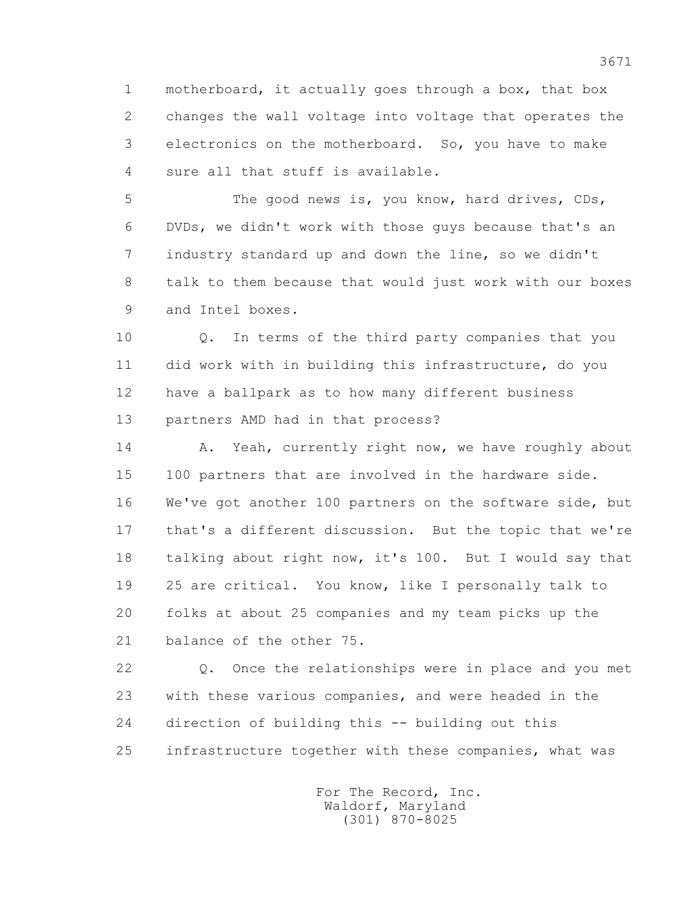1 motherboard, it actually goes through a box, that box 2 changes the wall voltage into voltage that operates the 3 electronics on the motherboard. So, you have to make 4 sure all that stuff is available.

 5 The good news is, you know, hard drives, CDs, 6 DVDs, we didn't work with those guys because that's an 7 industry standard up and down the line, so we didn't 8 talk to them because that would just work with our boxes 9 and Intel boxes.

 10 Q. In terms of the third party companies that you 11 did work with in building this infrastructure, do you 12 have a ballpark as to how many different business 13 partners AMD had in that process?

14 A. Yeah, currently right now, we have roughly about 15 100 partners that are involved in the hardware side. 16 We've got another 100 partners on the software side, but 17 that's a different discussion. But the topic that we're 18 talking about right now, it's 100. But I would say that 19 25 are critical. You know, like I personally talk to 20 folks at about 25 companies and my team picks up the 21 balance of the other 75.

 22 Q. Once the relationships were in place and you met 23 with these various companies, and were headed in the 24 direction of building this -- building out this 25 infrastructure together with these companies, what was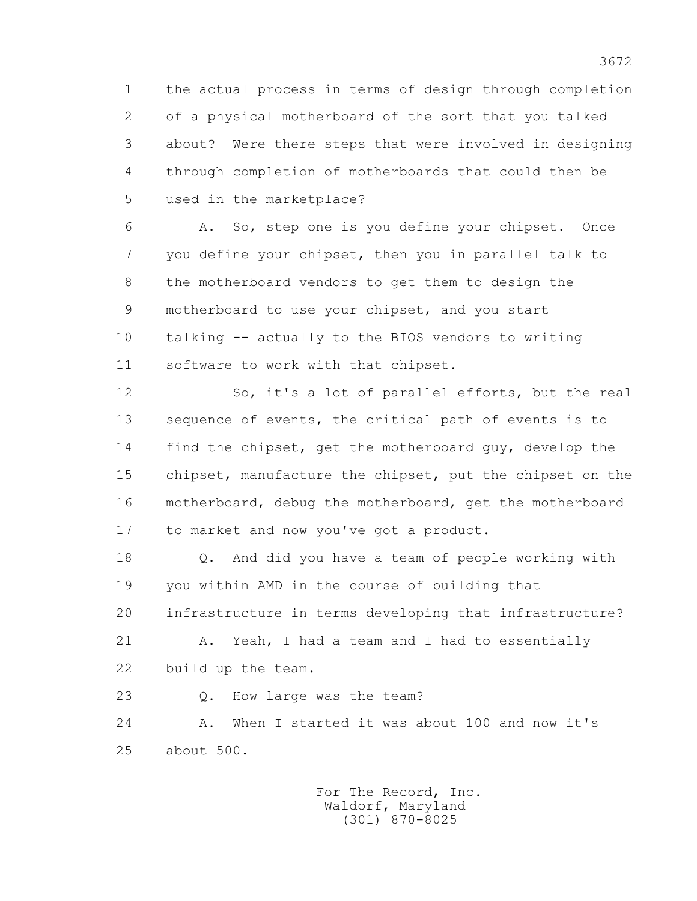1 the actual process in terms of design through completion 2 of a physical motherboard of the sort that you talked 3 about? Were there steps that were involved in designing 4 through completion of motherboards that could then be 5 used in the marketplace?

 6 A. So, step one is you define your chipset. Once 7 you define your chipset, then you in parallel talk to 8 the motherboard vendors to get them to design the 9 motherboard to use your chipset, and you start 10 talking -- actually to the BIOS vendors to writing 11 software to work with that chipset.

 12 So, it's a lot of parallel efforts, but the real 13 sequence of events, the critical path of events is to 14 find the chipset, get the motherboard guy, develop the 15 chipset, manufacture the chipset, put the chipset on the 16 motherboard, debug the motherboard, get the motherboard 17 to market and now you've got a product.

 18 Q. And did you have a team of people working with 19 you within AMD in the course of building that 20 infrastructure in terms developing that infrastructure?

21 A. Yeah, I had a team and I had to essentially 22 build up the team.

23 Q. How large was the team?

 24 A. When I started it was about 100 and now it's 25 about 500.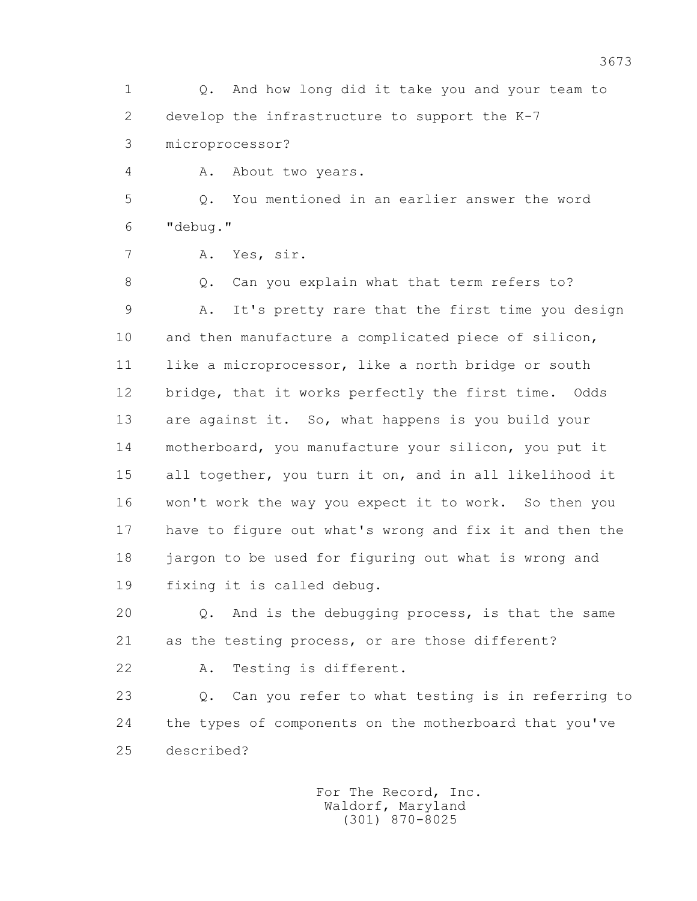1 Q. And how long did it take you and your team to 2 develop the infrastructure to support the K-7

3 microprocessor?

4 A. About two years.

 5 Q. You mentioned in an earlier answer the word 6 "debug."

7 A. Yes, sir.

8 Q. Can you explain what that term refers to? 9 A. It's pretty rare that the first time you design 10 and then manufacture a complicated piece of silicon, 11 like a microprocessor, like a north bridge or south 12 bridge, that it works perfectly the first time. Odds 13 are against it. So, what happens is you build your 14 motherboard, you manufacture your silicon, you put it 15 all together, you turn it on, and in all likelihood it 16 won't work the way you expect it to work. So then you 17 have to figure out what's wrong and fix it and then the 18 jargon to be used for figuring out what is wrong and 19 fixing it is called debug.

 20 Q. And is the debugging process, is that the same 21 as the testing process, or are those different?

22 A. Testing is different.

 23 Q. Can you refer to what testing is in referring to 24 the types of components on the motherboard that you've 25 described?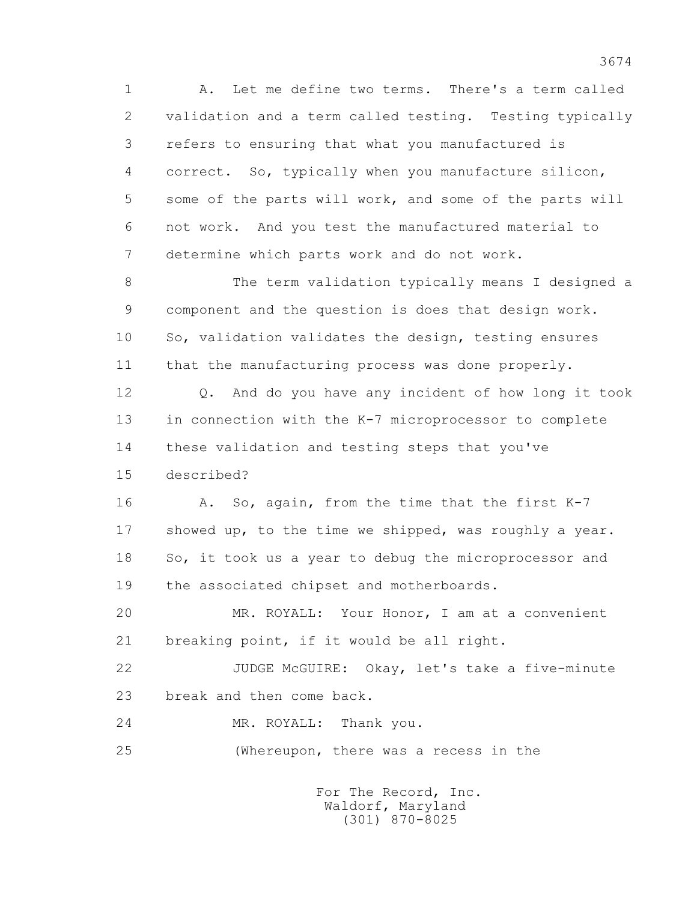1 A. Let me define two terms. There's a term called 2 validation and a term called testing. Testing typically 3 refers to ensuring that what you manufactured is 4 correct. So, typically when you manufacture silicon, 5 some of the parts will work, and some of the parts will 6 not work. And you test the manufactured material to 7 determine which parts work and do not work.

 8 The term validation typically means I designed a 9 component and the question is does that design work. 10 So, validation validates the design, testing ensures 11 that the manufacturing process was done properly.

 12 Q. And do you have any incident of how long it took 13 in connection with the K-7 microprocessor to complete 14 these validation and testing steps that you've 15 described?

16 A. So, again, from the time that the first K-7 17 showed up, to the time we shipped, was roughly a year. 18 So, it took us a year to debug the microprocessor and 19 the associated chipset and motherboards.

 20 MR. ROYALL: Your Honor, I am at a convenient 21 breaking point, if it would be all right.

 22 JUDGE McGUIRE: Okay, let's take a five-minute 23 break and then come back.

24 MR. ROYALL: Thank you.

25 (Whereupon, there was a recess in the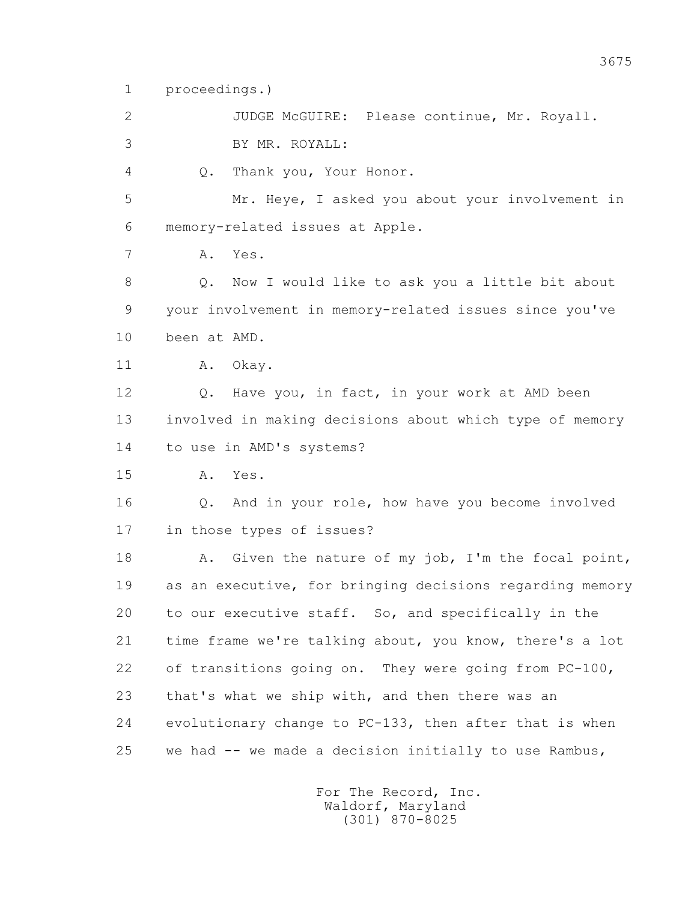1 proceedings.)

 2 JUDGE McGUIRE: Please continue, Mr. Royall. 3 BY MR. ROYALL:

4 Q. Thank you, Your Honor.

 5 Mr. Heye, I asked you about your involvement in 6 memory-related issues at Apple.

7 A. Yes.

 8 Q. Now I would like to ask you a little bit about 9 your involvement in memory-related issues since you've 10 been at AMD.

11 A. Okay.

 12 Q. Have you, in fact, in your work at AMD been 13 involved in making decisions about which type of memory 14 to use in AMD's systems?

15 A. Yes.

 16 Q. And in your role, how have you become involved 17 in those types of issues?

 18 A. Given the nature of my job, I'm the focal point, 19 as an executive, for bringing decisions regarding memory 20 to our executive staff. So, and specifically in the 21 time frame we're talking about, you know, there's a lot 22 of transitions going on. They were going from PC-100, 23 that's what we ship with, and then there was an 24 evolutionary change to PC-133, then after that is when 25 we had -- we made a decision initially to use Rambus,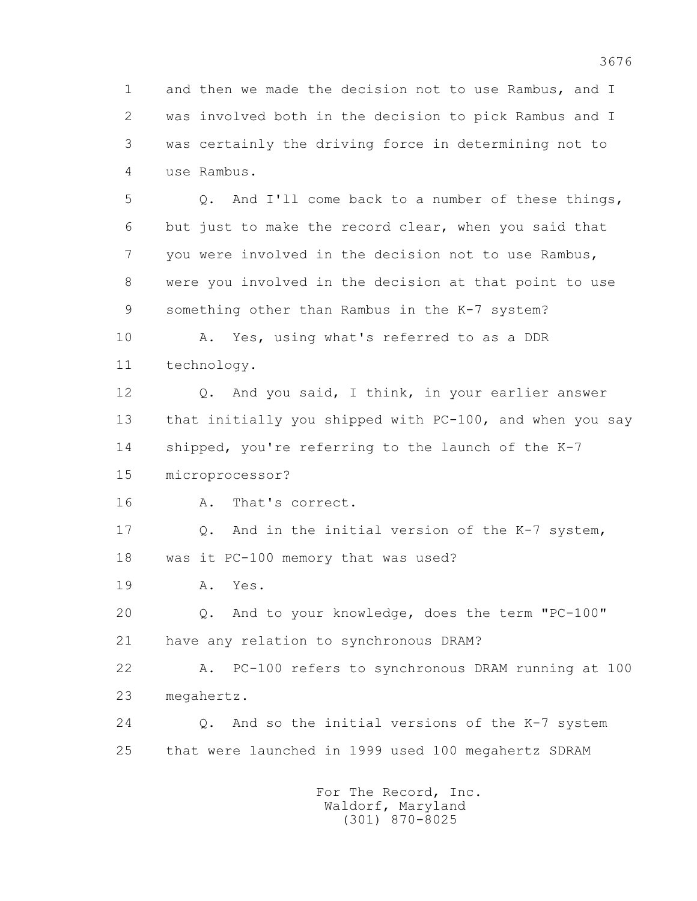1 and then we made the decision not to use Rambus, and I 2 was involved both in the decision to pick Rambus and I 3 was certainly the driving force in determining not to 4 use Rambus.

 5 Q. And I'll come back to a number of these things, 6 but just to make the record clear, when you said that 7 you were involved in the decision not to use Rambus, 8 were you involved in the decision at that point to use 9 something other than Rambus in the K-7 system?

 10 A. Yes, using what's referred to as a DDR 11 technology.

 12 Q. And you said, I think, in your earlier answer 13 that initially you shipped with PC-100, and when you say 14 shipped, you're referring to the launch of the K-7

15 microprocessor?

16 A. That's correct.

 17 Q. And in the initial version of the K-7 system, 18 was it PC-100 memory that was used?

19 A. Yes.

 20 Q. And to your knowledge, does the term "PC-100" 21 have any relation to synchronous DRAM?

 22 A. PC-100 refers to synchronous DRAM running at 100 23 megahertz.

 24 Q. And so the initial versions of the K-7 system 25 that were launched in 1999 used 100 megahertz SDRAM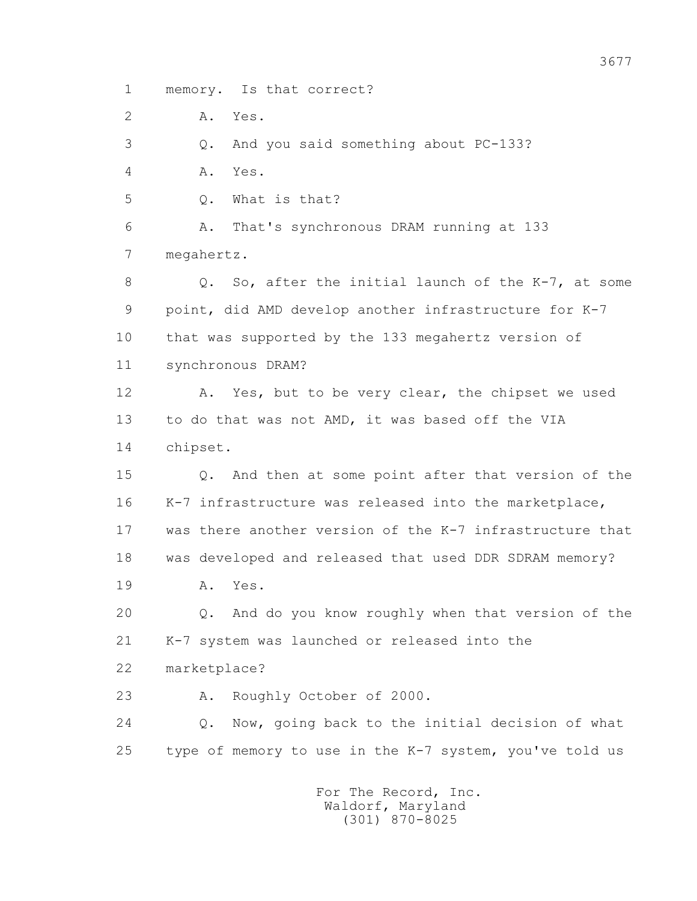1 memory. Is that correct?

2 A. Yes.

3 Q. And you said something about PC-133?

4 A. Yes.

5 Q. What is that?

 6 A. That's synchronous DRAM running at 133 7 megahertz.

8 Q. So, after the initial launch of the K-7, at some 9 point, did AMD develop another infrastructure for K-7 10 that was supported by the 133 megahertz version of 11 synchronous DRAM?

 12 A. Yes, but to be very clear, the chipset we used 13 to do that was not AMD, it was based off the VIA 14 chipset.

 15 Q. And then at some point after that version of the 16 K-7 infrastructure was released into the marketplace, 17 was there another version of the K-7 infrastructure that 18 was developed and released that used DDR SDRAM memory?

19 A. Yes.

 20 Q. And do you know roughly when that version of the 21 K-7 system was launched or released into the

22 marketplace?

23 A. Roughly October of 2000.

 24 Q. Now, going back to the initial decision of what 25 type of memory to use in the K-7 system, you've told us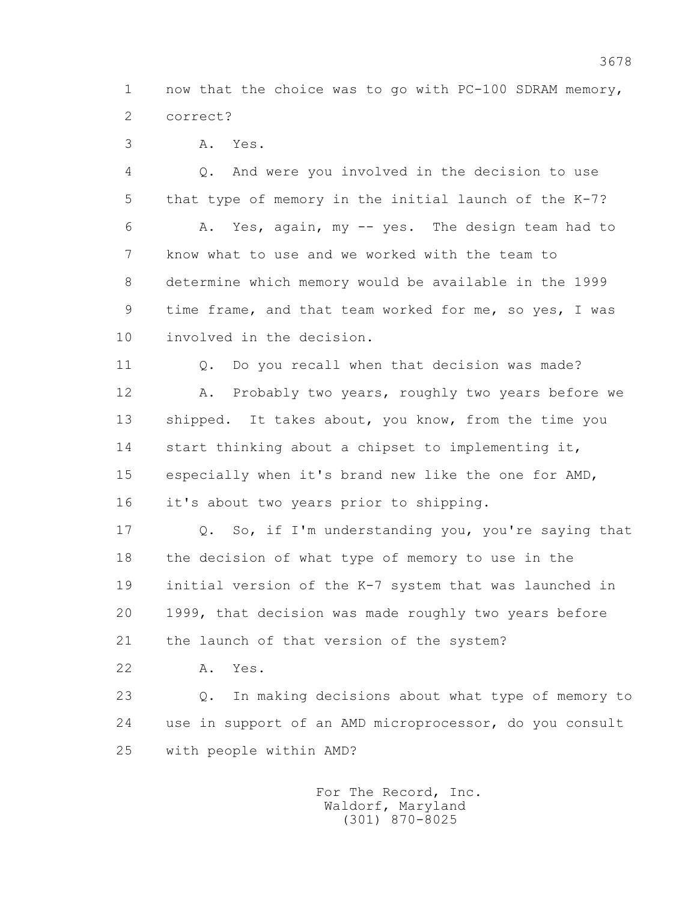1 now that the choice was to go with PC-100 SDRAM memory, 2 correct?

3 A. Yes.

 4 Q. And were you involved in the decision to use 5 that type of memory in the initial launch of the K-7? 6 A. Yes, again, my -- yes. The design team had to 7 know what to use and we worked with the team to 8 determine which memory would be available in the 1999 9 time frame, and that team worked for me, so yes, I was 10 involved in the decision. 11 0. Do you recall when that decision was made? 12 A. Probably two years, roughly two years before we 13 shipped. It takes about, you know, from the time you 14 start thinking about a chipset to implementing it, 15 especially when it's brand new like the one for AMD,

16 it's about two years prior to shipping.

 17 Q. So, if I'm understanding you, you're saying that 18 the decision of what type of memory to use in the 19 initial version of the K-7 system that was launched in 20 1999, that decision was made roughly two years before 21 the launch of that version of the system?

22 A. Yes.

 23 Q. In making decisions about what type of memory to 24 use in support of an AMD microprocessor, do you consult 25 with people within AMD?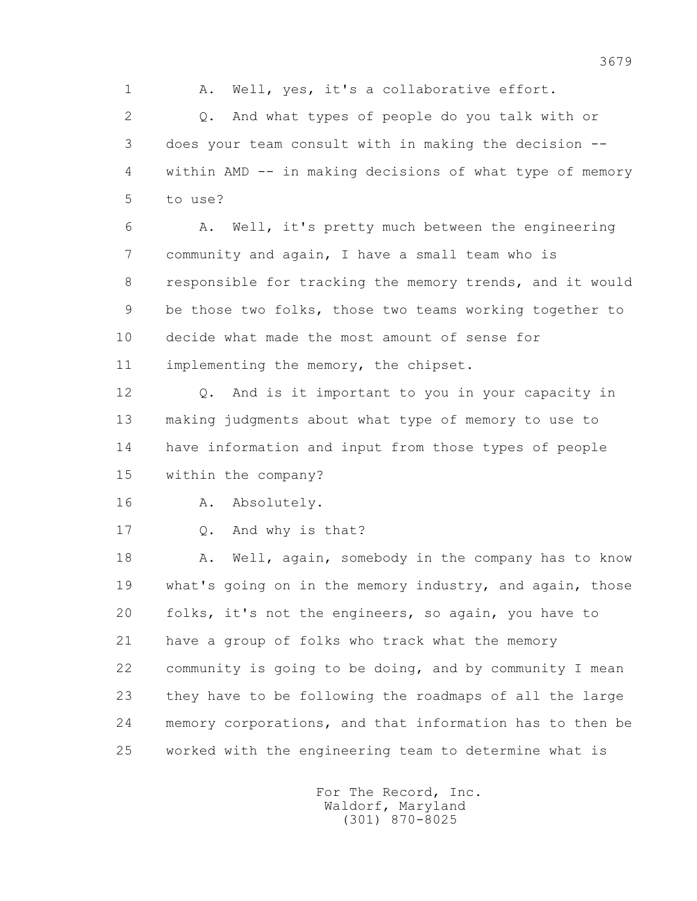1 A. Well, yes, it's a collaborative effort.

 2 Q. And what types of people do you talk with or 3 does your team consult with in making the decision -- 4 within AMD -- in making decisions of what type of memory 5 to use?

 6 A. Well, it's pretty much between the engineering 7 community and again, I have a small team who is 8 responsible for tracking the memory trends, and it would 9 be those two folks, those two teams working together to 10 decide what made the most amount of sense for 11 implementing the memory, the chipset.

 12 Q. And is it important to you in your capacity in 13 making judgments about what type of memory to use to 14 have information and input from those types of people 15 within the company?

16 A. Absolutely.

17 Q. And why is that?

18 A. Well, again, somebody in the company has to know 19 what's going on in the memory industry, and again, those 20 folks, it's not the engineers, so again, you have to 21 have a group of folks who track what the memory 22 community is going to be doing, and by community I mean 23 they have to be following the roadmaps of all the large 24 memory corporations, and that information has to then be 25 worked with the engineering team to determine what is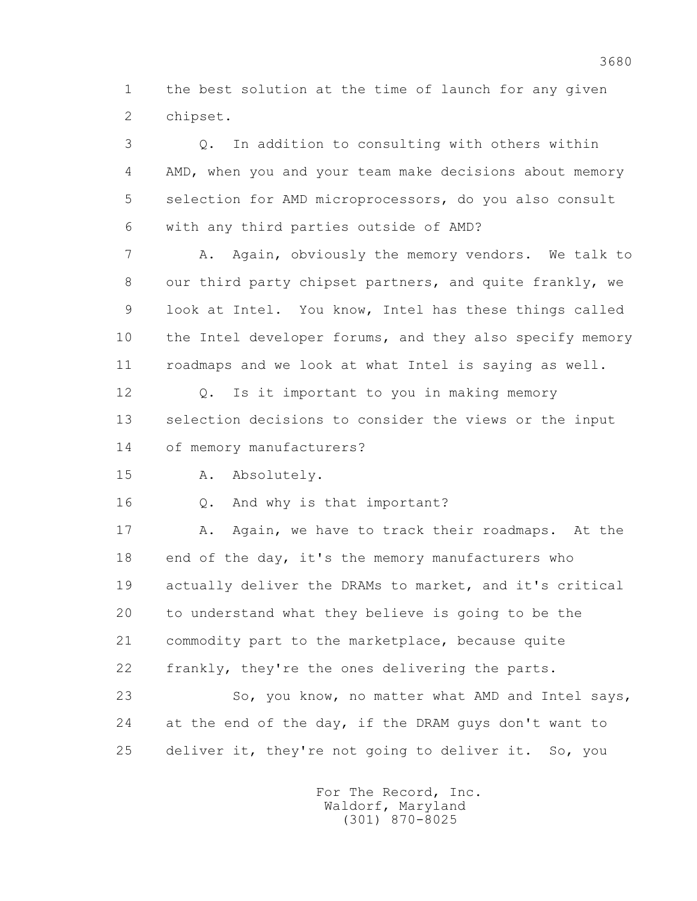1 the best solution at the time of launch for any given 2 chipset.

 3 Q. In addition to consulting with others within 4 AMD, when you and your team make decisions about memory 5 selection for AMD microprocessors, do you also consult 6 with any third parties outside of AMD? 7 A. Again, obviously the memory vendors. We talk to 8 our third party chipset partners, and quite frankly, we 9 look at Intel. You know, Intel has these things called 10 the Intel developer forums, and they also specify memory 11 roadmaps and we look at what Intel is saying as well. 12 Q. Is it important to you in making memory 13 selection decisions to consider the views or the input 14 of memory manufacturers? 15 A. Absolutely. 16 Q. And why is that important? 17 A. Again, we have to track their roadmaps. At the 18 end of the day, it's the memory manufacturers who 19 actually deliver the DRAMs to market, and it's critical 20 to understand what they believe is going to be the 21 commodity part to the marketplace, because quite 22 frankly, they're the ones delivering the parts. 23 So, you know, no matter what AMD and Intel says,

 24 at the end of the day, if the DRAM guys don't want to 25 deliver it, they're not going to deliver it. So, you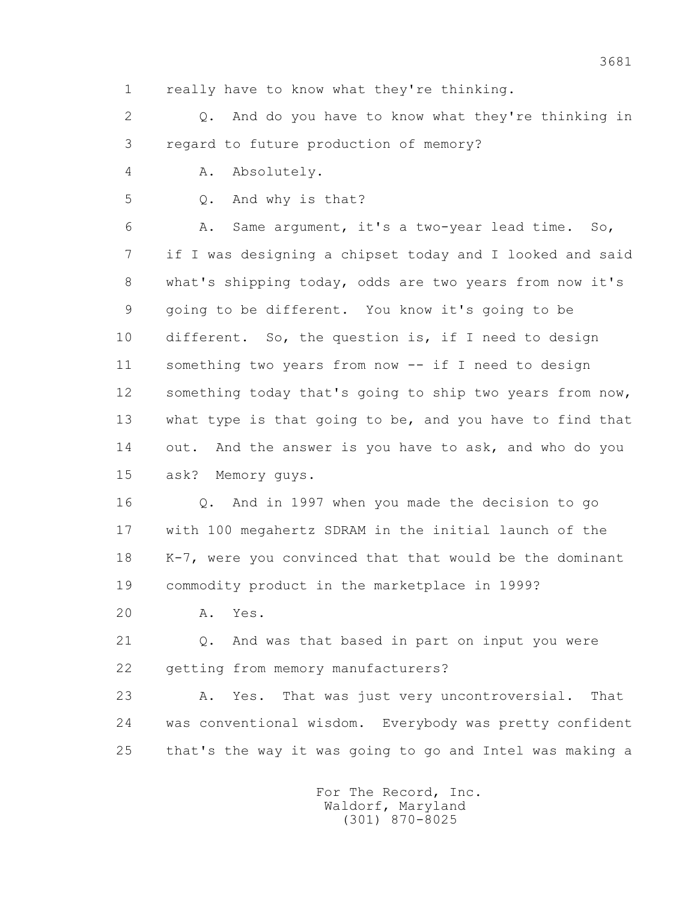1 really have to know what they're thinking.

 2 Q. And do you have to know what they're thinking in 3 regard to future production of memory?

4 A. Absolutely.

5 Q. And why is that?

 6 A. Same argument, it's a two-year lead time. So, 7 if I was designing a chipset today and I looked and said 8 what's shipping today, odds are two years from now it's 9 going to be different. You know it's going to be 10 different. So, the question is, if I need to design 11 something two years from now -- if I need to design 12 something today that's going to ship two years from now, 13 what type is that going to be, and you have to find that 14 out. And the answer is you have to ask, and who do you 15 ask? Memory guys.

 16 Q. And in 1997 when you made the decision to go 17 with 100 megahertz SDRAM in the initial launch of the 18 K-7, were you convinced that that would be the dominant 19 commodity product in the marketplace in 1999?

20 A. Yes.

 21 Q. And was that based in part on input you were 22 getting from memory manufacturers?

 23 A. Yes. That was just very uncontroversial. That 24 was conventional wisdom. Everybody was pretty confident 25 that's the way it was going to go and Intel was making a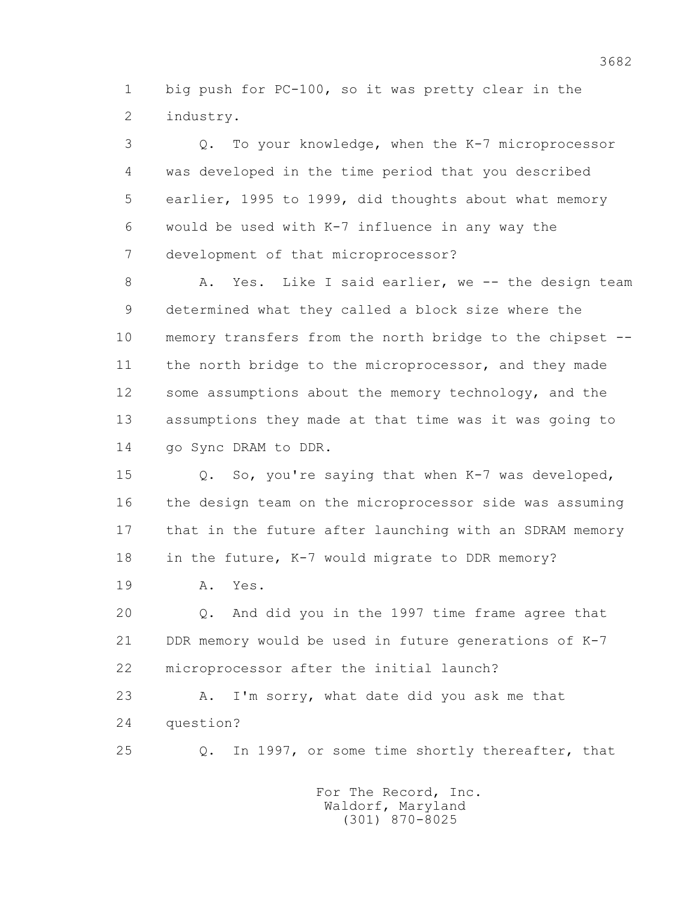1 big push for PC-100, so it was pretty clear in the 2 industry.

 3 Q. To your knowledge, when the K-7 microprocessor 4 was developed in the time period that you described 5 earlier, 1995 to 1999, did thoughts about what memory 6 would be used with K-7 influence in any way the 7 development of that microprocessor?

8 A. Yes. Like I said earlier, we -- the design team 9 determined what they called a block size where the 10 memory transfers from the north bridge to the chipset -- 11 the north bridge to the microprocessor, and they made 12 some assumptions about the memory technology, and the 13 assumptions they made at that time was it was going to 14 go Sync DRAM to DDR.

 15 Q. So, you're saying that when K-7 was developed, 16 the design team on the microprocessor side was assuming 17 that in the future after launching with an SDRAM memory 18 in the future, K-7 would migrate to DDR memory?

19 A. Yes.

 20 Q. And did you in the 1997 time frame agree that 21 DDR memory would be used in future generations of K-7 22 microprocessor after the initial launch?

 23 A. I'm sorry, what date did you ask me that 24 question?

25 Q. In 1997, or some time shortly thereafter, that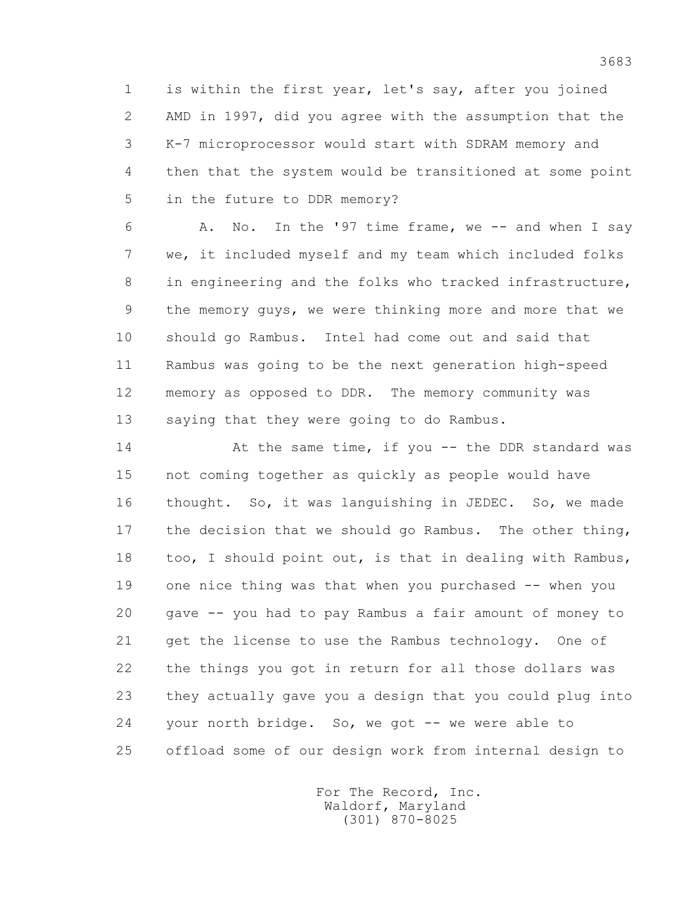1 is within the first year, let's say, after you joined 2 AMD in 1997, did you agree with the assumption that the 3 K-7 microprocessor would start with SDRAM memory and 4 then that the system would be transitioned at some point 5 in the future to DDR memory?

 6 A. No. In the '97 time frame, we -- and when I say 7 we, it included myself and my team which included folks 8 in engineering and the folks who tracked infrastructure, 9 the memory guys, we were thinking more and more that we 10 should go Rambus. Intel had come out and said that 11 Rambus was going to be the next generation high-speed 12 memory as opposed to DDR. The memory community was 13 saying that they were going to do Rambus.

14 At the same time, if you -- the DDR standard was 15 not coming together as quickly as people would have 16 thought. So, it was languishing in JEDEC. So, we made 17 the decision that we should go Rambus. The other thing, 18 too, I should point out, is that in dealing with Rambus, 19 one nice thing was that when you purchased -- when you 20 gave -- you had to pay Rambus a fair amount of money to 21 get the license to use the Rambus technology. One of 22 the things you got in return for all those dollars was 23 they actually gave you a design that you could plug into 24 your north bridge. So, we got -- we were able to 25 offload some of our design work from internal design to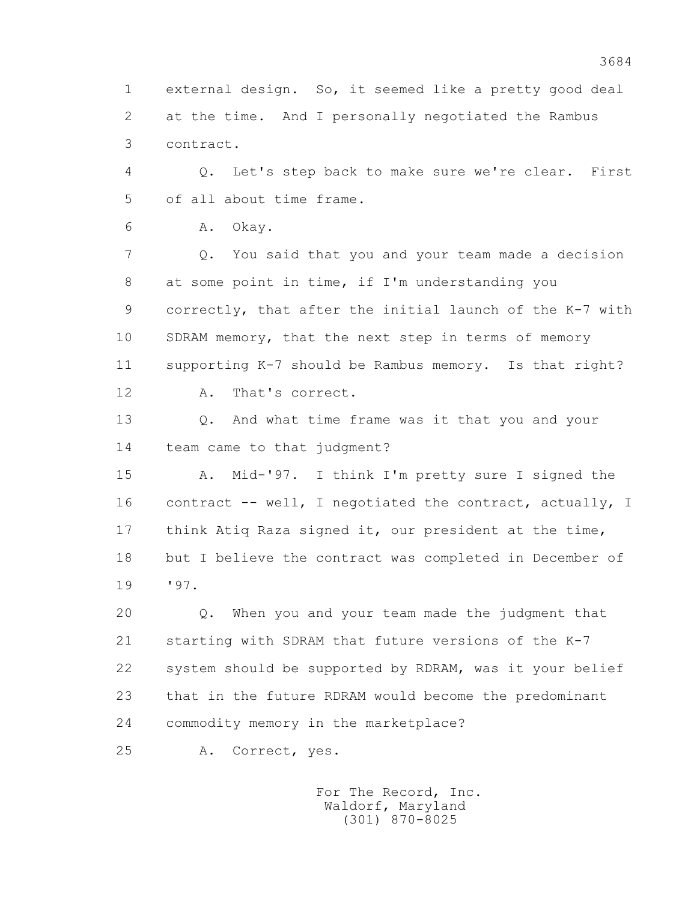1 external design. So, it seemed like a pretty good deal 2 at the time. And I personally negotiated the Rambus 3 contract.

 4 Q. Let's step back to make sure we're clear. First 5 of all about time frame.

6 A. Okay.

 7 Q. You said that you and your team made a decision 8 at some point in time, if I'm understanding you 9 correctly, that after the initial launch of the K-7 with 10 SDRAM memory, that the next step in terms of memory 11 supporting K-7 should be Rambus memory. Is that right?

12 A. That's correct.

 13 Q. And what time frame was it that you and your 14 team came to that judgment?

 15 A. Mid-'97. I think I'm pretty sure I signed the 16 contract -- well, I negotiated the contract, actually, I 17 think Atiq Raza signed it, our president at the time, 18 but I believe the contract was completed in December of 19 '97.

 20 Q. When you and your team made the judgment that 21 starting with SDRAM that future versions of the K-7 22 system should be supported by RDRAM, was it your belief 23 that in the future RDRAM would become the predominant 24 commodity memory in the marketplace?

25 A. Correct, yes.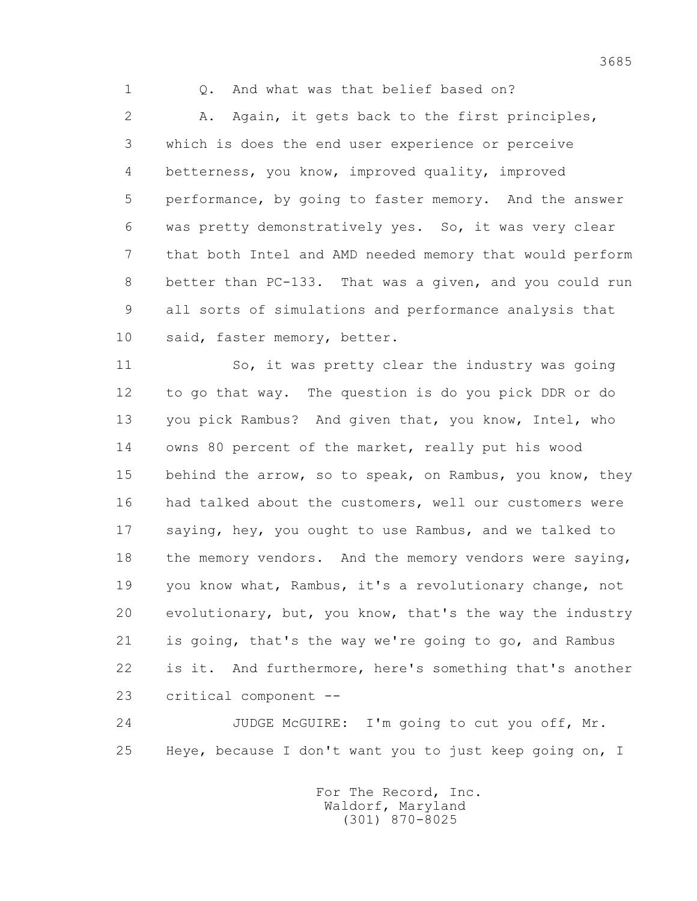1 Q. And what was that belief based on?

 2 A. Again, it gets back to the first principles, 3 which is does the end user experience or perceive 4 betterness, you know, improved quality, improved 5 performance, by going to faster memory. And the answer 6 was pretty demonstratively yes. So, it was very clear 7 that both Intel and AMD needed memory that would perform 8 better than PC-133. That was a given, and you could run 9 all sorts of simulations and performance analysis that 10 said, faster memory, better.

 11 So, it was pretty clear the industry was going 12 to go that way. The question is do you pick DDR or do 13 you pick Rambus? And given that, you know, Intel, who 14 owns 80 percent of the market, really put his wood 15 behind the arrow, so to speak, on Rambus, you know, they 16 had talked about the customers, well our customers were 17 saying, hey, you ought to use Rambus, and we talked to 18 the memory vendors. And the memory vendors were saying, 19 you know what, Rambus, it's a revolutionary change, not 20 evolutionary, but, you know, that's the way the industry 21 is going, that's the way we're going to go, and Rambus 22 is it. And furthermore, here's something that's another 23 critical component --

 24 JUDGE McGUIRE: I'm going to cut you off, Mr. 25 Heye, because I don't want you to just keep going on, I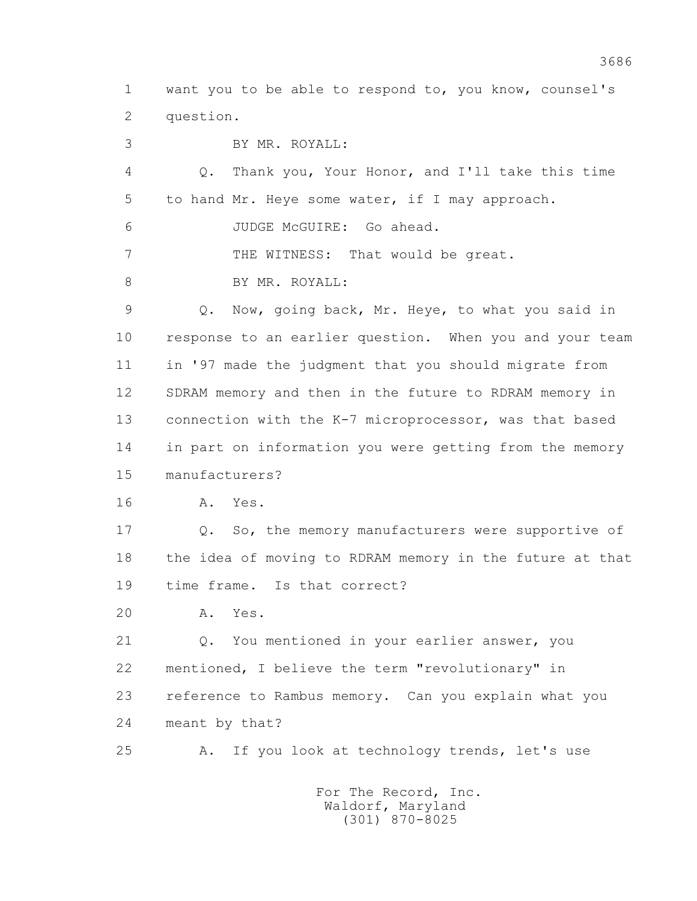1 want you to be able to respond to, you know, counsel's 2 question.

3 BY MR. ROYALL:

 4 Q. Thank you, Your Honor, and I'll take this time 5 to hand Mr. Heye some water, if I may approach.

6 JUDGE McGUIRE: Go ahead.

7 THE WITNESS: That would be great.

8 BY MR. ROYALL:

 9 Q. Now, going back, Mr. Heye, to what you said in 10 response to an earlier question. When you and your team 11 in '97 made the judgment that you should migrate from 12 SDRAM memory and then in the future to RDRAM memory in 13 connection with the K-7 microprocessor, was that based 14 in part on information you were getting from the memory 15 manufacturers?

16 A. Yes.

17 Q. So, the memory manufacturers were supportive of 18 the idea of moving to RDRAM memory in the future at that 19 time frame. Is that correct?

20 A. Yes.

 21 Q. You mentioned in your earlier answer, you 22 mentioned, I believe the term "revolutionary" in 23 reference to Rambus memory. Can you explain what you 24 meant by that?

25 A. If you look at technology trends, let's use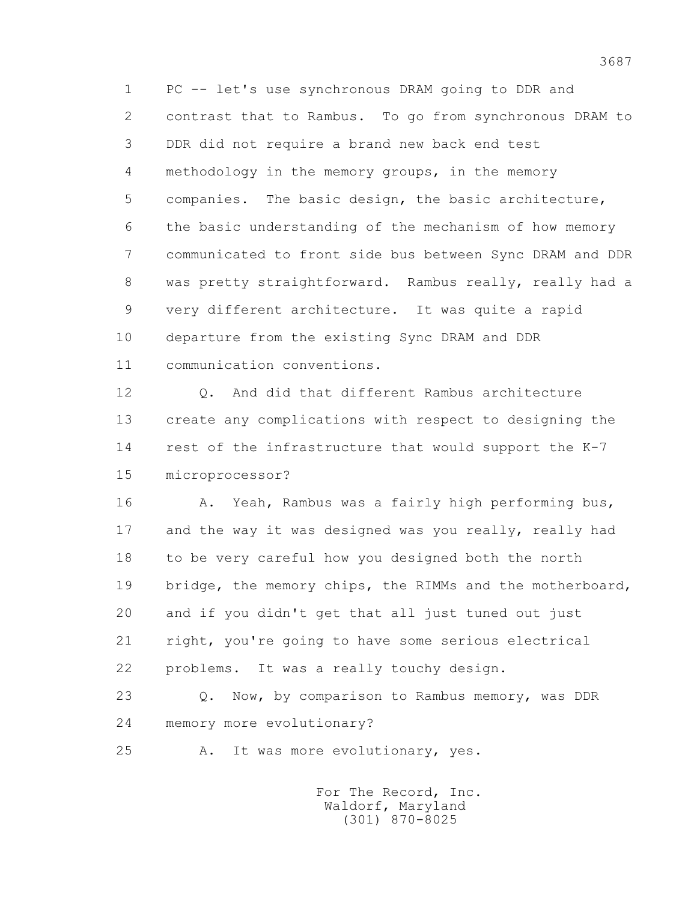1 PC -- let's use synchronous DRAM going to DDR and 2 contrast that to Rambus. To go from synchronous DRAM to 3 DDR did not require a brand new back end test 4 methodology in the memory groups, in the memory 5 companies. The basic design, the basic architecture, 6 the basic understanding of the mechanism of how memory 7 communicated to front side bus between Sync DRAM and DDR 8 was pretty straightforward. Rambus really, really had a 9 very different architecture. It was quite a rapid 10 departure from the existing Sync DRAM and DDR 11 communication conventions.

12 0. And did that different Rambus architecture 13 create any complications with respect to designing the 14 rest of the infrastructure that would support the K-7 15 microprocessor?

 16 A. Yeah, Rambus was a fairly high performing bus, 17 and the way it was designed was you really, really had 18 to be very careful how you designed both the north 19 bridge, the memory chips, the RIMMs and the motherboard, 20 and if you didn't get that all just tuned out just 21 right, you're going to have some serious electrical 22 problems. It was a really touchy design.

23 Q. Now, by comparison to Rambus memory, was DDR 24 memory more evolutionary?

25 A. It was more evolutionary, yes.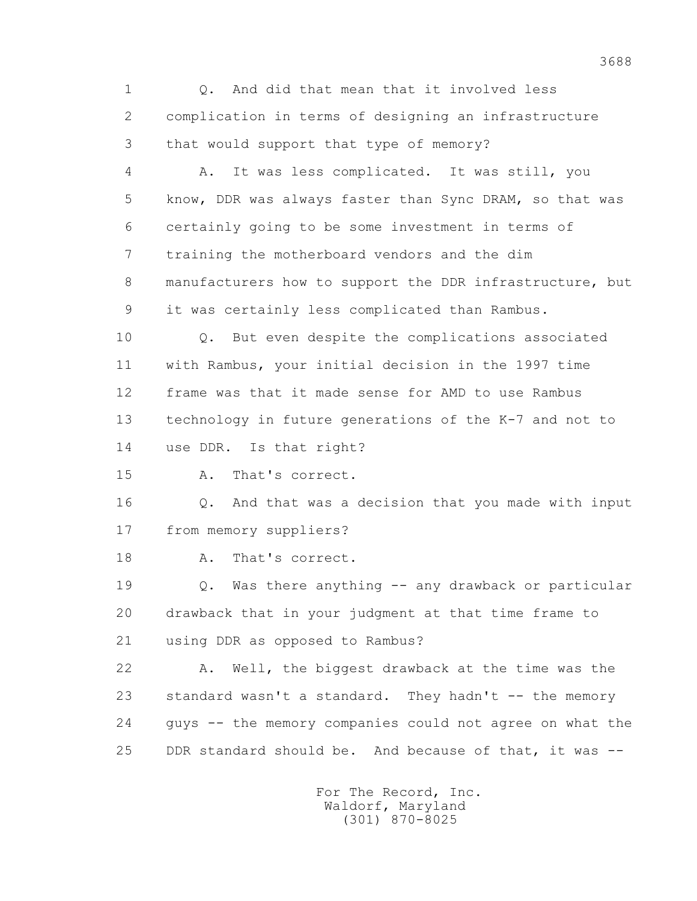1 Q. And did that mean that it involved less 2 complication in terms of designing an infrastructure 3 that would support that type of memory?

 4 A. It was less complicated. It was still, you 5 know, DDR was always faster than Sync DRAM, so that was 6 certainly going to be some investment in terms of 7 training the motherboard vendors and the dim 8 manufacturers how to support the DDR infrastructure, but 9 it was certainly less complicated than Rambus.

 10 Q. But even despite the complications associated 11 with Rambus, your initial decision in the 1997 time 12 frame was that it made sense for AMD to use Rambus 13 technology in future generations of the K-7 and not to 14 use DDR. Is that right?

15 A. That's correct.

 16 Q. And that was a decision that you made with input 17 from memory suppliers?

18 A. That's correct.

 19 Q. Was there anything -- any drawback or particular 20 drawback that in your judgment at that time frame to 21 using DDR as opposed to Rambus?

 22 A. Well, the biggest drawback at the time was the 23 standard wasn't a standard. They hadn't -- the memory 24 guys -- the memory companies could not agree on what the 25 DDR standard should be. And because of that, it was --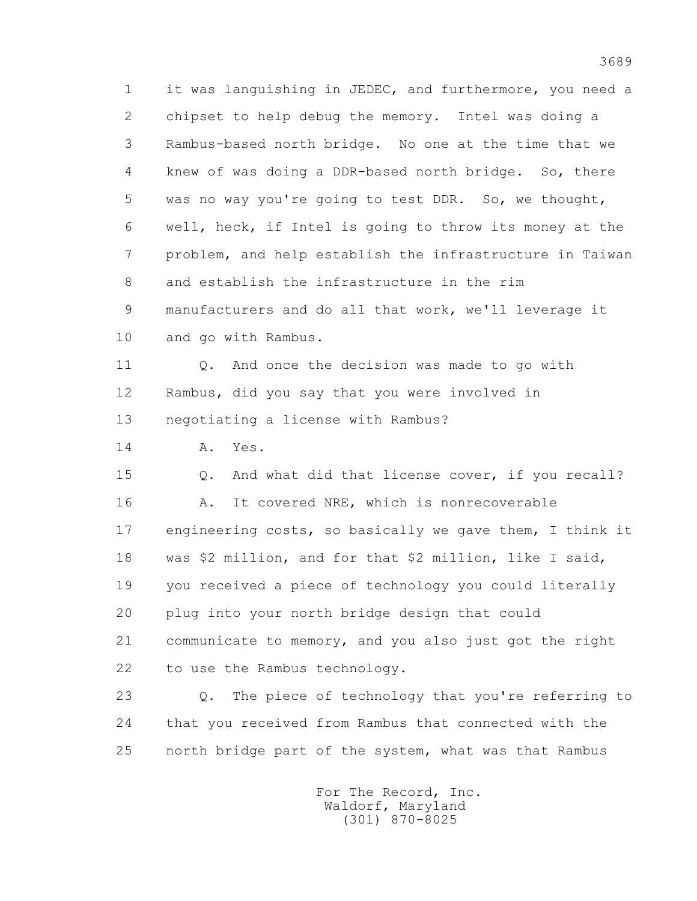1 it was languishing in JEDEC, and furthermore, you need a 2 chipset to help debug the memory. Intel was doing a 3 Rambus-based north bridge. No one at the time that we 4 knew of was doing a DDR-based north bridge. So, there 5 was no way you're going to test DDR. So, we thought, 6 well, heck, if Intel is going to throw its money at the 7 problem, and help establish the infrastructure in Taiwan 8 and establish the infrastructure in the rim 9 manufacturers and do all that work, we'll leverage it 10 and go with Rambus.

 11 Q. And once the decision was made to go with 12 Rambus, did you say that you were involved in 13 negotiating a license with Rambus?

14 A. Yes.

 15 Q. And what did that license cover, if you recall? 16 A. It covered NRE, which is nonrecoverable 17 engineering costs, so basically we gave them, I think it 18 was \$2 million, and for that \$2 million, like I said, 19 you received a piece of technology you could literally 20 plug into your north bridge design that could 21 communicate to memory, and you also just got the right 22 to use the Rambus technology.

 23 Q. The piece of technology that you're referring to 24 that you received from Rambus that connected with the 25 north bridge part of the system, what was that Rambus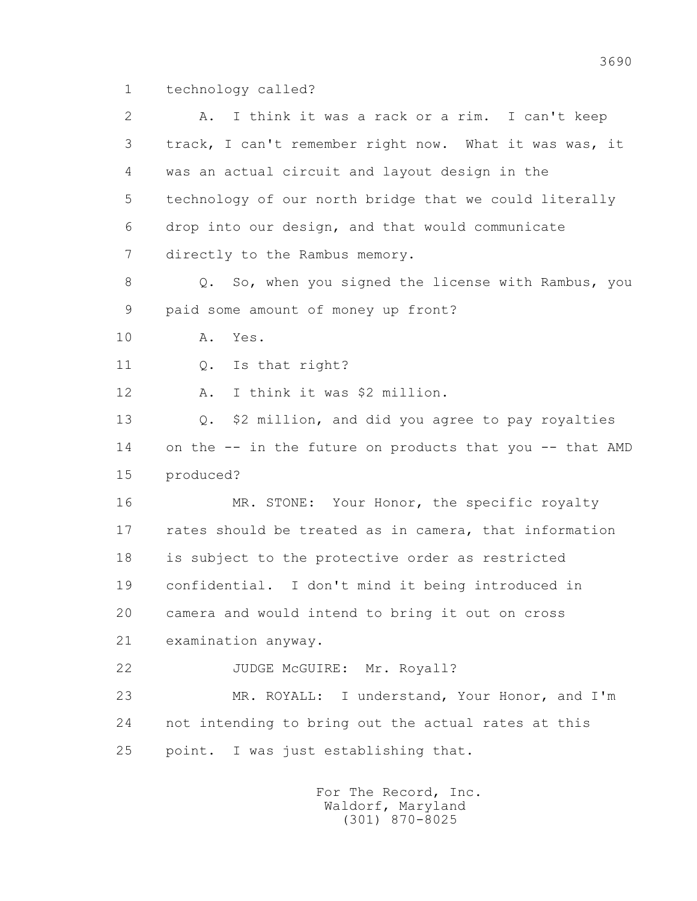1 technology called?

 2 A. I think it was a rack or a rim. I can't keep 3 track, I can't remember right now. What it was was, it 4 was an actual circuit and layout design in the 5 technology of our north bridge that we could literally 6 drop into our design, and that would communicate 7 directly to the Rambus memory. 8 Q. So, when you signed the license with Rambus, you 9 paid some amount of money up front? 10 A. Yes. 11 0. Is that right? 12 A. I think it was \$2 million. 13 Q. \$2 million, and did you agree to pay royalties 14 on the -- in the future on products that you -- that AMD 15 produced? 16 MR. STONE: Your Honor, the specific royalty 17 rates should be treated as in camera, that information 18 is subject to the protective order as restricted 19 confidential. I don't mind it being introduced in 20 camera and would intend to bring it out on cross 21 examination anyway. 22 JUDGE McGUIRE: Mr. Royall? 23 MR. ROYALL: I understand, Your Honor, and I'm 24 not intending to bring out the actual rates at this 25 point. I was just establishing that.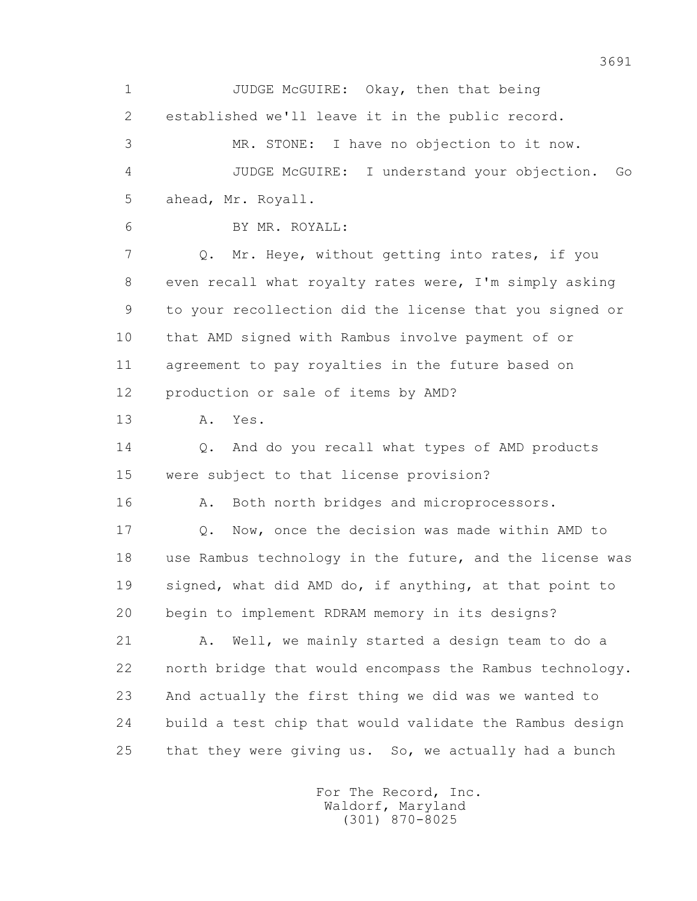1 JUDGE McGUIRE: Okay, then that being 2 established we'll leave it in the public record. 3 MR. STONE: I have no objection to it now. 4 JUDGE McGUIRE: I understand your objection. Go 5 ahead, Mr. Royall. 6 BY MR. ROYALL: 7 Q. Mr. Heye, without getting into rates, if you 8 even recall what royalty rates were, I'm simply asking 9 to your recollection did the license that you signed or 10 that AMD signed with Rambus involve payment of or 11 agreement to pay royalties in the future based on 12 production or sale of items by AMD? 13 A. Yes. 14 0. And do you recall what types of AMD products 15 were subject to that license provision? 16 A. Both north bridges and microprocessors. 17 Q. Now, once the decision was made within AMD to 18 use Rambus technology in the future, and the license was 19 signed, what did AMD do, if anything, at that point to 20 begin to implement RDRAM memory in its designs? 21 A. Well, we mainly started a design team to do a 22 north bridge that would encompass the Rambus technology. 23 And actually the first thing we did was we wanted to 24 build a test chip that would validate the Rambus design 25 that they were giving us. So, we actually had a bunch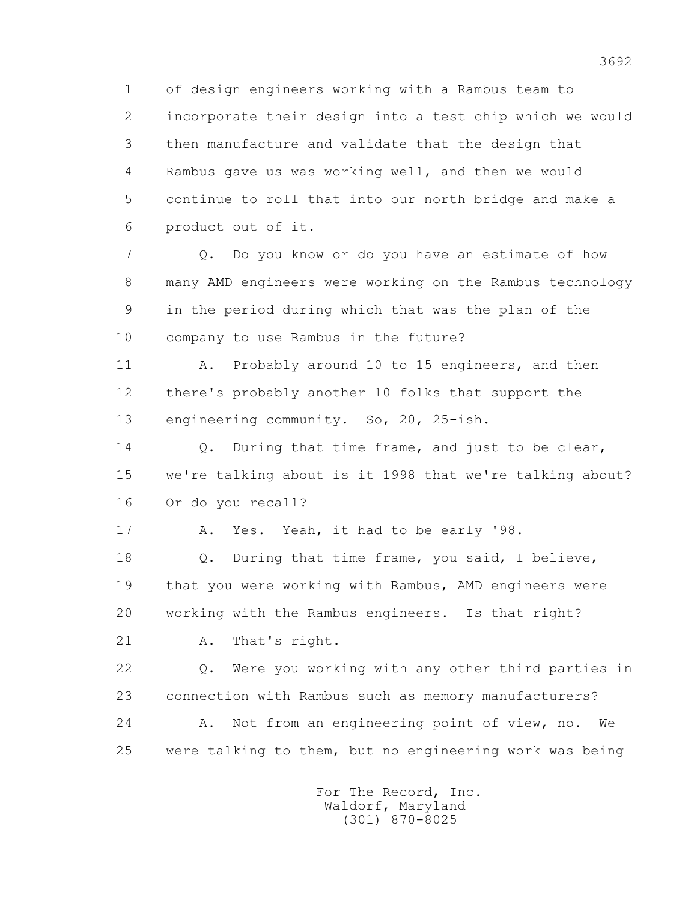1 of design engineers working with a Rambus team to 2 incorporate their design into a test chip which we would 3 then manufacture and validate that the design that 4 Rambus gave us was working well, and then we would 5 continue to roll that into our north bridge and make a 6 product out of it.

 7 Q. Do you know or do you have an estimate of how 8 many AMD engineers were working on the Rambus technology 9 in the period during which that was the plan of the 10 company to use Rambus in the future?

 11 A. Probably around 10 to 15 engineers, and then 12 there's probably another 10 folks that support the 13 engineering community. So, 20, 25-ish.

14 0. During that time frame, and just to be clear, 15 we're talking about is it 1998 that we're talking about? 16 Or do you recall?

17 A. Yes. Yeah, it had to be early '98.

 18 Q. During that time frame, you said, I believe, 19 that you were working with Rambus, AMD engineers were 20 working with the Rambus engineers. Is that right?

21 A. That's right.

 22 Q. Were you working with any other third parties in 23 connection with Rambus such as memory manufacturers? 24 A. Not from an engineering point of view, no. We 25 were talking to them, but no engineering work was being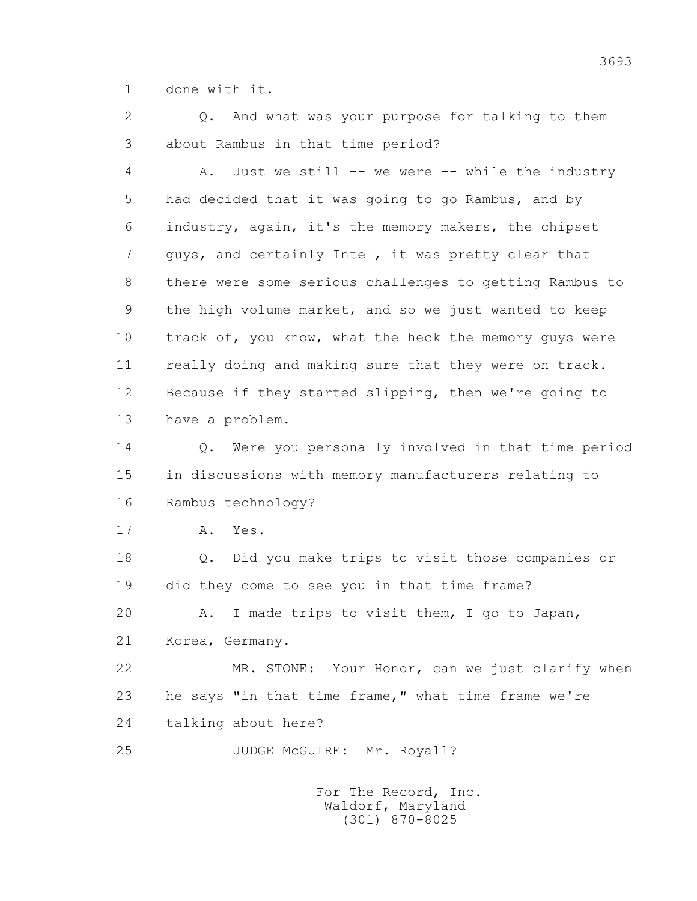1 done with it.

 2 Q. And what was your purpose for talking to them 3 about Rambus in that time period?

 4 A. Just we still -- we were -- while the industry 5 had decided that it was going to go Rambus, and by 6 industry, again, it's the memory makers, the chipset 7 guys, and certainly Intel, it was pretty clear that 8 there were some serious challenges to getting Rambus to 9 the high volume market, and so we just wanted to keep 10 track of, you know, what the heck the memory guys were 11 really doing and making sure that they were on track. 12 Because if they started slipping, then we're going to 13 have a problem.

 14 Q. Were you personally involved in that time period 15 in discussions with memory manufacturers relating to 16 Rambus technology?

17 A. Yes.

 18 Q. Did you make trips to visit those companies or 19 did they come to see you in that time frame? 20 A. I made trips to visit them, I go to Japan,

21 Korea, Germany.

 22 MR. STONE: Your Honor, can we just clarify when 23 he says "in that time frame," what time frame we're 24 talking about here?

25 JUDGE McGUIRE: Mr. Royall?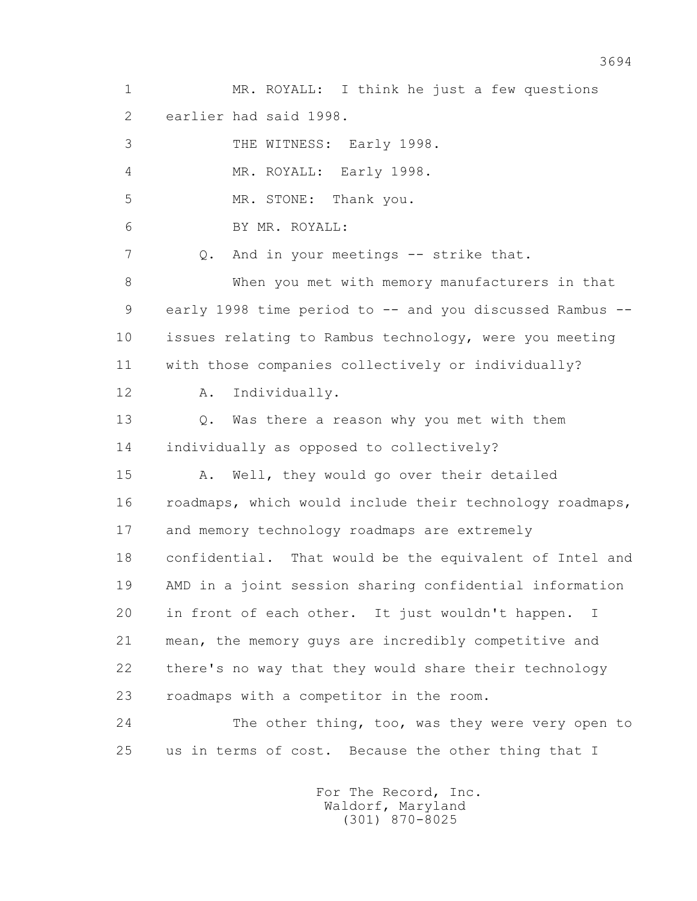1 MR. ROYALL: I think he just a few questions 2 earlier had said 1998. 3 THE WITNESS: Early 1998. 4 MR. ROYALL: Early 1998. 5 MR. STONE: Thank you. 6 BY MR. ROYALL: 7 Q. And in your meetings -- strike that. 8 When you met with memory manufacturers in that 9 early 1998 time period to -- and you discussed Rambus -- 10 issues relating to Rambus technology, were you meeting 11 with those companies collectively or individually? 12 A. Individually. 13 Q. Was there a reason why you met with them 14 individually as opposed to collectively? 15 A. Well, they would go over their detailed 16 roadmaps, which would include their technology roadmaps, 17 and memory technology roadmaps are extremely 18 confidential. That would be the equivalent of Intel and 19 AMD in a joint session sharing confidential information 20 in front of each other. It just wouldn't happen. I 21 mean, the memory guys are incredibly competitive and 22 there's no way that they would share their technology 23 roadmaps with a competitor in the room. 24 The other thing, too, was they were very open to 25 us in terms of cost. Because the other thing that I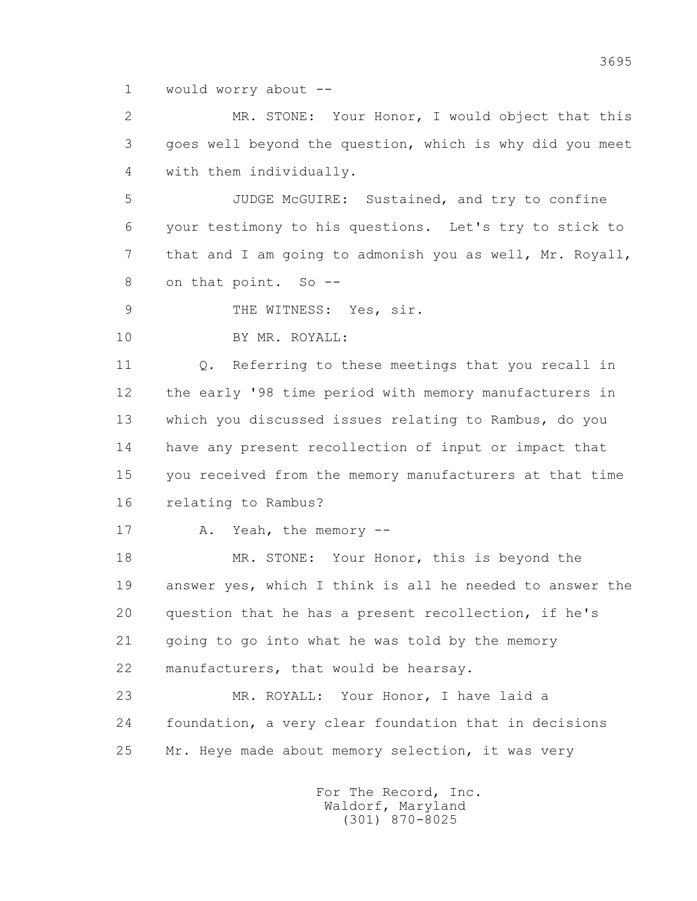1 would worry about --

 2 MR. STONE: Your Honor, I would object that this 3 goes well beyond the question, which is why did you meet 4 with them individually.

 5 JUDGE McGUIRE: Sustained, and try to confine 6 your testimony to his questions. Let's try to stick to 7 that and I am going to admonish you as well, Mr. Royall, 8 on that point. So --

9 THE WITNESS: Yes, sir.

10 BY MR. ROYALL:

 11 Q. Referring to these meetings that you recall in 12 the early '98 time period with memory manufacturers in 13 which you discussed issues relating to Rambus, do you 14 have any present recollection of input or impact that 15 you received from the memory manufacturers at that time 16 relating to Rambus?

17 A. Yeah, the memory --

18 MR. STONE: Your Honor, this is beyond the 19 answer yes, which I think is all he needed to answer the 20 question that he has a present recollection, if he's 21 going to go into what he was told by the memory 22 manufacturers, that would be hearsay.

 23 MR. ROYALL: Your Honor, I have laid a 24 foundation, a very clear foundation that in decisions 25 Mr. Heye made about memory selection, it was very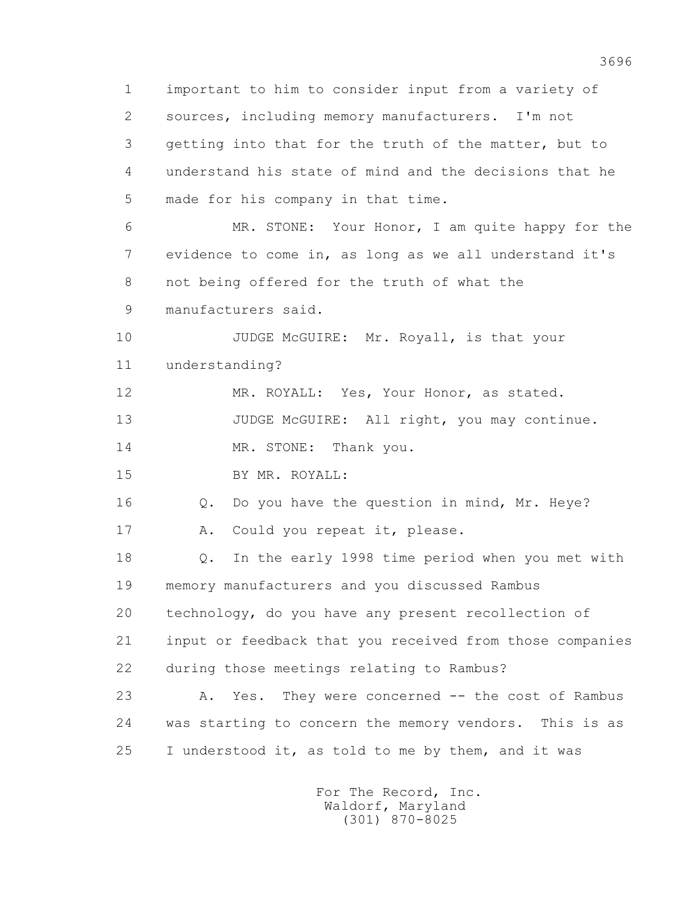1 important to him to consider input from a variety of 2 sources, including memory manufacturers. I'm not 3 getting into that for the truth of the matter, but to 4 understand his state of mind and the decisions that he 5 made for his company in that time. 6 MR. STONE: Your Honor, I am quite happy for the 7 evidence to come in, as long as we all understand it's 8 not being offered for the truth of what the 9 manufacturers said. 10 JUDGE McGUIRE: Mr. Royall, is that your 11 understanding? 12 MR. ROYALL: Yes, Your Honor, as stated. 13 JUDGE McGUIRE: All right, you may continue. 14 MR. STONE: Thank you. 15 BY MR. ROYALL: 16 Q. Do you have the question in mind, Mr. Heye? 17 A. Could you repeat it, please. 18 Q. In the early 1998 time period when you met with 19 memory manufacturers and you discussed Rambus 20 technology, do you have any present recollection of 21 input or feedback that you received from those companies 22 during those meetings relating to Rambus? 23 A. Yes. They were concerned -- the cost of Rambus 24 was starting to concern the memory vendors. This is as 25 I understood it, as told to me by them, and it was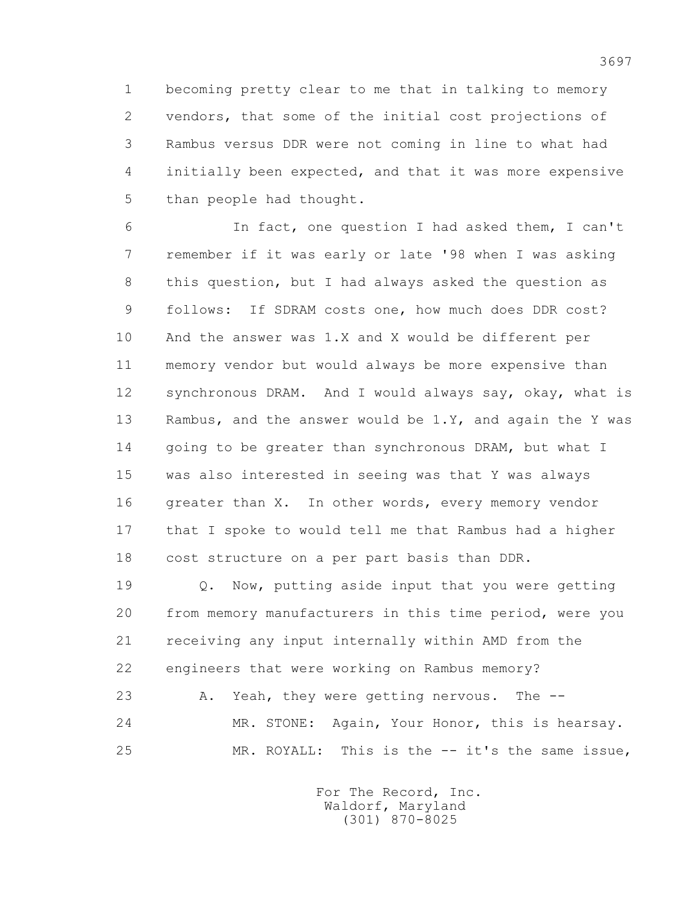1 becoming pretty clear to me that in talking to memory 2 vendors, that some of the initial cost projections of 3 Rambus versus DDR were not coming in line to what had 4 initially been expected, and that it was more expensive 5 than people had thought.

 6 In fact, one question I had asked them, I can't 7 remember if it was early or late '98 when I was asking 8 this question, but I had always asked the question as 9 follows: If SDRAM costs one, how much does DDR cost? 10 And the answer was 1.X and X would be different per 11 memory vendor but would always be more expensive than 12 synchronous DRAM. And I would always say, okay, what is 13 Rambus, and the answer would be 1.Y, and again the Y was 14 going to be greater than synchronous DRAM, but what I 15 was also interested in seeing was that Y was always 16 greater than X. In other words, every memory vendor 17 that I spoke to would tell me that Rambus had a higher 18 cost structure on a per part basis than DDR.

 19 Q. Now, putting aside input that you were getting 20 from memory manufacturers in this time period, were you 21 receiving any input internally within AMD from the 22 engineers that were working on Rambus memory? 23 A. Yeah, they were getting nervous. The --

 24 MR. STONE: Again, Your Honor, this is hearsay. 25 MR. ROYALL: This is the -- it's the same issue,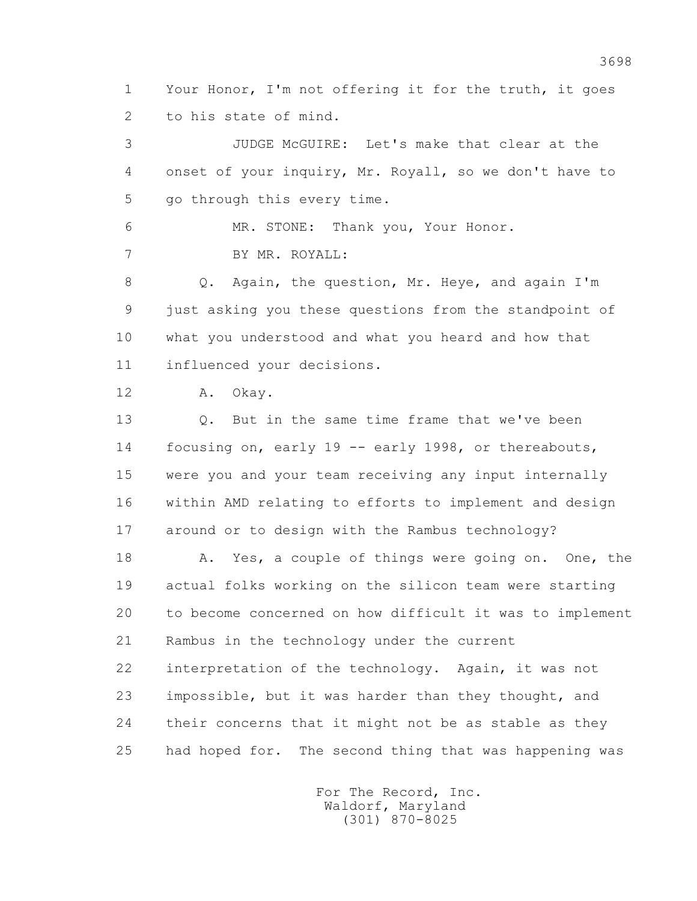1 Your Honor, I'm not offering it for the truth, it goes 2 to his state of mind.

 3 JUDGE McGUIRE: Let's make that clear at the 4 onset of your inquiry, Mr. Royall, so we don't have to 5 go through this every time.

 6 MR. STONE: Thank you, Your Honor. 7 BY MR. ROYALL:

 8 Q. Again, the question, Mr. Heye, and again I'm 9 just asking you these questions from the standpoint of 10 what you understood and what you heard and how that 11 influenced your decisions.

12 A. Okay.

 13 Q. But in the same time frame that we've been 14 focusing on, early 19 -- early 1998, or thereabouts, 15 were you and your team receiving any input internally 16 within AMD relating to efforts to implement and design 17 around or to design with the Rambus technology?

 18 A. Yes, a couple of things were going on. One, the 19 actual folks working on the silicon team were starting 20 to become concerned on how difficult it was to implement 21 Rambus in the technology under the current 22 interpretation of the technology. Again, it was not 23 impossible, but it was harder than they thought, and 24 their concerns that it might not be as stable as they 25 had hoped for. The second thing that was happening was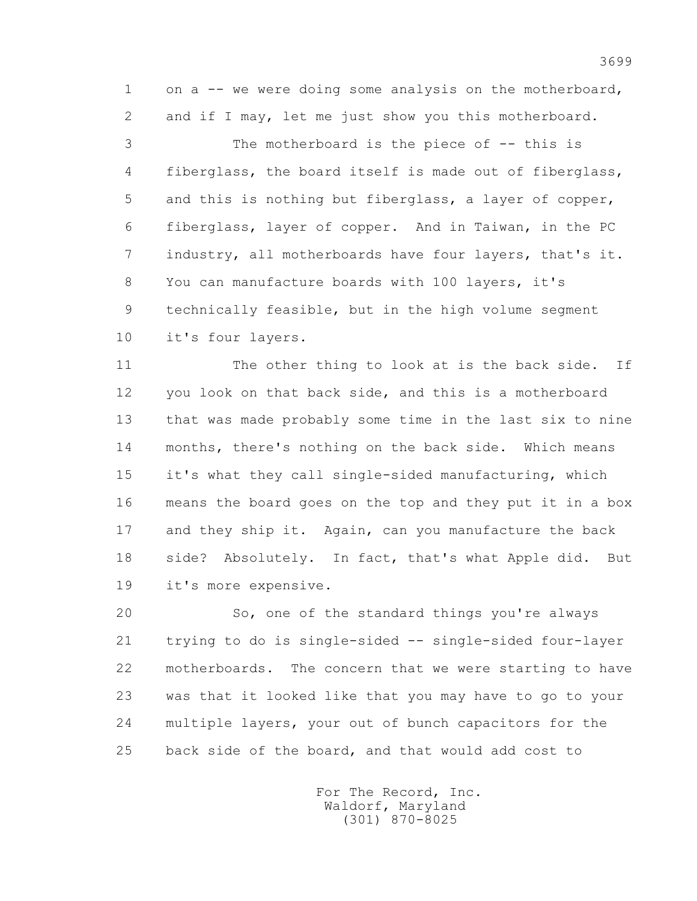1 on a -- we were doing some analysis on the motherboard, 2 and if I may, let me just show you this motherboard.

 3 The motherboard is the piece of -- this is 4 fiberglass, the board itself is made out of fiberglass, 5 and this is nothing but fiberglass, a layer of copper, 6 fiberglass, layer of copper. And in Taiwan, in the PC 7 industry, all motherboards have four layers, that's it. 8 You can manufacture boards with 100 layers, it's 9 technically feasible, but in the high volume segment 10 it's four layers.

 11 The other thing to look at is the back side. If 12 you look on that back side, and this is a motherboard 13 that was made probably some time in the last six to nine 14 months, there's nothing on the back side. Which means 15 it's what they call single-sided manufacturing, which 16 means the board goes on the top and they put it in a box 17 and they ship it. Again, can you manufacture the back 18 side? Absolutely. In fact, that's what Apple did. But 19 it's more expensive.

 20 So, one of the standard things you're always 21 trying to do is single-sided -- single-sided four-layer 22 motherboards. The concern that we were starting to have 23 was that it looked like that you may have to go to your 24 multiple layers, your out of bunch capacitors for the 25 back side of the board, and that would add cost to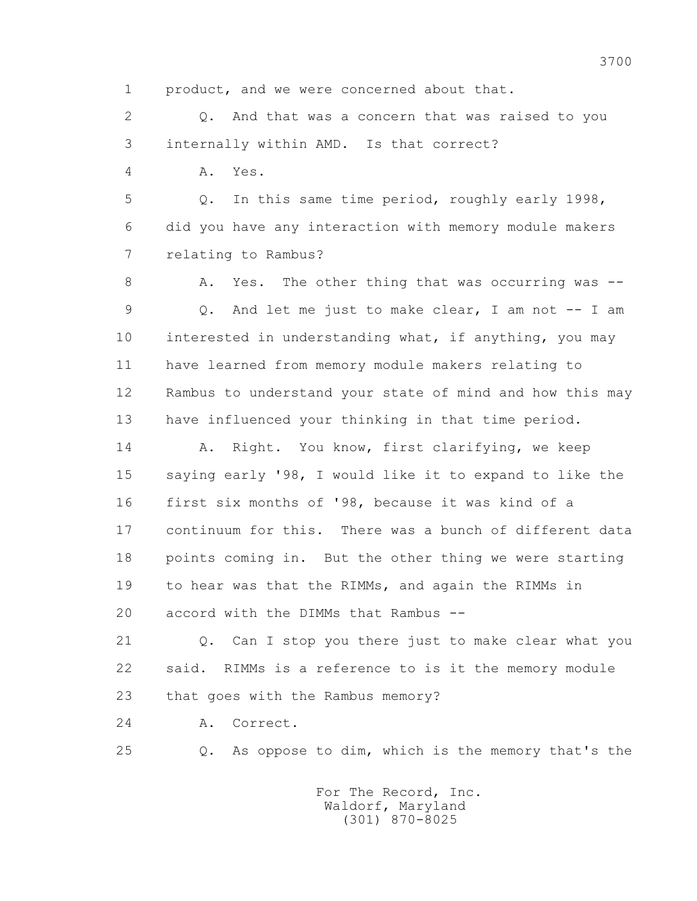1 product, and we were concerned about that.

 2 Q. And that was a concern that was raised to you 3 internally within AMD. Is that correct?

4 A. Yes.

 5 Q. In this same time period, roughly early 1998, 6 did you have any interaction with memory module makers 7 relating to Rambus?

8 A. Yes. The other thing that was occurring was -- 9 Q. And let me just to make clear, I am not -- I am 10 interested in understanding what, if anything, you may 11 have learned from memory module makers relating to 12 Rambus to understand your state of mind and how this may 13 have influenced your thinking in that time period.

 14 A. Right. You know, first clarifying, we keep 15 saying early '98, I would like it to expand to like the 16 first six months of '98, because it was kind of a 17 continuum for this. There was a bunch of different data 18 points coming in. But the other thing we were starting 19 to hear was that the RIMMs, and again the RIMMs in 20 accord with the DIMMs that Rambus --

 21 Q. Can I stop you there just to make clear what you 22 said. RIMMs is a reference to is it the memory module 23 that goes with the Rambus memory?

24 A. Correct.

25 Q. As oppose to dim, which is the memory that's the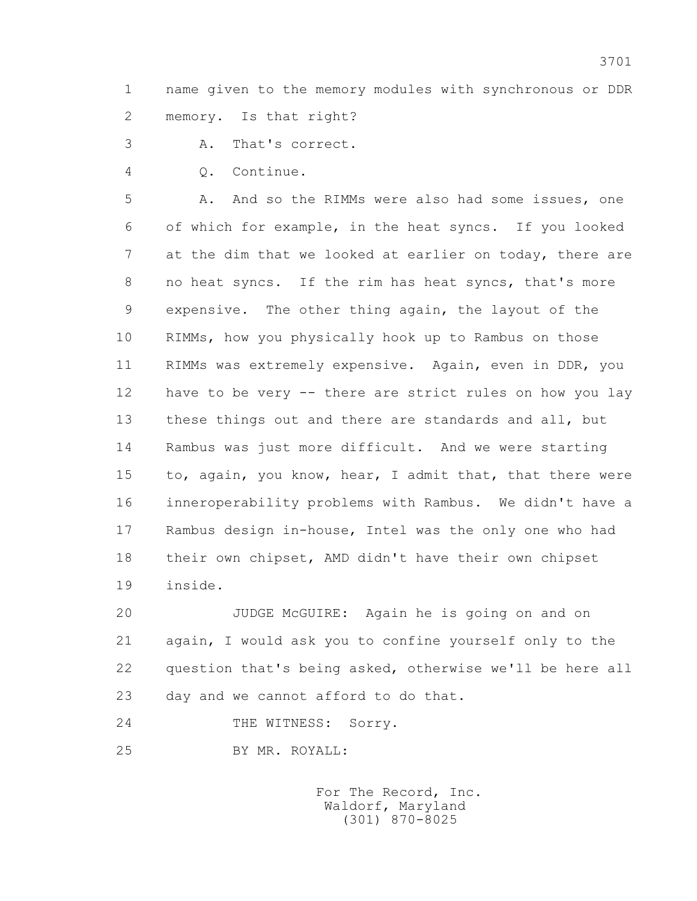1 name given to the memory modules with synchronous or DDR 2 memory. Is that right?

3 A. That's correct.

4 Q. Continue.

5 A. And so the RIMMs were also had some issues, one 6 of which for example, in the heat syncs. If you looked 7 at the dim that we looked at earlier on today, there are 8 no heat syncs. If the rim has heat syncs, that's more 9 expensive. The other thing again, the layout of the 10 RIMMs, how you physically hook up to Rambus on those 11 RIMMs was extremely expensive. Again, even in DDR, you 12 have to be very -- there are strict rules on how you lay 13 these things out and there are standards and all, but 14 Rambus was just more difficult. And we were starting 15 to, again, you know, hear, I admit that, that there were 16 inneroperability problems with Rambus. We didn't have a 17 Rambus design in-house, Intel was the only one who had 18 their own chipset, AMD didn't have their own chipset 19 inside.

 20 JUDGE McGUIRE: Again he is going on and on 21 again, I would ask you to confine yourself only to the 22 question that's being asked, otherwise we'll be here all 23 day and we cannot afford to do that.

24 THE WITNESS: Sorry.

25 BY MR. ROYALL: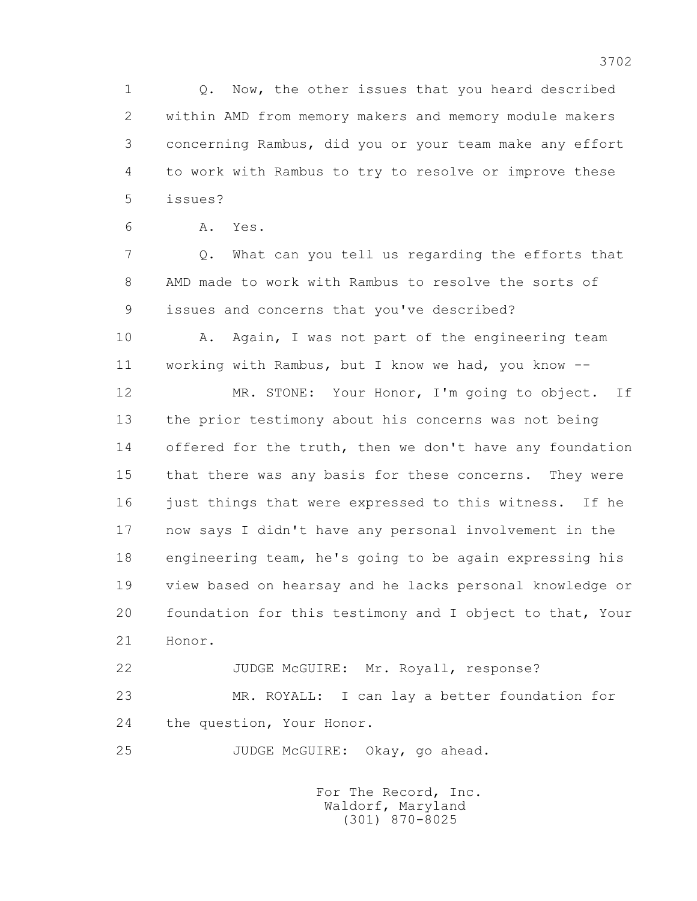1 Q. Now, the other issues that you heard described 2 within AMD from memory makers and memory module makers 3 concerning Rambus, did you or your team make any effort 4 to work with Rambus to try to resolve or improve these 5 issues?

6 A. Yes.

 7 Q. What can you tell us regarding the efforts that 8 AMD made to work with Rambus to resolve the sorts of 9 issues and concerns that you've described?

10 A. Again, I was not part of the engineering team 11 working with Rambus, but I know we had, you know --

 12 MR. STONE: Your Honor, I'm going to object. If 13 the prior testimony about his concerns was not being 14 offered for the truth, then we don't have any foundation 15 that there was any basis for these concerns. They were 16 just things that were expressed to this witness. If he 17 now says I didn't have any personal involvement in the 18 engineering team, he's going to be again expressing his 19 view based on hearsay and he lacks personal knowledge or 20 foundation for this testimony and I object to that, Your 21 Honor.

22 JUDGE McGUIRE: Mr. Royall, response? 23 MR. ROYALL: I can lay a better foundation for 24 the question, Your Honor.

25 JUDGE McGUIRE: Okay, go ahead.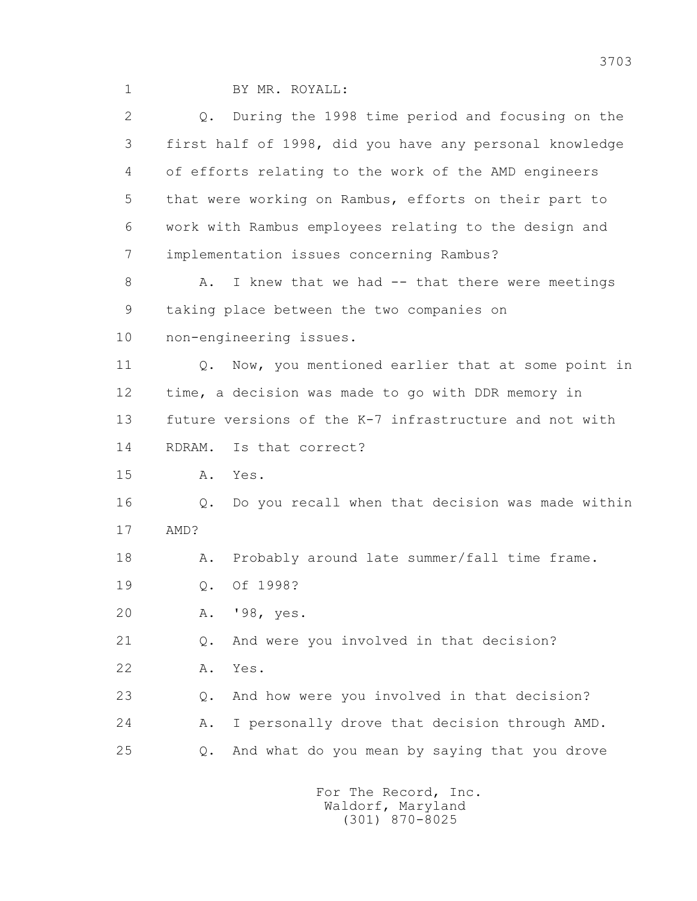1 BY MR. ROYALL:

 2 Q. During the 1998 time period and focusing on the 3 first half of 1998, did you have any personal knowledge 4 of efforts relating to the work of the AMD engineers 5 that were working on Rambus, efforts on their part to 6 work with Rambus employees relating to the design and 7 implementation issues concerning Rambus? 8 A. I knew that we had -- that there were meetings 9 taking place between the two companies on 10 non-engineering issues.

11 0. Now, you mentioned earlier that at some point in 12 time, a decision was made to go with DDR memory in 13 future versions of the K-7 infrastructure and not with

14 RDRAM. Is that correct?

15 A. Yes.

 16 Q. Do you recall when that decision was made within 17 AMD?

18 A. Probably around late summer/fall time frame.

19 Q. Of 1998?

20 A. '98, yes.

21 Q. And were you involved in that decision?

22 A. Yes.

 23 Q. And how were you involved in that decision? 24 A. I personally drove that decision through AMD. 25 Q. And what do you mean by saying that you drove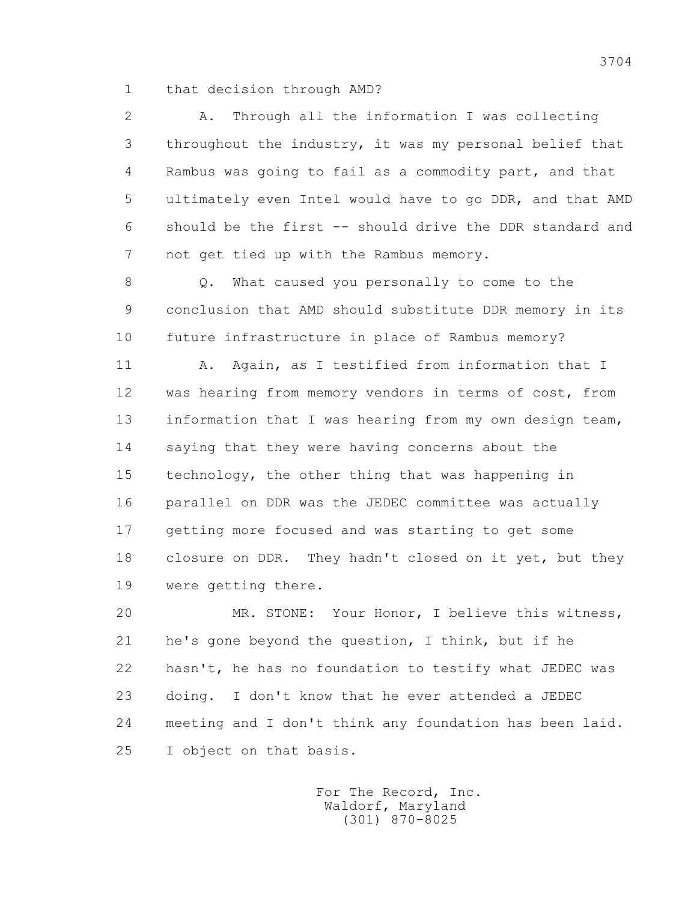1 that decision through AMD?

 2 A. Through all the information I was collecting 3 throughout the industry, it was my personal belief that 4 Rambus was going to fail as a commodity part, and that 5 ultimately even Intel would have to go DDR, and that AMD 6 should be the first -- should drive the DDR standard and 7 not get tied up with the Rambus memory.

 8 Q. What caused you personally to come to the 9 conclusion that AMD should substitute DDR memory in its 10 future infrastructure in place of Rambus memory?

 11 A. Again, as I testified from information that I 12 was hearing from memory vendors in terms of cost, from 13 information that I was hearing from my own design team, 14 saying that they were having concerns about the 15 technology, the other thing that was happening in 16 parallel on DDR was the JEDEC committee was actually 17 getting more focused and was starting to get some 18 closure on DDR. They hadn't closed on it yet, but they 19 were getting there.

 20 MR. STONE: Your Honor, I believe this witness, 21 he's gone beyond the question, I think, but if he 22 hasn't, he has no foundation to testify what JEDEC was 23 doing. I don't know that he ever attended a JEDEC 24 meeting and I don't think any foundation has been laid. 25 I object on that basis.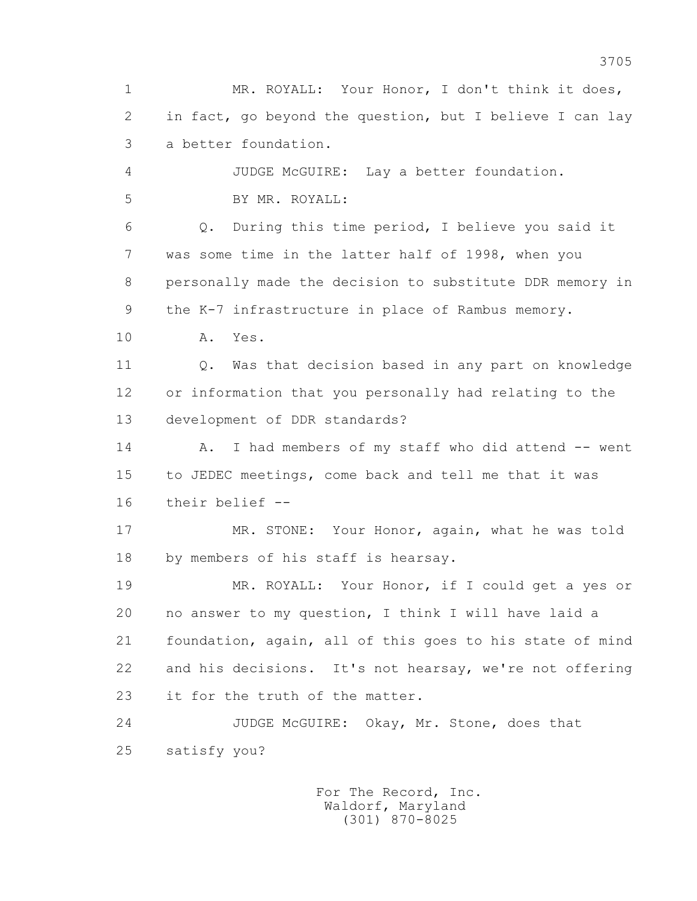1 MR. ROYALL: Your Honor, I don't think it does, 2 in fact, go beyond the question, but I believe I can lay 3 a better foundation. 4 JUDGE McGUIRE: Lay a better foundation. 5 BY MR. ROYALL: 6 Q. During this time period, I believe you said it 7 was some time in the latter half of 1998, when you 8 personally made the decision to substitute DDR memory in 9 the K-7 infrastructure in place of Rambus memory. 10 A. Yes. 11 0. Was that decision based in any part on knowledge 12 or information that you personally had relating to the 13 development of DDR standards? 14 A. I had members of my staff who did attend -- went 15 to JEDEC meetings, come back and tell me that it was 16 their belief -- 17 MR. STONE: Your Honor, again, what he was told 18 by members of his staff is hearsay. 19 MR. ROYALL: Your Honor, if I could get a yes or 20 no answer to my question, I think I will have laid a 21 foundation, again, all of this goes to his state of mind 22 and his decisions. It's not hearsay, we're not offering 23 it for the truth of the matter. 24 JUDGE McGUIRE: Okay, Mr. Stone, does that 25 satisfy you? For The Record, Inc.

 Waldorf, Maryland (301) 870-8025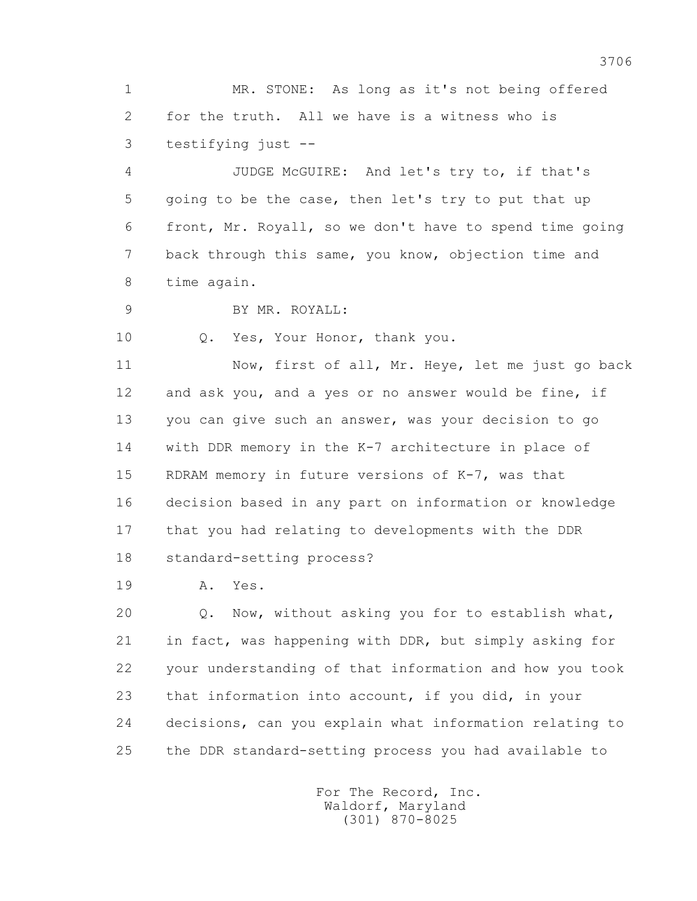1 MR. STONE: As long as it's not being offered 2 for the truth. All we have is a witness who is 3 testifying just --

 4 JUDGE McGUIRE: And let's try to, if that's 5 going to be the case, then let's try to put that up 6 front, Mr. Royall, so we don't have to spend time going 7 back through this same, you know, objection time and 8 time again.

9 BY MR. ROYALL:

10 Q. Yes, Your Honor, thank you.

 11 Now, first of all, Mr. Heye, let me just go back 12 and ask you, and a yes or no answer would be fine, if 13 you can give such an answer, was your decision to go 14 with DDR memory in the K-7 architecture in place of 15 RDRAM memory in future versions of K-7, was that 16 decision based in any part on information or knowledge 17 that you had relating to developments with the DDR 18 standard-setting process?

19 A. Yes.

 20 Q. Now, without asking you for to establish what, 21 in fact, was happening with DDR, but simply asking for 22 your understanding of that information and how you took 23 that information into account, if you did, in your 24 decisions, can you explain what information relating to 25 the DDR standard-setting process you had available to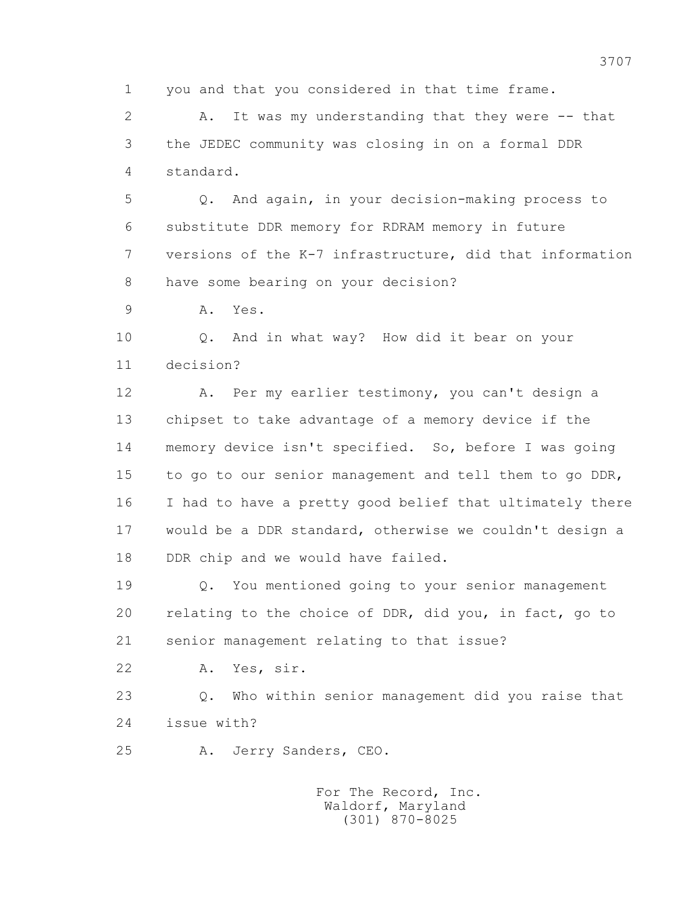1 you and that you considered in that time frame.

 2 A. It was my understanding that they were -- that 3 the JEDEC community was closing in on a formal DDR 4 standard.

 5 Q. And again, in your decision-making process to 6 substitute DDR memory for RDRAM memory in future 7 versions of the K-7 infrastructure, did that information 8 have some bearing on your decision?

9 A. Yes.

 10 Q. And in what way? How did it bear on your 11 decision?

 12 A. Per my earlier testimony, you can't design a 13 chipset to take advantage of a memory device if the 14 memory device isn't specified. So, before I was going 15 to go to our senior management and tell them to go DDR, 16 I had to have a pretty good belief that ultimately there 17 would be a DDR standard, otherwise we couldn't design a 18 DDR chip and we would have failed.

 19 Q. You mentioned going to your senior management 20 relating to the choice of DDR, did you, in fact, go to 21 senior management relating to that issue?

22 A. Yes, sir.

 23 Q. Who within senior management did you raise that 24 issue with?

25 A. Jerry Sanders, CEO.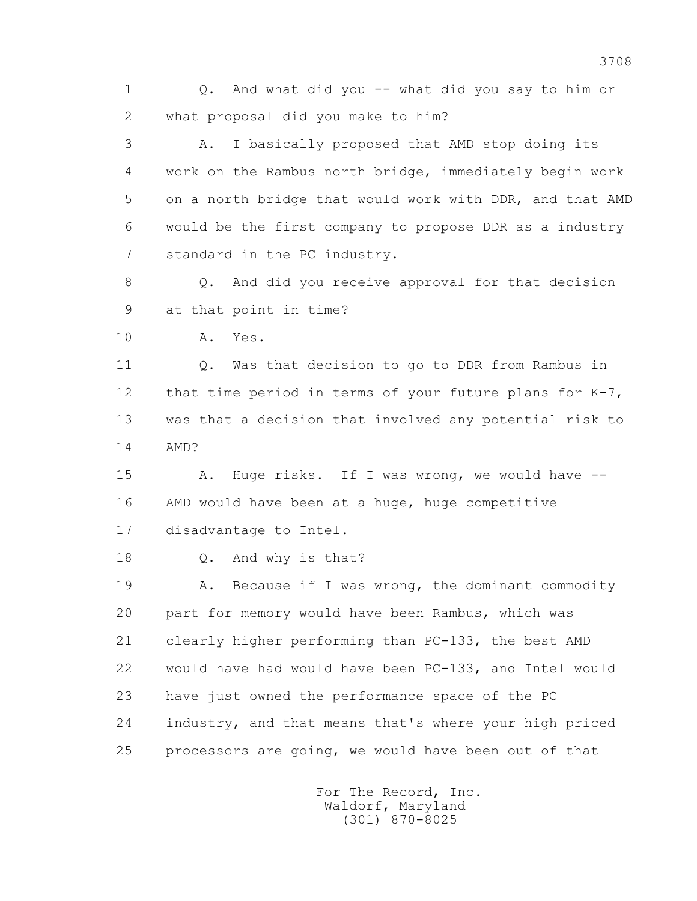1 Q. And what did you -- what did you say to him or 2 what proposal did you make to him?

 3 A. I basically proposed that AMD stop doing its 4 work on the Rambus north bridge, immediately begin work 5 on a north bridge that would work with DDR, and that AMD 6 would be the first company to propose DDR as a industry 7 standard in the PC industry.

 8 Q. And did you receive approval for that decision 9 at that point in time?

10 A. Yes.

 11 Q. Was that decision to go to DDR from Rambus in 12 that time period in terms of your future plans for K-7, 13 was that a decision that involved any potential risk to 14 AMD?

 15 A. Huge risks. If I was wrong, we would have -- 16 AMD would have been at a huge, huge competitive 17 disadvantage to Intel.

18 Q. And why is that?

 19 A. Because if I was wrong, the dominant commodity 20 part for memory would have been Rambus, which was 21 clearly higher performing than PC-133, the best AMD 22 would have had would have been PC-133, and Intel would 23 have just owned the performance space of the PC 24 industry, and that means that's where your high priced 25 processors are going, we would have been out of that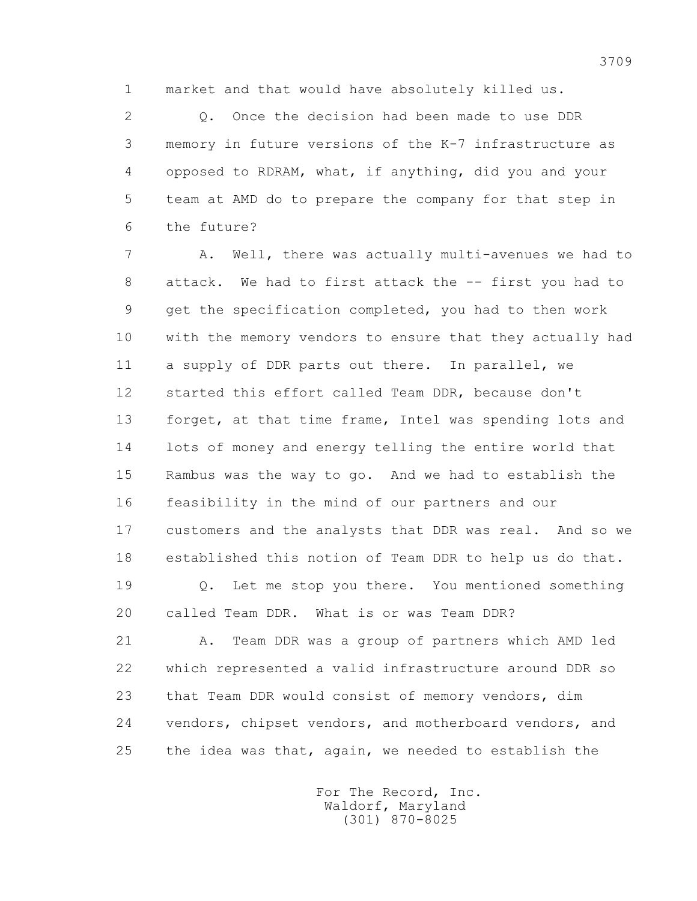1 market and that would have absolutely killed us.

 2 Q. Once the decision had been made to use DDR 3 memory in future versions of the K-7 infrastructure as 4 opposed to RDRAM, what, if anything, did you and your 5 team at AMD do to prepare the company for that step in 6 the future?

 7 A. Well, there was actually multi-avenues we had to 8 attack. We had to first attack the -- first you had to 9 get the specification completed, you had to then work 10 with the memory vendors to ensure that they actually had 11 a supply of DDR parts out there. In parallel, we 12 started this effort called Team DDR, because don't 13 forget, at that time frame, Intel was spending lots and 14 lots of money and energy telling the entire world that 15 Rambus was the way to go. And we had to establish the 16 feasibility in the mind of our partners and our 17 customers and the analysts that DDR was real. And so we 18 established this notion of Team DDR to help us do that.

 19 Q. Let me stop you there. You mentioned something 20 called Team DDR. What is or was Team DDR?

 21 A. Team DDR was a group of partners which AMD led 22 which represented a valid infrastructure around DDR so 23 that Team DDR would consist of memory vendors, dim 24 vendors, chipset vendors, and motherboard vendors, and 25 the idea was that, again, we needed to establish the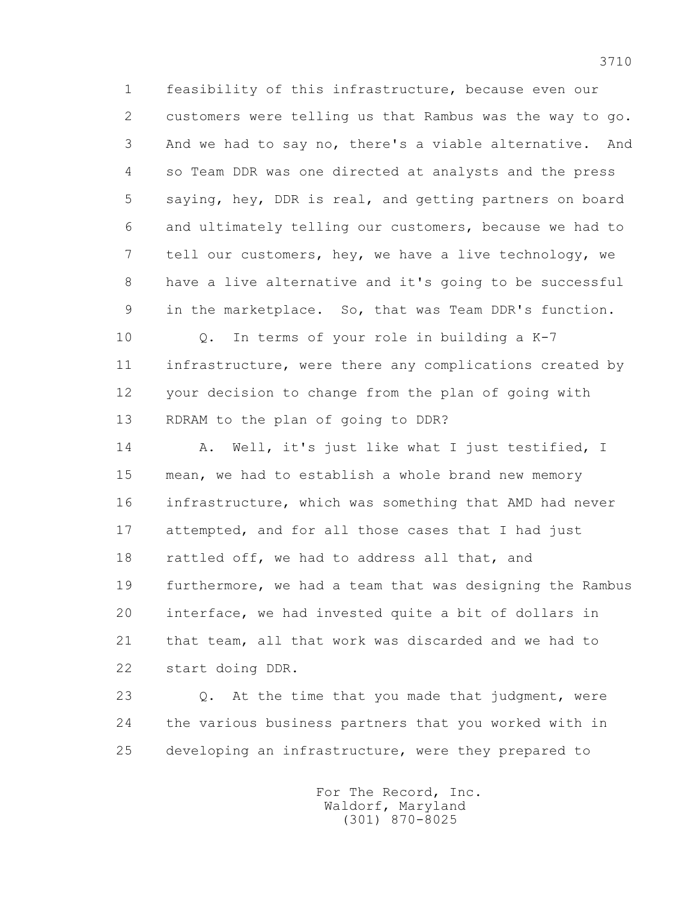1 feasibility of this infrastructure, because even our 2 customers were telling us that Rambus was the way to go. 3 And we had to say no, there's a viable alternative. And 4 so Team DDR was one directed at analysts and the press 5 saying, hey, DDR is real, and getting partners on board 6 and ultimately telling our customers, because we had to 7 tell our customers, hey, we have a live technology, we 8 have a live alternative and it's going to be successful 9 in the marketplace. So, that was Team DDR's function.

 10 Q. In terms of your role in building a K-7 11 infrastructure, were there any complications created by 12 your decision to change from the plan of going with 13 RDRAM to the plan of going to DDR?

 14 A. Well, it's just like what I just testified, I 15 mean, we had to establish a whole brand new memory 16 infrastructure, which was something that AMD had never 17 attempted, and for all those cases that I had just 18 rattled off, we had to address all that, and 19 furthermore, we had a team that was designing the Rambus 20 interface, we had invested quite a bit of dollars in 21 that team, all that work was discarded and we had to 22 start doing DDR.

 23 Q. At the time that you made that judgment, were 24 the various business partners that you worked with in 25 developing an infrastructure, were they prepared to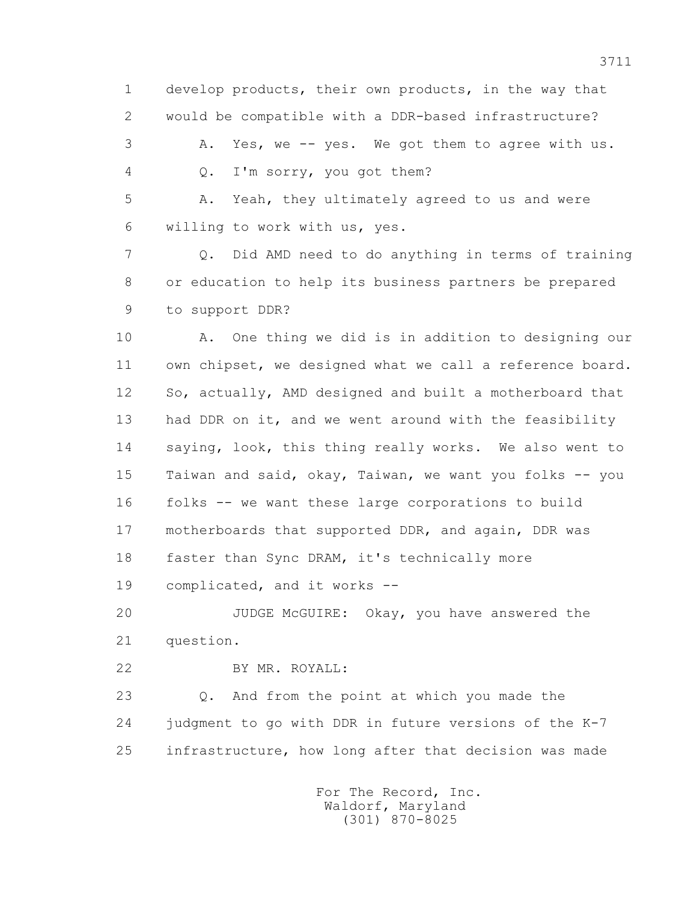1 develop products, their own products, in the way that 2 would be compatible with a DDR-based infrastructure? 3 A. Yes, we -- yes. We got them to agree with us. 4 Q. I'm sorry, you got them?

 5 A. Yeah, they ultimately agreed to us and were 6 willing to work with us, yes.

 7 Q. Did AMD need to do anything in terms of training 8 or education to help its business partners be prepared 9 to support DDR?

 10 A. One thing we did is in addition to designing our 11 own chipset, we designed what we call a reference board. 12 So, actually, AMD designed and built a motherboard that 13 had DDR on it, and we went around with the feasibility 14 saying, look, this thing really works. We also went to 15 Taiwan and said, okay, Taiwan, we want you folks -- you 16 folks -- we want these large corporations to build 17 motherboards that supported DDR, and again, DDR was 18 faster than Sync DRAM, it's technically more 19 complicated, and it works --

 20 JUDGE McGUIRE: Okay, you have answered the 21 question.

22 BY MR. ROYALL:

 23 Q. And from the point at which you made the 24 judgment to go with DDR in future versions of the K-7 25 infrastructure, how long after that decision was made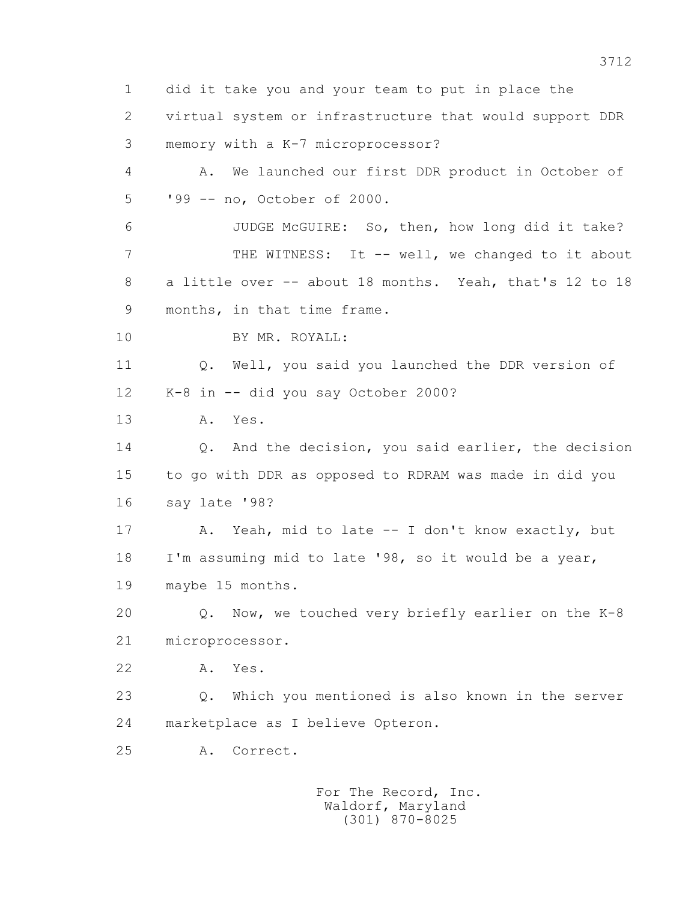1 did it take you and your team to put in place the 2 virtual system or infrastructure that would support DDR 3 memory with a K-7 microprocessor? 4 A. We launched our first DDR product in October of 5 '99 -- no, October of 2000. 6 JUDGE McGUIRE: So, then, how long did it take? 7 THE WITNESS: It -- well, we changed to it about 8 a little over -- about 18 months. Yeah, that's 12 to 18 9 months, in that time frame. 10 BY MR. ROYALL: 11 Q. Well, you said you launched the DDR version of 12 K-8 in -- did you say October 2000? 13 A. Yes. 14 0. And the decision, you said earlier, the decision 15 to go with DDR as opposed to RDRAM was made in did you 16 say late '98? 17 A. Yeah, mid to late -- I don't know exactly, but 18 I'm assuming mid to late '98, so it would be a year, 19 maybe 15 months. 20 Q. Now, we touched very briefly earlier on the K-8 21 microprocessor. 22 A. Yes. 23 Q. Which you mentioned is also known in the server 24 marketplace as I believe Opteron. 25 A. Correct.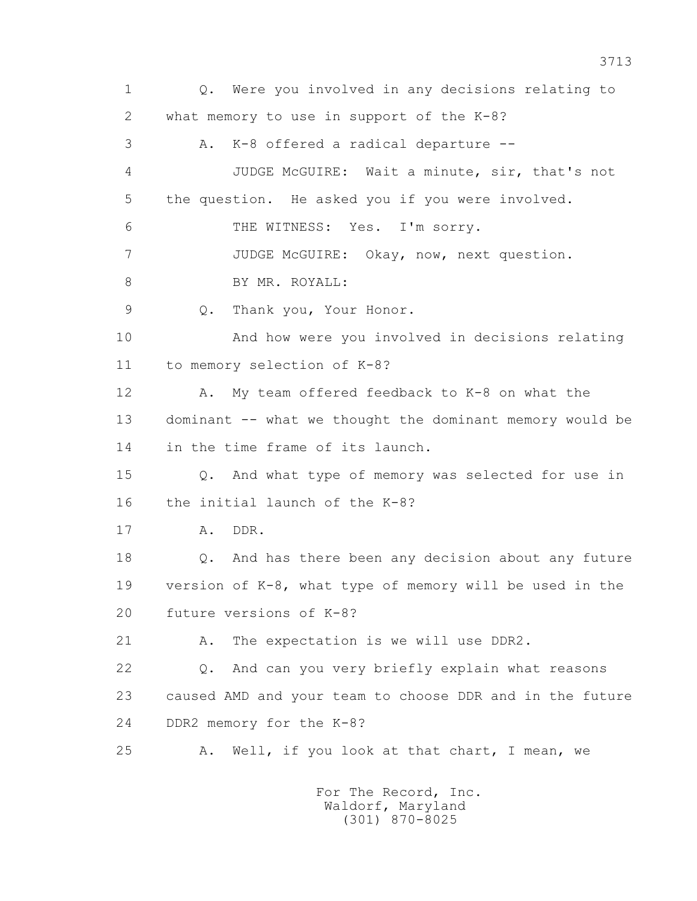1 Q. Were you involved in any decisions relating to 2 what memory to use in support of the K-8? 3 A. K-8 offered a radical departure -- 4 JUDGE McGUIRE: Wait a minute, sir, that's not 5 the question. He asked you if you were involved. 6 THE WITNESS: Yes. I'm sorry. 7 JUDGE McGUIRE: Okay, now, next question. 8 BY MR. ROYALL: 9 Q. Thank you, Your Honor. 10 And how were you involved in decisions relating 11 to memory selection of K-8? 12 A. My team offered feedback to K-8 on what the 13 dominant -- what we thought the dominant memory would be 14 in the time frame of its launch. 15 Q. And what type of memory was selected for use in 16 the initial launch of the K-8? 17 A. DDR. 18 Q. And has there been any decision about any future 19 version of K-8, what type of memory will be used in the 20 future versions of K-8? 21 A. The expectation is we will use DDR2. 22 Q. And can you very briefly explain what reasons 23 caused AMD and your team to choose DDR and in the future 24 DDR2 memory for the K-8? 25 A. Well, if you look at that chart, I mean, we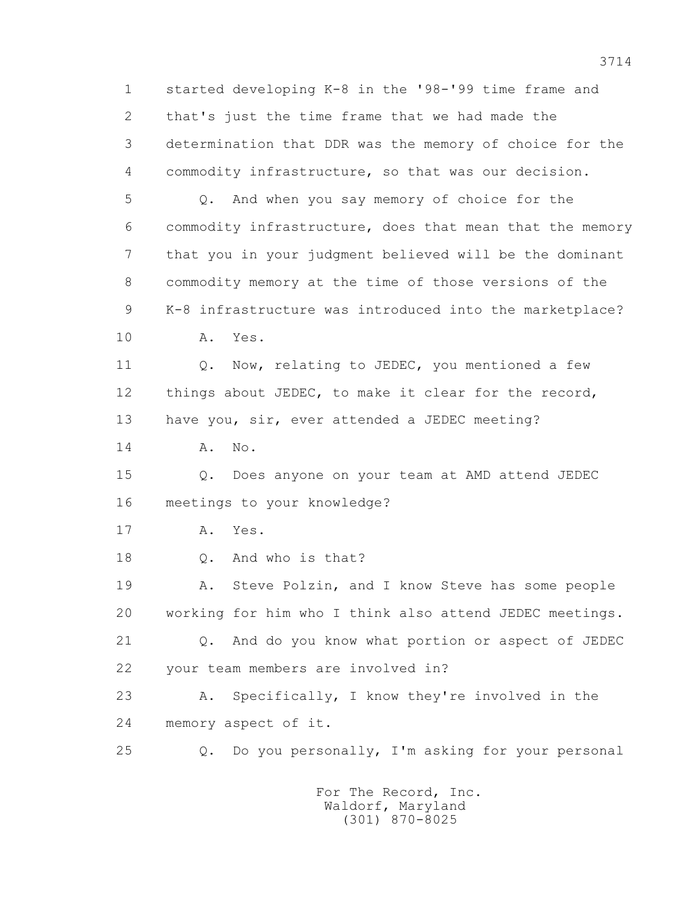1 started developing K-8 in the '98-'99 time frame and 2 that's just the time frame that we had made the 3 determination that DDR was the memory of choice for the 4 commodity infrastructure, so that was our decision. 5 Q. And when you say memory of choice for the 6 commodity infrastructure, does that mean that the memory 7 that you in your judgment believed will be the dominant 8 commodity memory at the time of those versions of the 9 K-8 infrastructure was introduced into the marketplace? 10 A. Yes. 11 0. Now, relating to JEDEC, you mentioned a few 12 things about JEDEC, to make it clear for the record, 13 have you, sir, ever attended a JEDEC meeting? 14 **A.** No. 15 Q. Does anyone on your team at AMD attend JEDEC 16 meetings to your knowledge? 17 A. Yes. 18 Q. And who is that? 19 A. Steve Polzin, and I know Steve has some people 20 working for him who I think also attend JEDEC meetings. 21 Q. And do you know what portion or aspect of JEDEC 22 your team members are involved in? 23 A. Specifically, I know they're involved in the 24 memory aspect of it. 25 Q. Do you personally, I'm asking for your personal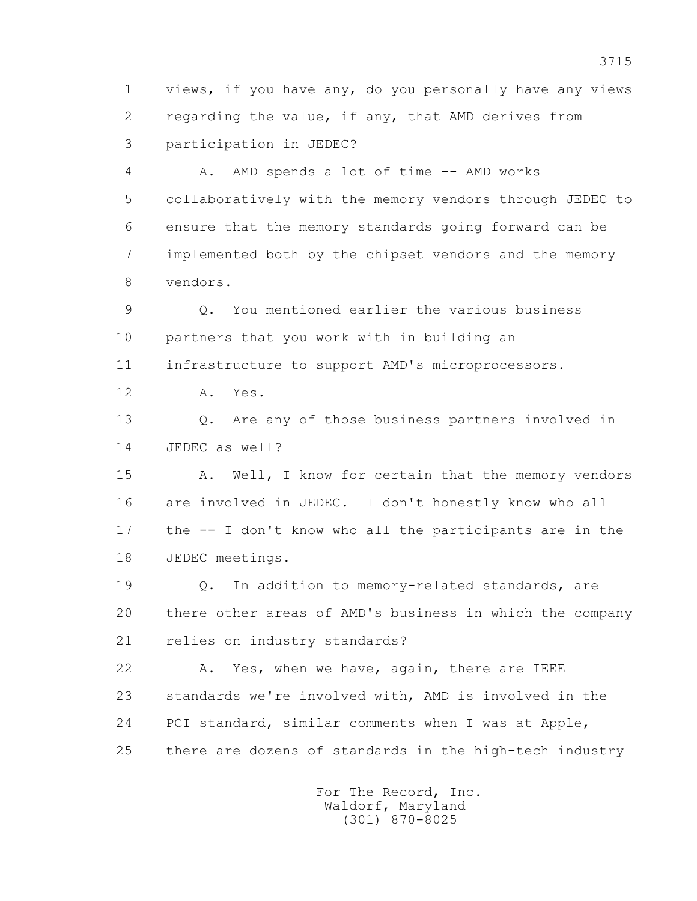1 views, if you have any, do you personally have any views 2 regarding the value, if any, that AMD derives from 3 participation in JEDEC?

 4 A. AMD spends a lot of time -- AMD works 5 collaboratively with the memory vendors through JEDEC to 6 ensure that the memory standards going forward can be 7 implemented both by the chipset vendors and the memory 8 vendors.

 9 Q. You mentioned earlier the various business 10 partners that you work with in building an

11 infrastructure to support AMD's microprocessors.

12 A. Yes.

 13 Q. Are any of those business partners involved in 14 JEDEC as well?

15 A. Well, I know for certain that the memory vendors 16 are involved in JEDEC. I don't honestly know who all 17 the -- I don't know who all the participants are in the 18 JEDEC meetings.

 19 Q. In addition to memory-related standards, are 20 there other areas of AMD's business in which the company 21 relies on industry standards?

 22 A. Yes, when we have, again, there are IEEE 23 standards we're involved with, AMD is involved in the 24 PCI standard, similar comments when I was at Apple, 25 there are dozens of standards in the high-tech industry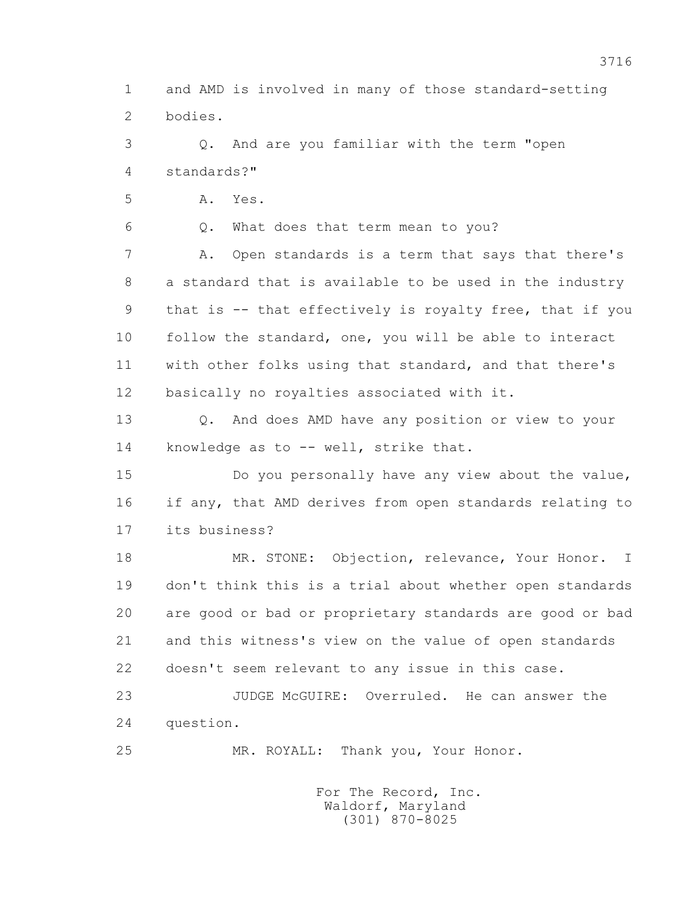1 and AMD is involved in many of those standard-setting 2 bodies.

 3 Q. And are you familiar with the term "open 4 standards?"

5 A. Yes.

6 Q. What does that term mean to you?

 7 A. Open standards is a term that says that there's 8 a standard that is available to be used in the industry 9 that is -- that effectively is royalty free, that if you 10 follow the standard, one, you will be able to interact 11 with other folks using that standard, and that there's 12 basically no royalties associated with it.

 13 Q. And does AMD have any position or view to your 14 knowledge as to -- well, strike that.

 15 Do you personally have any view about the value, 16 if any, that AMD derives from open standards relating to 17 its business?

 18 MR. STONE: Objection, relevance, Your Honor. I 19 don't think this is a trial about whether open standards 20 are good or bad or proprietary standards are good or bad 21 and this witness's view on the value of open standards 22 doesn't seem relevant to any issue in this case.

 23 JUDGE McGUIRE: Overruled. He can answer the 24 question.

25 MR. ROYALL: Thank you, Your Honor.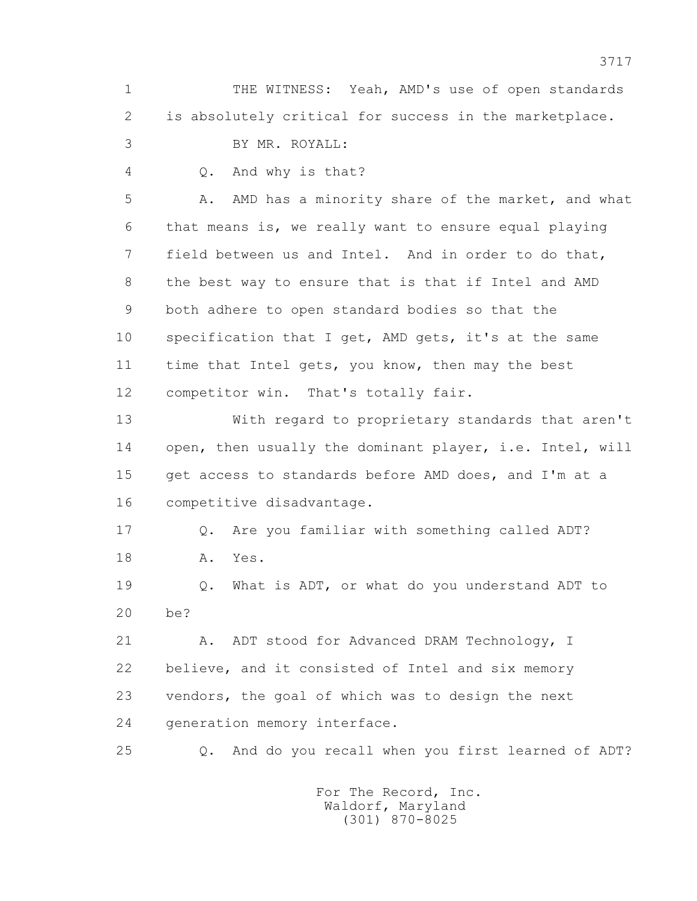1 THE WITNESS: Yeah, AMD's use of open standards 2 is absolutely critical for success in the marketplace. 3 BY MR. ROYALL:

- 
- 
- 4 Q. And why is that?

 5 A. AMD has a minority share of the market, and what 6 that means is, we really want to ensure equal playing 7 field between us and Intel. And in order to do that, 8 the best way to ensure that is that if Intel and AMD 9 both adhere to open standard bodies so that the 10 specification that I get, AMD gets, it's at the same 11 time that Intel gets, you know, then may the best 12 competitor win. That's totally fair.

 13 With regard to proprietary standards that aren't 14 open, then usually the dominant player, i.e. Intel, will 15 get access to standards before AMD does, and I'm at a 16 competitive disadvantage.

 17 Q. Are you familiar with something called ADT? 18 A. Yes.

 19 Q. What is ADT, or what do you understand ADT to 20 be?

21 A. ADT stood for Advanced DRAM Technology, I 22 believe, and it consisted of Intel and six memory 23 vendors, the goal of which was to design the next 24 generation memory interface.

25 Q. And do you recall when you first learned of ADT?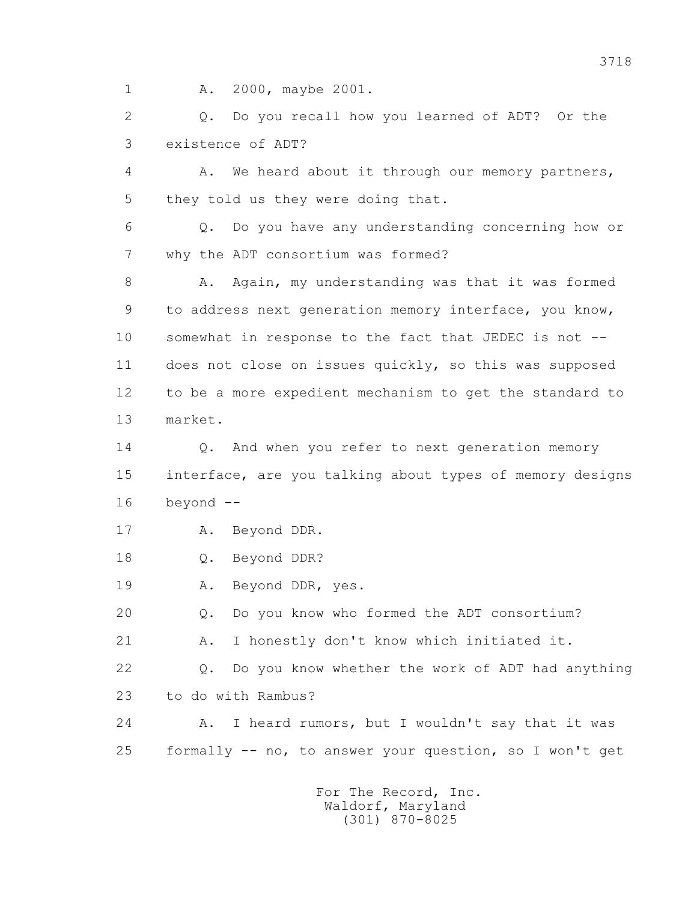1 A. 2000, maybe 2001.

 2 Q. Do you recall how you learned of ADT? Or the 3 existence of ADT?

 4 A. We heard about it through our memory partners, 5 they told us they were doing that.

 6 Q. Do you have any understanding concerning how or 7 why the ADT consortium was formed?

8 A. Again, my understanding was that it was formed 9 to address next generation memory interface, you know, 10 somewhat in response to the fact that JEDEC is not -- 11 does not close on issues quickly, so this was supposed 12 to be a more expedient mechanism to get the standard to 13 market.

14 0. And when you refer to next generation memory 15 interface, are you talking about types of memory designs 16 beyond --

- 17 A. Beyond DDR.
- 18 Q. Beyond DDR?

19 A. Beyond DDR, yes.

20 Q. Do you know who formed the ADT consortium?

21 A. I honestly don't know which initiated it.

 22 Q. Do you know whether the work of ADT had anything 23 to do with Rambus?

 24 A. I heard rumors, but I wouldn't say that it was 25 formally -- no, to answer your question, so I won't get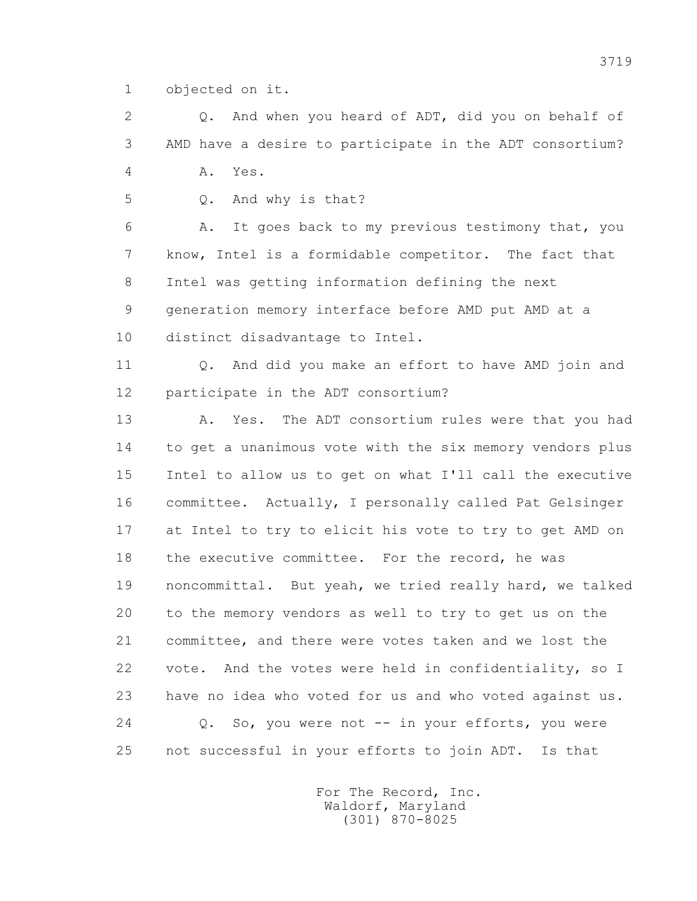1 objected on it.

 2 Q. And when you heard of ADT, did you on behalf of 3 AMD have a desire to participate in the ADT consortium? 4 A. Yes.

5 Q. And why is that?

 6 A. It goes back to my previous testimony that, you 7 know, Intel is a formidable competitor. The fact that 8 Intel was getting information defining the next 9 generation memory interface before AMD put AMD at a 10 distinct disadvantage to Intel.

11 0. And did you make an effort to have AMD join and 12 participate in the ADT consortium?

 13 A. Yes. The ADT consortium rules were that you had 14 to get a unanimous vote with the six memory vendors plus 15 Intel to allow us to get on what I'll call the executive 16 committee. Actually, I personally called Pat Gelsinger 17 at Intel to try to elicit his vote to try to get AMD on 18 the executive committee. For the record, he was 19 noncommittal. But yeah, we tried really hard, we talked 20 to the memory vendors as well to try to get us on the 21 committee, and there were votes taken and we lost the 22 vote. And the votes were held in confidentiality, so I 23 have no idea who voted for us and who voted against us. 24 Q. So, you were not -- in your efforts, you were 25 not successful in your efforts to join ADT. Is that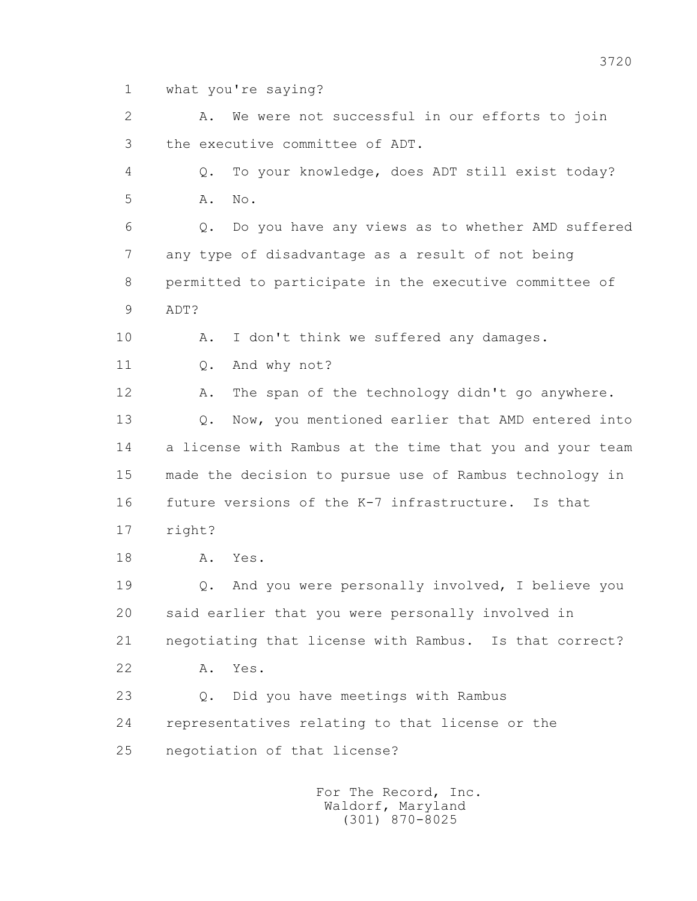1 what you're saying?

 2 A. We were not successful in our efforts to join 3 the executive committee of ADT. 4 Q. To your knowledge, does ADT still exist today? 5 A. No. 6 Q. Do you have any views as to whether AMD suffered 7 any type of disadvantage as a result of not being 8 permitted to participate in the executive committee of 9 ADT? 10 A. I don't think we suffered any damages. 11 0. And why not? 12 A. The span of the technology didn't go anywhere. 13 Q. Now, you mentioned earlier that AMD entered into 14 a license with Rambus at the time that you and your team 15 made the decision to pursue use of Rambus technology in 16 future versions of the K-7 infrastructure. Is that 17 right? 18 A. Yes. 19 Q. And you were personally involved, I believe you 20 said earlier that you were personally involved in 21 negotiating that license with Rambus. Is that correct? 22 A. Yes. 23 Q. Did you have meetings with Rambus 24 representatives relating to that license or the 25 negotiation of that license? For The Record, Inc. Waldorf, Maryland (301) 870-8025

3720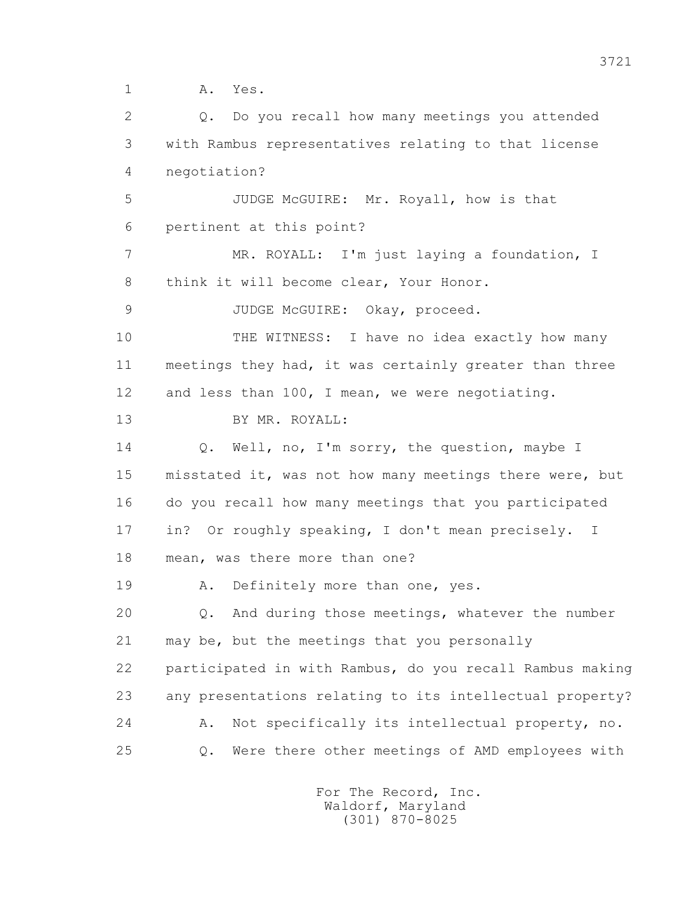1 A. Yes.

 2 Q. Do you recall how many meetings you attended 3 with Rambus representatives relating to that license 4 negotiation? 5 JUDGE McGUIRE: Mr. Royall, how is that 6 pertinent at this point? 7 MR. ROYALL: I'm just laying a foundation, I 8 think it will become clear, Your Honor. 9 JUDGE McGUIRE: Okay, proceed. 10 THE WITNESS: I have no idea exactly how many 11 meetings they had, it was certainly greater than three 12 and less than 100, I mean, we were negotiating. 13 BY MR. ROYALL: 14 Q. Well, no, I'm sorry, the question, maybe I 15 misstated it, was not how many meetings there were, but 16 do you recall how many meetings that you participated 17 in? Or roughly speaking, I don't mean precisely. I 18 mean, was there more than one? 19 A. Definitely more than one, yes. 20 Q. And during those meetings, whatever the number 21 may be, but the meetings that you personally 22 participated in with Rambus, do you recall Rambus making 23 any presentations relating to its intellectual property? 24 A. Not specifically its intellectual property, no. 25 Q. Were there other meetings of AMD employees with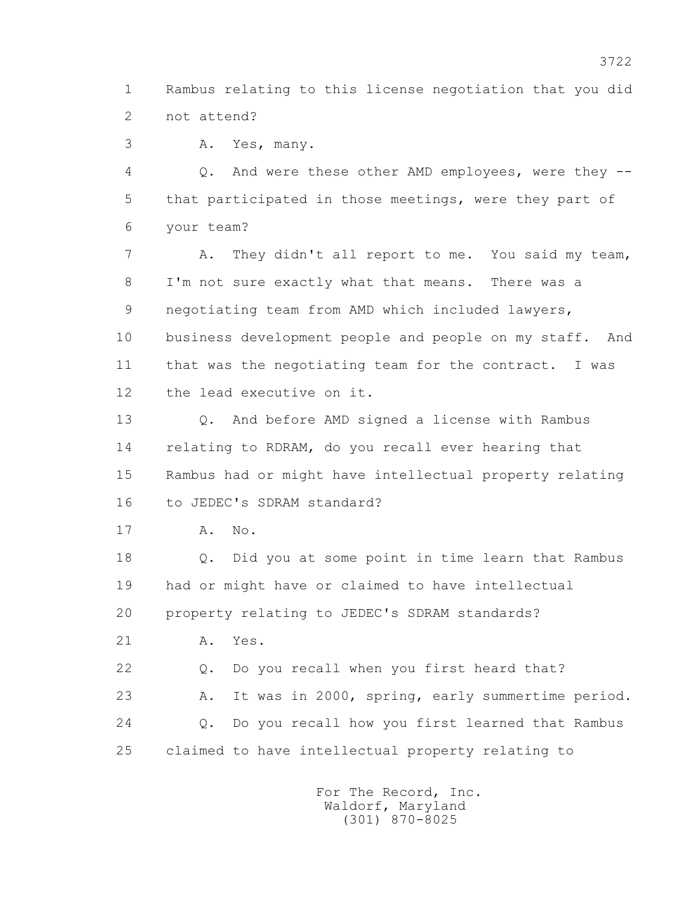1 Rambus relating to this license negotiation that you did 2 not attend?

3 A. Yes, many.

 4 Q. And were these other AMD employees, were they -- 5 that participated in those meetings, were they part of 6 your team?

 7 A. They didn't all report to me. You said my team, 8 I'm not sure exactly what that means. There was a 9 negotiating team from AMD which included lawyers, 10 business development people and people on my staff. And 11 that was the negotiating team for the contract. I was 12 the lead executive on it.

 13 Q. And before AMD signed a license with Rambus 14 relating to RDRAM, do you recall ever hearing that 15 Rambus had or might have intellectual property relating 16 to JEDEC's SDRAM standard?

17 A. No.

 18 Q. Did you at some point in time learn that Rambus 19 had or might have or claimed to have intellectual 20 property relating to JEDEC's SDRAM standards?

21 A. Yes.

22 Q. Do you recall when you first heard that?

 23 A. It was in 2000, spring, early summertime period. 24 Q. Do you recall how you first learned that Rambus 25 claimed to have intellectual property relating to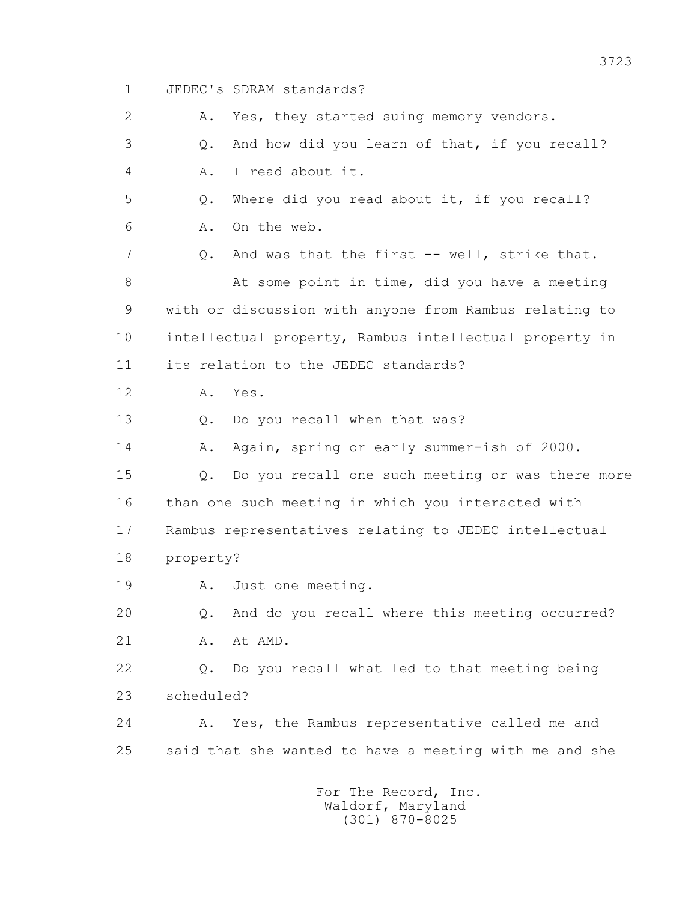1 JEDEC's SDRAM standards? 2 A. Yes, they started suing memory vendors. 3 Q. And how did you learn of that, if you recall? 4 A. I read about it. 5 Q. Where did you read about it, if you recall? 6 A. On the web. 7 Q. And was that the first -- well, strike that. 8 At some point in time, did you have a meeting 9 with or discussion with anyone from Rambus relating to 10 intellectual property, Rambus intellectual property in 11 its relation to the JEDEC standards? 12 A. Yes. 13 Q. Do you recall when that was? 14 A. Again, spring or early summer-ish of 2000. 15 Q. Do you recall one such meeting or was there more 16 than one such meeting in which you interacted with 17 Rambus representatives relating to JEDEC intellectual 18 property? 19 A. Just one meeting. 20 Q. And do you recall where this meeting occurred? 21 A. At AMD. 22 Q. Do you recall what led to that meeting being 23 scheduled? 24 A. Yes, the Rambus representative called me and 25 said that she wanted to have a meeting with me and she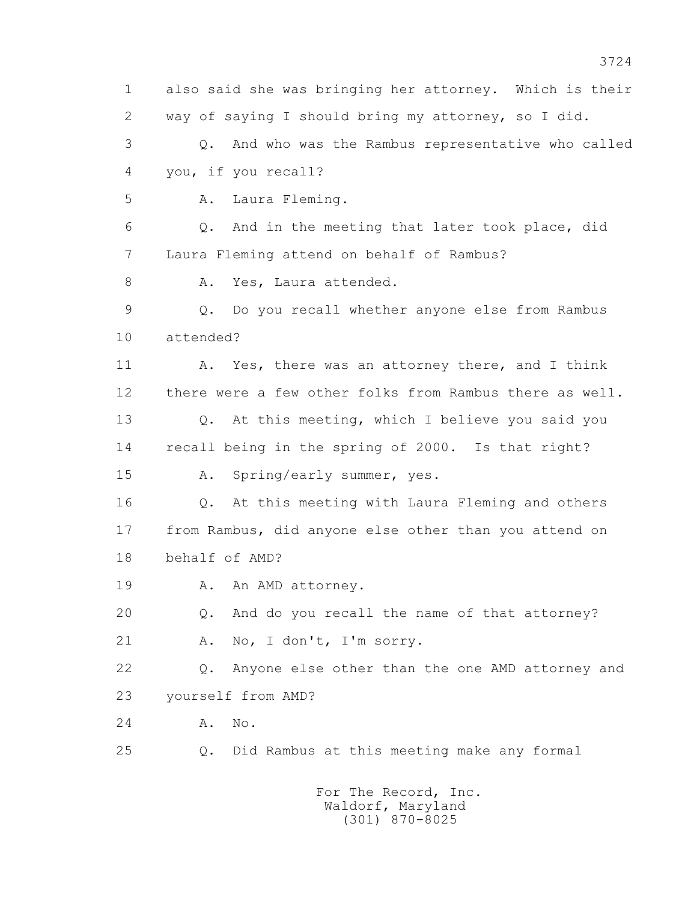1 also said she was bringing her attorney. Which is their 2 way of saying I should bring my attorney, so I did. 3 Q. And who was the Rambus representative who called 4 you, if you recall? 5 A. Laura Fleming. 6 Q. And in the meeting that later took place, did 7 Laura Fleming attend on behalf of Rambus? 8 A. Yes, Laura attended. 9 Q. Do you recall whether anyone else from Rambus 10 attended? 11 A. Yes, there was an attorney there, and I think 12 there were a few other folks from Rambus there as well. 13 Q. At this meeting, which I believe you said you 14 recall being in the spring of 2000. Is that right? 15 A. Spring/early summer, yes. 16 Q. At this meeting with Laura Fleming and others 17 from Rambus, did anyone else other than you attend on 18 behalf of AMD? 19 A. An AMD attorney. 20 Q. And do you recall the name of that attorney? 21 A. No, I don't, I'm sorry. 22 Q. Anyone else other than the one AMD attorney and 23 yourself from AMD? 24 A. No. 25 Q. Did Rambus at this meeting make any formal For The Record, Inc. Waldorf, Maryland

(301) 870-8025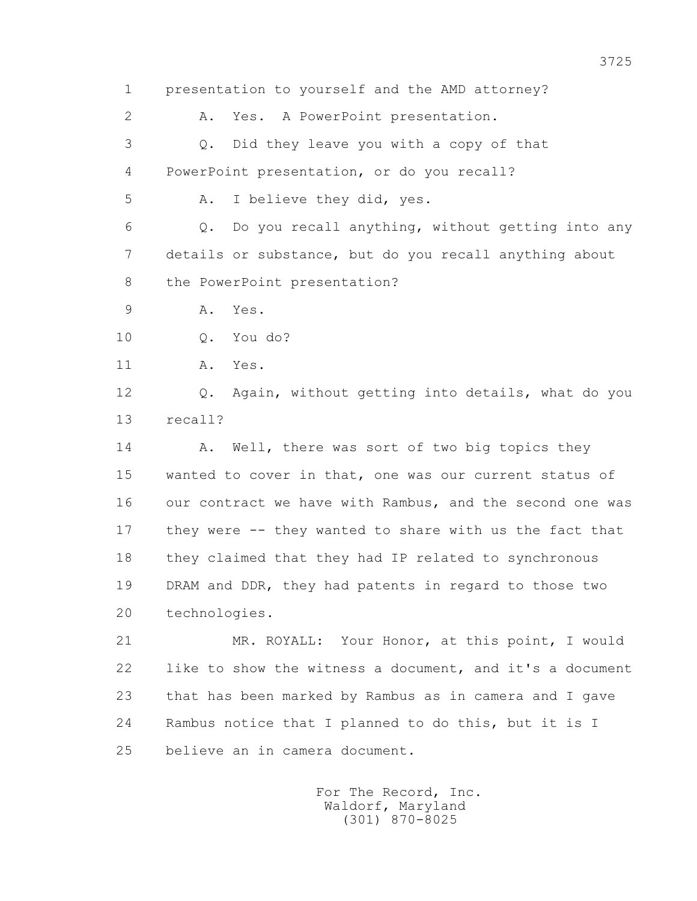1 presentation to yourself and the AMD attorney?

2 A. Yes. A PowerPoint presentation.

 3 Q. Did they leave you with a copy of that 4 PowerPoint presentation, or do you recall?

5 A. I believe they did, yes.

 6 Q. Do you recall anything, without getting into any 7 details or substance, but do you recall anything about 8 the PowerPoint presentation?

9 A. Yes.

10 Q. You do?

11 A. Yes.

 12 Q. Again, without getting into details, what do you 13 recall?

14 A. Well, there was sort of two big topics they 15 wanted to cover in that, one was our current status of 16 our contract we have with Rambus, and the second one was 17 they were -- they wanted to share with us the fact that 18 they claimed that they had IP related to synchronous 19 DRAM and DDR, they had patents in regard to those two 20 technologies.

 21 MR. ROYALL: Your Honor, at this point, I would 22 like to show the witness a document, and it's a document 23 that has been marked by Rambus as in camera and I gave 24 Rambus notice that I planned to do this, but it is I 25 believe an in camera document.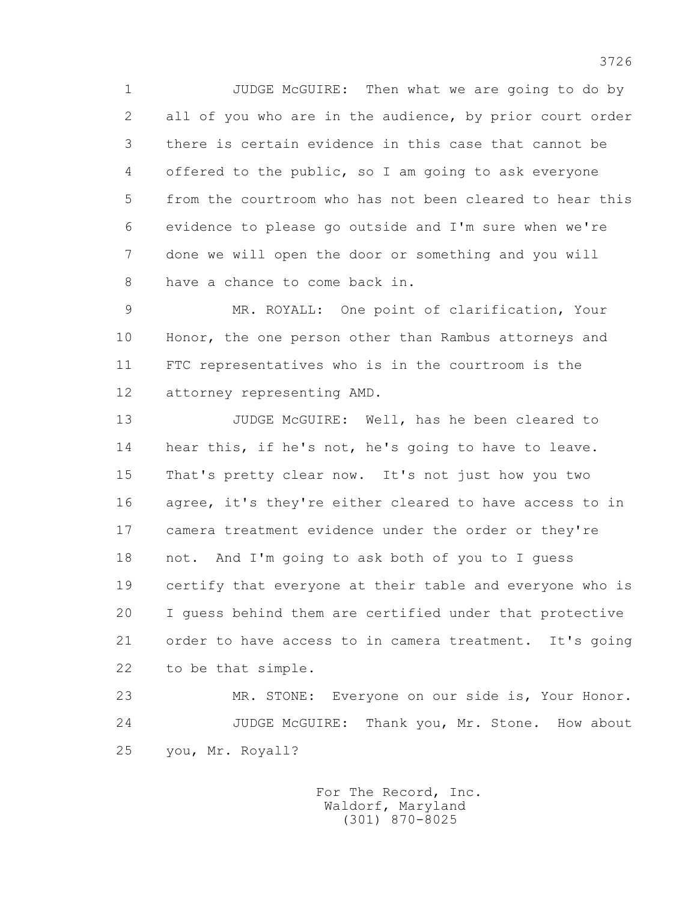1 JUDGE McGUIRE: Then what we are going to do by 2 all of you who are in the audience, by prior court order 3 there is certain evidence in this case that cannot be 4 offered to the public, so I am going to ask everyone 5 from the courtroom who has not been cleared to hear this 6 evidence to please go outside and I'm sure when we're 7 done we will open the door or something and you will 8 have a chance to come back in.

 9 MR. ROYALL: One point of clarification, Your 10 Honor, the one person other than Rambus attorneys and 11 FTC representatives who is in the courtroom is the 12 attorney representing AMD.

 13 JUDGE McGUIRE: Well, has he been cleared to 14 hear this, if he's not, he's going to have to leave. 15 That's pretty clear now. It's not just how you two 16 agree, it's they're either cleared to have access to in 17 camera treatment evidence under the order or they're 18 not. And I'm going to ask both of you to I guess 19 certify that everyone at their table and everyone who is 20 I guess behind them are certified under that protective 21 order to have access to in camera treatment. It's going 22 to be that simple.

 23 MR. STONE: Everyone on our side is, Your Honor. 24 JUDGE McGUIRE: Thank you, Mr. Stone. How about 25 you, Mr. Royall?

> For The Record, Inc. Waldorf, Maryland (301) 870-8025

3726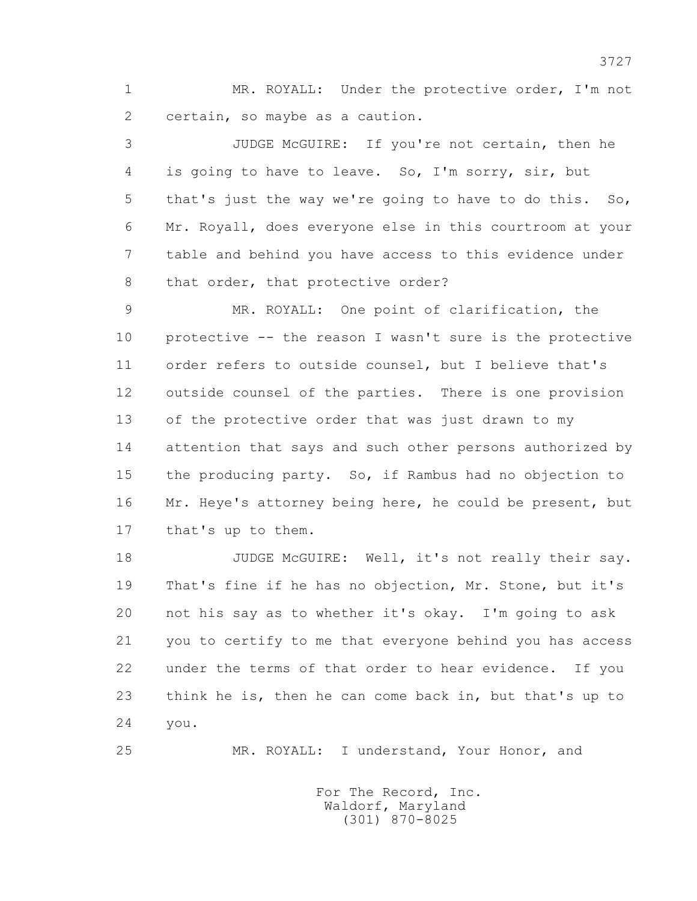1 MR. ROYALL: Under the protective order, I'm not 2 certain, so maybe as a caution.

 3 JUDGE McGUIRE: If you're not certain, then he 4 is going to have to leave. So, I'm sorry, sir, but 5 that's just the way we're going to have to do this. So, 6 Mr. Royall, does everyone else in this courtroom at your 7 table and behind you have access to this evidence under 8 that order, that protective order?

 9 MR. ROYALL: One point of clarification, the 10 protective -- the reason I wasn't sure is the protective 11 order refers to outside counsel, but I believe that's 12 outside counsel of the parties. There is one provision 13 of the protective order that was just drawn to my 14 attention that says and such other persons authorized by 15 the producing party. So, if Rambus had no objection to 16 Mr. Heye's attorney being here, he could be present, but 17 that's up to them.

18 JUDGE McGUIRE: Well, it's not really their say. 19 That's fine if he has no objection, Mr. Stone, but it's 20 not his say as to whether it's okay. I'm going to ask 21 you to certify to me that everyone behind you has access 22 under the terms of that order to hear evidence. If you 23 think he is, then he can come back in, but that's up to 24 you.

25 MR. ROYALL: I understand, Your Honor, and

 For The Record, Inc. Waldorf, Maryland (301) 870-8025

3727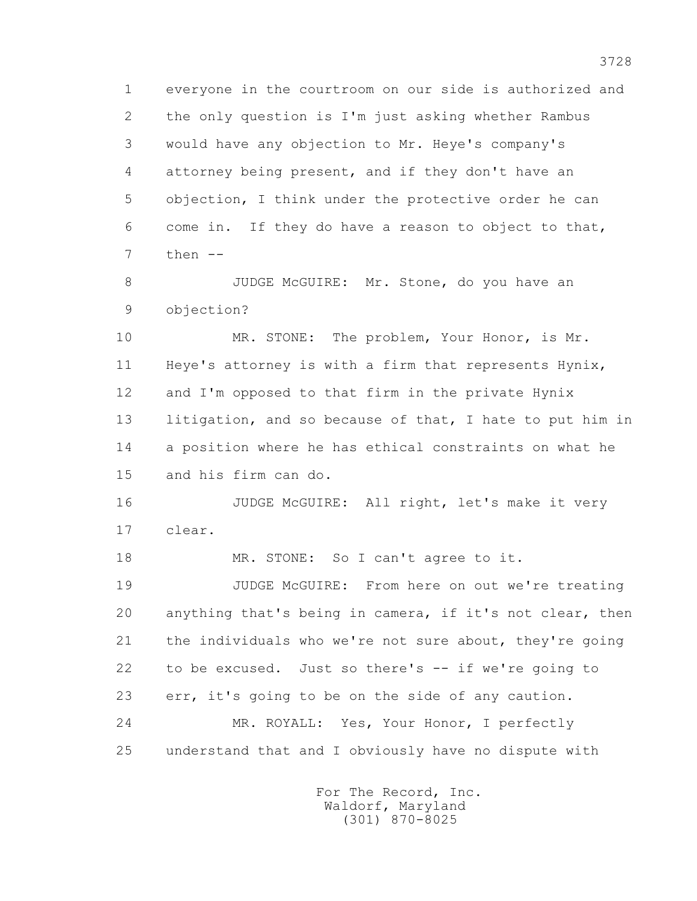1 everyone in the courtroom on our side is authorized and 2 the only question is I'm just asking whether Rambus 3 would have any objection to Mr. Heye's company's 4 attorney being present, and if they don't have an 5 objection, I think under the protective order he can 6 come in. If they do have a reason to object to that, 7 then --

8 JUDGE McGUIRE: Mr. Stone, do you have an 9 objection?

10 MR. STONE: The problem, Your Honor, is Mr. 11 Heye's attorney is with a firm that represents Hynix, 12 and I'm opposed to that firm in the private Hynix 13 litigation, and so because of that, I hate to put him in 14 a position where he has ethical constraints on what he 15 and his firm can do.

 16 JUDGE McGUIRE: All right, let's make it very 17 clear.

18 MR. STONE: So I can't agree to it.

 19 JUDGE McGUIRE: From here on out we're treating 20 anything that's being in camera, if it's not clear, then 21 the individuals who we're not sure about, they're going 22 to be excused. Just so there's -- if we're going to 23 err, it's going to be on the side of any caution. 24 MR. ROYALL: Yes, Your Honor, I perfectly 25 understand that and I obviously have no dispute with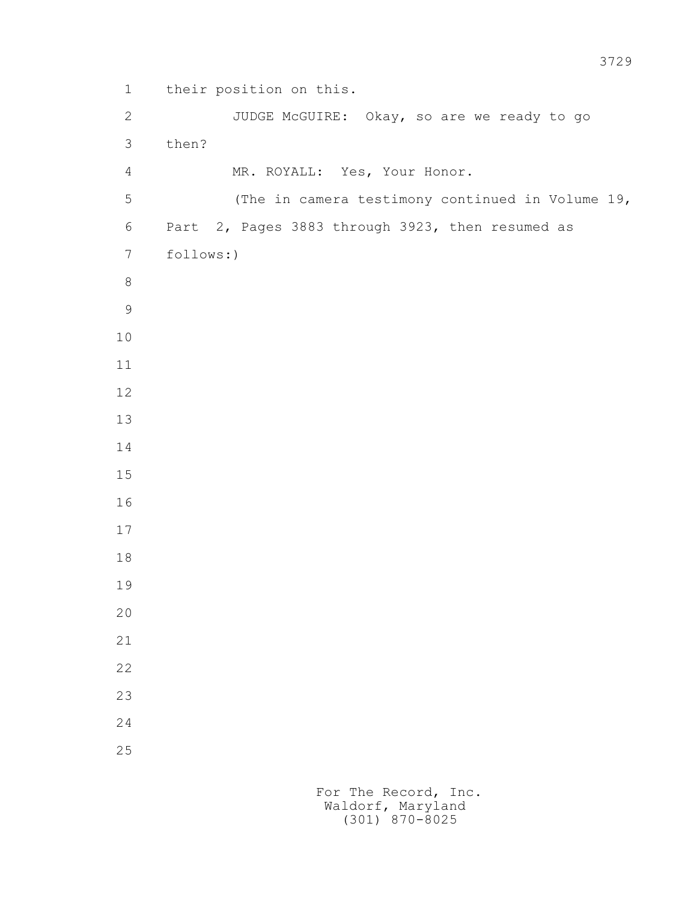```
 1 their position on this. 
        2 JUDGE McGUIRE: Okay, so are we ready to go 
         3 then? 
         4 MR. ROYALL: Yes, Your Honor. 
         5 (The in camera testimony continued in Volume 19, 
         6 Part 2, Pages 3883 through 3923, then resumed as 
        7 follows:)
8
9
        10
        11
        12
        13
        14
        15
        16
        17
        18
        19
        20
        21
        22
        23
        24
        25
```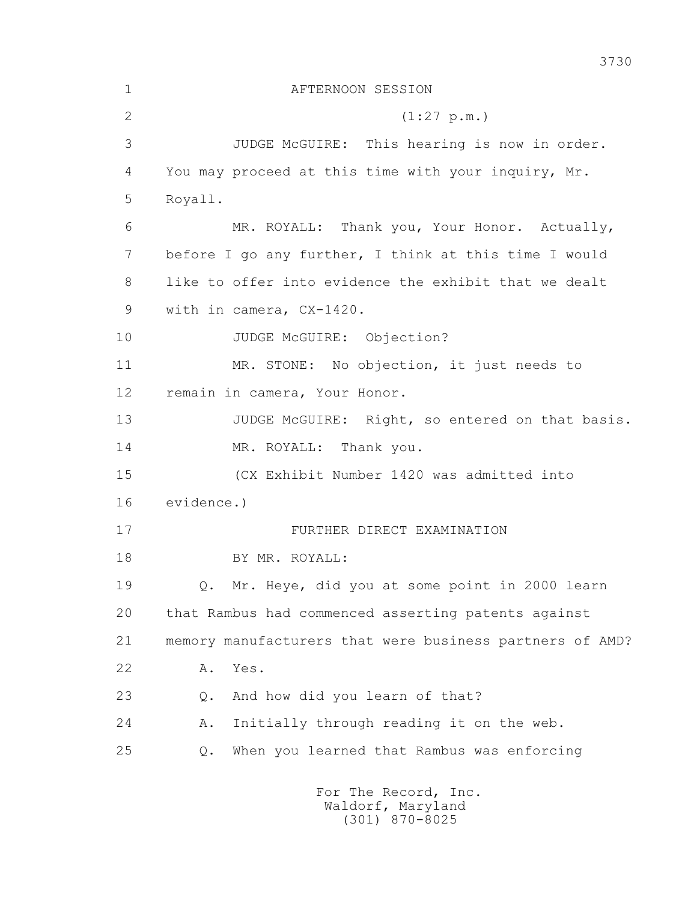| $\mathbf 1$ | AFTERNOON SESSION                                        |
|-------------|----------------------------------------------------------|
| 2           | (1:27 p.m.)                                              |
| 3           | JUDGE McGUIRE: This hearing is now in order.             |
| 4           | You may proceed at this time with your inquiry, Mr.      |
| 5           | Royall.                                                  |
| 6           | MR. ROYALL: Thank you, Your Honor. Actually,             |
| 7           | before I go any further, I think at this time I would    |
| 8           | like to offer into evidence the exhibit that we dealt    |
| 9           | with in camera, CX-1420.                                 |
| 10          | JUDGE McGUIRE: Objection?                                |
| 11          | MR. STONE: No objection, it just needs to                |
| 12          | remain in camera, Your Honor.                            |
| 13          | JUDGE McGUIRE: Right, so entered on that basis.          |
| 14          | MR. ROYALL: Thank you.                                   |
| 15          | (CX Exhibit Number 1420 was admitted into                |
| 16          | evidence.)                                               |
| 17          | FURTHER DIRECT EXAMINATION                               |
| 18          | BY MR. ROYALL:                                           |
| 19          | Q. Mr. Heye, did you at some point in 2000 learn         |
| 20          | that Rambus had commenced asserting patents against      |
| 21          | memory manufacturers that were business partners of AMD? |
| 22          | Yes.<br>Α.                                               |
| 23          | And how did you learn of that?<br>Q.                     |
| 24          | Initially through reading it on the web.<br>Α.           |
| 25          | When you learned that Rambus was enforcing<br>$Q$ .      |
|             | For The Record, Inc.<br>Waldorf, Maryland                |

3730

(301) 870-8025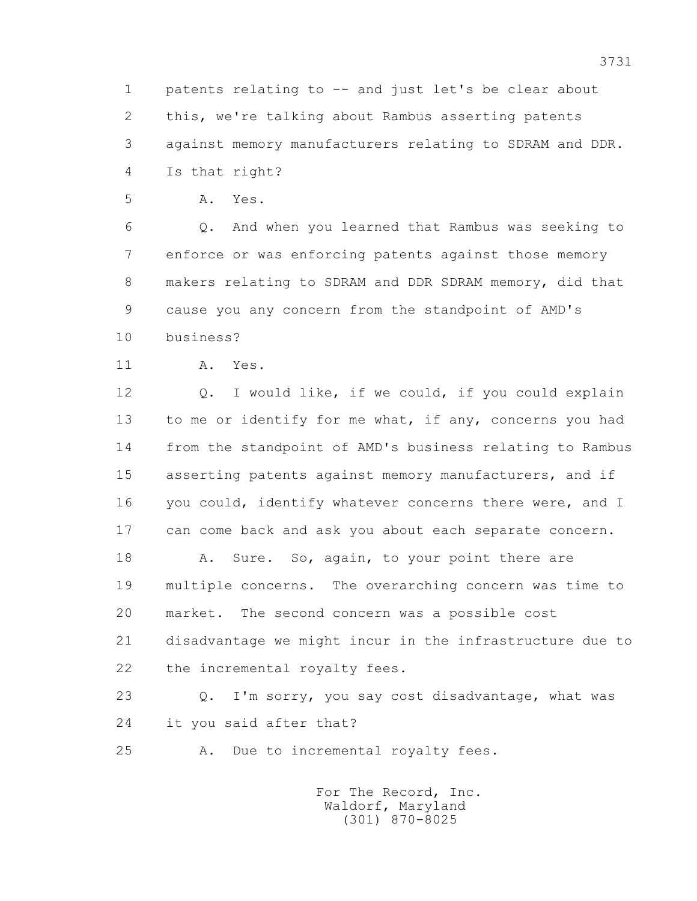1 patents relating to -- and just let's be clear about 2 this, we're talking about Rambus asserting patents 3 against memory manufacturers relating to SDRAM and DDR. 4 Is that right?

5 A. Yes.

 6 Q. And when you learned that Rambus was seeking to 7 enforce or was enforcing patents against those memory 8 makers relating to SDRAM and DDR SDRAM memory, did that 9 cause you any concern from the standpoint of AMD's 10 business?

11 A. Yes.

 12 Q. I would like, if we could, if you could explain 13 to me or identify for me what, if any, concerns you had 14 from the standpoint of AMD's business relating to Rambus 15 asserting patents against memory manufacturers, and if 16 you could, identify whatever concerns there were, and I 17 can come back and ask you about each separate concern.

18 A. Sure. So, again, to your point there are 19 multiple concerns. The overarching concern was time to 20 market. The second concern was a possible cost 21 disadvantage we might incur in the infrastructure due to 22 the incremental royalty fees.

 23 Q. I'm sorry, you say cost disadvantage, what was 24 it you said after that?

25 A. Due to incremental royalty fees.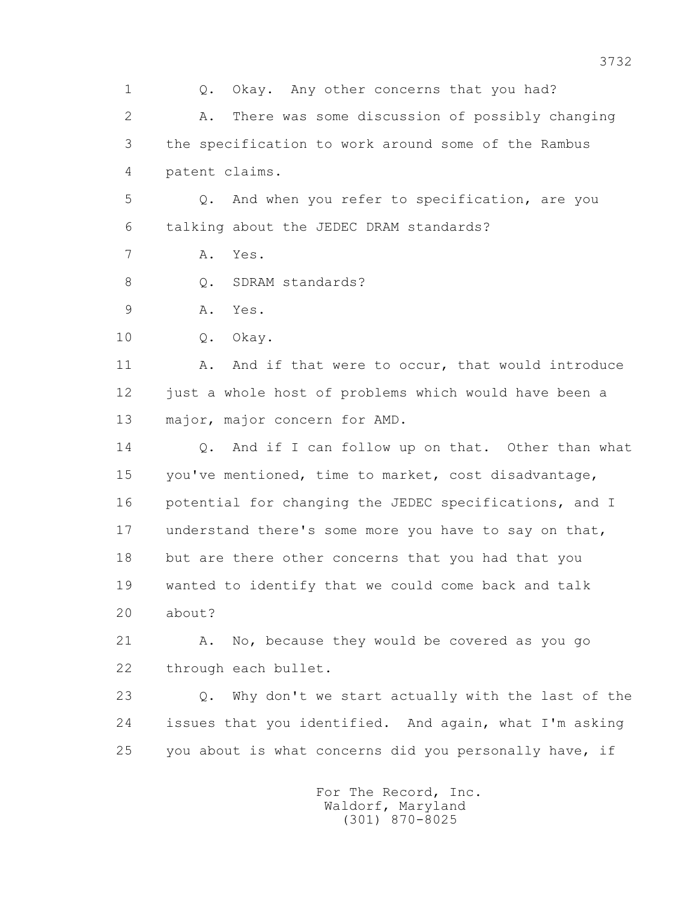1 0. Okay. Any other concerns that you had? 2 A. There was some discussion of possibly changing 3 the specification to work around some of the Rambus 4 patent claims. 5 Q. And when you refer to specification, are you 6 talking about the JEDEC DRAM standards? 7 A. Yes. 8 Q. SDRAM standards? 9 A. Yes. 10 Q. Okay. 11 A. And if that were to occur, that would introduce 12 just a whole host of problems which would have been a 13 major, major concern for AMD. 14 0. And if I can follow up on that. Other than what 15 you've mentioned, time to market, cost disadvantage, 16 potential for changing the JEDEC specifications, and I 17 understand there's some more you have to say on that, 18 but are there other concerns that you had that you 19 wanted to identify that we could come back and talk 20 about? 21 A. No, because they would be covered as you go 22 through each bullet. 23 Q. Why don't we start actually with the last of the 24 issues that you identified. And again, what I'm asking 25 you about is what concerns did you personally have, if For The Record, Inc. Waldorf, Maryland

(301) 870-8025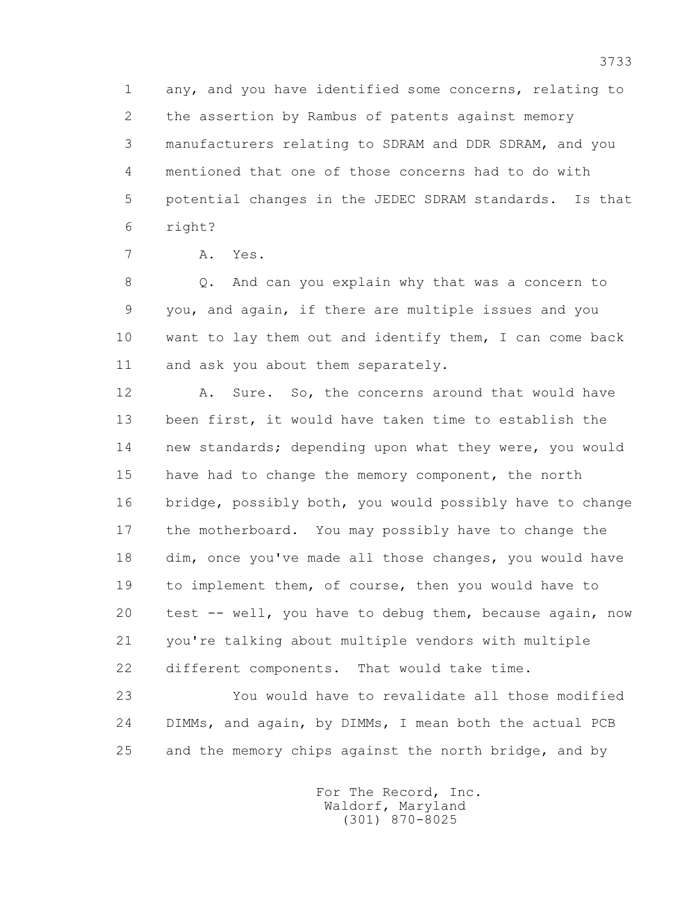1 any, and you have identified some concerns, relating to 2 the assertion by Rambus of patents against memory 3 manufacturers relating to SDRAM and DDR SDRAM, and you 4 mentioned that one of those concerns had to do with 5 potential changes in the JEDEC SDRAM standards. Is that 6 right?

7 A. Yes.

 8 Q. And can you explain why that was a concern to 9 you, and again, if there are multiple issues and you 10 want to lay them out and identify them, I can come back 11 and ask you about them separately.

 12 A. Sure. So, the concerns around that would have 13 been first, it would have taken time to establish the 14 new standards; depending upon what they were, you would 15 have had to change the memory component, the north 16 bridge, possibly both, you would possibly have to change 17 the motherboard. You may possibly have to change the 18 dim, once you've made all those changes, you would have 19 to implement them, of course, then you would have to 20 test -- well, you have to debug them, because again, now 21 you're talking about multiple vendors with multiple 22 different components. That would take time.

 23 You would have to revalidate all those modified 24 DIMMs, and again, by DIMMs, I mean both the actual PCB 25 and the memory chips against the north bridge, and by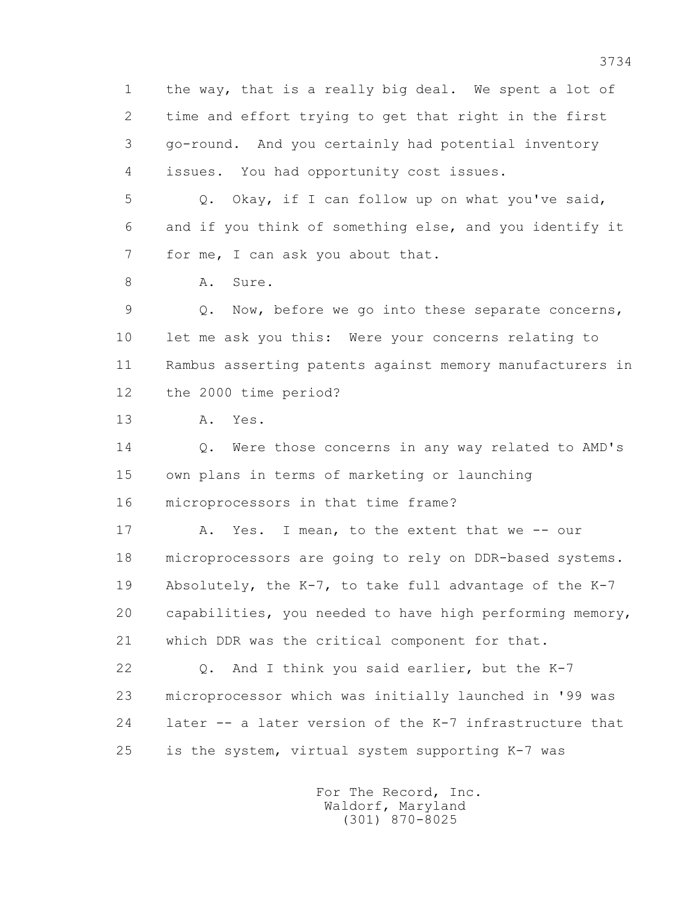1 the way, that is a really big deal. We spent a lot of 2 time and effort trying to get that right in the first 3 go-round. And you certainly had potential inventory 4 issues. You had opportunity cost issues.

 5 Q. Okay, if I can follow up on what you've said, 6 and if you think of something else, and you identify it 7 for me, I can ask you about that.

8 A. Sure.

 9 Q. Now, before we go into these separate concerns, 10 let me ask you this: Were your concerns relating to 11 Rambus asserting patents against memory manufacturers in 12 the 2000 time period?

13 A. Yes.

14 0. Were those concerns in any way related to AMD's 15 own plans in terms of marketing or launching 16 microprocessors in that time frame?

17 A. Yes. I mean, to the extent that we -- our 18 microprocessors are going to rely on DDR-based systems. 19 Absolutely, the K-7, to take full advantage of the K-7 20 capabilities, you needed to have high performing memory, 21 which DDR was the critical component for that.

 22 Q. And I think you said earlier, but the K-7 23 microprocessor which was initially launched in '99 was 24 later -- a later version of the K-7 infrastructure that 25 is the system, virtual system supporting K-7 was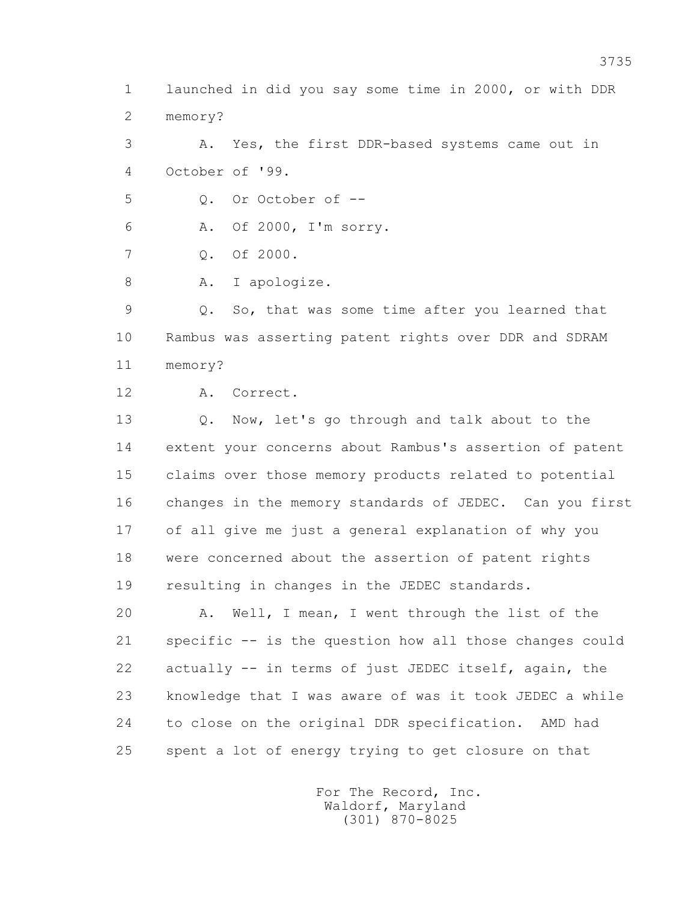1 launched in did you say some time in 2000, or with DDR 2 memory?

 3 A. Yes, the first DDR-based systems came out in 4 October of '99.

 $5 \qquad \qquad$  0. Or October of  $-$ 

6 A. Of 2000, I'm sorry.

7 Q. Of 2000.

8 A. I apologize.

 9 Q. So, that was some time after you learned that 10 Rambus was asserting patent rights over DDR and SDRAM 11 memory?

12 A. Correct.

 13 Q. Now, let's go through and talk about to the 14 extent your concerns about Rambus's assertion of patent 15 claims over those memory products related to potential 16 changes in the memory standards of JEDEC. Can you first 17 of all give me just a general explanation of why you 18 were concerned about the assertion of patent rights 19 resulting in changes in the JEDEC standards.

 20 A. Well, I mean, I went through the list of the 21 specific -- is the question how all those changes could 22 actually -- in terms of just JEDEC itself, again, the 23 knowledge that I was aware of was it took JEDEC a while 24 to close on the original DDR specification. AMD had 25 spent a lot of energy trying to get closure on that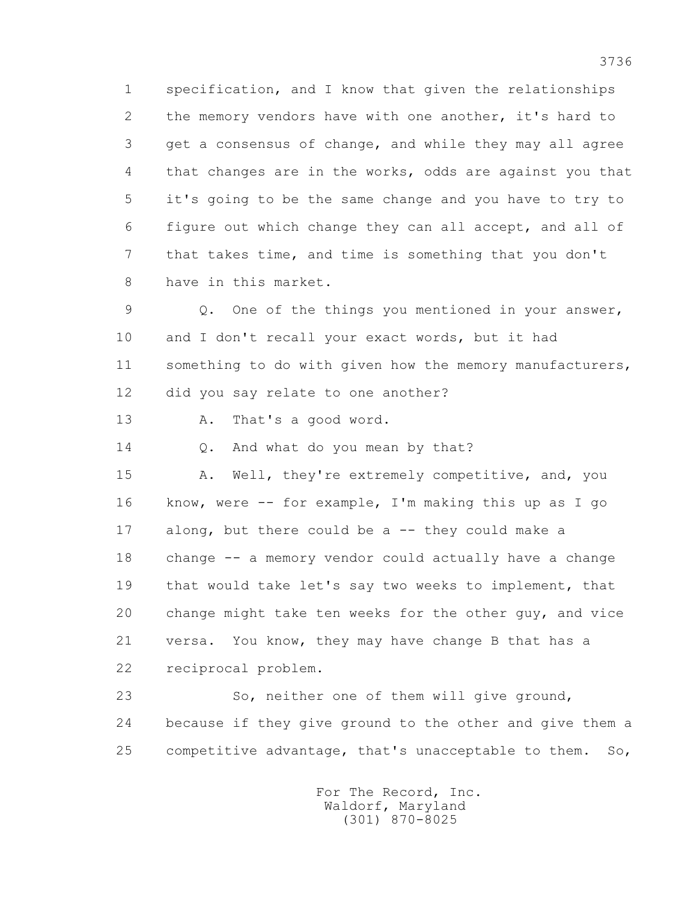1 specification, and I know that given the relationships 2 the memory vendors have with one another, it's hard to 3 get a consensus of change, and while they may all agree 4 that changes are in the works, odds are against you that 5 it's going to be the same change and you have to try to 6 figure out which change they can all accept, and all of 7 that takes time, and time is something that you don't 8 have in this market.

 9 Q. One of the things you mentioned in your answer, 10 and I don't recall your exact words, but it had 11 something to do with given how the memory manufacturers, 12 did you say relate to one another?

13 A. That's a good word.

14 O. And what do you mean by that?

15 A. Well, they're extremely competitive, and, you 16 know, were -- for example, I'm making this up as I go 17 along, but there could be a -- they could make a 18 change -- a memory vendor could actually have a change 19 that would take let's say two weeks to implement, that 20 change might take ten weeks for the other guy, and vice 21 versa. You know, they may have change B that has a 22 reciprocal problem.

 23 So, neither one of them will give ground, 24 because if they give ground to the other and give them a 25 competitive advantage, that's unacceptable to them. So,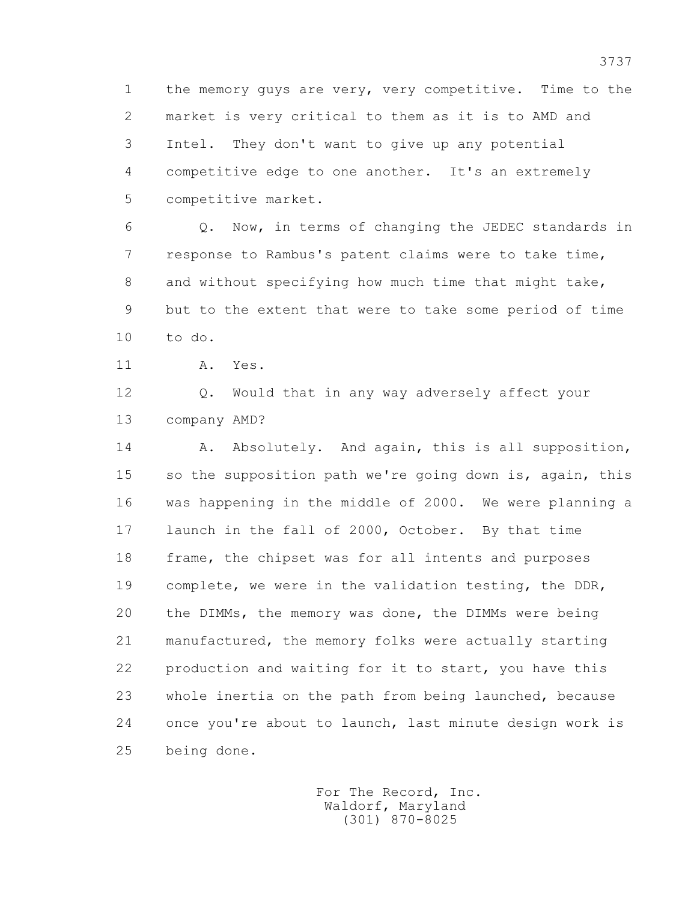1 the memory guys are very, very competitive. Time to the 2 market is very critical to them as it is to AMD and 3 Intel. They don't want to give up any potential 4 competitive edge to one another. It's an extremely 5 competitive market.

 6 Q. Now, in terms of changing the JEDEC standards in 7 response to Rambus's patent claims were to take time, 8 and without specifying how much time that might take, 9 but to the extent that were to take some period of time 10 to do.

11 A. Yes.

 12 Q. Would that in any way adversely affect your 13 company AMD?

14 A. Absolutely. And again, this is all supposition, 15 so the supposition path we're going down is, again, this 16 was happening in the middle of 2000. We were planning a 17 launch in the fall of 2000, October. By that time 18 frame, the chipset was for all intents and purposes 19 complete, we were in the validation testing, the DDR, 20 the DIMMs, the memory was done, the DIMMs were being 21 manufactured, the memory folks were actually starting 22 production and waiting for it to start, you have this 23 whole inertia on the path from being launched, because 24 once you're about to launch, last minute design work is 25 being done.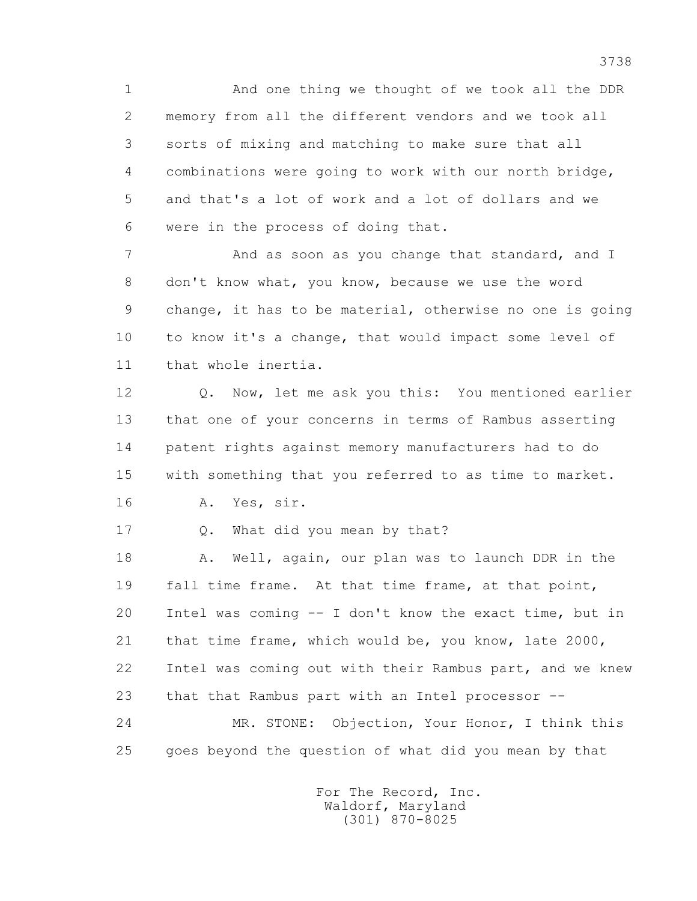1 And one thing we thought of we took all the DDR 2 memory from all the different vendors and we took all 3 sorts of mixing and matching to make sure that all 4 combinations were going to work with our north bridge, 5 and that's a lot of work and a lot of dollars and we 6 were in the process of doing that.

7 And as soon as you change that standard, and I 8 don't know what, you know, because we use the word 9 change, it has to be material, otherwise no one is going 10 to know it's a change, that would impact some level of 11 that whole inertia.

 12 Q. Now, let me ask you this: You mentioned earlier 13 that one of your concerns in terms of Rambus asserting 14 patent rights against memory manufacturers had to do 15 with something that you referred to as time to market. 16 A. Yes, sir.

17 Q. What did you mean by that?

 18 A. Well, again, our plan was to launch DDR in the 19 fall time frame. At that time frame, at that point, 20 Intel was coming -- I don't know the exact time, but in 21 that time frame, which would be, you know, late 2000, 22 Intel was coming out with their Rambus part, and we knew 23 that that Rambus part with an Intel processor -- 24 MR. STONE: Objection, Your Honor, I think this 25 goes beyond the question of what did you mean by that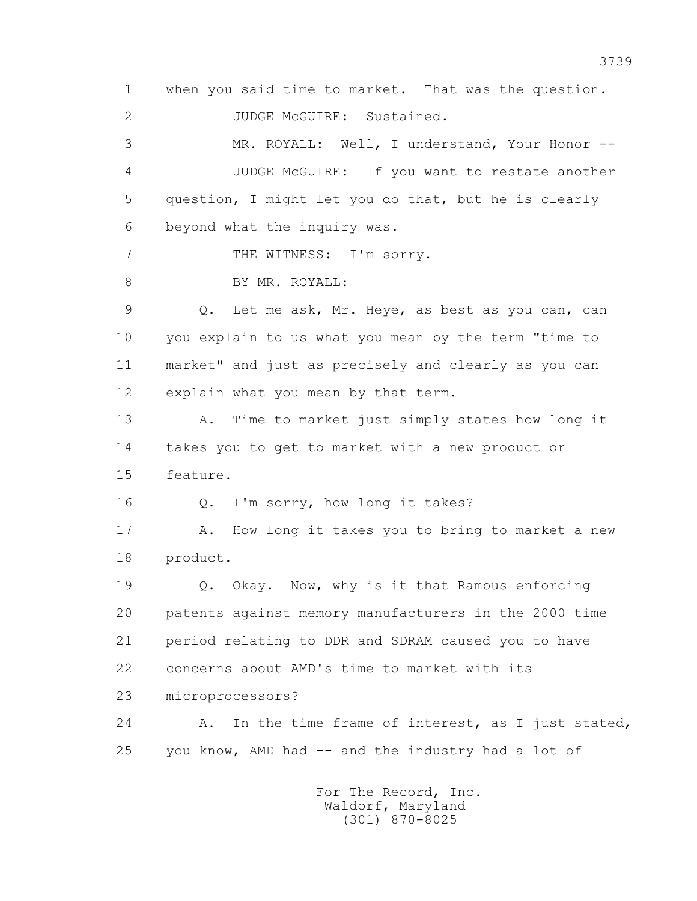1 when you said time to market. That was the question.

2 JUDGE McGUIRE: Sustained.

 3 MR. ROYALL: Well, I understand, Your Honor -- 4 JUDGE McGUIRE: If you want to restate another 5 question, I might let you do that, but he is clearly 6 beyond what the inquiry was.

7 THE WITNESS: I'm sorry.

8 BY MR. ROYALL:

 9 Q. Let me ask, Mr. Heye, as best as you can, can 10 you explain to us what you mean by the term "time to 11 market" and just as precisely and clearly as you can 12 explain what you mean by that term.

 13 A. Time to market just simply states how long it 14 takes you to get to market with a new product or 15 feature.

16 Q. I'm sorry, how long it takes?

17 A. How long it takes you to bring to market a new 18 product.

 19 Q. Okay. Now, why is it that Rambus enforcing 20 patents against memory manufacturers in the 2000 time 21 period relating to DDR and SDRAM caused you to have 22 concerns about AMD's time to market with its

23 microprocessors?

24 A. In the time frame of interest, as I just stated, 25 you know, AMD had -- and the industry had a lot of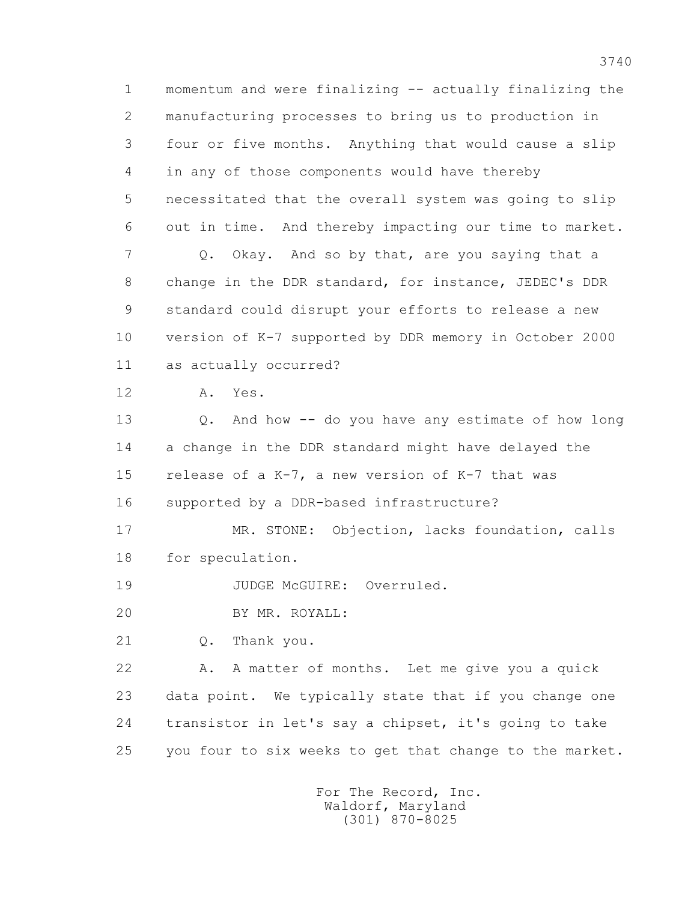1 momentum and were finalizing -- actually finalizing the 2 manufacturing processes to bring us to production in 3 four or five months. Anything that would cause a slip 4 in any of those components would have thereby 5 necessitated that the overall system was going to slip 6 out in time. And thereby impacting our time to market. 7 Q. Okay. And so by that, are you saying that a 8 change in the DDR standard, for instance, JEDEC's DDR 9 standard could disrupt your efforts to release a new 10 version of K-7 supported by DDR memory in October 2000 11 as actually occurred? 12 A. Yes. 13 Q. And how -- do you have any estimate of how long 14 a change in the DDR standard might have delayed the 15 release of a K-7, a new version of K-7 that was 16 supported by a DDR-based infrastructure? 17 MR. STONE: Objection, lacks foundation, calls 18 for speculation. 19 JUDGE McGUIRE: Overruled. 20 BY MR. ROYALL: 21 Q. Thank you. 22 A. A matter of months. Let me give you a quick

23 data point. We typically state that if you change one

24 transistor in let's say a chipset, it's going to take

25 you four to six weeks to get that change to the market.

 For The Record, Inc. Waldorf, Maryland (301) 870-8025

3740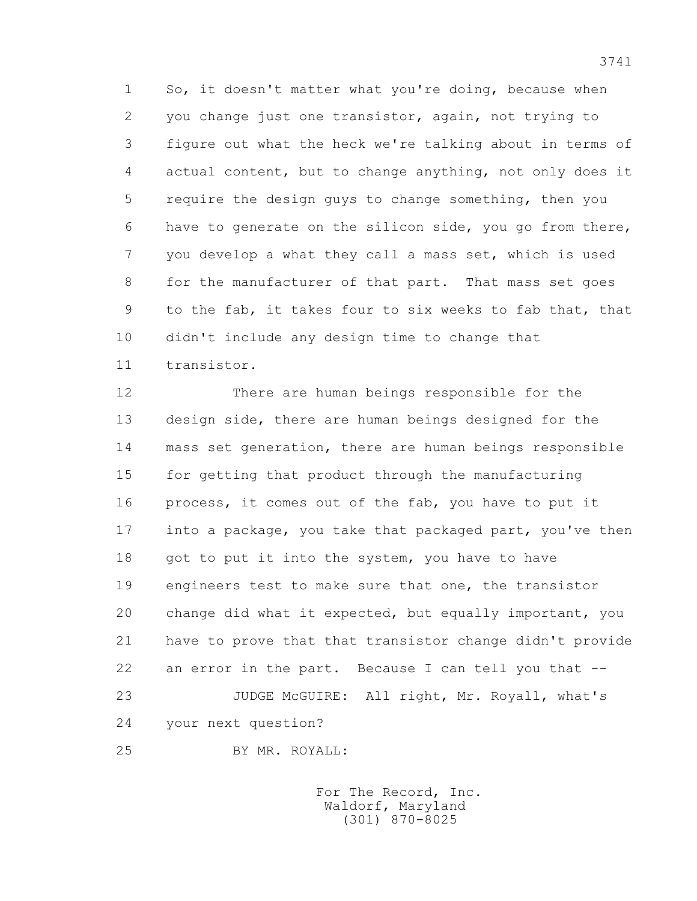1 So, it doesn't matter what you're doing, because when 2 you change just one transistor, again, not trying to 3 figure out what the heck we're talking about in terms of 4 actual content, but to change anything, not only does it 5 require the design guys to change something, then you 6 have to generate on the silicon side, you go from there, 7 you develop a what they call a mass set, which is used 8 for the manufacturer of that part. That mass set goes 9 to the fab, it takes four to six weeks to fab that, that 10 didn't include any design time to change that 11 transistor.

 12 There are human beings responsible for the 13 design side, there are human beings designed for the 14 mass set generation, there are human beings responsible 15 for getting that product through the manufacturing 16 process, it comes out of the fab, you have to put it 17 into a package, you take that packaged part, you've then 18 got to put it into the system, you have to have 19 engineers test to make sure that one, the transistor 20 change did what it expected, but equally important, you 21 have to prove that that transistor change didn't provide 22 an error in the part. Because I can tell you that -- 23 JUDGE McGUIRE: All right, Mr. Royall, what's 24 your next question?

25 BY MR. ROYALL: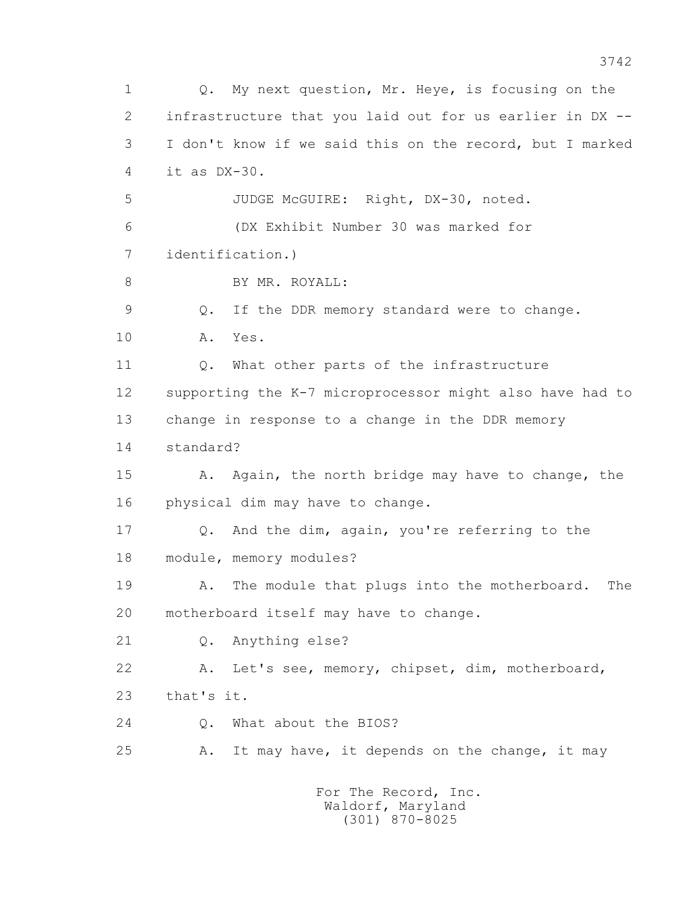1 Q. My next question, Mr. Heye, is focusing on the 2 infrastructure that you laid out for us earlier in DX -- 3 I don't know if we said this on the record, but I marked 4 it as DX-30. 5 JUDGE McGUIRE: Right, DX-30, noted. 6 (DX Exhibit Number 30 was marked for 7 identification.) 8 BY MR. ROYALL: 9 Q. If the DDR memory standard were to change. 10 A. Yes. 11 Q. What other parts of the infrastructure 12 supporting the K-7 microprocessor might also have had to 13 change in response to a change in the DDR memory 14 standard? 15 A. Again, the north bridge may have to change, the 16 physical dim may have to change. 17 Q. And the dim, again, you're referring to the 18 module, memory modules? 19 A. The module that plugs into the motherboard. The 20 motherboard itself may have to change. 21 Q. Anything else? 22 A. Let's see, memory, chipset, dim, motherboard, 23 that's it. 24 Q. What about the BIOS? 25 A. It may have, it depends on the change, it may For The Record, Inc. Waldorf, Maryland

(301) 870-8025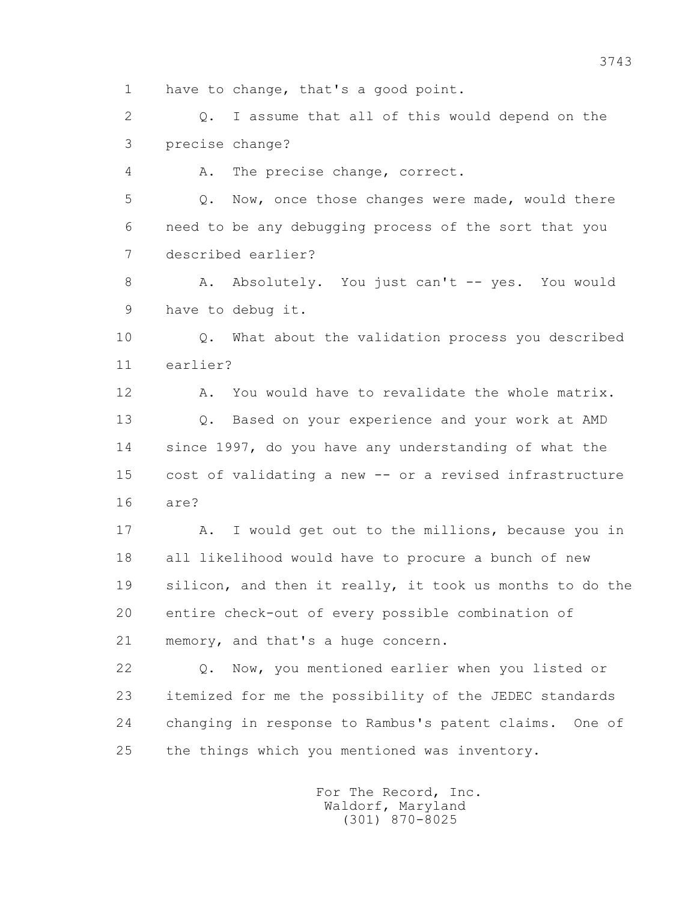1 have to change, that's a good point.

 2 Q. I assume that all of this would depend on the 3 precise change?

4 A. The precise change, correct.

 5 Q. Now, once those changes were made, would there 6 need to be any debugging process of the sort that you 7 described earlier?

8 A. Absolutely. You just can't -- yes. You would 9 have to debug it.

 10 Q. What about the validation process you described 11 earlier?

12 A. You would have to revalidate the whole matrix. 13 Q. Based on your experience and your work at AMD 14 since 1997, do you have any understanding of what the 15 cost of validating a new -- or a revised infrastructure 16 are?

17 A. I would get out to the millions, because you in 18 all likelihood would have to procure a bunch of new 19 silicon, and then it really, it took us months to do the 20 entire check-out of every possible combination of 21 memory, and that's a huge concern.

 22 Q. Now, you mentioned earlier when you listed or 23 itemized for me the possibility of the JEDEC standards 24 changing in response to Rambus's patent claims. One of 25 the things which you mentioned was inventory.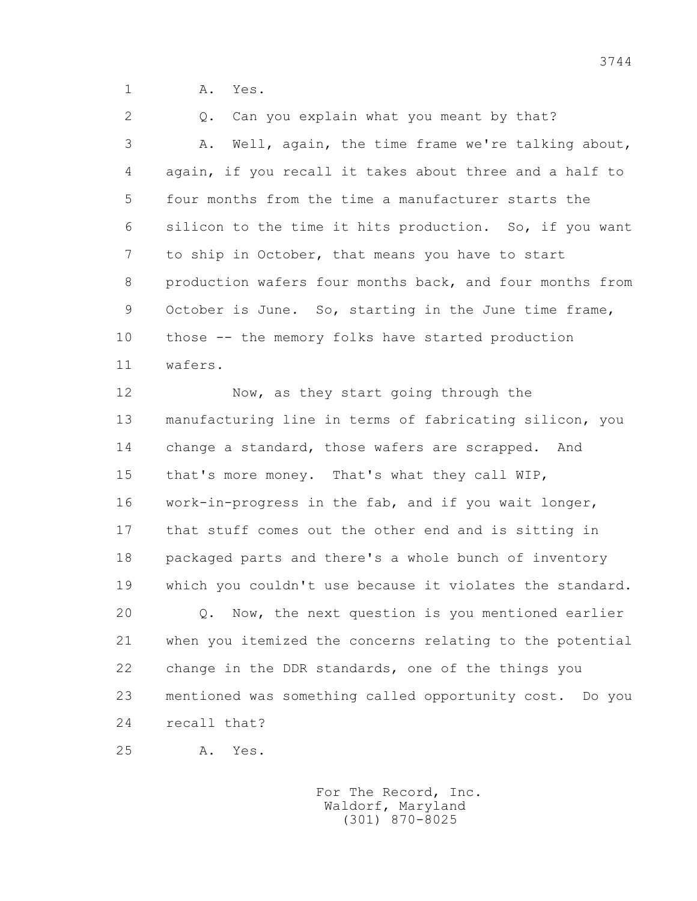1 **A.** Yes.

 2 Q. Can you explain what you meant by that? 3 A. Well, again, the time frame we're talking about, 4 again, if you recall it takes about three and a half to 5 four months from the time a manufacturer starts the 6 silicon to the time it hits production. So, if you want 7 to ship in October, that means you have to start 8 production wafers four months back, and four months from 9 October is June. So, starting in the June time frame, 10 those -- the memory folks have started production 11 wafers.

12 Now, as they start going through the 13 manufacturing line in terms of fabricating silicon, you 14 change a standard, those wafers are scrapped. And 15 that's more money. That's what they call WIP, 16 work-in-progress in the fab, and if you wait longer, 17 that stuff comes out the other end and is sitting in 18 packaged parts and there's a whole bunch of inventory 19 which you couldn't use because it violates the standard. 20 Q. Now, the next question is you mentioned earlier 21 when you itemized the concerns relating to the potential 22 change in the DDR standards, one of the things you 23 mentioned was something called opportunity cost. Do you 24 recall that?

25 A. Yes.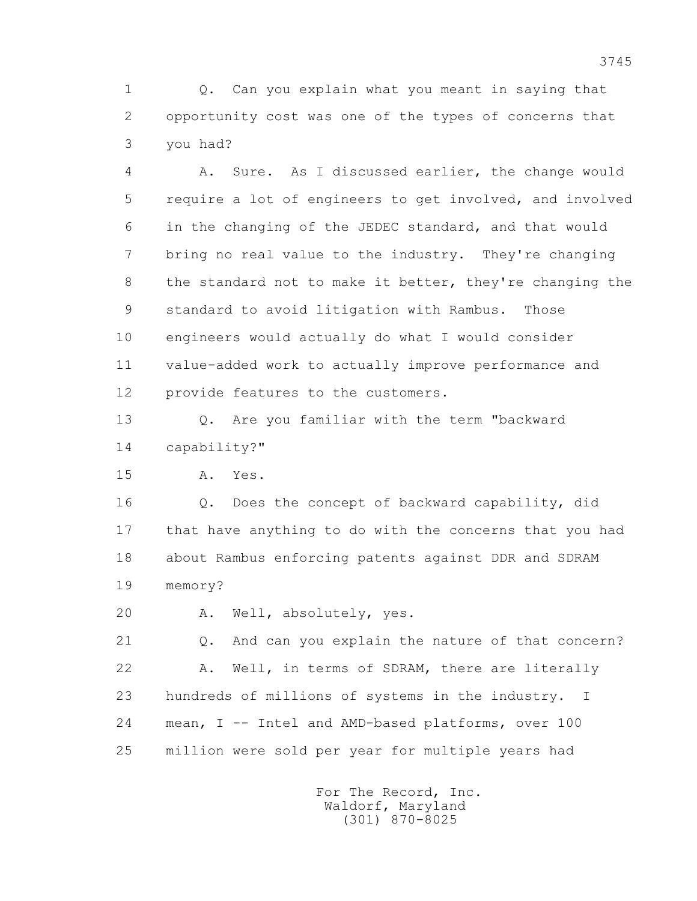1 Q. Can you explain what you meant in saying that 2 opportunity cost was one of the types of concerns that 3 you had?

 4 A. Sure. As I discussed earlier, the change would 5 require a lot of engineers to get involved, and involved 6 in the changing of the JEDEC standard, and that would 7 bring no real value to the industry. They're changing 8 the standard not to make it better, they're changing the 9 standard to avoid litigation with Rambus. Those 10 engineers would actually do what I would consider 11 value-added work to actually improve performance and 12 provide features to the customers.

 13 Q. Are you familiar with the term "backward 14 capability?"

15 A. Yes.

 16 Q. Does the concept of backward capability, did 17 that have anything to do with the concerns that you had 18 about Rambus enforcing patents against DDR and SDRAM 19 memory?

20 A. Well, absolutely, yes.

21 Q. And can you explain the nature of that concern? 22 A. Well, in terms of SDRAM, there are literally 23 hundreds of millions of systems in the industry. I 24 mean, I -- Intel and AMD-based platforms, over 100 25 million were sold per year for multiple years had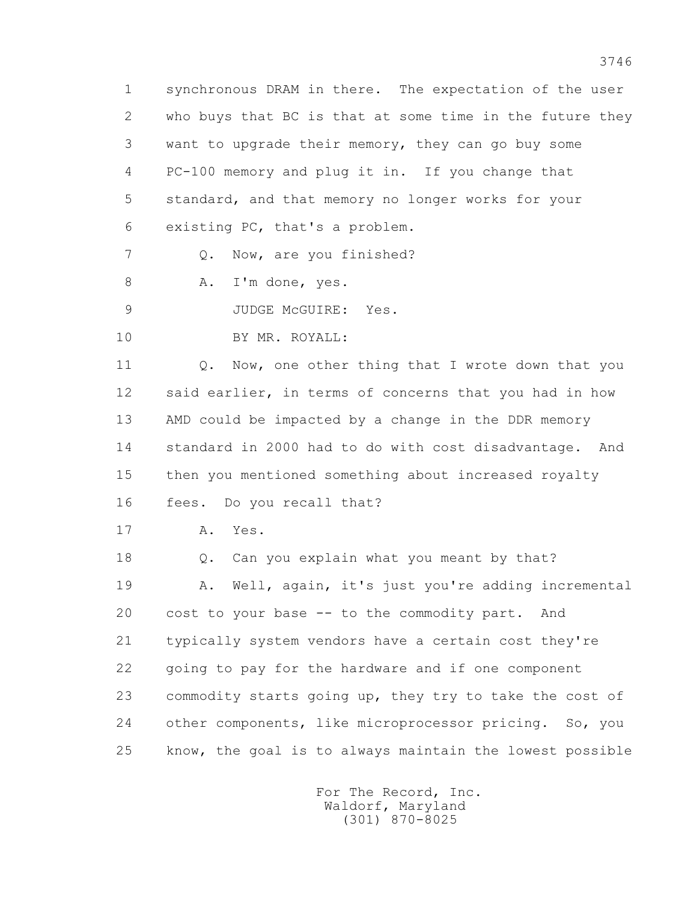1 synchronous DRAM in there. The expectation of the user 2 who buys that BC is that at some time in the future they 3 want to upgrade their memory, they can go buy some 4 PC-100 memory and plug it in. If you change that 5 standard, and that memory no longer works for your 6 existing PC, that's a problem.

7 Q. Now, are you finished?

8 A. I'm done, yes.

9 JUDGE McGUIRE: Yes.

10 BY MR. ROYALL:

11 0. Now, one other thing that I wrote down that you 12 said earlier, in terms of concerns that you had in how 13 AMD could be impacted by a change in the DDR memory 14 standard in 2000 had to do with cost disadvantage. And 15 then you mentioned something about increased royalty 16 fees. Do you recall that?

17 A. Yes.

 18 Q. Can you explain what you meant by that? 19 A. Well, again, it's just you're adding incremental 20 cost to your base -- to the commodity part. And 21 typically system vendors have a certain cost they're 22 going to pay for the hardware and if one component 23 commodity starts going up, they try to take the cost of 24 other components, like microprocessor pricing. So, you 25 know, the goal is to always maintain the lowest possible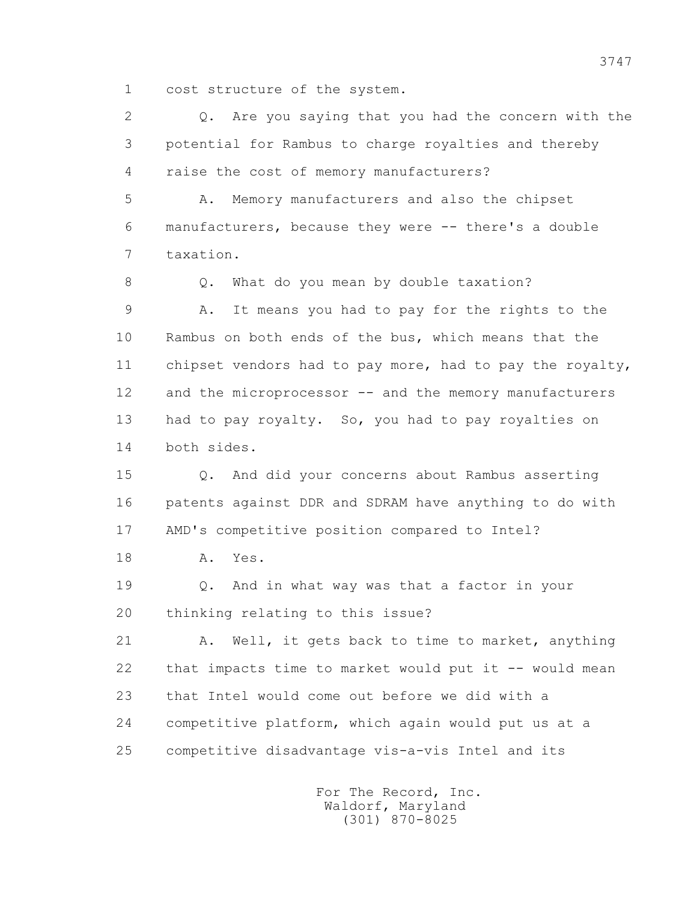1 cost structure of the system.

 2 Q. Are you saying that you had the concern with the 3 potential for Rambus to charge royalties and thereby 4 raise the cost of memory manufacturers?

 5 A. Memory manufacturers and also the chipset 6 manufacturers, because they were -- there's a double 7 taxation.

8 Q. What do you mean by double taxation? 9 A. It means you had to pay for the rights to the 10 Rambus on both ends of the bus, which means that the 11 chipset vendors had to pay more, had to pay the royalty, 12 and the microprocessor -- and the memory manufacturers 13 had to pay royalty. So, you had to pay royalties on 14 both sides.

 15 Q. And did your concerns about Rambus asserting 16 patents against DDR and SDRAM have anything to do with 17 AMD's competitive position compared to Intel?

18 A. Yes.

 19 Q. And in what way was that a factor in your 20 thinking relating to this issue?

 21 A. Well, it gets back to time to market, anything 22 that impacts time to market would put it -- would mean 23 that Intel would come out before we did with a 24 competitive platform, which again would put us at a 25 competitive disadvantage vis-a-vis Intel and its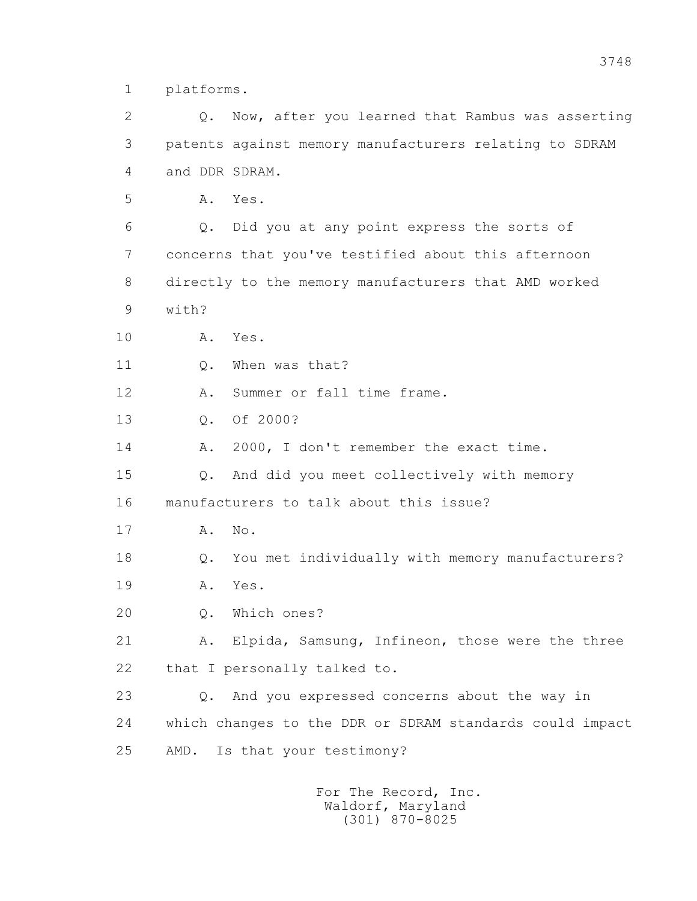1 platforms.

 2 Q. Now, after you learned that Rambus was asserting 3 patents against memory manufacturers relating to SDRAM 4 and DDR SDRAM.

5 A. Yes.

 6 Q. Did you at any point express the sorts of 7 concerns that you've testified about this afternoon 8 directly to the memory manufacturers that AMD worked 9 with?

10 A. Yes.

11 0. When was that?

12 A. Summer or fall time frame.

13 Q. Of 2000?

14 A. 2000, I don't remember the exact time.

 15 Q. And did you meet collectively with memory 16 manufacturers to talk about this issue?

17 A. No.

18 Q. You met individually with memory manufacturers?

19 A. Yes.

20 Q. Which ones?

21 A. Elpida, Samsung, Infineon, those were the three 22 that I personally talked to.

 23 Q. And you expressed concerns about the way in 24 which changes to the DDR or SDRAM standards could impact 25 AMD. Is that your testimony?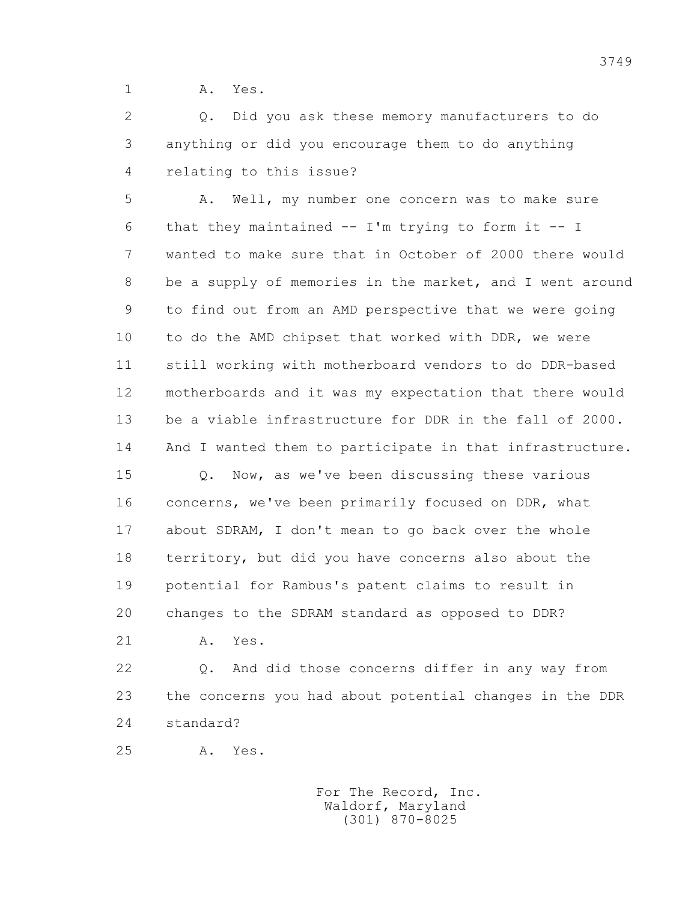1 A. Yes.

 2 Q. Did you ask these memory manufacturers to do 3 anything or did you encourage them to do anything 4 relating to this issue?

 5 A. Well, my number one concern was to make sure 6 that they maintained -- I'm trying to form it -- I 7 wanted to make sure that in October of 2000 there would 8 be a supply of memories in the market, and I went around 9 to find out from an AMD perspective that we were going 10 to do the AMD chipset that worked with DDR, we were 11 still working with motherboard vendors to do DDR-based 12 motherboards and it was my expectation that there would 13 be a viable infrastructure for DDR in the fall of 2000. 14 And I wanted them to participate in that infrastructure.

 15 Q. Now, as we've been discussing these various 16 concerns, we've been primarily focused on DDR, what 17 about SDRAM, I don't mean to go back over the whole 18 territory, but did you have concerns also about the 19 potential for Rambus's patent claims to result in 20 changes to the SDRAM standard as opposed to DDR?

21 A. Yes.

 22 Q. And did those concerns differ in any way from 23 the concerns you had about potential changes in the DDR 24 standard?

25 A. Yes.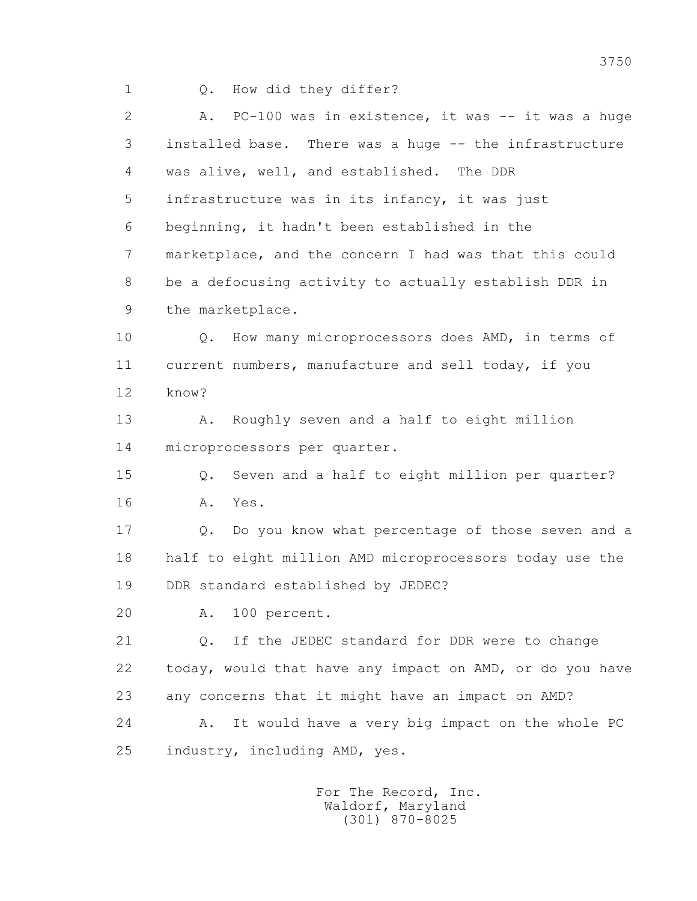1 Q. How did they differ?

2 A. PC-100 was in existence, it was -- it was a huge 3 installed base. There was a huge -- the infrastructure 4 was alive, well, and established. The DDR 5 infrastructure was in its infancy, it was just 6 beginning, it hadn't been established in the 7 marketplace, and the concern I had was that this could 8 be a defocusing activity to actually establish DDR in 9 the marketplace.

 10 Q. How many microprocessors does AMD, in terms of 11 current numbers, manufacture and sell today, if you 12 know?

 13 A. Roughly seven and a half to eight million 14 microprocessors per quarter.

 15 Q. Seven and a half to eight million per quarter? 16 A. Yes.

 17 Q. Do you know what percentage of those seven and a 18 half to eight million AMD microprocessors today use the 19 DDR standard established by JEDEC?

20 A. 100 percent.

 21 Q. If the JEDEC standard for DDR were to change 22 today, would that have any impact on AMD, or do you have 23 any concerns that it might have an impact on AMD? 24 A. It would have a very big impact on the whole PC 25 industry, including AMD, yes.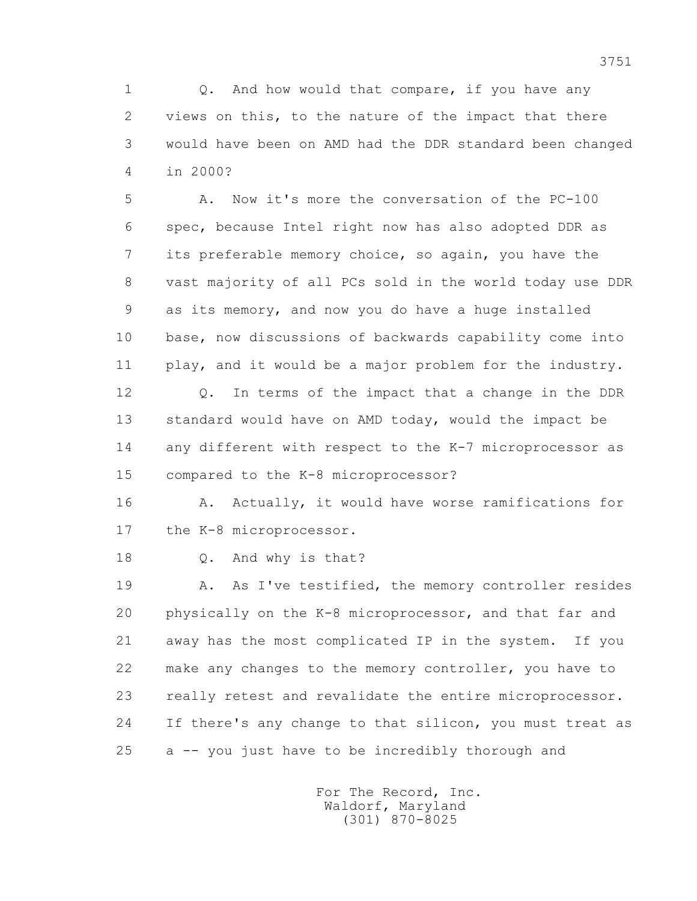1 0. And how would that compare, if you have any 2 views on this, to the nature of the impact that there 3 would have been on AMD had the DDR standard been changed 4 in 2000?

 5 A. Now it's more the conversation of the PC-100 6 spec, because Intel right now has also adopted DDR as 7 its preferable memory choice, so again, you have the 8 vast majority of all PCs sold in the world today use DDR 9 as its memory, and now you do have a huge installed 10 base, now discussions of backwards capability come into 11 play, and it would be a major problem for the industry.

 12 Q. In terms of the impact that a change in the DDR 13 standard would have on AMD today, would the impact be 14 any different with respect to the K-7 microprocessor as 15 compared to the K-8 microprocessor?

16 A. Actually, it would have worse ramifications for 17 the K-8 microprocessor.

18 Q. And why is that?

 19 A. As I've testified, the memory controller resides 20 physically on the K-8 microprocessor, and that far and 21 away has the most complicated IP in the system. If you 22 make any changes to the memory controller, you have to 23 really retest and revalidate the entire microprocessor. 24 If there's any change to that silicon, you must treat as 25 a -- you just have to be incredibly thorough and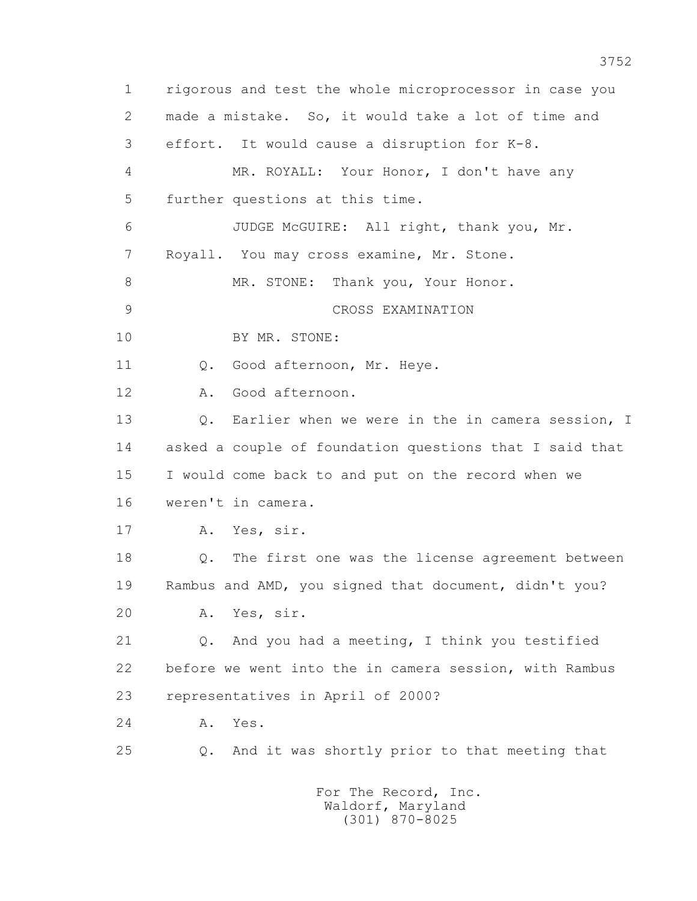1 rigorous and test the whole microprocessor in case you 2 made a mistake. So, it would take a lot of time and 3 effort. It would cause a disruption for K-8. 4 MR. ROYALL: Your Honor, I don't have any 5 further questions at this time. 6 JUDGE McGUIRE: All right, thank you, Mr. 7 Royall. You may cross examine, Mr. Stone. 8 MR. STONE: Thank you, Your Honor. 9 CROSS EXAMINATION 10 BY MR. STONE: 11 0. Good afternoon, Mr. Heye. 12 A. Good afternoon. 13 0. Earlier when we were in the in camera session, I 14 asked a couple of foundation questions that I said that 15 I would come back to and put on the record when we 16 weren't in camera. 17 A. Yes, sir. 18 Q. The first one was the license agreement between 19 Rambus and AMD, you signed that document, didn't you? 20 A. Yes, sir. 21 Q. And you had a meeting, I think you testified 22 before we went into the in camera session, with Rambus 23 representatives in April of 2000? 24 A. Yes. 25 Q. And it was shortly prior to that meeting that For The Record, Inc.

 Waldorf, Maryland (301) 870-8025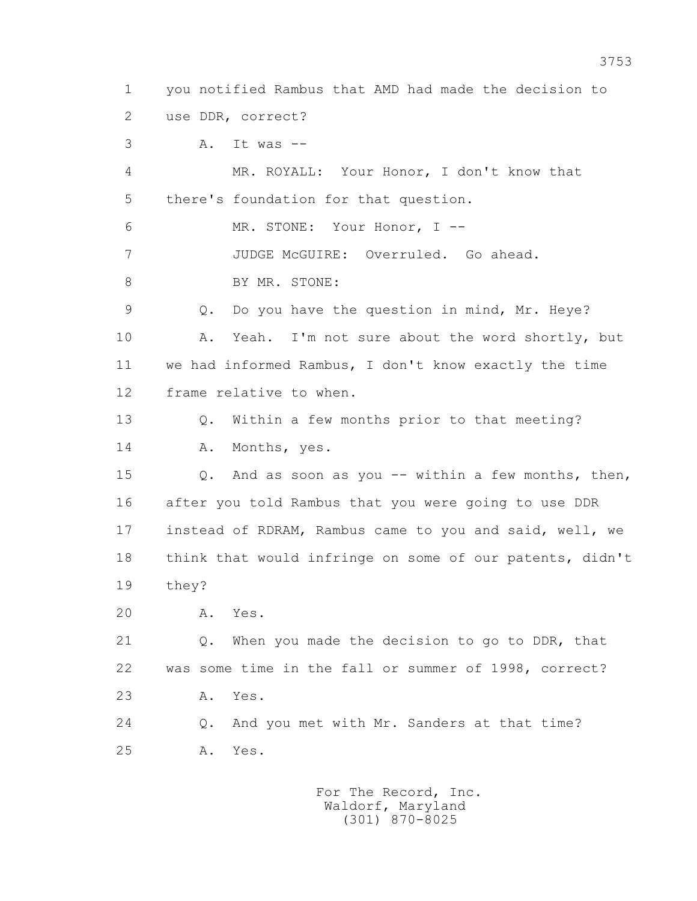1 you notified Rambus that AMD had made the decision to 2 use DDR, correct?

3 A. It was --

 4 MR. ROYALL: Your Honor, I don't know that 5 there's foundation for that question. 6 MR. STONE: Your Honor, I -- 7 JUDGE McGUIRE: Overruled. Go ahead. 8 BY MR. STONE: 9 Q. Do you have the question in mind, Mr. Heye? 10 A. Yeah. I'm not sure about the word shortly, but 11 we had informed Rambus, I don't know exactly the time 12 frame relative to when. 13 Q. Within a few months prior to that meeting? 14 A. Months, yes.

 15 Q. And as soon as you -- within a few months, then, 16 after you told Rambus that you were going to use DDR 17 instead of RDRAM, Rambus came to you and said, well, we 18 think that would infringe on some of our patents, didn't 19 they?

20 A. Yes.

 21 Q. When you made the decision to go to DDR, that 22 was some time in the fall or summer of 1998, correct? 23 A. Yes.

 24 Q. And you met with Mr. Sanders at that time? 25 A. Yes.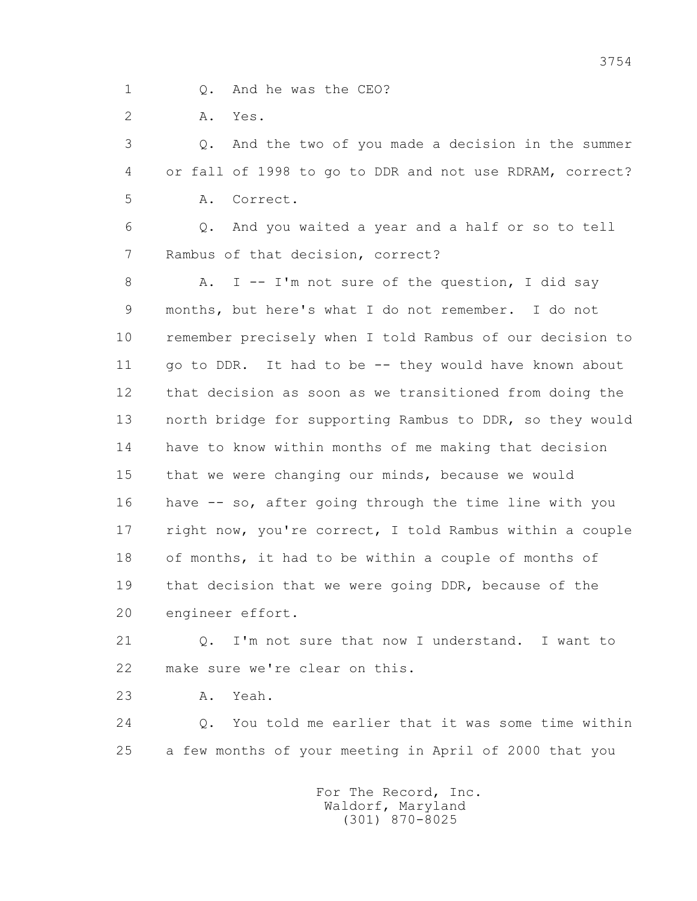1 0. And he was the CEO?

2 A. Yes.

 3 Q. And the two of you made a decision in the summer 4 or fall of 1998 to go to DDR and not use RDRAM, correct? 5 A. Correct.

 6 Q. And you waited a year and a half or so to tell 7 Rambus of that decision, correct?

8 A. I -- I'm not sure of the question, I did say 9 months, but here's what I do not remember. I do not 10 remember precisely when I told Rambus of our decision to 11 go to DDR. It had to be -- they would have known about 12 that decision as soon as we transitioned from doing the 13 north bridge for supporting Rambus to DDR, so they would 14 have to know within months of me making that decision 15 that we were changing our minds, because we would 16 have -- so, after going through the time line with you 17 right now, you're correct, I told Rambus within a couple 18 of months, it had to be within a couple of months of 19 that decision that we were going DDR, because of the 20 engineer effort.

 21 Q. I'm not sure that now I understand. I want to 22 make sure we're clear on this.

23 A. Yeah.

 24 Q. You told me earlier that it was some time within 25 a few months of your meeting in April of 2000 that you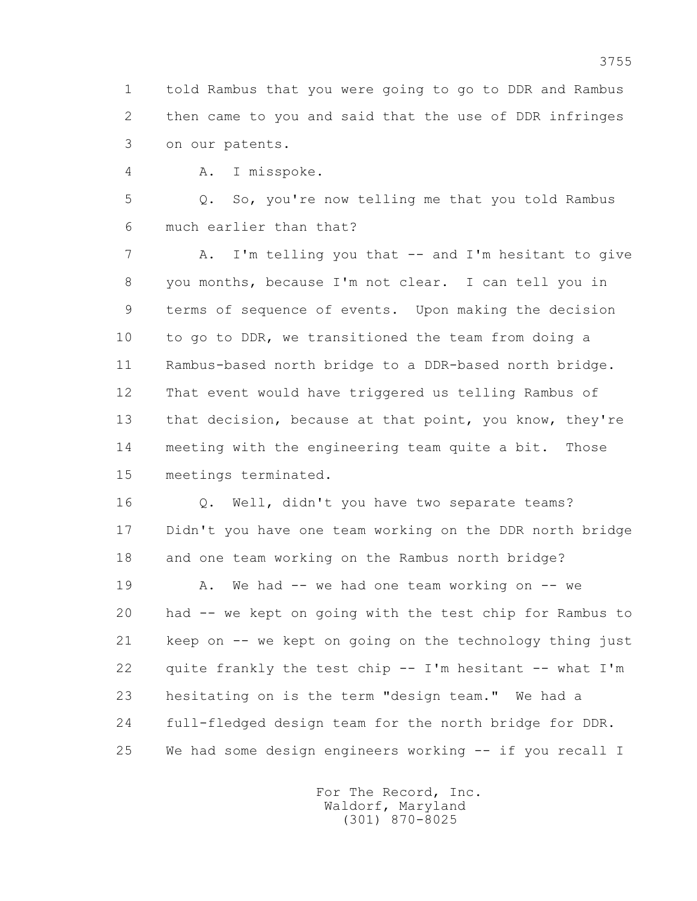1 told Rambus that you were going to go to DDR and Rambus 2 then came to you and said that the use of DDR infringes 3 on our patents.

4 A. I misspoke.

 5 Q. So, you're now telling me that you told Rambus 6 much earlier than that?

 7 A. I'm telling you that -- and I'm hesitant to give 8 you months, because I'm not clear. I can tell you in 9 terms of sequence of events. Upon making the decision 10 to go to DDR, we transitioned the team from doing a 11 Rambus-based north bridge to a DDR-based north bridge. 12 That event would have triggered us telling Rambus of 13 that decision, because at that point, you know, they're 14 meeting with the engineering team quite a bit. Those 15 meetings terminated.

 16 Q. Well, didn't you have two separate teams? 17 Didn't you have one team working on the DDR north bridge 18 and one team working on the Rambus north bridge?

 19 A. We had -- we had one team working on -- we 20 had -- we kept on going with the test chip for Rambus to 21 keep on -- we kept on going on the technology thing just 22 quite frankly the test chip -- I'm hesitant -- what I'm 23 hesitating on is the term "design team." We had a 24 full-fledged design team for the north bridge for DDR. 25 We had some design engineers working -- if you recall I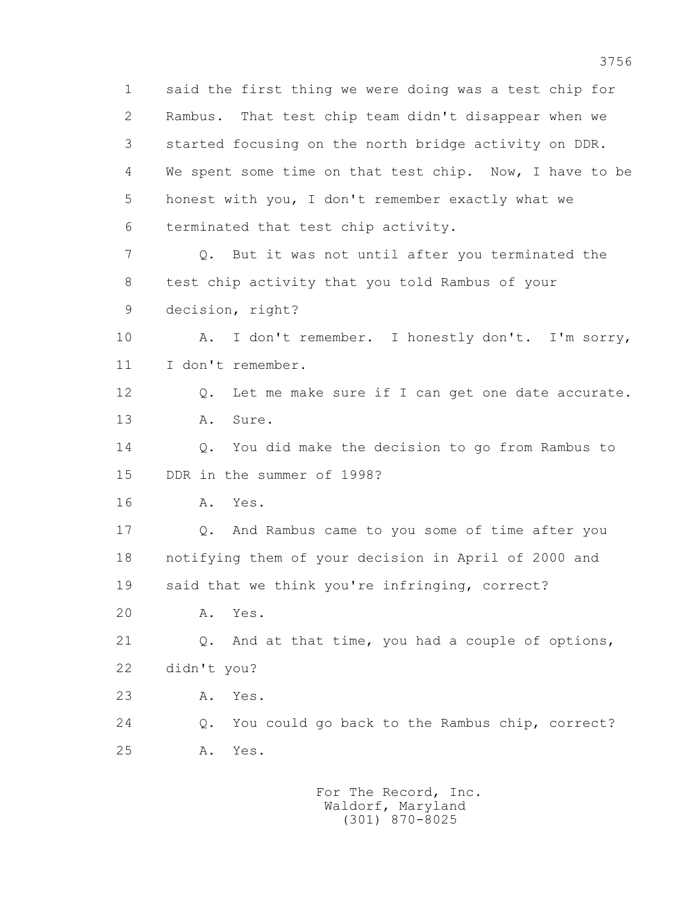1 said the first thing we were doing was a test chip for 2 Rambus. That test chip team didn't disappear when we 3 started focusing on the north bridge activity on DDR. 4 We spent some time on that test chip. Now, I have to be 5 honest with you, I don't remember exactly what we 6 terminated that test chip activity. 7 Q. But it was not until after you terminated the 8 test chip activity that you told Rambus of your 9 decision, right? 10 A. I don't remember. I honestly don't. I'm sorry, 11 I don't remember. 12 Q. Let me make sure if I can get one date accurate. 13 A. Sure. 14 Q. You did make the decision to go from Rambus to 15 DDR in the summer of 1998? 16 A. Yes. 17 Q. And Rambus came to you some of time after you 18 notifying them of your decision in April of 2000 and 19 said that we think you're infringing, correct? 20 A. Yes. 21 Q. And at that time, you had a couple of options, 22 didn't you? 23 A. Yes. 24 Q. You could go back to the Rambus chip, correct? 25 A. Yes.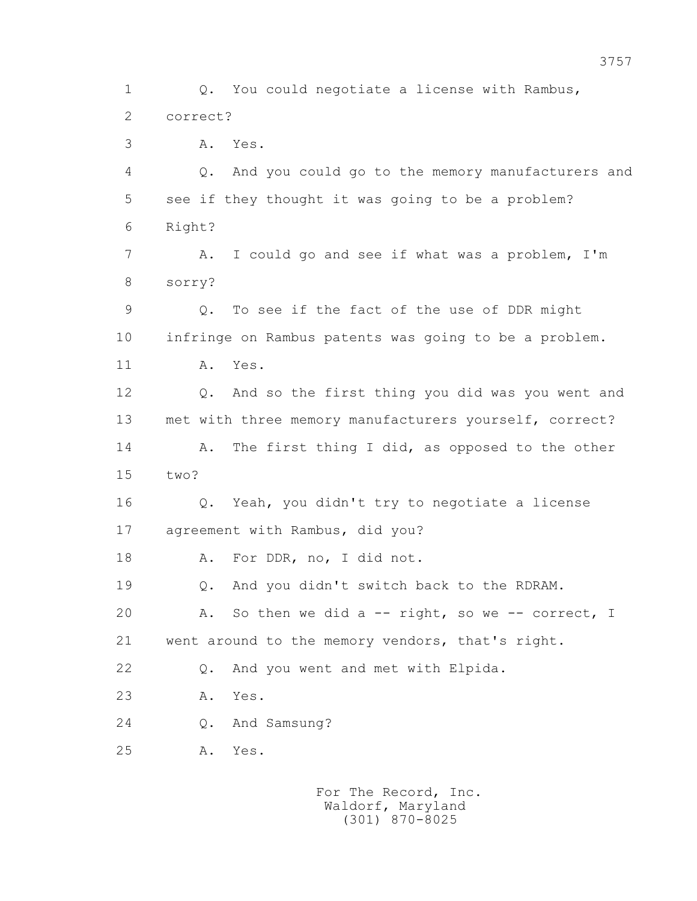1 Q. You could negotiate a license with Rambus, 2 correct? 3 A. Yes. 4 Q. And you could go to the memory manufacturers and 5 see if they thought it was going to be a problem? 6 Right? 7 A. I could go and see if what was a problem, I'm 8 sorry? 9 Q. To see if the fact of the use of DDR might 10 infringe on Rambus patents was going to be a problem. 11 A. Yes. 12 Q. And so the first thing you did was you went and 13 met with three memory manufacturers yourself, correct? 14 A. The first thing I did, as opposed to the other 15 two? 16 Q. Yeah, you didn't try to negotiate a license 17 agreement with Rambus, did you? 18 A. For DDR, no, I did not. 19 Q. And you didn't switch back to the RDRAM. 20 A. So then we did a -- right, so we -- correct, I 21 went around to the memory vendors, that's right. 22 Q. And you went and met with Elpida. 23 A. Yes. 24 Q. And Samsung? 25 A. Yes.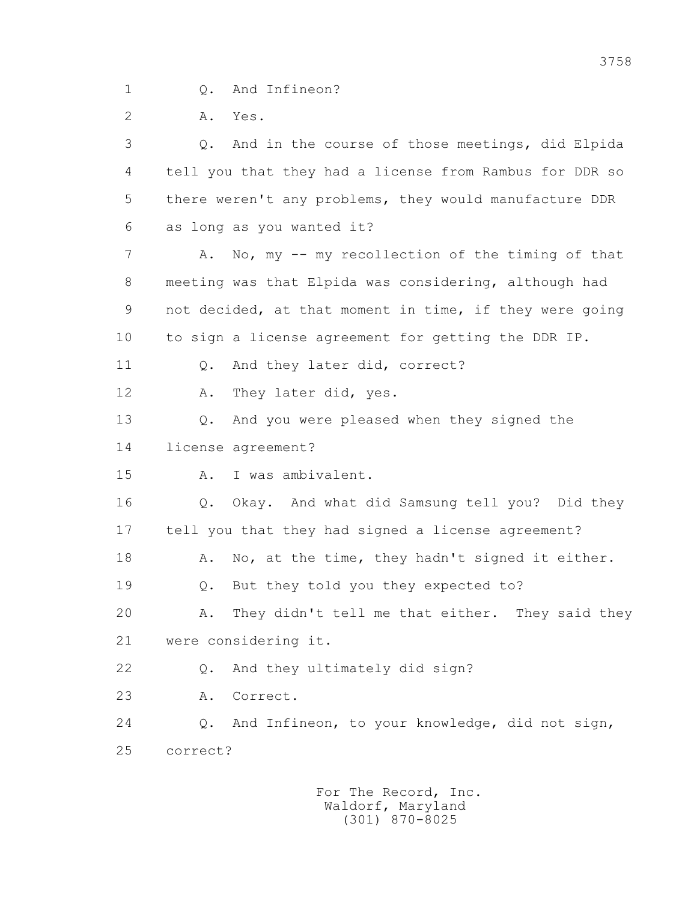1 Q. And Infineon?

2 A. Yes.

 3 Q. And in the course of those meetings, did Elpida 4 tell you that they had a license from Rambus for DDR so 5 there weren't any problems, they would manufacture DDR 6 as long as you wanted it? 7 A. No, my -- my recollection of the timing of that 8 meeting was that Elpida was considering, although had 9 not decided, at that moment in time, if they were going 10 to sign a license agreement for getting the DDR IP. 11 0. And they later did, correct? 12 A. They later did, yes. 13 Q. And you were pleased when they signed the 14 license agreement? 15 A. I was ambivalent. 16 Q. Okay. And what did Samsung tell you? Did they 17 tell you that they had signed a license agreement? 18 A. No, at the time, they hadn't signed it either. 19 Q. But they told you they expected to? 20 A. They didn't tell me that either. They said they 21 were considering it. 22 Q. And they ultimately did sign? 23 A. Correct. 24 Q. And Infineon, to your knowledge, did not sign, 25 correct?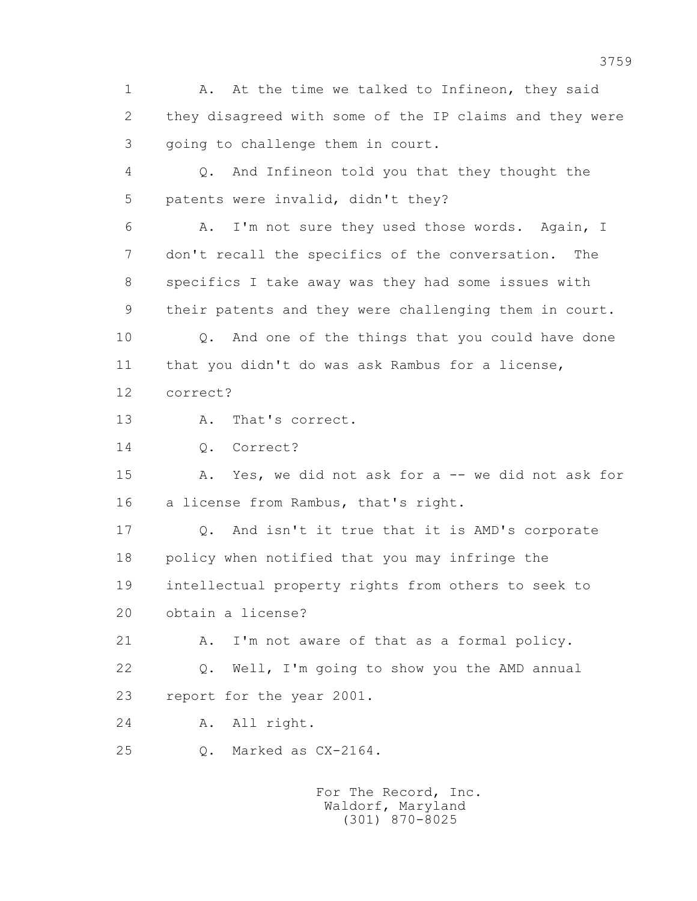1 A. At the time we talked to Infineon, they said 2 they disagreed with some of the IP claims and they were 3 going to challenge them in court.

 4 Q. And Infineon told you that they thought the 5 patents were invalid, didn't they?

 6 A. I'm not sure they used those words. Again, I 7 don't recall the specifics of the conversation. The 8 specifics I take away was they had some issues with 9 their patents and they were challenging them in court.

 10 Q. And one of the things that you could have done 11 that you didn't do was ask Rambus for a license, 12 correct?

13 A. That's correct.

14 Q. Correct?

 15 A. Yes, we did not ask for a -- we did not ask for 16 a license from Rambus, that's right.

 17 Q. And isn't it true that it is AMD's corporate 18 policy when notified that you may infringe the 19 intellectual property rights from others to seek to 20 obtain a license?

21 A. I'm not aware of that as a formal policy.

 22 Q. Well, I'm going to show you the AMD annual 23 report for the year 2001.

24 A. All right.

25 Q. Marked as CX-2164.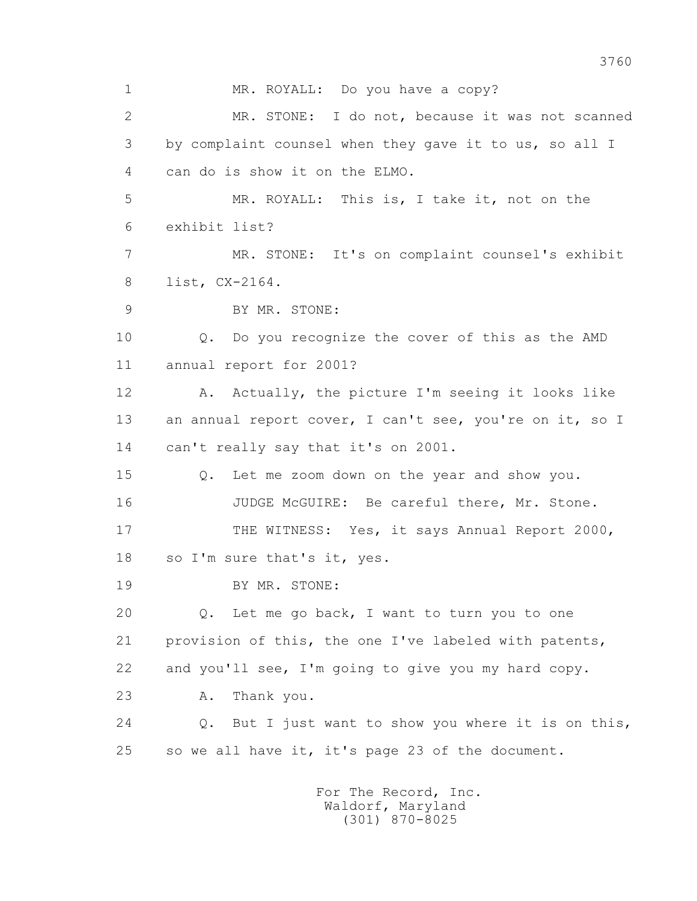1 MR. ROYALL: Do you have a copy? 2 MR. STONE: I do not, because it was not scanned 3 by complaint counsel when they gave it to us, so all I 4 can do is show it on the ELMO. 5 MR. ROYALL: This is, I take it, not on the 6 exhibit list? 7 MR. STONE: It's on complaint counsel's exhibit 8 list, CX-2164. 9 BY MR. STONE: 10 Q. Do you recognize the cover of this as the AMD 11 annual report for 2001? 12 A. Actually, the picture I'm seeing it looks like 13 an annual report cover, I can't see, you're on it, so I 14 can't really say that it's on 2001. 15 Q. Let me zoom down on the year and show you. 16 JUDGE McGUIRE: Be careful there, Mr. Stone. 17 THE WITNESS: Yes, it says Annual Report 2000, 18 so I'm sure that's it, yes. 19 BY MR. STONE: 20 Q. Let me go back, I want to turn you to one 21 provision of this, the one I've labeled with patents, 22 and you'll see, I'm going to give you my hard copy. 23 A. Thank you. 24 Q. But I just want to show you where it is on this, 25 so we all have it, it's page 23 of the document.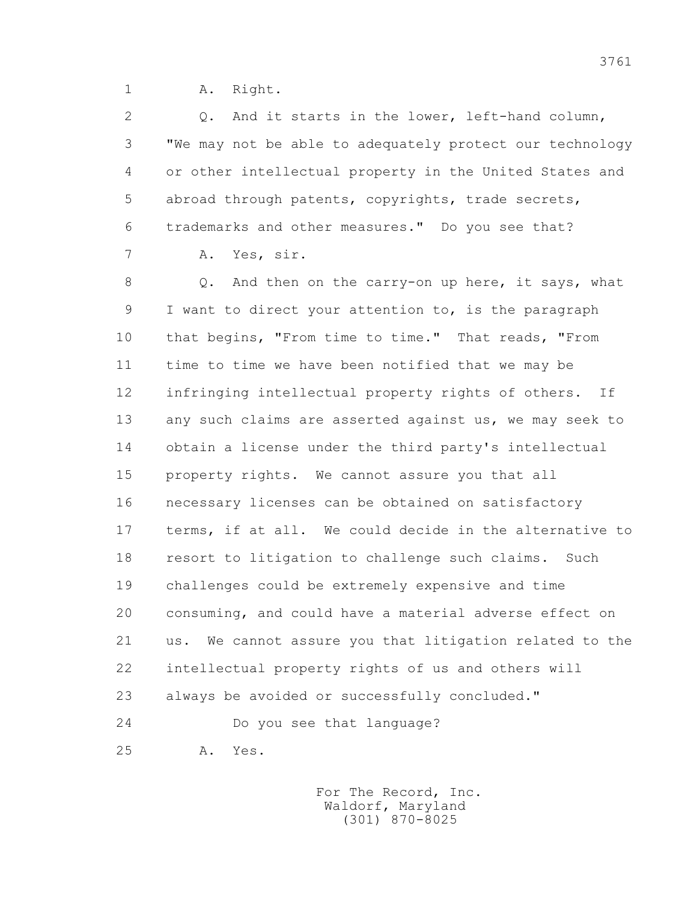1 A. Right.

 2 Q. And it starts in the lower, left-hand column, 3 "We may not be able to adequately protect our technology 4 or other intellectual property in the United States and 5 abroad through patents, copyrights, trade secrets, 6 trademarks and other measures." Do you see that? 7 A. Yes, sir.

8 Q. And then on the carry-on up here, it says, what 9 I want to direct your attention to, is the paragraph 10 that begins, "From time to time." That reads, "From 11 time to time we have been notified that we may be 12 infringing intellectual property rights of others. If 13 any such claims are asserted against us, we may seek to 14 obtain a license under the third party's intellectual 15 property rights. We cannot assure you that all 16 necessary licenses can be obtained on satisfactory 17 terms, if at all. We could decide in the alternative to 18 resort to litigation to challenge such claims. Such 19 challenges could be extremely expensive and time 20 consuming, and could have a material adverse effect on 21 us. We cannot assure you that litigation related to the 22 intellectual property rights of us and others will 23 always be avoided or successfully concluded." 24 Do you see that language? 25 A. Yes.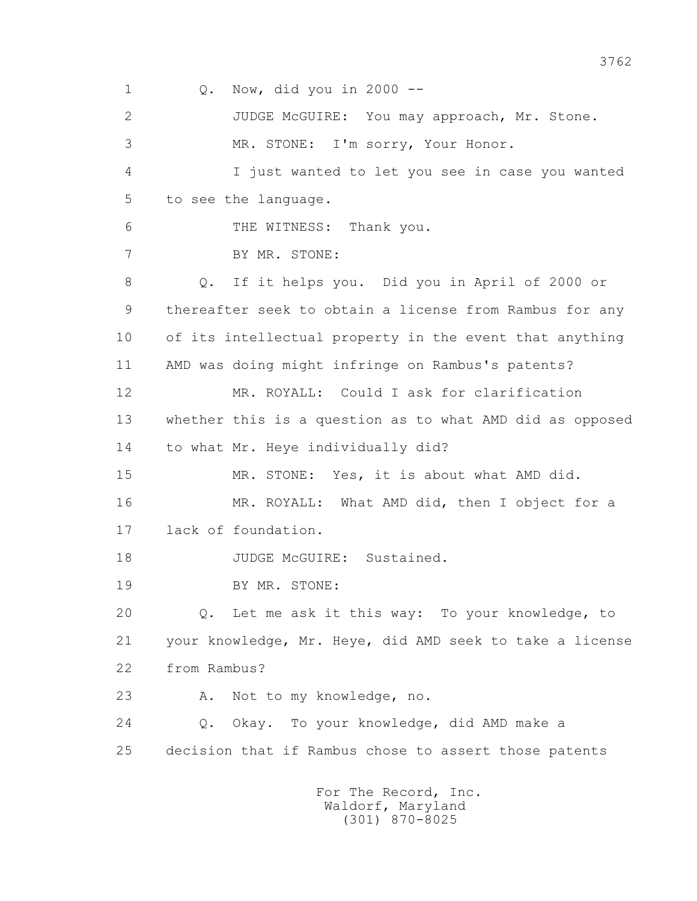1 Q. Now, did you in 2000 -- 2 JUDGE McGUIRE: You may approach, Mr. Stone. 3 MR. STONE: I'm sorry, Your Honor. 4 I just wanted to let you see in case you wanted 5 to see the language. 6 THE WITNESS: Thank you. 7 BY MR. STONE: 8 Q. If it helps you. Did you in April of 2000 or 9 thereafter seek to obtain a license from Rambus for any 10 of its intellectual property in the event that anything 11 AMD was doing might infringe on Rambus's patents? 12 MR. ROYALL: Could I ask for clarification 13 whether this is a question as to what AMD did as opposed 14 to what Mr. Heye individually did? 15 MR. STONE: Yes, it is about what AMD did. 16 MR. ROYALL: What AMD did, then I object for a 17 lack of foundation. 18 JUDGE McGUIRE: Sustained. 19 BY MR. STONE: 20 Q. Let me ask it this way: To your knowledge, to 21 your knowledge, Mr. Heye, did AMD seek to take a license 22 from Rambus? 23 A. Not to my knowledge, no. 24 Q. Okay. To your knowledge, did AMD make a 25 decision that if Rambus chose to assert those patents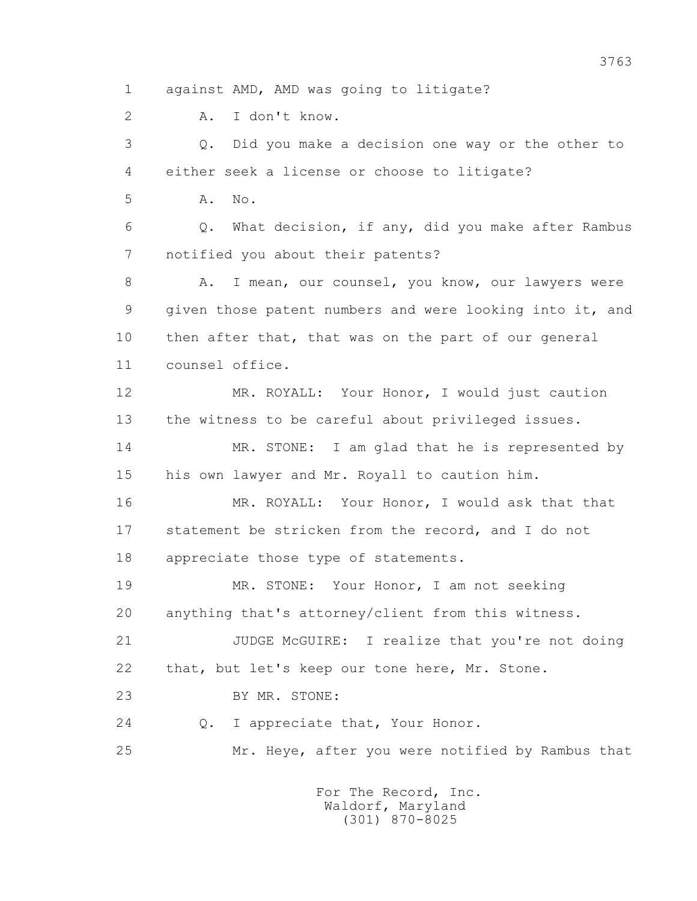1 against AMD, AMD was going to litigate?

2 A. I don't know.

 3 Q. Did you make a decision one way or the other to 4 either seek a license or choose to litigate?

5 A. No.

 6 Q. What decision, if any, did you make after Rambus 7 notified you about their patents?

8 A. I mean, our counsel, you know, our lawyers were 9 given those patent numbers and were looking into it, and 10 then after that, that was on the part of our general 11 counsel office.

 12 MR. ROYALL: Your Honor, I would just caution 13 the witness to be careful about privileged issues.

 14 MR. STONE: I am glad that he is represented by 15 his own lawyer and Mr. Royall to caution him.

 16 MR. ROYALL: Your Honor, I would ask that that 17 statement be stricken from the record, and I do not 18 appreciate those type of statements.

 19 MR. STONE: Your Honor, I am not seeking 20 anything that's attorney/client from this witness.

 21 JUDGE McGUIRE: I realize that you're not doing 22 that, but let's keep our tone here, Mr. Stone.

23 BY MR. STONE:

24 Q. I appreciate that, Your Honor.

25 Mr. Heye, after you were notified by Rambus that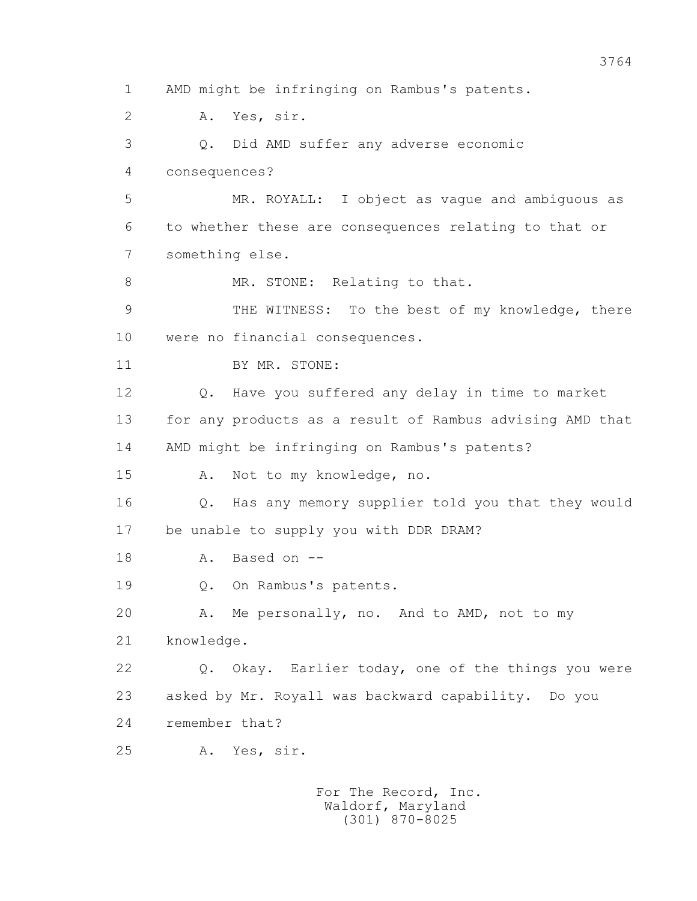1 AMD might be infringing on Rambus's patents. 2 A. Yes, sir. 3 Q. Did AMD suffer any adverse economic 4 consequences? 5 MR. ROYALL: I object as vague and ambiguous as 6 to whether these are consequences relating to that or 7 something else. 8 MR. STONE: Relating to that. 9 THE WITNESS: To the best of my knowledge, there 10 were no financial consequences. 11 BY MR. STONE: 12 Q. Have you suffered any delay in time to market 13 for any products as a result of Rambus advising AMD that 14 AMD might be infringing on Rambus's patents? 15 A. Not to my knowledge, no. 16 Q. Has any memory supplier told you that they would 17 be unable to supply you with DDR DRAM? 18 A. Based on -- 19 Q. On Rambus's patents. 20 A. Me personally, no. And to AMD, not to my 21 knowledge. 22 Q. Okay. Earlier today, one of the things you were 23 asked by Mr. Royall was backward capability. Do you 24 remember that? 25 A. Yes, sir.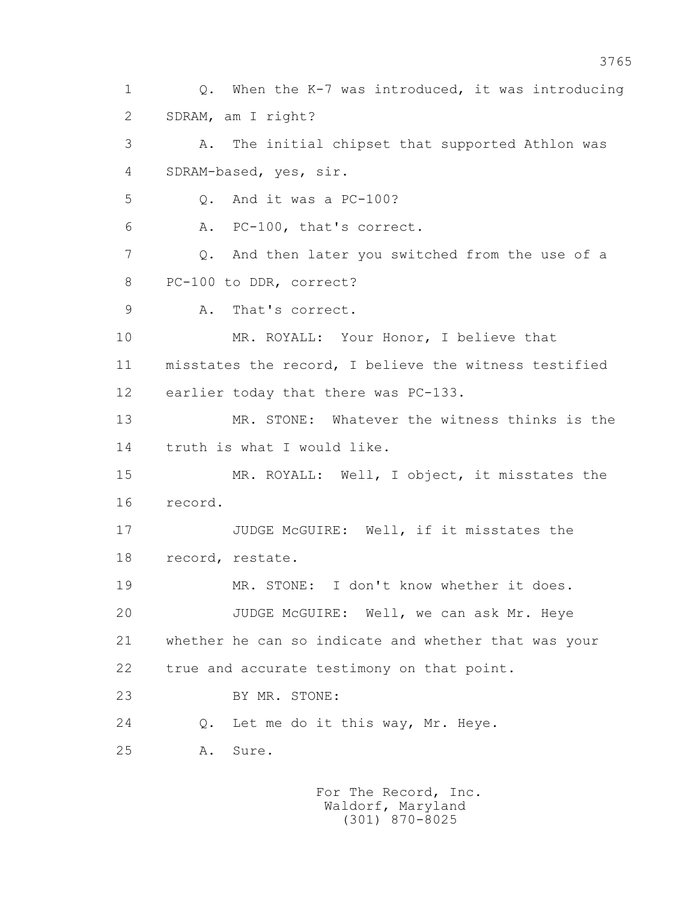1 Q. When the K-7 was introduced, it was introducing 2 SDRAM, am I right? 3 A. The initial chipset that supported Athlon was 4 SDRAM-based, yes, sir. 5 Q. And it was a PC-100? 6 A. PC-100, that's correct. 7 Q. And then later you switched from the use of a 8 PC-100 to DDR, correct? 9 A. That's correct. 10 MR. ROYALL: Your Honor, I believe that 11 misstates the record, I believe the witness testified 12 earlier today that there was PC-133. 13 MR. STONE: Whatever the witness thinks is the 14 truth is what I would like. 15 MR. ROYALL: Well, I object, it misstates the 16 record. 17 **JUDGE McGUIRE:** Well, if it misstates the 18 record, restate. 19 MR. STONE: I don't know whether it does. 20 JUDGE McGUIRE: Well, we can ask Mr. Heye 21 whether he can so indicate and whether that was your 22 true and accurate testimony on that point. 23 BY MR. STONE: 24 Q. Let me do it this way, Mr. Heye. 25 A. Sure.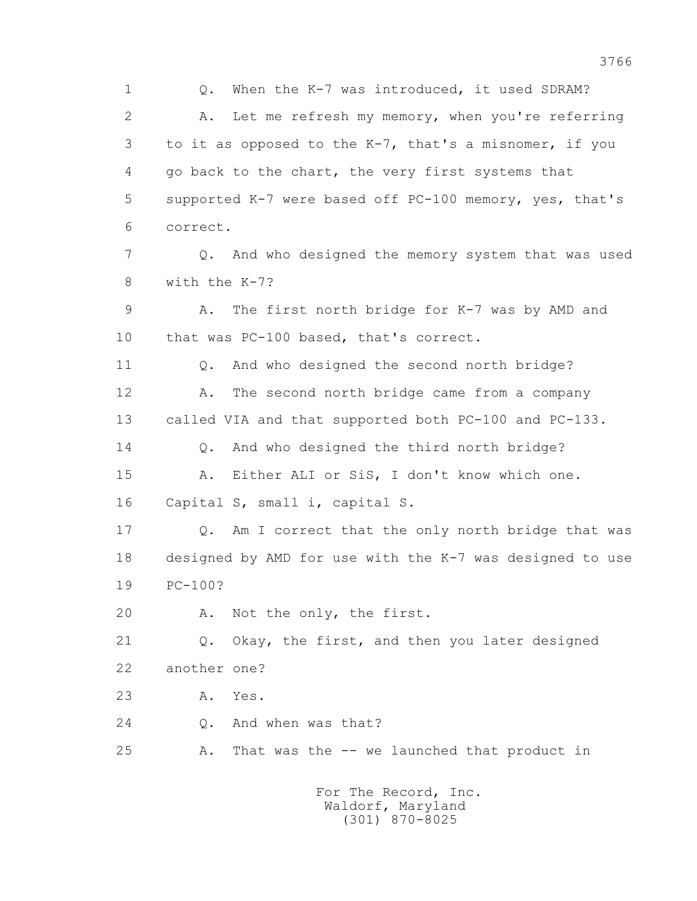1 Q. When the K-7 was introduced, it used SDRAM? 2 A. Let me refresh my memory, when you're referring 3 to it as opposed to the K-7, that's a misnomer, if you 4 go back to the chart, the very first systems that 5 supported K-7 were based off PC-100 memory, yes, that's 6 correct. 7 Q. And who designed the memory system that was used 8 with the K-7? 9 A. The first north bridge for K-7 was by AMD and 10 that was PC-100 based, that's correct. 11 Q. And who designed the second north bridge? 12 A. The second north bridge came from a company 13 called VIA and that supported both PC-100 and PC-133. 14 Q. And who designed the third north bridge? 15 A. Either ALI or SiS, I don't know which one. 16 Capital S, small i, capital S. 17 Q. Am I correct that the only north bridge that was 18 designed by AMD for use with the K-7 was designed to use 19 PC-100? 20 A. Not the only, the first. 21 Q. Okay, the first, and then you later designed 22 another one? 23 A. Yes. 24 Q. And when was that? 25 A. That was the -- we launched that product in For The Record, Inc.

 Waldorf, Maryland (301) 870-8025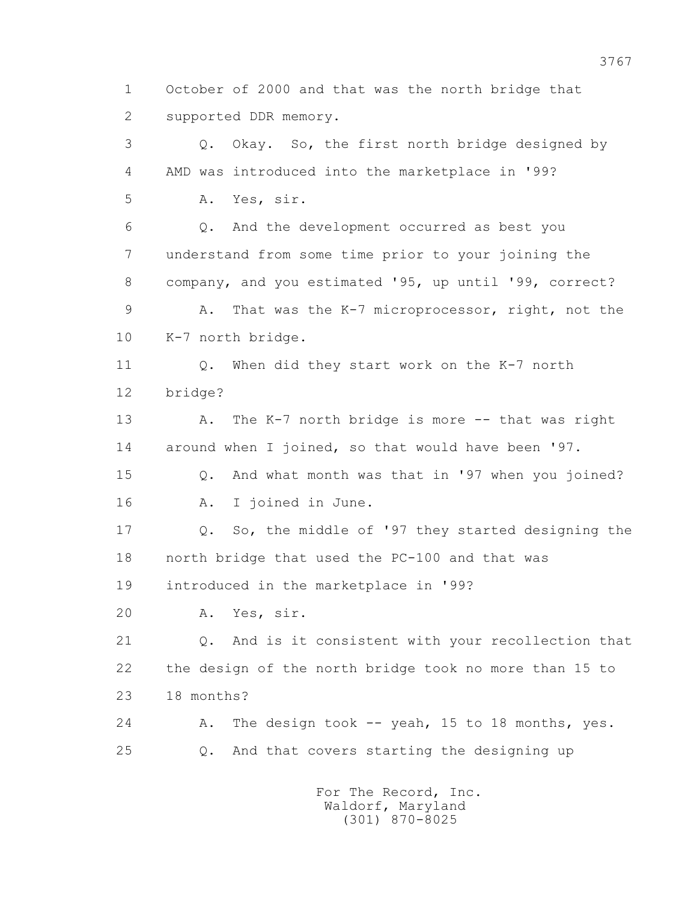1 October of 2000 and that was the north bridge that 2 supported DDR memory.

 3 Q. Okay. So, the first north bridge designed by 4 AMD was introduced into the marketplace in '99? 5 A. Yes, sir. 6 Q. And the development occurred as best you 7 understand from some time prior to your joining the 8 company, and you estimated '95, up until '99, correct? 9 A. That was the K-7 microprocessor, right, not the 10 K-7 north bridge. 11 Q. When did they start work on the K-7 north 12 bridge? 13 A. The K-7 north bridge is more -- that was right 14 around when I joined, so that would have been '97. 15 Q. And what month was that in '97 when you joined? 16 A. I joined in June. 17 Q. So, the middle of '97 they started designing the 18 north bridge that used the PC-100 and that was 19 introduced in the marketplace in '99? 20 A. Yes, sir. 21 Q. And is it consistent with your recollection that 22 the design of the north bridge took no more than 15 to 23 18 months? 24 A. The design took -- yeah, 15 to 18 months, yes. 25 Q. And that covers starting the designing up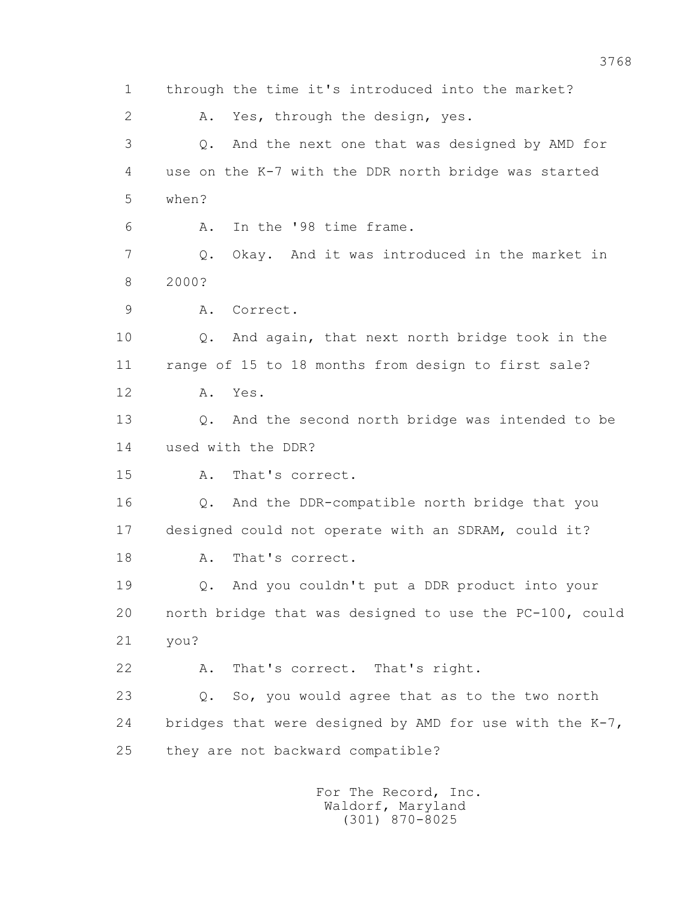1 through the time it's introduced into the market? 2 A. Yes, through the design, yes. 3 Q. And the next one that was designed by AMD for 4 use on the K-7 with the DDR north bridge was started 5 when? 6 A. In the '98 time frame. 7 Q. Okay. And it was introduced in the market in 8 2000? 9 A. Correct. 10 Q. And again, that next north bridge took in the 11 range of 15 to 18 months from design to first sale? 12 A. Yes. 13 Q. And the second north bridge was intended to be 14 used with the DDR? 15 A. That's correct. 16 Q. And the DDR-compatible north bridge that you 17 designed could not operate with an SDRAM, could it? 18 A. That's correct. 19 Q. And you couldn't put a DDR product into your 20 north bridge that was designed to use the PC-100, could 21 you? 22 A. That's correct. That's right. 23 Q. So, you would agree that as to the two north 24 bridges that were designed by AMD for use with the K-7, 25 they are not backward compatible? For The Record, Inc.

 Waldorf, Maryland (301) 870-8025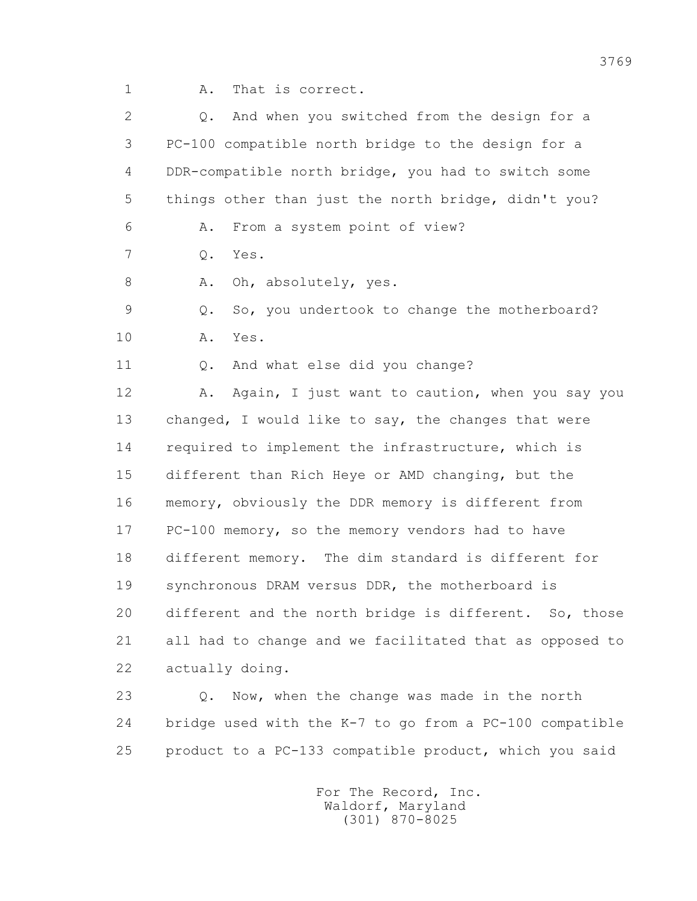1 A. That is correct.

| $\overline{2}$ | And when you switched from the design for a<br>$Q$ .    |
|----------------|---------------------------------------------------------|
| 3              | PC-100 compatible north bridge to the design for a      |
| 4              | DDR-compatible north bridge, you had to switch some     |
| 5              | things other than just the north bridge, didn't you?    |
| 6              | From a system point of view?<br>Α.                      |
| 7              | $Q$ .<br>Yes.                                           |
| 8              | Oh, absolutely, yes.<br>Α.                              |
| 9              | So, you undertook to change the motherboard?<br>$Q$ .   |
| 10             | Yes.<br>Α.                                              |
| 11             | And what else did you change?<br>$Q$ .                  |
| 12             | Again, I just want to caution, when you say you<br>Α.   |
| 13             | changed, I would like to say, the changes that were     |
| 14             | required to implement the infrastructure, which is      |
| 15             | different than Rich Heye or AMD changing, but the       |
| 16             | memory, obviously the DDR memory is different from      |
| 17             | PC-100 memory, so the memory vendors had to have        |
| 18             | different memory. The dim standard is different for     |
| 19             | synchronous DRAM versus DDR, the motherboard is         |
| 20             | different and the north bridge is different. So, those  |
| 21             | all had to change and we facilitated that as opposed to |
| 22             | actually doing.                                         |
| 23             | Now, when the change was made in the north<br>$Q$ .     |
| 24             | bridge used with the K-7 to go from a PC-100 compatible |
| 25             | product to a PC-133 compatible product, which you said  |
|                |                                                         |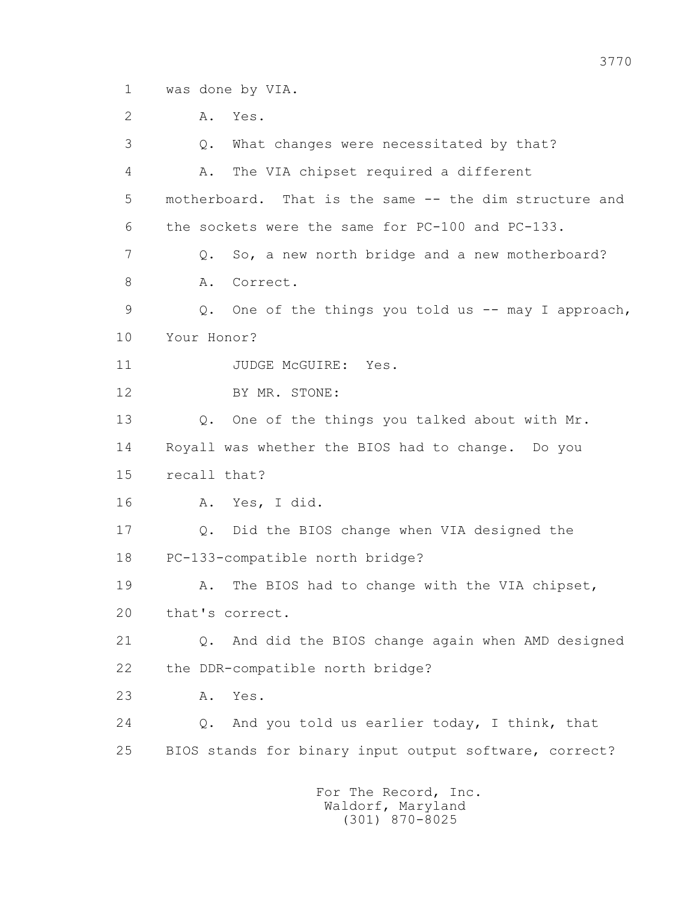1 was done by VIA.

2 A. Yes.

 3 Q. What changes were necessitated by that? 4 A. The VIA chipset required a different 5 motherboard. That is the same -- the dim structure and 6 the sockets were the same for PC-100 and PC-133. 7 Q. So, a new north bridge and a new motherboard? 8 A. Correct. 9 Q. One of the things you told us -- may I approach, 10 Your Honor? 11 JUDGE McGUIRE: Yes. 12 BY MR. STONE: 13 Q. One of the things you talked about with Mr. 14 Royall was whether the BIOS had to change. Do you 15 recall that? 16 A. Yes, I did. 17 Q. Did the BIOS change when VIA designed the 18 PC-133-compatible north bridge? 19 A. The BIOS had to change with the VIA chipset, 20 that's correct. 21 Q. And did the BIOS change again when AMD designed 22 the DDR-compatible north bridge? 23 A. Yes. 24 Q. And you told us earlier today, I think, that 25 BIOS stands for binary input output software, correct? For The Record, Inc.

 Waldorf, Maryland (301) 870-8025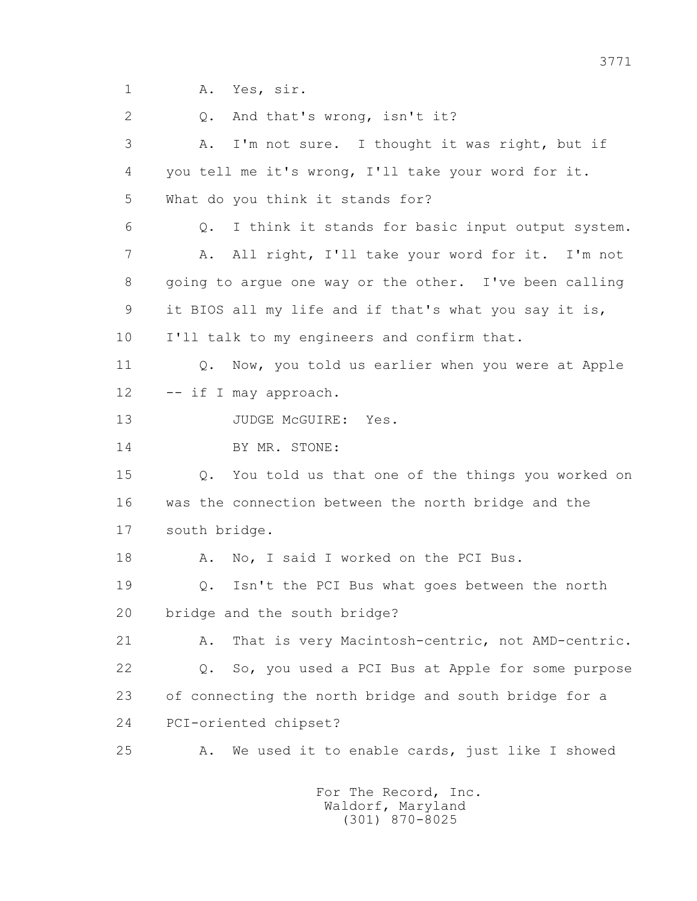1 A. Yes, sir.

2 0. And that's wrong, isn't it?

 3 A. I'm not sure. I thought it was right, but if 4 you tell me it's wrong, I'll take your word for it. 5 What do you think it stands for? 6 Q. I think it stands for basic input output system. 7 A. All right, I'll take your word for it. I'm not 8 going to argue one way or the other. I've been calling 9 it BIOS all my life and if that's what you say it is, 10 I'll talk to my engineers and confirm that. 11 Q. Now, you told us earlier when you were at Apple 12 -- if I may approach. 13 JUDGE McGUIRE: Yes. 14 BY MR. STONE: 15 Q. You told us that one of the things you worked on 16 was the connection between the north bridge and the 17 south bridge. 18 A. No, I said I worked on the PCI Bus. 19 Q. Isn't the PCI Bus what goes between the north 20 bridge and the south bridge? 21 A. That is very Macintosh-centric, not AMD-centric.

 22 Q. So, you used a PCI Bus at Apple for some purpose 23 of connecting the north bridge and south bridge for a 24 PCI-oriented chipset?

25 A. We used it to enable cards, just like I showed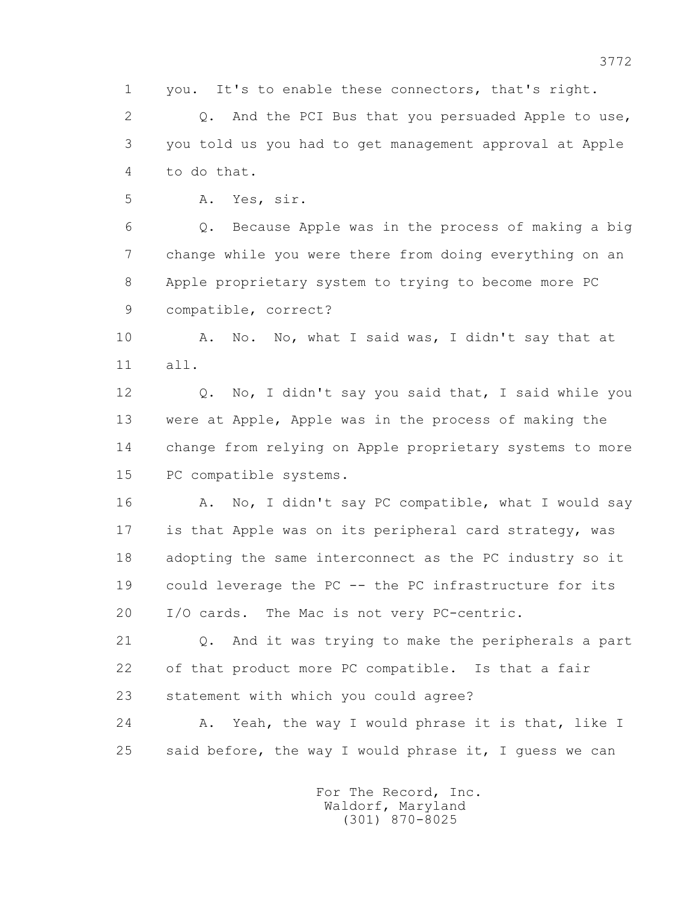1 you. It's to enable these connectors, that's right.

2 0. And the PCI Bus that you persuaded Apple to use, 3 you told us you had to get management approval at Apple 4 to do that.

5 A. Yes, sir.

 6 Q. Because Apple was in the process of making a big 7 change while you were there from doing everything on an 8 Apple proprietary system to trying to become more PC 9 compatible, correct?

 10 A. No. No, what I said was, I didn't say that at 11 all.

 12 Q. No, I didn't say you said that, I said while you 13 were at Apple, Apple was in the process of making the 14 change from relying on Apple proprietary systems to more 15 PC compatible systems.

16 A. No, I didn't say PC compatible, what I would say 17 is that Apple was on its peripheral card strategy, was 18 adopting the same interconnect as the PC industry so it 19 could leverage the PC -- the PC infrastructure for its 20 I/O cards. The Mac is not very PC-centric.

 21 Q. And it was trying to make the peripherals a part 22 of that product more PC compatible. Is that a fair 23 statement with which you could agree?

 24 A. Yeah, the way I would phrase it is that, like I 25 said before, the way I would phrase it, I guess we can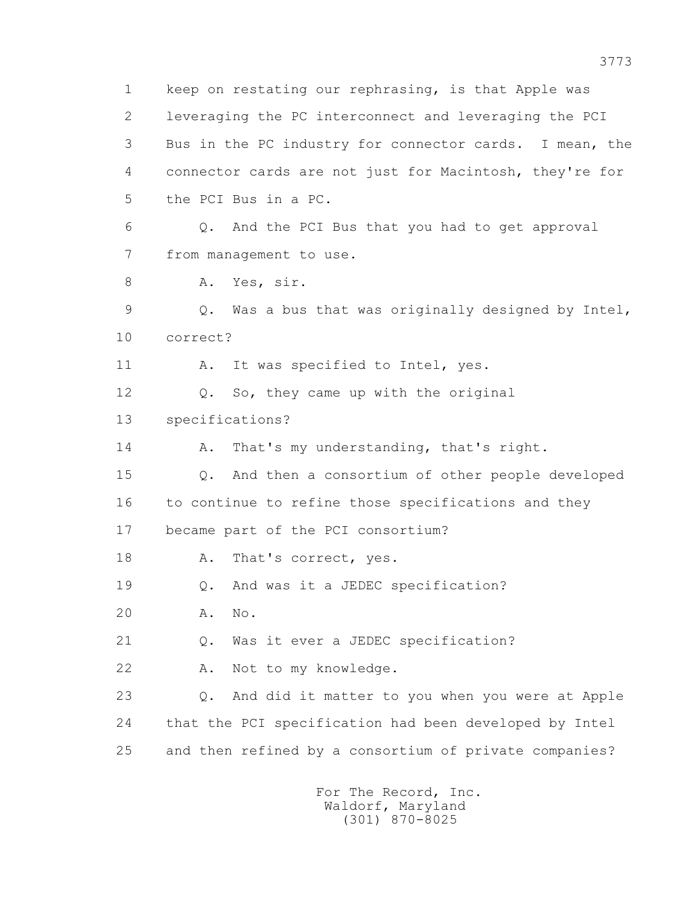1 keep on restating our rephrasing, is that Apple was 2 leveraging the PC interconnect and leveraging the PCI 3 Bus in the PC industry for connector cards. I mean, the 4 connector cards are not just for Macintosh, they're for 5 the PCI Bus in a PC. 6 Q. And the PCI Bus that you had to get approval 7 from management to use. 8 A. Yes, sir. 9 Q. Was a bus that was originally designed by Intel, 10 correct? 11 A. It was specified to Intel, yes. 12 Q. So, they came up with the original 13 specifications? 14 A. That's my understanding, that's right. 15 Q. And then a consortium of other people developed 16 to continue to refine those specifications and they 17 became part of the PCI consortium? 18 A. That's correct, yes. 19 Q. And was it a JEDEC specification? 20 A. No. 21 Q. Was it ever a JEDEC specification? 22 A. Not to my knowledge. 23 Q. And did it matter to you when you were at Apple 24 that the PCI specification had been developed by Intel 25 and then refined by a consortium of private companies?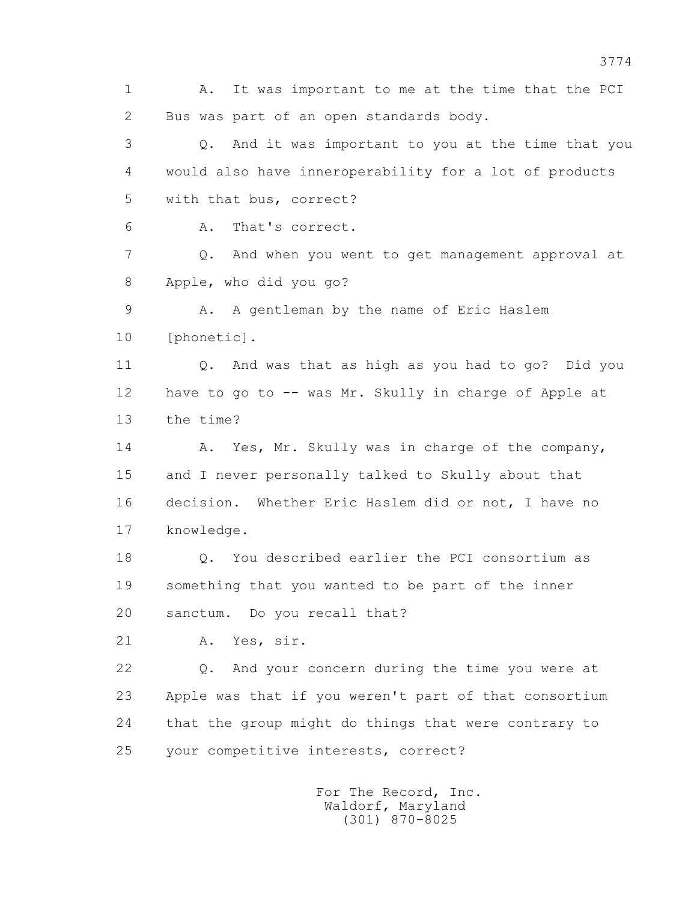1 A. It was important to me at the time that the PCI 2 Bus was part of an open standards body. 3 Q. And it was important to you at the time that you 4 would also have inneroperability for a lot of products 5 with that bus, correct? 6 A. That's correct. 7 Q. And when you went to get management approval at 8 Apple, who did you go? 9 A. A gentleman by the name of Eric Haslem 10 [phonetic]. 11 Q. And was that as high as you had to go? Did you 12 have to go to -- was Mr. Skully in charge of Apple at 13 the time? 14 A. Yes, Mr. Skully was in charge of the company, 15 and I never personally talked to Skully about that 16 decision. Whether Eric Haslem did or not, I have no 17 knowledge. 18 0. You described earlier the PCI consortium as 19 something that you wanted to be part of the inner 20 sanctum. Do you recall that? 21 A. Yes, sir. 22 Q. And your concern during the time you were at 23 Apple was that if you weren't part of that consortium 24 that the group might do things that were contrary to 25 your competitive interests, correct? For The Record, Inc.

 Waldorf, Maryland (301) 870-8025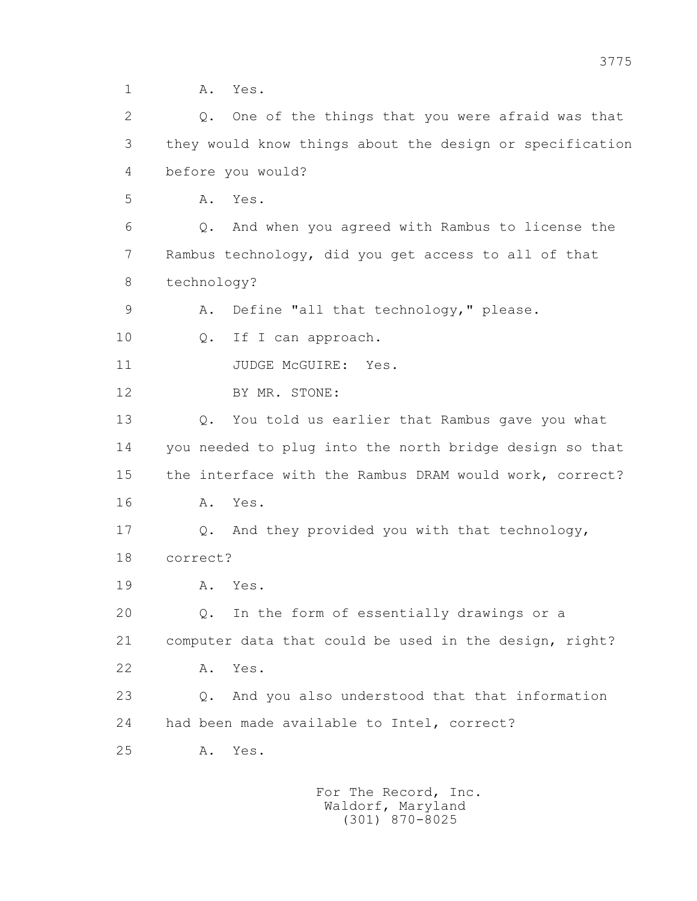1 **A.** Yes.

 2 Q. One of the things that you were afraid was that 3 they would know things about the design or specification 4 before you would? 5 A. Yes. 6 Q. And when you agreed with Rambus to license the 7 Rambus technology, did you get access to all of that 8 technology? 9 A. Define "all that technology," please. 10 Q. If I can approach. 11 JUDGE McGUIRE: Yes. 12 BY MR. STONE: 13 Q. You told us earlier that Rambus gave you what 14 you needed to plug into the north bridge design so that 15 the interface with the Rambus DRAM would work, correct? 16 A. Yes. 17 Q. And they provided you with that technology, 18 correct? 19 A. Yes. 20 Q. In the form of essentially drawings or a 21 computer data that could be used in the design, right? 22 A. Yes. 23 Q. And you also understood that that information 24 had been made available to Intel, correct? 25 A. Yes.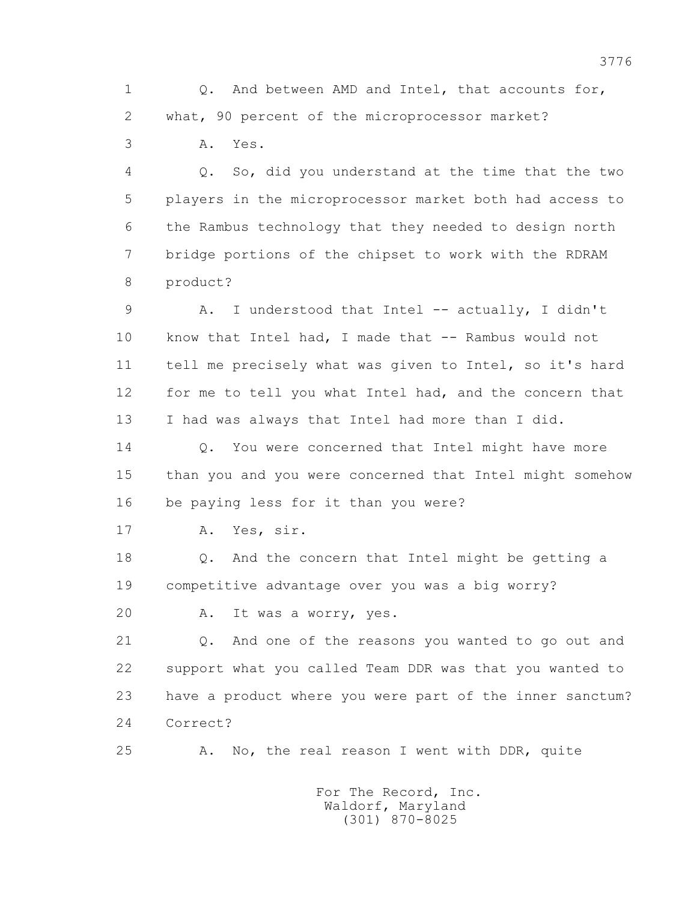1 Q. And between AMD and Intel, that accounts for, 2 what, 90 percent of the microprocessor market?

3 A. Yes.

 4 Q. So, did you understand at the time that the two 5 players in the microprocessor market both had access to 6 the Rambus technology that they needed to design north 7 bridge portions of the chipset to work with the RDRAM 8 product?

 9 A. I understood that Intel -- actually, I didn't 10 know that Intel had, I made that -- Rambus would not 11 tell me precisely what was given to Intel, so it's hard 12 for me to tell you what Intel had, and the concern that 13 I had was always that Intel had more than I did.

14 0. You were concerned that Intel might have more 15 than you and you were concerned that Intel might somehow 16 be paying less for it than you were?

17 A. Yes, sir.

 18 Q. And the concern that Intel might be getting a 19 competitive advantage over you was a big worry?

20 A. It was a worry, yes.

 21 Q. And one of the reasons you wanted to go out and 22 support what you called Team DDR was that you wanted to 23 have a product where you were part of the inner sanctum? 24 Correct?

25 A. No, the real reason I went with DDR, quite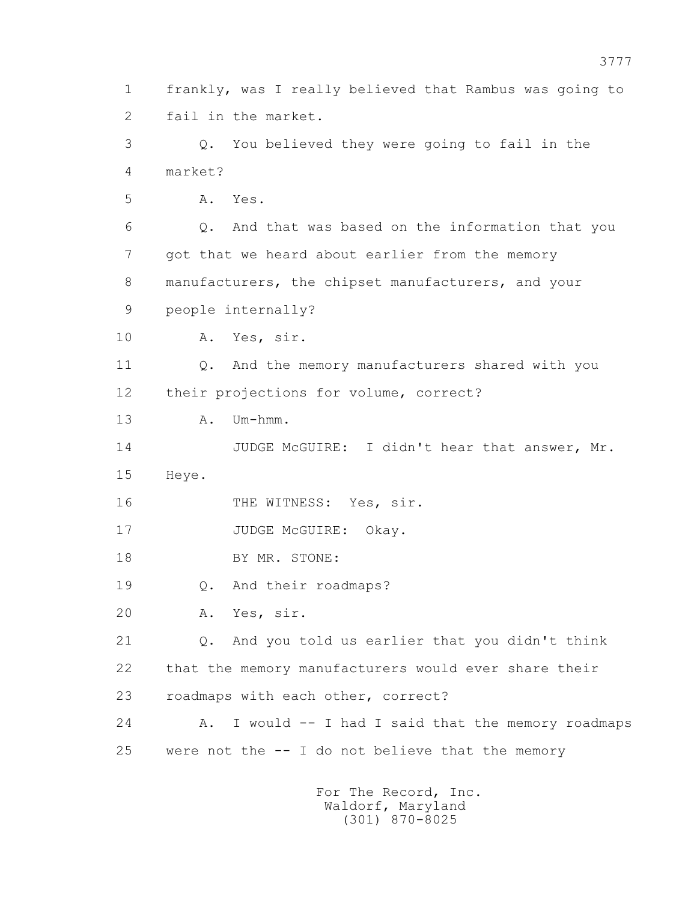1 frankly, was I really believed that Rambus was going to 2 fail in the market. 3 Q. You believed they were going to fail in the 4 market? 5 A. Yes. 6 Q. And that was based on the information that you 7 got that we heard about earlier from the memory 8 manufacturers, the chipset manufacturers, and your 9 people internally? 10 A. Yes, sir. 11 Q. And the memory manufacturers shared with you 12 their projections for volume, correct? 13 A. Um-hmm. 14 JUDGE McGUIRE: I didn't hear that answer, Mr. 15 Heye. 16 THE WITNESS: Yes, sir. 17 JUDGE McGUIRE: Okay. 18 BY MR. STONE: 19 Q. And their roadmaps? 20 A. Yes, sir. 21 Q. And you told us earlier that you didn't think 22 that the memory manufacturers would ever share their 23 roadmaps with each other, correct? 24 A. I would -- I had I said that the memory roadmaps 25 were not the -- I do not believe that the memory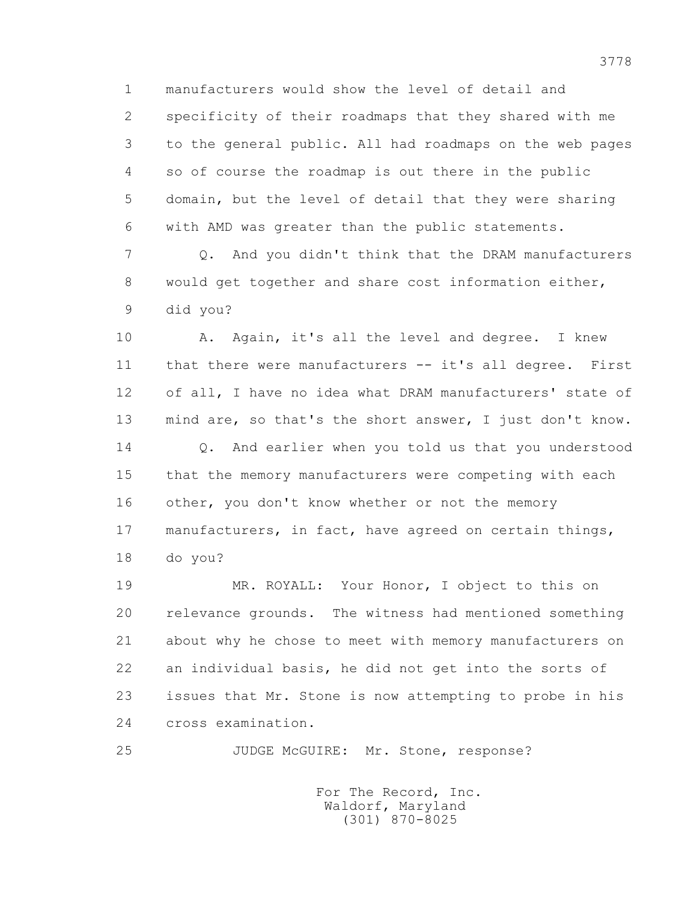1 manufacturers would show the level of detail and 2 specificity of their roadmaps that they shared with me 3 to the general public. All had roadmaps on the web pages 4 so of course the roadmap is out there in the public 5 domain, but the level of detail that they were sharing 6 with AMD was greater than the public statements.

 7 Q. And you didn't think that the DRAM manufacturers 8 would get together and share cost information either, 9 did you?

10 A. Again, it's all the level and degree. I knew 11 that there were manufacturers -- it's all degree. First 12 of all, I have no idea what DRAM manufacturers' state of 13 mind are, so that's the short answer, I just don't know. 14 0. And earlier when you told us that you understood 15 that the memory manufacturers were competing with each 16 other, you don't know whether or not the memory 17 manufacturers, in fact, have agreed on certain things, 18 do you?

 19 MR. ROYALL: Your Honor, I object to this on 20 relevance grounds. The witness had mentioned something 21 about why he chose to meet with memory manufacturers on 22 an individual basis, he did not get into the sorts of 23 issues that Mr. Stone is now attempting to probe in his 24 cross examination.

25 JUDGE McGUIRE: Mr. Stone, response?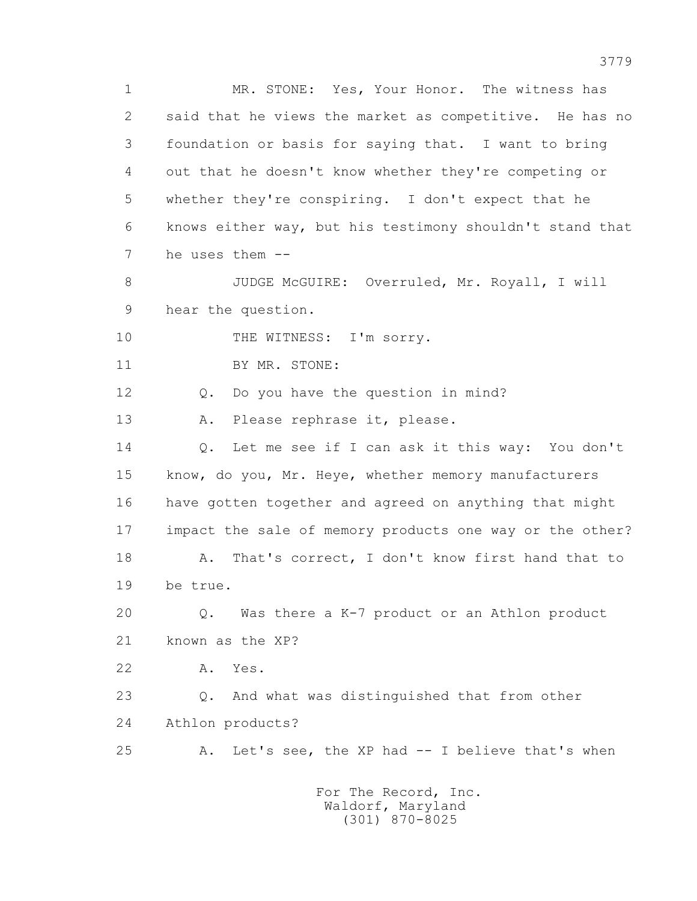1 MR. STONE: Yes, Your Honor. The witness has 2 said that he views the market as competitive. He has no 3 foundation or basis for saying that. I want to bring 4 out that he doesn't know whether they're competing or 5 whether they're conspiring. I don't expect that he 6 knows either way, but his testimony shouldn't stand that 7 he uses them -- 8 JUDGE McGUIRE: Overruled, Mr. Royall, I will 9 hear the question. 10 THE WITNESS: I'm sorry. 11 BY MR. STONE: 12 Q. Do you have the question in mind? 13 A. Please rephrase it, please. 14 Q. Let me see if I can ask it this way: You don't 15 know, do you, Mr. Heye, whether memory manufacturers 16 have gotten together and agreed on anything that might 17 impact the sale of memory products one way or the other? 18 A. That's correct, I don't know first hand that to 19 be true. 20 Q. Was there a K-7 product or an Athlon product 21 known as the XP? 22 A. Yes. 23 Q. And what was distinguished that from other 24 Athlon products? 25 A. Let's see, the XP had -- I believe that's when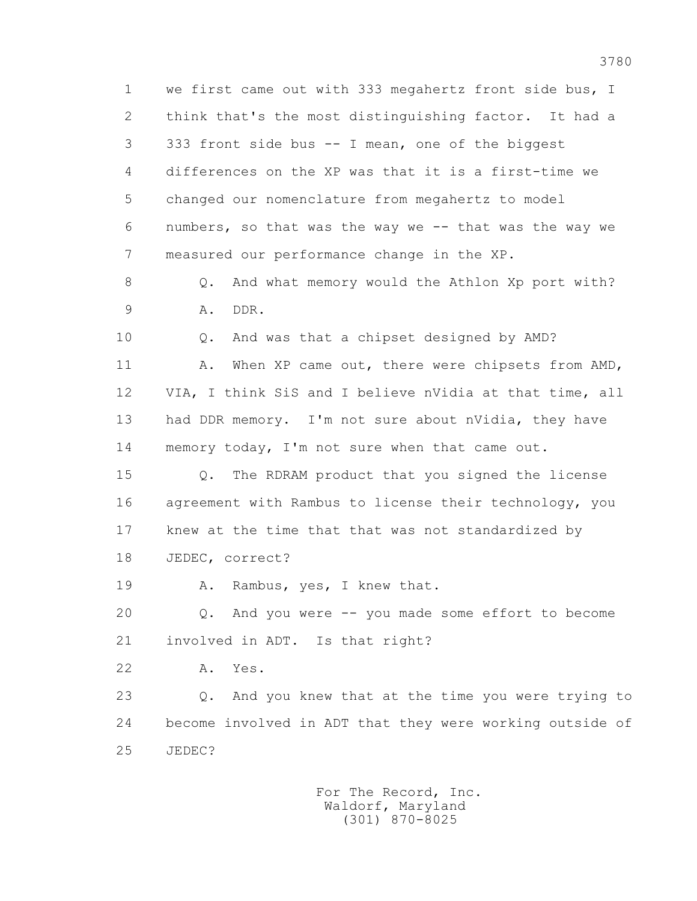1 we first came out with 333 megahertz front side bus, I 2 think that's the most distinguishing factor. It had a 3 333 front side bus -- I mean, one of the biggest 4 differences on the XP was that it is a first-time we 5 changed our nomenclature from megahertz to model 6 numbers, so that was the way we -- that was the way we 7 measured our performance change in the XP.

8 Q. And what memory would the Athlon Xp port with? 9 A. DDR.

 10 Q. And was that a chipset designed by AMD? 11 A. When XP came out, there were chipsets from AMD, 12 VIA, I think SiS and I believe nVidia at that time, all 13 had DDR memory. I'm not sure about nVidia, they have 14 memory today, I'm not sure when that came out.

 15 Q. The RDRAM product that you signed the license 16 agreement with Rambus to license their technology, you 17 knew at the time that that was not standardized by 18 JEDEC, correct?

19 A. Rambus, yes, I knew that.

 20 Q. And you were -- you made some effort to become 21 involved in ADT. Is that right?

22 A. Yes.

 23 Q. And you knew that at the time you were trying to 24 become involved in ADT that they were working outside of 25 JEDEC?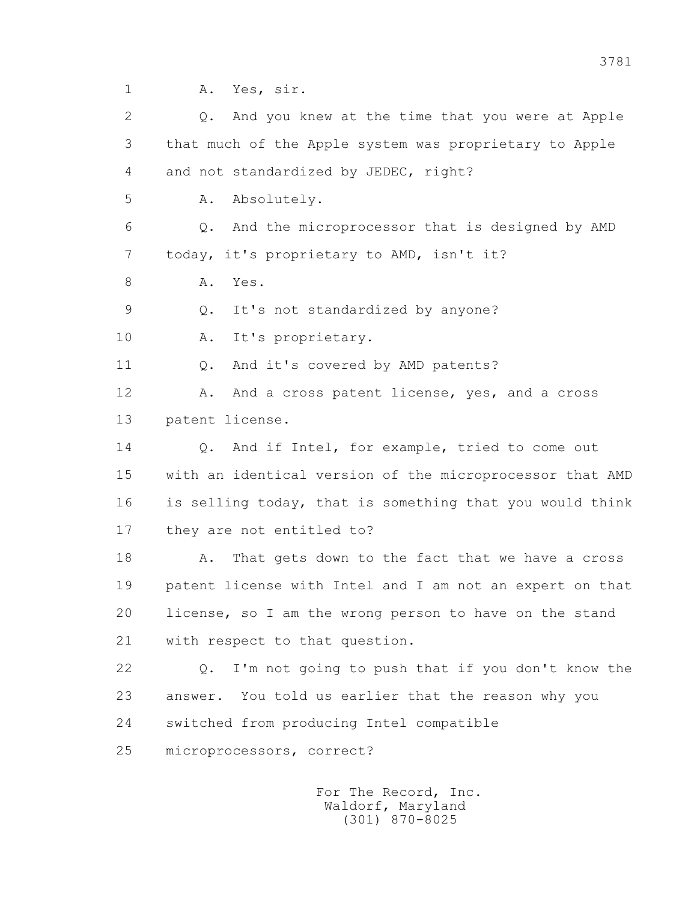1 A. Yes, sir.

 2 Q. And you knew at the time that you were at Apple 3 that much of the Apple system was proprietary to Apple 4 and not standardized by JEDEC, right? 5 A. Absolutely. 6 Q. And the microprocessor that is designed by AMD 7 today, it's proprietary to AMD, isn't it? 8 A. Yes. 9 Q. It's not standardized by anyone? 10 A. It's proprietary. 11 0. And it's covered by AMD patents? 12 A. And a cross patent license, yes, and a cross 13 patent license. 14 0. And if Intel, for example, tried to come out 15 with an identical version of the microprocessor that AMD 16 is selling today, that is something that you would think 17 they are not entitled to? 18 A. That gets down to the fact that we have a cross 19 patent license with Intel and I am not an expert on that 20 license, so I am the wrong person to have on the stand 21 with respect to that question. 22 Q. I'm not going to push that if you don't know the 23 answer. You told us earlier that the reason why you

24 switched from producing Intel compatible

25 microprocessors, correct?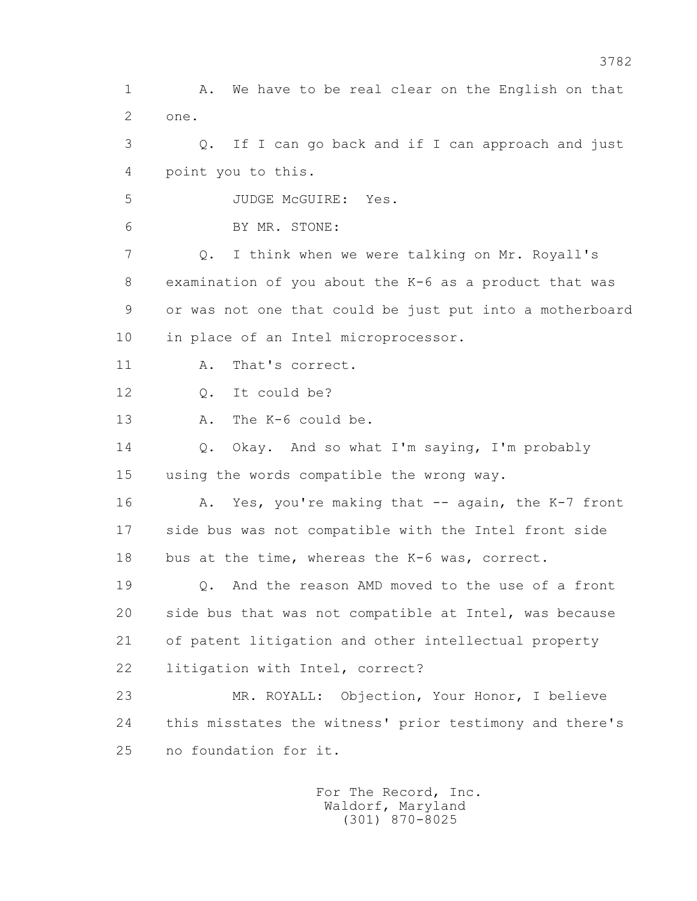1 A. We have to be real clear on the English on that 2 one. 3 Q. If I can go back and if I can approach and just 4 point you to this. 5 JUDGE McGUIRE: Yes. 6 BY MR. STONE: 7 Q. I think when we were talking on Mr. Royall's 8 examination of you about the K-6 as a product that was 9 or was not one that could be just put into a motherboard 10 in place of an Intel microprocessor. 11 A. That's correct. 12 Q. It could be? 13 A. The K-6 could be. 14 Q. Okay. And so what I'm saying, I'm probably 15 using the words compatible the wrong way. 16 A. Yes, you're making that -- again, the K-7 front 17 side bus was not compatible with the Intel front side 18 bus at the time, whereas the K-6 was, correct. 19 Q. And the reason AMD moved to the use of a front 20 side bus that was not compatible at Intel, was because 21 of patent litigation and other intellectual property 22 litigation with Intel, correct? 23 MR. ROYALL: Objection, Your Honor, I believe 24 this misstates the witness' prior testimony and there's 25 no foundation for it.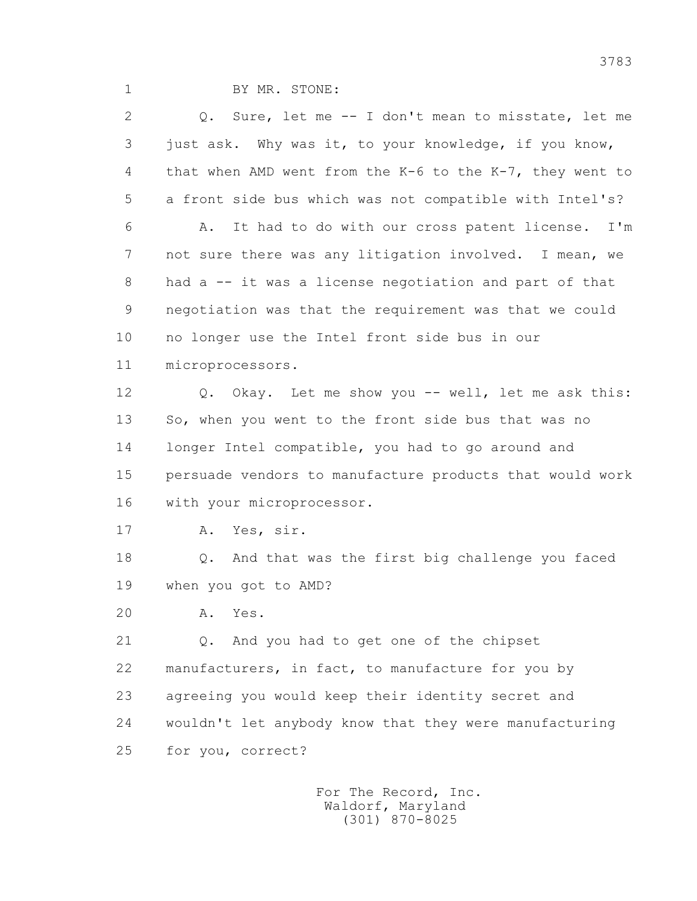1 BY MR. STONE:

 2 Q. Sure, let me -- I don't mean to misstate, let me 3 just ask. Why was it, to your knowledge, if you know, 4 that when AMD went from the K-6 to the K-7, they went to 5 a front side bus which was not compatible with Intel's? 6 A. It had to do with our cross patent license. I'm 7 not sure there was any litigation involved. I mean, we 8 had a -- it was a license negotiation and part of that 9 negotiation was that the requirement was that we could 10 no longer use the Intel front side bus in our 11 microprocessors. 12 Q. Okay. Let me show you -- well, let me ask this: 13 So, when you went to the front side bus that was no 14 longer Intel compatible, you had to go around and 15 persuade vendors to manufacture products that would work 16 with your microprocessor. 17 A. Yes, sir. 18 Q. And that was the first big challenge you faced 19 when you got to AMD? 20 A. Yes. 21 Q. And you had to get one of the chipset 22 manufacturers, in fact, to manufacture for you by 23 agreeing you would keep their identity secret and 24 wouldn't let anybody know that they were manufacturing 25 for you, correct?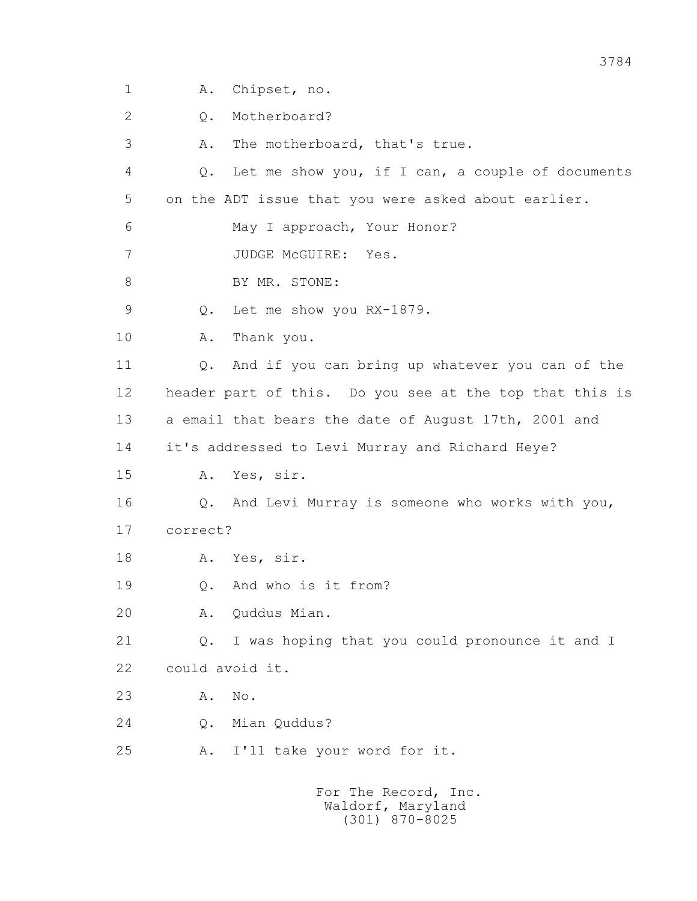1 A. Chipset, no.

2 Q. Motherboard?

3 A. The motherboard, that's true.

 4 Q. Let me show you, if I can, a couple of documents 5 on the ADT issue that you were asked about earlier.

6 May I approach, Your Honor?

7 JUDGE McGUIRE: Yes.

8 BY MR. STONE:

9 Q. Let me show you RX-1879.

10 A. Thank you.

 11 Q. And if you can bring up whatever you can of the 12 header part of this. Do you see at the top that this is 13 a email that bears the date of August 17th, 2001 and

14 it's addressed to Levi Murray and Richard Heye?

15 A. Yes, sir.

 16 Q. And Levi Murray is someone who works with you, 17 correct?

18 A. Yes, sir.

19 0. And who is it from?

20 A. Quddus Mian.

 21 Q. I was hoping that you could pronounce it and I 22 could avoid it.

23 A. No.

24 Q. Mian Quddus?

25 A. I'll take your word for it.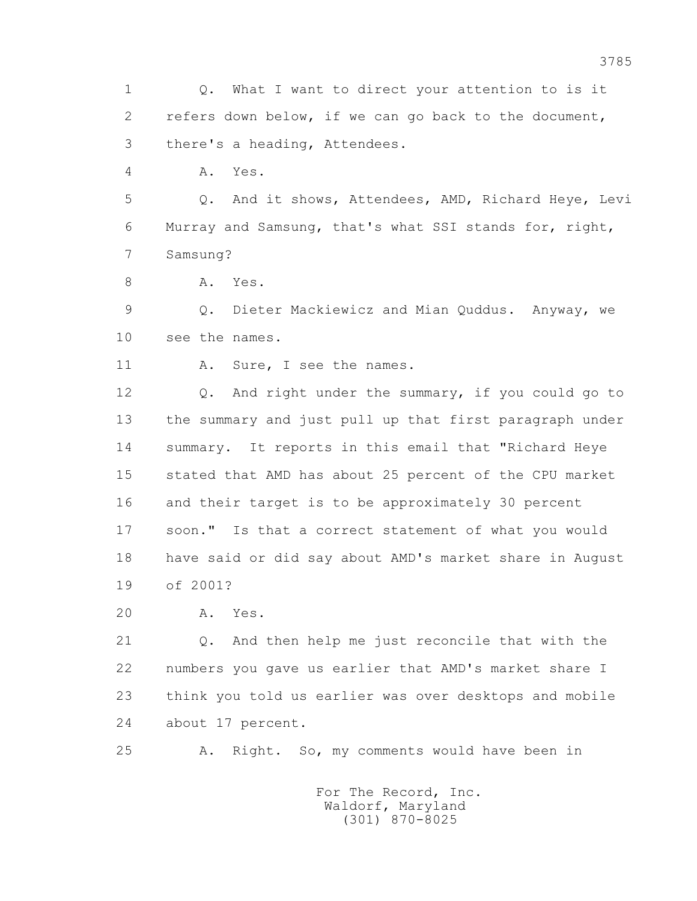1 Q. What I want to direct your attention to is it 2 refers down below, if we can go back to the document, 3 there's a heading, Attendees.

4 A. Yes.

 5 Q. And it shows, Attendees, AMD, Richard Heye, Levi 6 Murray and Samsung, that's what SSI stands for, right, 7 Samsung?

8 A. Yes.

 9 Q. Dieter Mackiewicz and Mian Quddus. Anyway, we 10 see the names.

11 A. Sure, I see the names.

 12 Q. And right under the summary, if you could go to 13 the summary and just pull up that first paragraph under 14 summary. It reports in this email that "Richard Heye 15 stated that AMD has about 25 percent of the CPU market 16 and their target is to be approximately 30 percent 17 soon." Is that a correct statement of what you would 18 have said or did say about AMD's market share in August 19 of 2001?

20 A. Yes.

 21 Q. And then help me just reconcile that with the 22 numbers you gave us earlier that AMD's market share I 23 think you told us earlier was over desktops and mobile 24 about 17 percent.

25 A. Right. So, my comments would have been in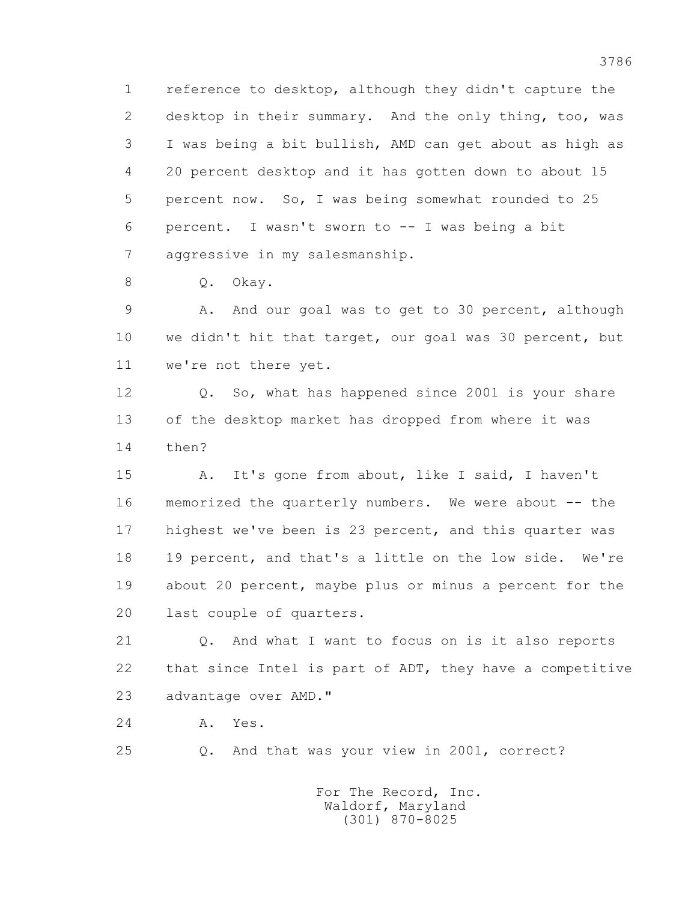1 reference to desktop, although they didn't capture the 2 desktop in their summary. And the only thing, too, was 3 I was being a bit bullish, AMD can get about as high as 4 20 percent desktop and it has gotten down to about 15 5 percent now. So, I was being somewhat rounded to 25 6 percent. I wasn't sworn to -- I was being a bit 7 aggressive in my salesmanship.

8 O. Okay.

 9 A. And our goal was to get to 30 percent, although 10 we didn't hit that target, our goal was 30 percent, but 11 we're not there yet.

 12 Q. So, what has happened since 2001 is your share 13 of the desktop market has dropped from where it was 14 then?

 15 A. It's gone from about, like I said, I haven't 16 memorized the quarterly numbers. We were about -- the 17 highest we've been is 23 percent, and this quarter was 18 19 percent, and that's a little on the low side. We're 19 about 20 percent, maybe plus or minus a percent for the 20 last couple of quarters.

 21 Q. And what I want to focus on is it also reports 22 that since Intel is part of ADT, they have a competitive 23 advantage over AMD."

24 A. Yes.

25 Q. And that was your view in 2001, correct?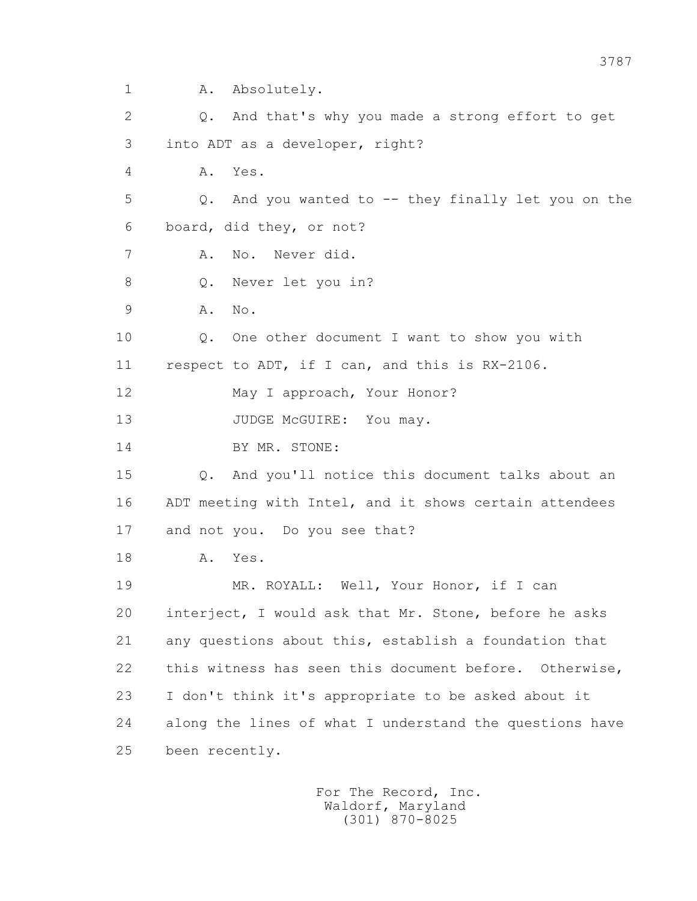1 A. Absolutely.

 2 Q. And that's why you made a strong effort to get 3 into ADT as a developer, right? 4 A. Yes. 5 Q. And you wanted to -- they finally let you on the 6 board, did they, or not? 7 A. No. Never did. 8 Q. Never let you in? 9 A. No. 10 Q. One other document I want to show you with 11 respect to ADT, if I can, and this is RX-2106. 12 May I approach, Your Honor? 13 JUDGE McGUIRE: You may. 14 BY MR. STONE: 15 Q. And you'll notice this document talks about an 16 ADT meeting with Intel, and it shows certain attendees 17 and not you. Do you see that? 18 A. Yes. 19 MR. ROYALL: Well, Your Honor, if I can 20 interject, I would ask that Mr. Stone, before he asks 21 any questions about this, establish a foundation that 22 this witness has seen this document before. Otherwise, 23 I don't think it's appropriate to be asked about it 24 along the lines of what I understand the questions have 25 been recently.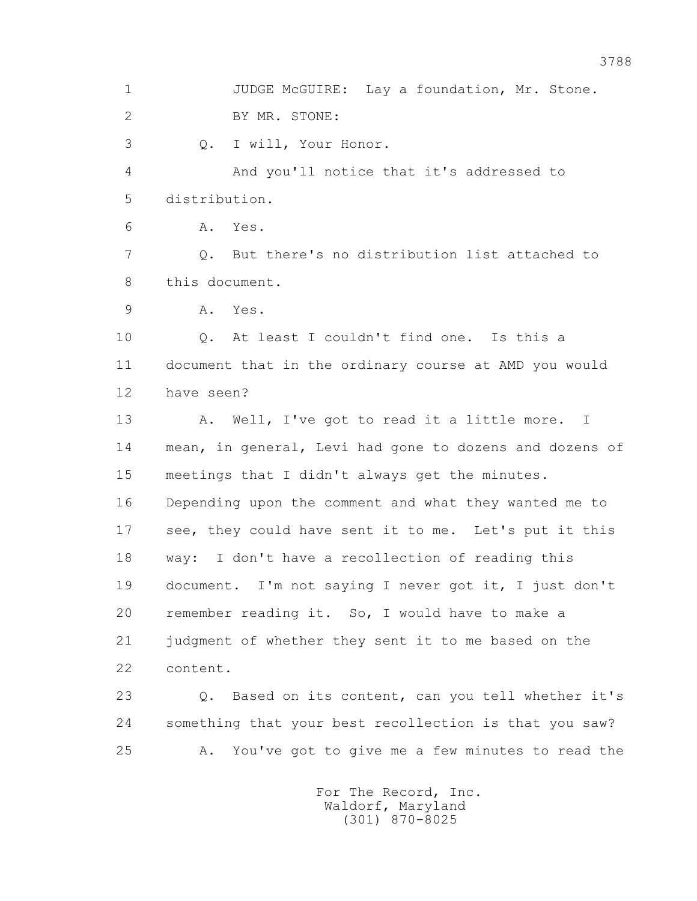1 JUDGE McGUIRE: Lay a foundation, Mr. Stone. 2 BY MR. STONE: 3 Q. I will, Your Honor. 4 And you'll notice that it's addressed to 5 distribution. 6 A. Yes. 7 Q. But there's no distribution list attached to 8 this document. 9 A. Yes. 10 Q. At least I couldn't find one. Is this a 11 document that in the ordinary course at AMD you would 12 have seen? 13 A. Well, I've got to read it a little more. I 14 mean, in general, Levi had gone to dozens and dozens of 15 meetings that I didn't always get the minutes. 16 Depending upon the comment and what they wanted me to 17 see, they could have sent it to me. Let's put it this 18 way: I don't have a recollection of reading this 19 document. I'm not saying I never got it, I just don't 20 remember reading it. So, I would have to make a 21 judgment of whether they sent it to me based on the 22 content. 23 Q. Based on its content, can you tell whether it's 24 something that your best recollection is that you saw? 25 A. You've got to give me a few minutes to read the For The Record, Inc.

 Waldorf, Maryland (301) 870-8025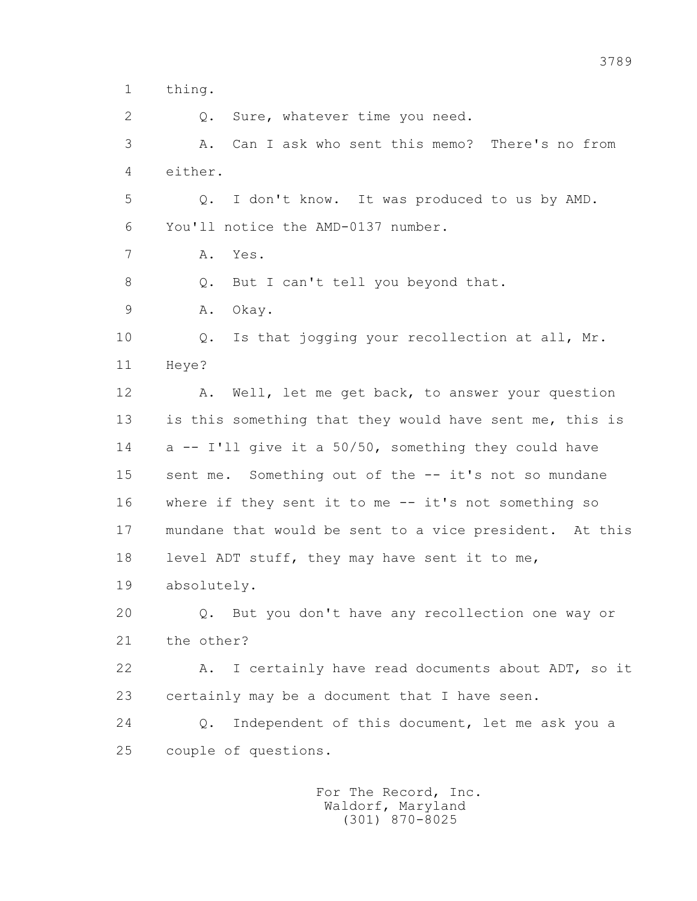1 thing.

2 0. Sure, whatever time you need.

 3 A. Can I ask who sent this memo? There's no from 4 either.

 5 Q. I don't know. It was produced to us by AMD. 6 You'll notice the AMD-0137 number.

7 A. Yes.

8 Q. But I can't tell you beyond that.

9 A. Okay.

 10 Q. Is that jogging your recollection at all, Mr. 11 Heye?

 12 A. Well, let me get back, to answer your question 13 is this something that they would have sent me, this is 14 a -- I'll give it a 50/50, something they could have 15 sent me. Something out of the -- it's not so mundane 16 where if they sent it to me -- it's not something so 17 mundane that would be sent to a vice president. At this 18 level ADT stuff, they may have sent it to me,

19 absolutely.

 20 Q. But you don't have any recollection one way or 21 the other?

22 A. I certainly have read documents about ADT, so it 23 certainly may be a document that I have seen.

 24 Q. Independent of this document, let me ask you a 25 couple of questions.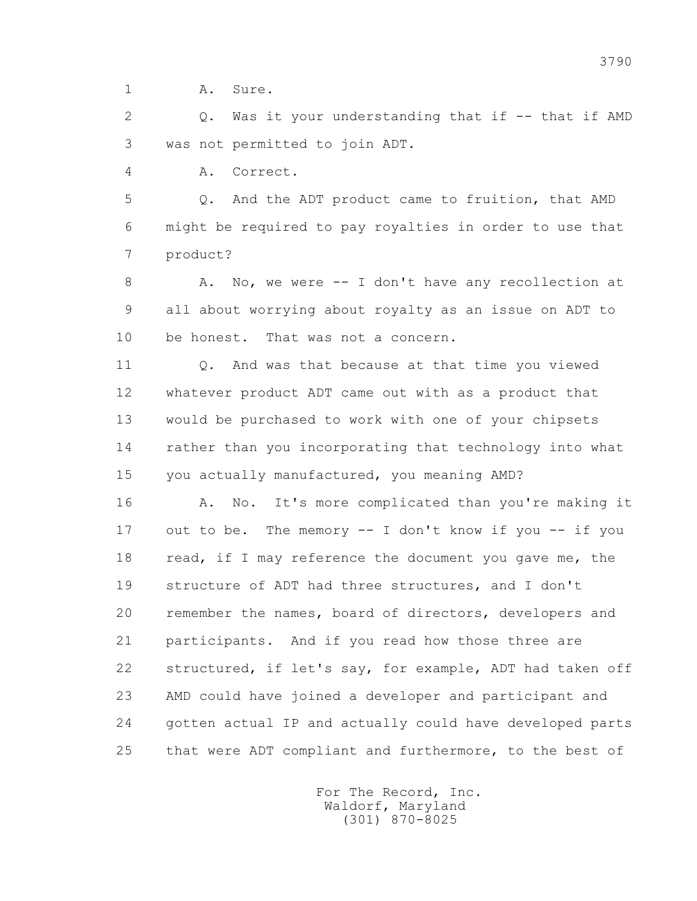1 A. Sure.

 2 Q. Was it your understanding that if -- that if AMD 3 was not permitted to join ADT.

4 A. Correct.

 5 Q. And the ADT product came to fruition, that AMD 6 might be required to pay royalties in order to use that 7 product?

8 A. No, we were -- I don't have any recollection at 9 all about worrying about royalty as an issue on ADT to 10 be honest. That was not a concern.

 11 Q. And was that because at that time you viewed 12 whatever product ADT came out with as a product that 13 would be purchased to work with one of your chipsets 14 rather than you incorporating that technology into what 15 you actually manufactured, you meaning AMD?

 16 A. No. It's more complicated than you're making it 17 out to be. The memory -- I don't know if you -- if you 18 read, if I may reference the document you gave me, the 19 structure of ADT had three structures, and I don't 20 remember the names, board of directors, developers and 21 participants. And if you read how those three are 22 structured, if let's say, for example, ADT had taken off 23 AMD could have joined a developer and participant and 24 gotten actual IP and actually could have developed parts 25 that were ADT compliant and furthermore, to the best of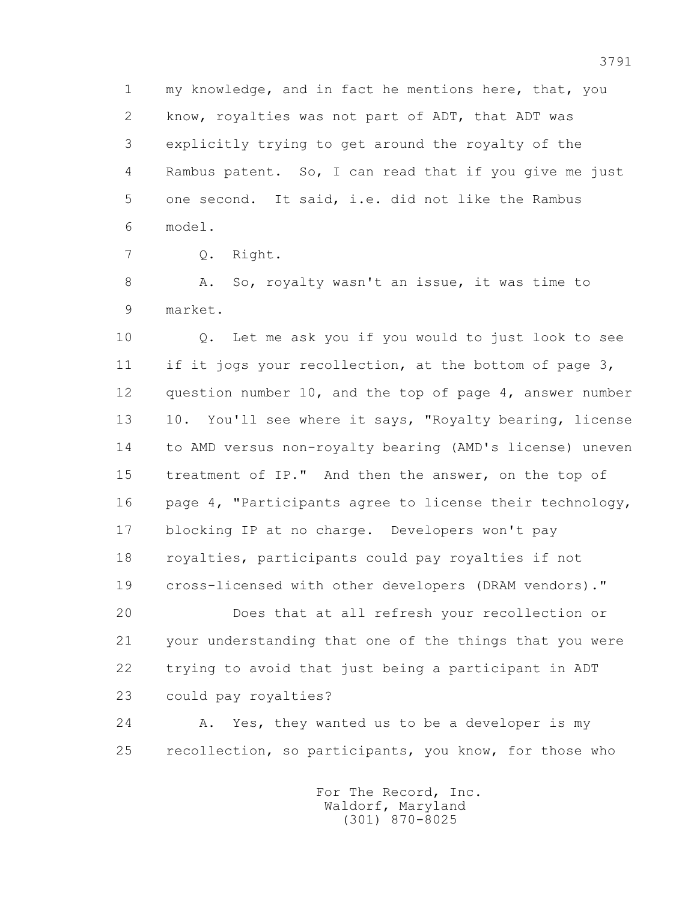1 my knowledge, and in fact he mentions here, that, you 2 know, royalties was not part of ADT, that ADT was 3 explicitly trying to get around the royalty of the 4 Rambus patent. So, I can read that if you give me just 5 one second. It said, i.e. did not like the Rambus 6 model.

7 Q. Right.

8 A. So, royalty wasn't an issue, it was time to 9 market.

 10 Q. Let me ask you if you would to just look to see 11 if it jogs your recollection, at the bottom of page 3, 12 question number 10, and the top of page 4, answer number 13 10. You'll see where it says, "Royalty bearing, license 14 to AMD versus non-royalty bearing (AMD's license) uneven 15 treatment of IP." And then the answer, on the top of 16 page 4, "Participants agree to license their technology, 17 blocking IP at no charge. Developers won't pay 18 royalties, participants could pay royalties if not 19 cross-licensed with other developers (DRAM vendors)."

 20 Does that at all refresh your recollection or 21 your understanding that one of the things that you were 22 trying to avoid that just being a participant in ADT 23 could pay royalties?

 24 A. Yes, they wanted us to be a developer is my 25 recollection, so participants, you know, for those who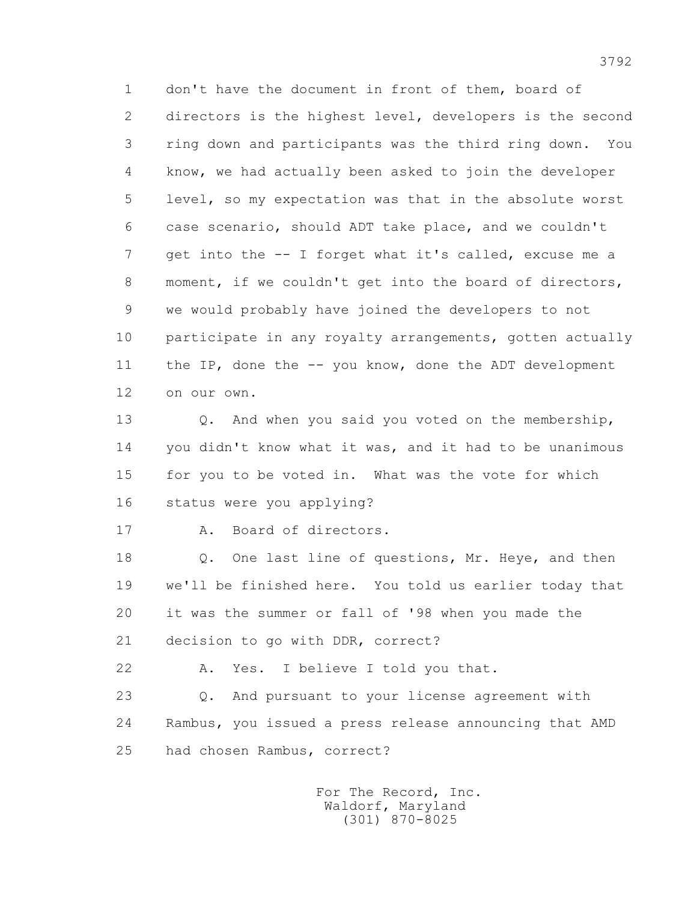1 don't have the document in front of them, board of 2 directors is the highest level, developers is the second 3 ring down and participants was the third ring down. You 4 know, we had actually been asked to join the developer 5 level, so my expectation was that in the absolute worst 6 case scenario, should ADT take place, and we couldn't 7 get into the -- I forget what it's called, excuse me a 8 moment, if we couldn't get into the board of directors, 9 we would probably have joined the developers to not 10 participate in any royalty arrangements, gotten actually 11 the IP, done the -- you know, done the ADT development 12 on our own.

 13 Q. And when you said you voted on the membership, 14 you didn't know what it was, and it had to be unanimous 15 for you to be voted in. What was the vote for which 16 status were you applying?

17 A. Board of directors.

18 Q. One last line of questions, Mr. Heye, and then 19 we'll be finished here. You told us earlier today that 20 it was the summer or fall of '98 when you made the 21 decision to go with DDR, correct?

22 A. Yes. I believe I told you that.

 23 Q. And pursuant to your license agreement with 24 Rambus, you issued a press release announcing that AMD 25 had chosen Rambus, correct?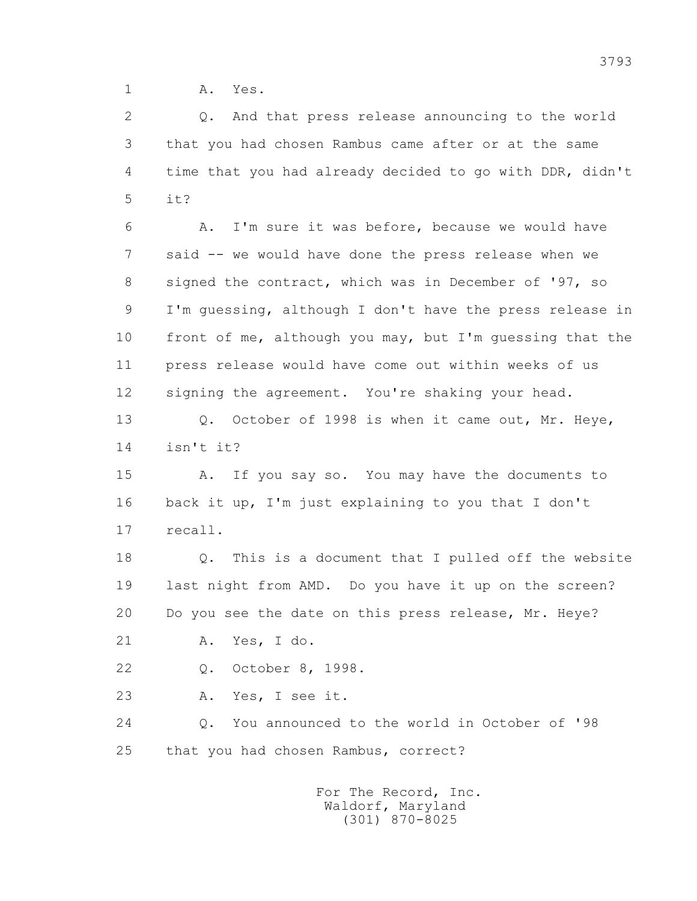1 A. Yes.

 2 Q. And that press release announcing to the world 3 that you had chosen Rambus came after or at the same 4 time that you had already decided to go with DDR, didn't  $5$   $i+2$ 

 6 A. I'm sure it was before, because we would have 7 said -- we would have done the press release when we 8 signed the contract, which was in December of '97, so 9 I'm guessing, although I don't have the press release in 10 front of me, although you may, but I'm guessing that the 11 press release would have come out within weeks of us 12 signing the agreement. You're shaking your head.

 13 Q. October of 1998 is when it came out, Mr. Heye, 14 isn't it?

 15 A. If you say so. You may have the documents to 16 back it up, I'm just explaining to you that I don't 17 recall.

 18 Q. This is a document that I pulled off the website 19 last night from AMD. Do you have it up on the screen? 20 Do you see the date on this press release, Mr. Heye?

21 A. Yes, I do.

22 Q. October 8, 1998.

23 A. Yes, I see it.

 24 Q. You announced to the world in October of '98 25 that you had chosen Rambus, correct?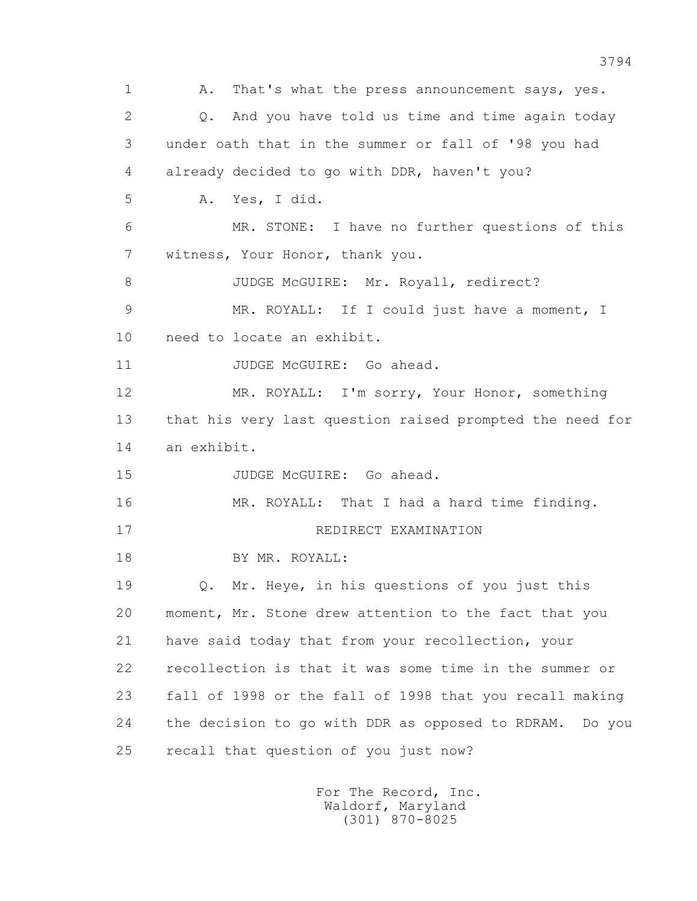1 A. That's what the press announcement says, yes. 2 Q. And you have told us time and time again today 3 under oath that in the summer or fall of '98 you had 4 already decided to go with DDR, haven't you? 5 A. Yes, I did. 6 MR. STONE: I have no further questions of this 7 witness, Your Honor, thank you. 8 JUDGE McGUIRE: Mr. Royall, redirect? 9 MR. ROYALL: If I could just have a moment, I 10 need to locate an exhibit. 11 JUDGE McGUIRE: Go ahead. 12 MR. ROYALL: I'm sorry, Your Honor, something 13 that his very last question raised prompted the need for 14 an exhibit. 15 JUDGE McGUIRE: Go ahead. 16 MR. ROYALL: That I had a hard time finding. 17 REDIRECT EXAMINATION 18 BY MR. ROYALL: 19 Q. Mr. Heye, in his questions of you just this 20 moment, Mr. Stone drew attention to the fact that you 21 have said today that from your recollection, your 22 recollection is that it was some time in the summer or 23 fall of 1998 or the fall of 1998 that you recall making 24 the decision to go with DDR as opposed to RDRAM. Do you 25 recall that question of you just now?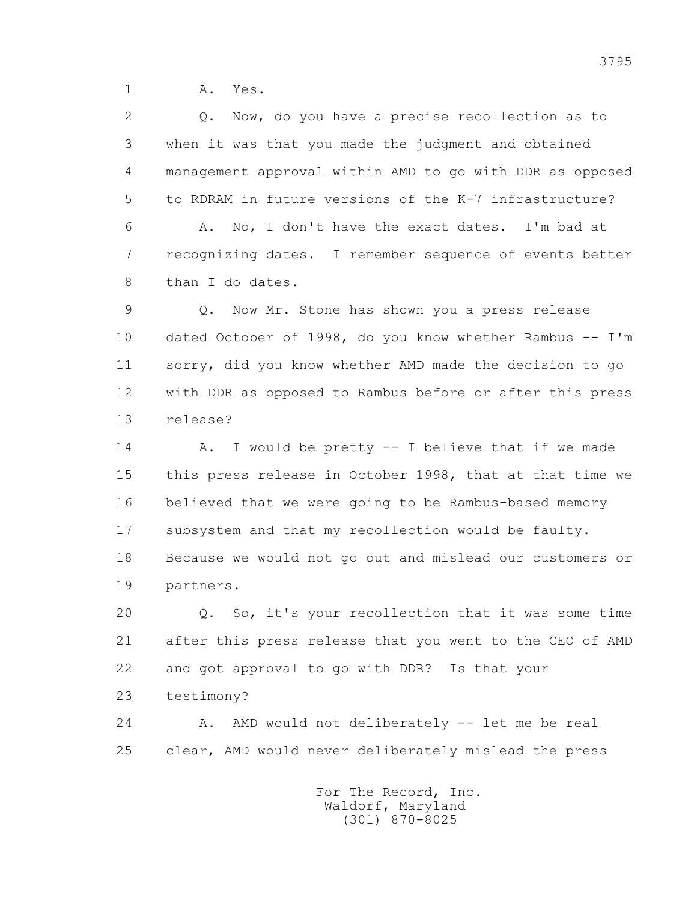1 A. Yes.

 2 Q. Now, do you have a precise recollection as to 3 when it was that you made the judgment and obtained 4 management approval within AMD to go with DDR as opposed 5 to RDRAM in future versions of the K-7 infrastructure? 6 A. No, I don't have the exact dates. I'm bad at 7 recognizing dates. I remember sequence of events better 8 than I do dates.

 9 Q. Now Mr. Stone has shown you a press release 10 dated October of 1998, do you know whether Rambus -- I'm 11 sorry, did you know whether AMD made the decision to go 12 with DDR as opposed to Rambus before or after this press 13 release?

 14 A. I would be pretty -- I believe that if we made 15 this press release in October 1998, that at that time we 16 believed that we were going to be Rambus-based memory 17 subsystem and that my recollection would be faulty. 18 Because we would not go out and mislead our customers or 19 partners.

 20 Q. So, it's your recollection that it was some time 21 after this press release that you went to the CEO of AMD 22 and got approval to go with DDR? Is that your

23 testimony?

 24 A. AMD would not deliberately -- let me be real 25 clear, AMD would never deliberately mislead the press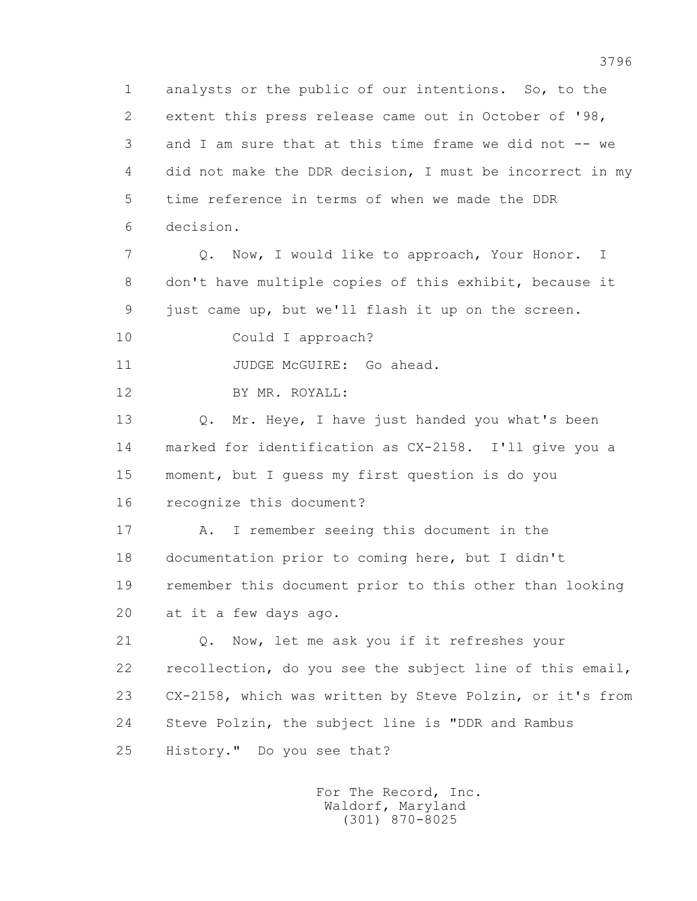1 analysts or the public of our intentions. So, to the 2 extent this press release came out in October of '98, 3 and I am sure that at this time frame we did not -- we 4 did not make the DDR decision, I must be incorrect in my 5 time reference in terms of when we made the DDR 6 decision.

 7 Q. Now, I would like to approach, Your Honor. I 8 don't have multiple copies of this exhibit, because it 9 just came up, but we'll flash it up on the screen.

10 Could I approach?

11 JUDGE McGUIRE: Go ahead.

12 BY MR. ROYALL:

13 O. Mr. Heye, I have just handed you what's been 14 marked for identification as CX-2158. I'll give you a 15 moment, but I guess my first question is do you 16 recognize this document?

 17 A. I remember seeing this document in the 18 documentation prior to coming here, but I didn't 19 remember this document prior to this other than looking 20 at it a few days ago.

 21 Q. Now, let me ask you if it refreshes your 22 recollection, do you see the subject line of this email, 23 CX-2158, which was written by Steve Polzin, or it's from 24 Steve Polzin, the subject line is "DDR and Rambus 25 History." Do you see that?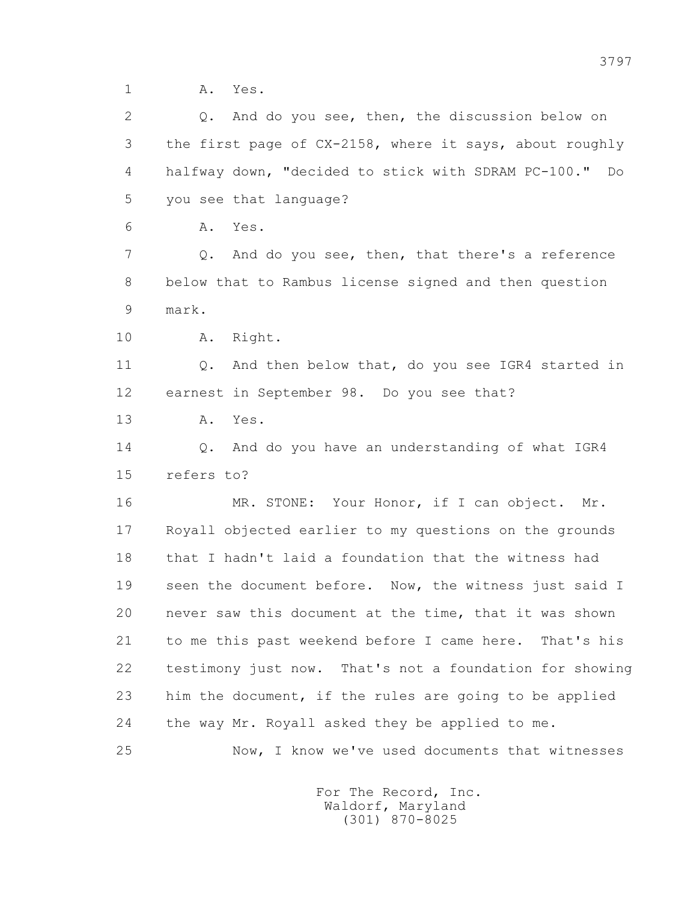1 A. Yes.

 2 Q. And do you see, then, the discussion below on 3 the first page of CX-2158, where it says, about roughly 4 halfway down, "decided to stick with SDRAM PC-100." Do 5 you see that language? 6 A. Yes. 7 Q. And do you see, then, that there's a reference 8 below that to Rambus license signed and then question 9 mark. 10 A. Right. 11 0. And then below that, do you see IGR4 started in 12 earnest in September 98. Do you see that? 13 A. Yes. 14 Q. And do you have an understanding of what IGR4 15 refers to? 16 MR. STONE: Your Honor, if I can object. Mr. 17 Royall objected earlier to my questions on the grounds 18 that I hadn't laid a foundation that the witness had 19 seen the document before. Now, the witness just said I 20 never saw this document at the time, that it was shown

 21 to me this past weekend before I came here. That's his 22 testimony just now. That's not a foundation for showing 23 him the document, if the rules are going to be applied 24 the way Mr. Royall asked they be applied to me.

25 Now, I know we've used documents that witnesses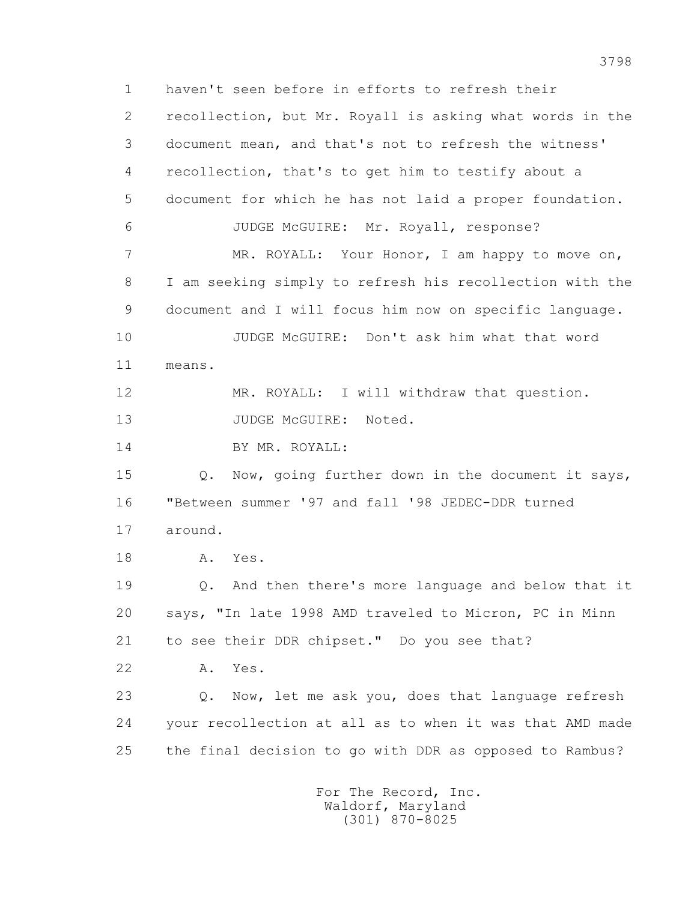1 haven't seen before in efforts to refresh their 2 recollection, but Mr. Royall is asking what words in the 3 document mean, and that's not to refresh the witness' 4 recollection, that's to get him to testify about a 5 document for which he has not laid a proper foundation. 6 JUDGE McGUIRE: Mr. Royall, response? 7 MR. ROYALL: Your Honor, I am happy to move on, 8 I am seeking simply to refresh his recollection with the 9 document and I will focus him now on specific language. 10 JUDGE McGUIRE: Don't ask him what that word 11 means. 12 MR. ROYALL: I will withdraw that question. 13 JUDGE McGUIRE: Noted. 14 BY MR. ROYALL: 15 Q. Now, going further down in the document it says, 16 "Between summer '97 and fall '98 JEDEC-DDR turned 17 around. 18 A. Yes. 19 Q. And then there's more language and below that it 20 says, "In late 1998 AMD traveled to Micron, PC in Minn 21 to see their DDR chipset." Do you see that? 22 A. Yes. 23 Q. Now, let me ask you, does that language refresh 24 your recollection at all as to when it was that AMD made 25 the final decision to go with DDR as opposed to Rambus?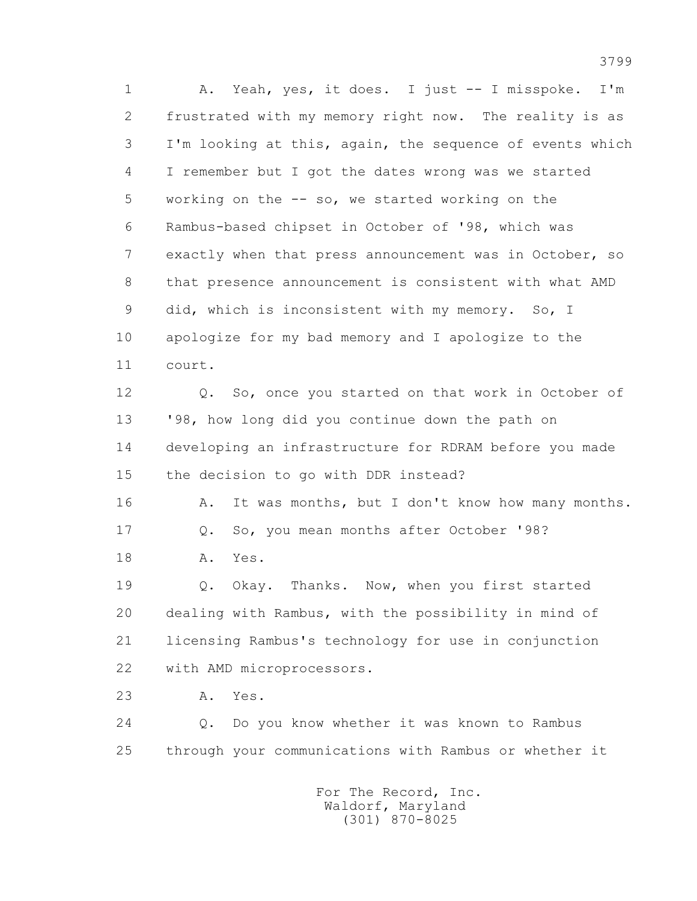1 A. Yeah, yes, it does. I just -- I misspoke. I'm 2 frustrated with my memory right now. The reality is as 3 I'm looking at this, again, the sequence of events which 4 I remember but I got the dates wrong was we started 5 working on the -- so, we started working on the 6 Rambus-based chipset in October of '98, which was 7 exactly when that press announcement was in October, so 8 that presence announcement is consistent with what AMD 9 did, which is inconsistent with my memory. So, I 10 apologize for my bad memory and I apologize to the 11 court.

 12 Q. So, once you started on that work in October of 13 '98, how long did you continue down the path on 14 developing an infrastructure for RDRAM before you made 15 the decision to go with DDR instead?

16 A. It was months, but I don't know how many months. 17 Q. So, you mean months after October '98? 18 A. Yes.

 19 Q. Okay. Thanks. Now, when you first started 20 dealing with Rambus, with the possibility in mind of 21 licensing Rambus's technology for use in conjunction 22 with AMD microprocessors.

23 A. Yes.

 24 Q. Do you know whether it was known to Rambus 25 through your communications with Rambus or whether it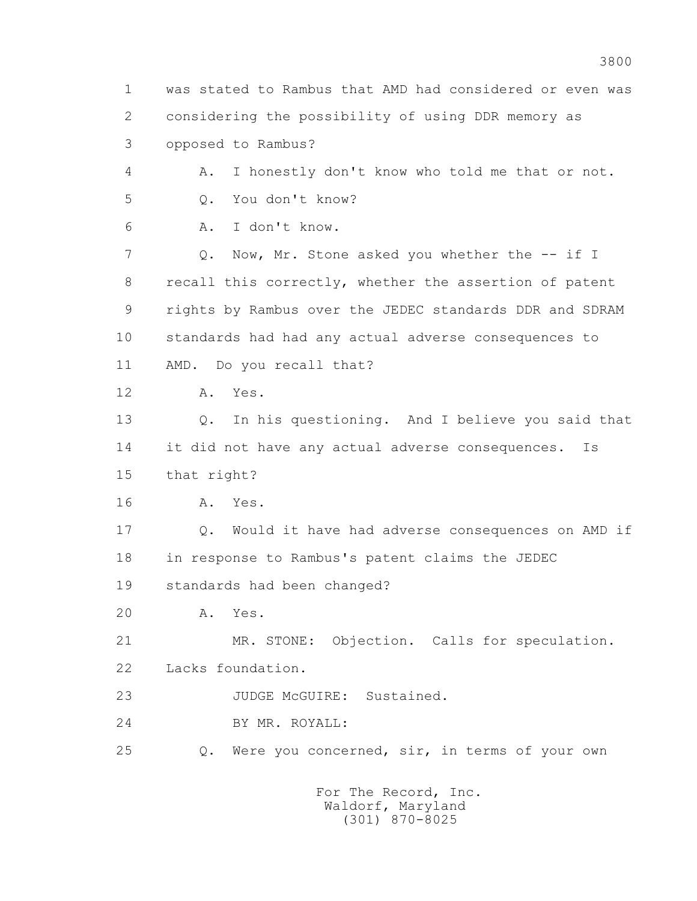1 was stated to Rambus that AMD had considered or even was 2 considering the possibility of using DDR memory as 3 opposed to Rambus? 4 A. I honestly don't know who told me that or not. 5 Q. You don't know? 6 A. I don't know. 7 Q. Now, Mr. Stone asked you whether the -- if I 8 recall this correctly, whether the assertion of patent 9 rights by Rambus over the JEDEC standards DDR and SDRAM 10 standards had had any actual adverse consequences to 11 AMD. Do you recall that? 12 A. Yes. 13 Q. In his questioning. And I believe you said that 14 it did not have any actual adverse consequences. Is 15 that right? 16 A. Yes. 17 Q. Would it have had adverse consequences on AMD if 18 in response to Rambus's patent claims the JEDEC 19 standards had been changed? 20 A. Yes. 21 MR. STONE: Objection. Calls for speculation. 22 Lacks foundation. 23 JUDGE McGUIRE: Sustained. 24 BY MR. ROYALL: 25 Q. Were you concerned, sir, in terms of your own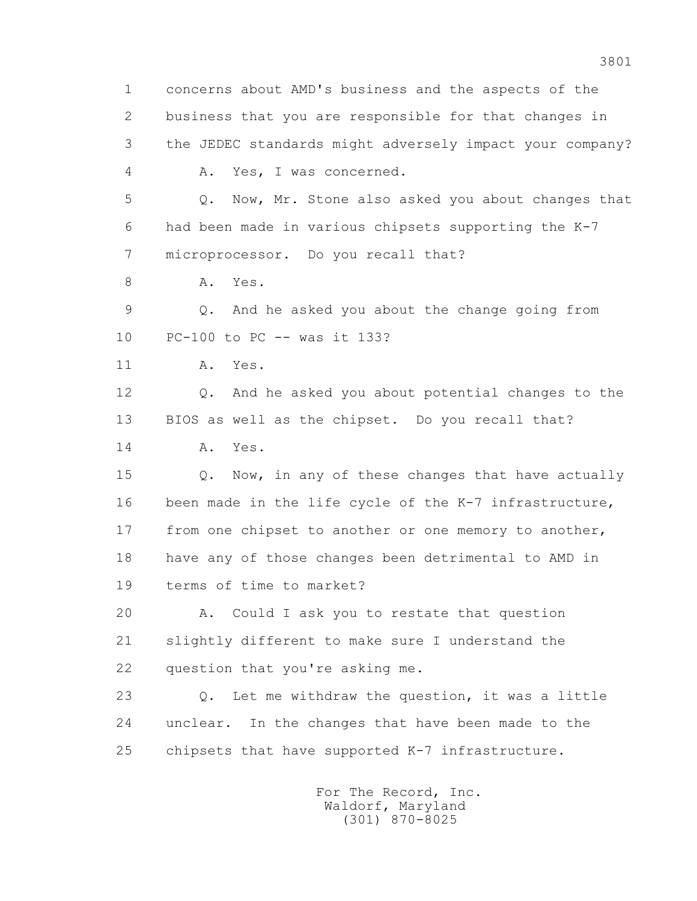1 concerns about AMD's business and the aspects of the 2 business that you are responsible for that changes in 3 the JEDEC standards might adversely impact your company? 4 A. Yes, I was concerned. 5 Q. Now, Mr. Stone also asked you about changes that 6 had been made in various chipsets supporting the K-7 7 microprocessor. Do you recall that? 8 A. Yes. 9 Q. And he asked you about the change going from 10 PC-100 to PC -- was it 133? 11 A. Yes. 12 Q. And he asked you about potential changes to the 13 BIOS as well as the chipset. Do you recall that? 14 A. Yes. 15 Q. Now, in any of these changes that have actually 16 been made in the life cycle of the K-7 infrastructure, 17 from one chipset to another or one memory to another, 18 have any of those changes been detrimental to AMD in 19 terms of time to market? 20 A. Could I ask you to restate that question 21 slightly different to make sure I understand the 22 question that you're asking me. 23 Q. Let me withdraw the question, it was a little 24 unclear. In the changes that have been made to the 25 chipsets that have supported K-7 infrastructure.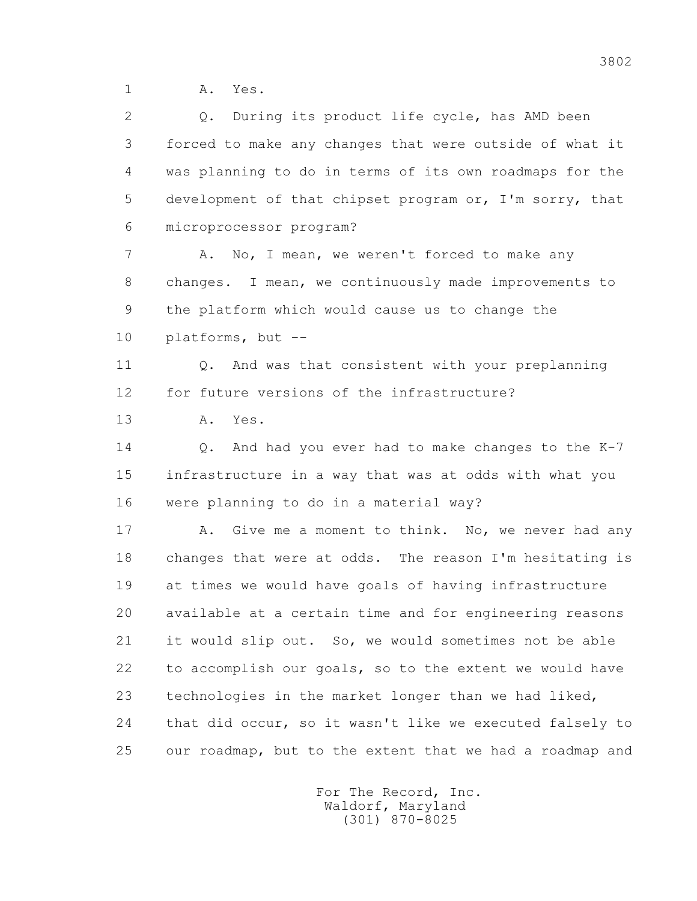1 A. Yes.

| 2  | Q. During its product life cycle, has AMD been           |
|----|----------------------------------------------------------|
| 3  | forced to make any changes that were outside of what it  |
| 4  | was planning to do in terms of its own roadmaps for the  |
| 5  | development of that chipset program or, I'm sorry, that  |
| 6  | microprocessor program?                                  |
| 7  | No, I mean, we weren't forced to make any<br>Α.          |
| 8  | changes. I mean, we continuously made improvements to    |
| 9  | the platform which would cause us to change the          |
| 10 | platforms, but --                                        |
| 11 | And was that consistent with your preplanning<br>Q.      |
| 12 | for future versions of the infrastructure?               |
| 13 | Yes.<br>Α.                                               |
| 14 | And had you ever had to make changes to the K-7<br>Q.    |
| 15 | infrastructure in a way that was at odds with what you   |
| 16 | were planning to do in a material way?                   |
| 17 | Give me a moment to think. No, we never had any<br>Α.    |
| 18 | changes that were at odds. The reason I'm hesitating is  |
| 19 | at times we would have goals of having infrastructure    |
| 20 | available at a certain time and for engineering reasons  |
| 21 | it would slip out. So, we would sometimes not be able    |
| 22 | to accomplish our goals, so to the extent we would have  |
| 23 | technologies in the market longer than we had liked,     |
| 24 | that did occur, so it wasn't like we executed falsely to |
| 25 | our roadmap, but to the extent that we had a roadmap and |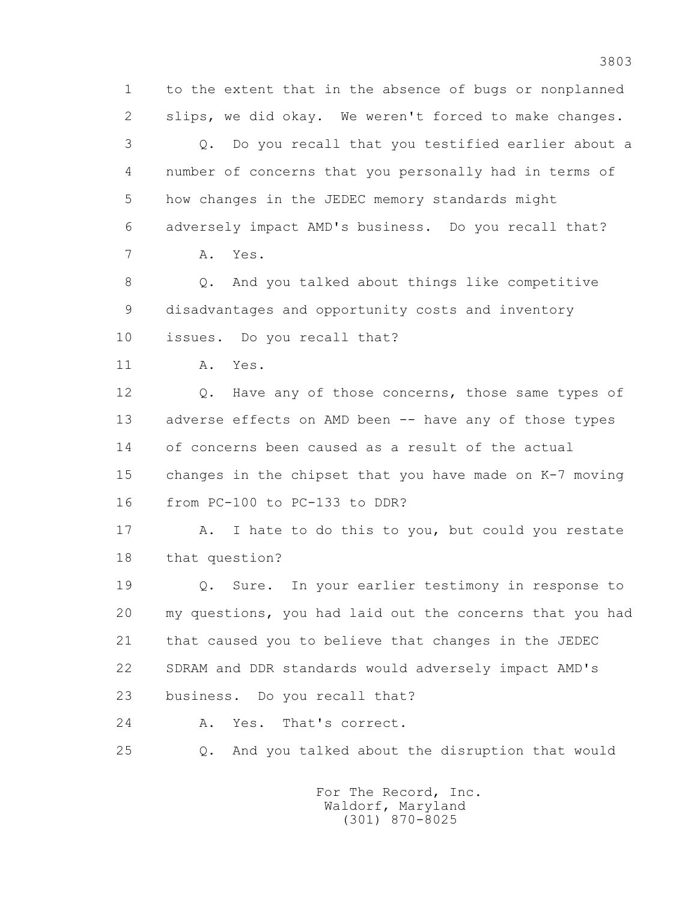1 to the extent that in the absence of bugs or nonplanned 2 slips, we did okay. We weren't forced to make changes. 3 Q. Do you recall that you testified earlier about a 4 number of concerns that you personally had in terms of 5 how changes in the JEDEC memory standards might 6 adversely impact AMD's business. Do you recall that? 7 A. Yes. 8 Q. And you talked about things like competitive 9 disadvantages and opportunity costs and inventory 10 issues. Do you recall that? 11 A. Yes. 12 Q. Have any of those concerns, those same types of 13 adverse effects on AMD been -- have any of those types 14 of concerns been caused as a result of the actual 15 changes in the chipset that you have made on K-7 moving 16 from PC-100 to PC-133 to DDR? 17 A. I hate to do this to you, but could you restate 18 that question? 19 Q. Sure. In your earlier testimony in response to 20 my questions, you had laid out the concerns that you had 21 that caused you to believe that changes in the JEDEC 22 SDRAM and DDR standards would adversely impact AMD's 23 business. Do you recall that? 24 A. Yes. That's correct. 25 Q. And you talked about the disruption that would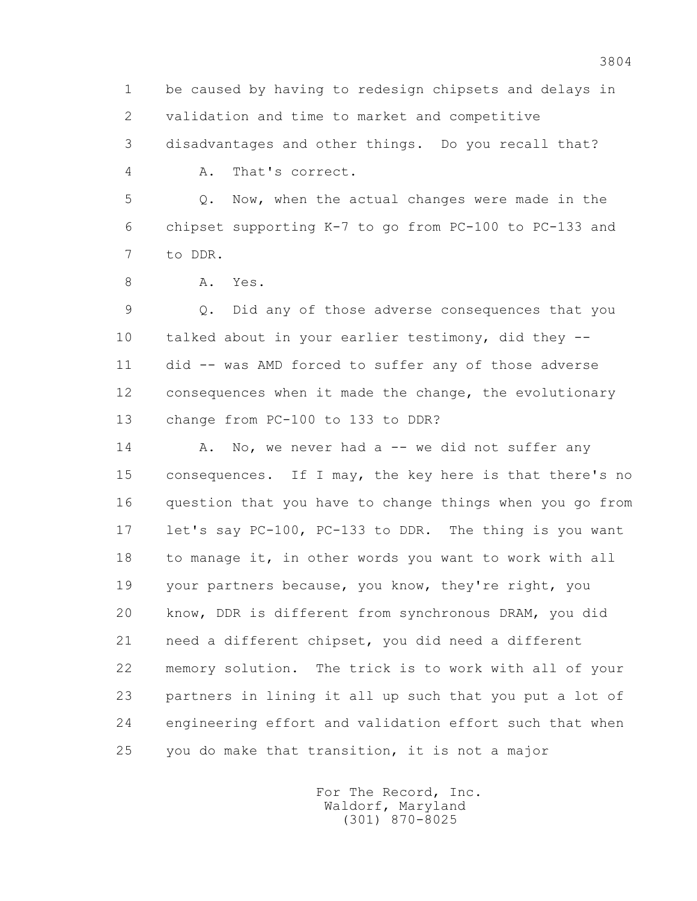1 be caused by having to redesign chipsets and delays in 2 validation and time to market and competitive 3 disadvantages and other things. Do you recall that? 4 A. That's correct. 5 Q. Now, when the actual changes were made in the

 6 chipset supporting K-7 to go from PC-100 to PC-133 and 7 to DDR.

8 A. Yes.

 9 Q. Did any of those adverse consequences that you 10 talked about in your earlier testimony, did they -- 11 did -- was AMD forced to suffer any of those adverse 12 consequences when it made the change, the evolutionary 13 change from PC-100 to 133 to DDR?

14 A. No, we never had a -- we did not suffer any 15 consequences. If I may, the key here is that there's no 16 question that you have to change things when you go from 17 let's say PC-100, PC-133 to DDR. The thing is you want 18 to manage it, in other words you want to work with all 19 your partners because, you know, they're right, you 20 know, DDR is different from synchronous DRAM, you did 21 need a different chipset, you did need a different 22 memory solution. The trick is to work with all of your 23 partners in lining it all up such that you put a lot of 24 engineering effort and validation effort such that when 25 you do make that transition, it is not a major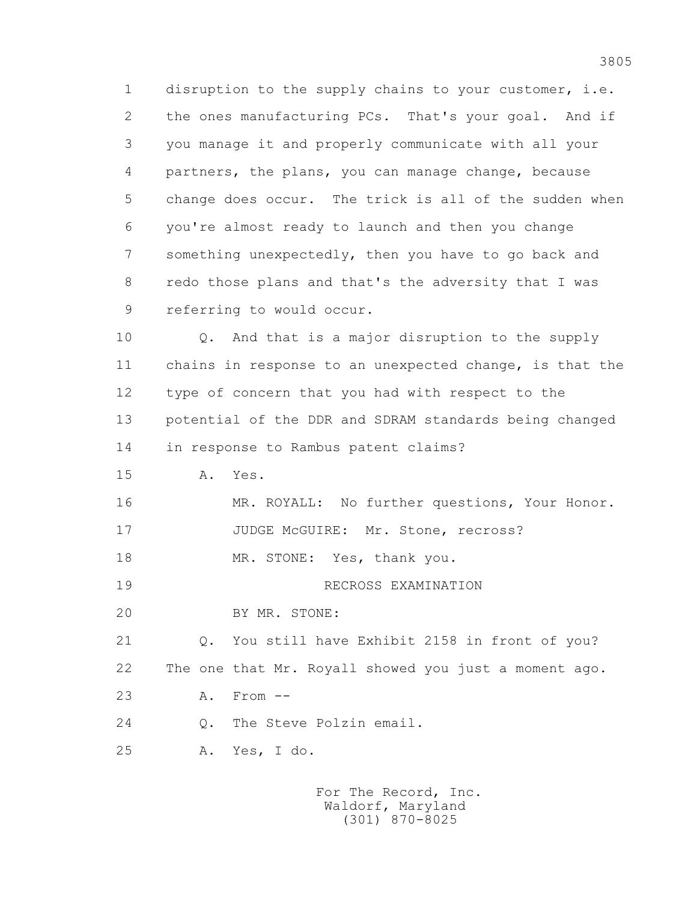1 disruption to the supply chains to your customer, i.e. 2 the ones manufacturing PCs. That's your goal. And if 3 you manage it and properly communicate with all your 4 partners, the plans, you can manage change, because 5 change does occur. The trick is all of the sudden when 6 you're almost ready to launch and then you change 7 something unexpectedly, then you have to go back and 8 redo those plans and that's the adversity that I was 9 referring to would occur.

 10 Q. And that is a major disruption to the supply 11 chains in response to an unexpected change, is that the 12 type of concern that you had with respect to the 13 potential of the DDR and SDRAM standards being changed 14 in response to Rambus patent claims?

15 A. Yes.

 16 MR. ROYALL: No further questions, Your Honor. 17 JUDGE McGUIRE: Mr. Stone, recross?

18 MR. STONE: Yes, thank you.

19 RECROSS EXAMINATION

20 BY MR. STONE:

 21 Q. You still have Exhibit 2158 in front of you? 22 The one that Mr. Royall showed you just a moment ago.

23 A. From --

24 0. The Steve Polzin email.

25 A. Yes, I do.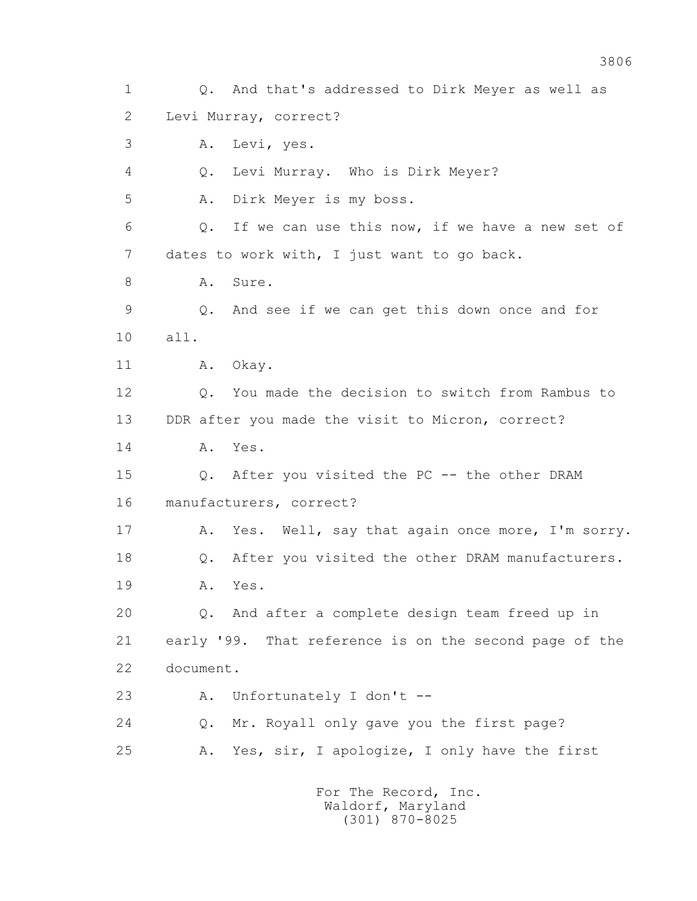1 Q. And that's addressed to Dirk Meyer as well as 2 Levi Murray, correct? 3 A. Levi, yes. 4 Q. Levi Murray. Who is Dirk Meyer? 5 A. Dirk Meyer is my boss. 6 Q. If we can use this now, if we have a new set of 7 dates to work with, I just want to go back. 8 A. Sure. 9 Q. And see if we can get this down once and for 10 all. 11 A. Okay. 12 Q. You made the decision to switch from Rambus to 13 DDR after you made the visit to Micron, correct? 14 A. Yes. 15 Q. After you visited the PC -- the other DRAM 16 manufacturers, correct? 17 A. Yes. Well, say that again once more, I'm sorry. 18 Q. After you visited the other DRAM manufacturers. 19 A. Yes. 20 Q. And after a complete design team freed up in 21 early '99. That reference is on the second page of the 22 document. 23 A. Unfortunately I don't -- 24 Q. Mr. Royall only gave you the first page? 25 A. Yes, sir, I apologize, I only have the first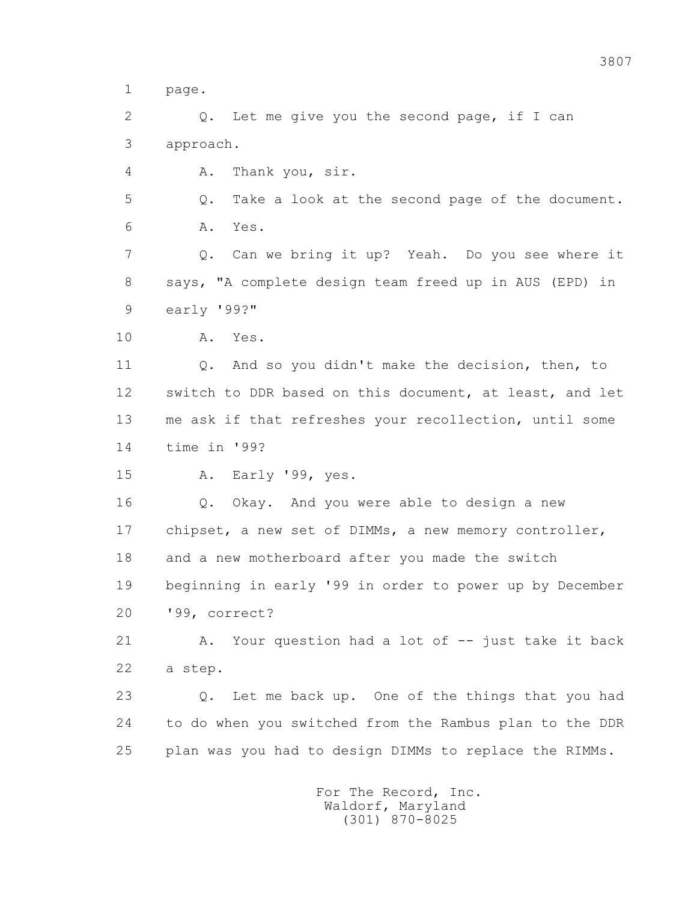1 page.

 2 Q. Let me give you the second page, if I can 3 approach.

4 A. Thank you, sir.

 5 Q. Take a look at the second page of the document. 6 A. Yes.

 7 Q. Can we bring it up? Yeah. Do you see where it 8 says, "A complete design team freed up in AUS (EPD) in 9 early '99?"

10 A. Yes.

 11 Q. And so you didn't make the decision, then, to 12 switch to DDR based on this document, at least, and let 13 me ask if that refreshes your recollection, until some 14 time in '99?

15 A. Early '99, yes.

 16 Q. Okay. And you were able to design a new 17 chipset, a new set of DIMMs, a new memory controller, 18 and a new motherboard after you made the switch 19 beginning in early '99 in order to power up by December 20 '99, correct?

 21 A. Your question had a lot of -- just take it back 22 a step.

 23 Q. Let me back up. One of the things that you had 24 to do when you switched from the Rambus plan to the DDR 25 plan was you had to design DIMMs to replace the RIMMs.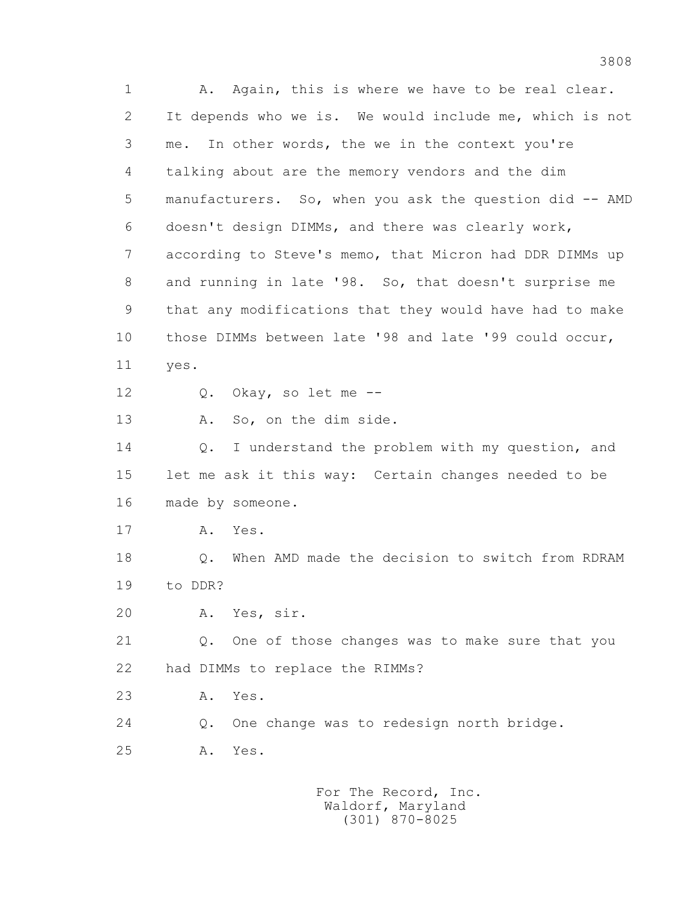1 A. Again, this is where we have to be real clear. 2 It depends who we is. We would include me, which is not 3 me. In other words, the we in the context you're 4 talking about are the memory vendors and the dim 5 manufacturers. So, when you ask the question did -- AMD 6 doesn't design DIMMs, and there was clearly work, 7 according to Steve's memo, that Micron had DDR DIMMs up 8 and running in late '98. So, that doesn't surprise me 9 that any modifications that they would have had to make 10 those DIMMs between late '98 and late '99 could occur, 11 yes. 12 Q. Okay, so let me -- 13 A. So, on the dim side. 14 0. I understand the problem with my question, and 15 let me ask it this way: Certain changes needed to be 16 made by someone. 17 A. Yes. 18 Q. When AMD made the decision to switch from RDRAM 19 to DDR? 20 A. Yes, sir. 21 Q. One of those changes was to make sure that you 22 had DIMMs to replace the RIMMs? 23 A. Yes. 24 Q. One change was to redesign north bridge. 25 A. Yes.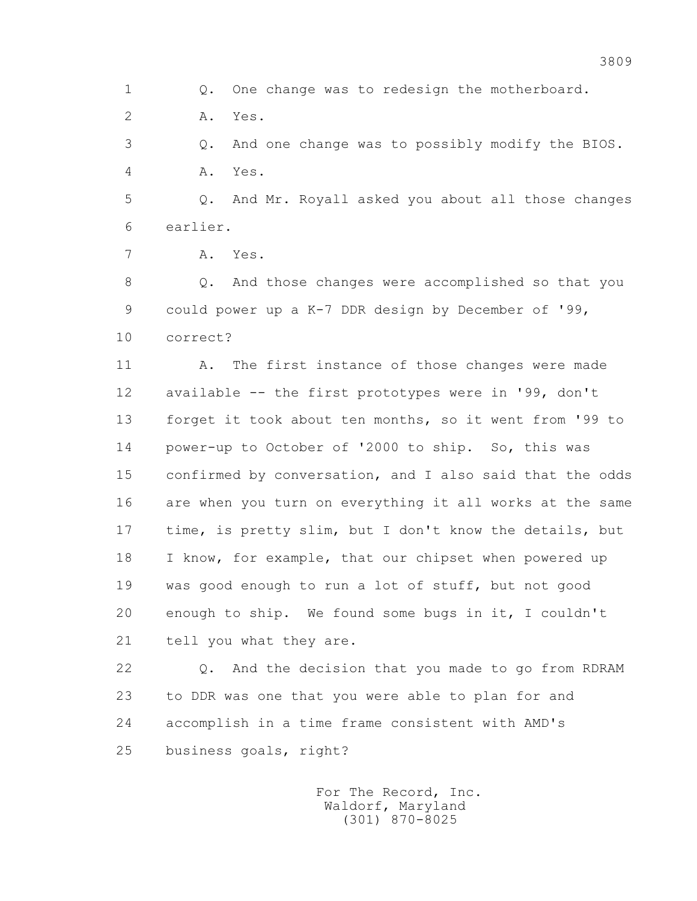1 Q. One change was to redesign the motherboard.

2 A. Yes.

 3 Q. And one change was to possibly modify the BIOS. 4 A. Yes.

 5 Q. And Mr. Royall asked you about all those changes 6 earlier.

7 A. Yes.

 8 Q. And those changes were accomplished so that you 9 could power up a K-7 DDR design by December of '99, 10 correct?

 11 A. The first instance of those changes were made 12 available -- the first prototypes were in '99, don't 13 forget it took about ten months, so it went from '99 to 14 power-up to October of '2000 to ship. So, this was 15 confirmed by conversation, and I also said that the odds 16 are when you turn on everything it all works at the same 17 time, is pretty slim, but I don't know the details, but 18 I know, for example, that our chipset when powered up 19 was good enough to run a lot of stuff, but not good 20 enough to ship. We found some bugs in it, I couldn't 21 tell you what they are.

 22 Q. And the decision that you made to go from RDRAM 23 to DDR was one that you were able to plan for and 24 accomplish in a time frame consistent with AMD's 25 business goals, right?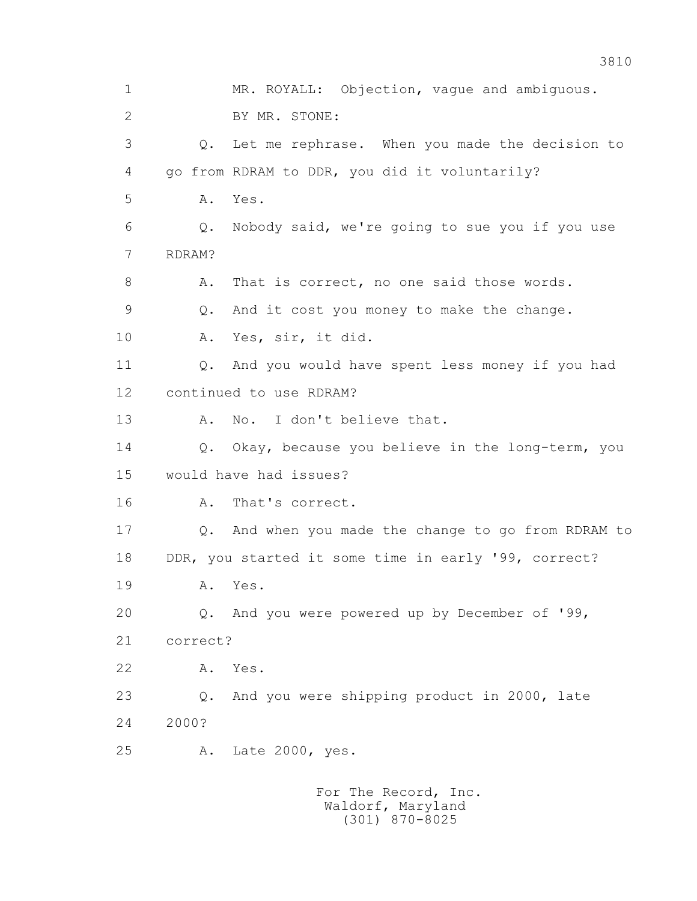1 MR. ROYALL: Objection, vague and ambiguous. 2 BY MR. STONE: 3 Q. Let me rephrase. When you made the decision to 4 go from RDRAM to DDR, you did it voluntarily? 5 A. Yes. 6 Q. Nobody said, we're going to sue you if you use 7 RDRAM? 8 A. That is correct, no one said those words. 9 Q. And it cost you money to make the change. 10 A. Yes, sir, it did. 11 Q. And you would have spent less money if you had 12 continued to use RDRAM? 13 A. No. I don't believe that. 14 Q. Okay, because you believe in the long-term, you 15 would have had issues? 16 A. That's correct. 17 Q. And when you made the change to go from RDRAM to 18 DDR, you started it some time in early '99, correct? 19 A. Yes. 20 Q. And you were powered up by December of '99, 21 correct? 22 A. Yes. 23 Q. And you were shipping product in 2000, late 24 2000? 25 A. Late 2000, yes.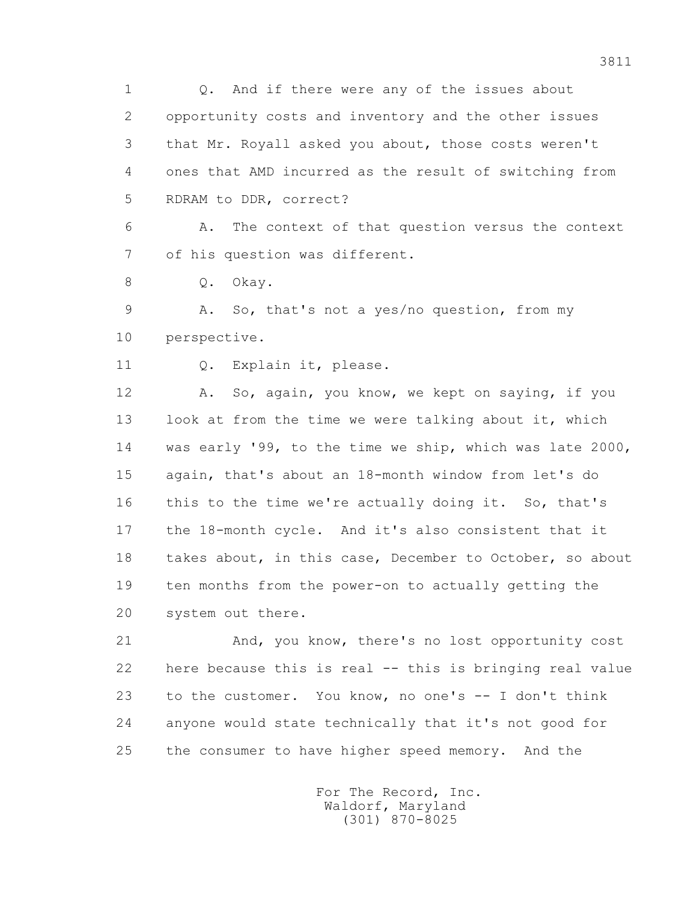1 Q. And if there were any of the issues about 2 opportunity costs and inventory and the other issues 3 that Mr. Royall asked you about, those costs weren't 4 ones that AMD incurred as the result of switching from 5 RDRAM to DDR, correct?

 6 A. The context of that question versus the context 7 of his question was different.

8 O. Okay.

 9 A. So, that's not a yes/no question, from my 10 perspective.

11 Q. Explain it, please.

 12 A. So, again, you know, we kept on saying, if you 13 look at from the time we were talking about it, which 14 was early '99, to the time we ship, which was late 2000, 15 again, that's about an 18-month window from let's do 16 this to the time we're actually doing it. So, that's 17 the 18-month cycle. And it's also consistent that it 18 takes about, in this case, December to October, so about 19 ten months from the power-on to actually getting the 20 system out there.

 21 And, you know, there's no lost opportunity cost 22 here because this is real -- this is bringing real value 23 to the customer. You know, no one's -- I don't think 24 anyone would state technically that it's not good for 25 the consumer to have higher speed memory. And the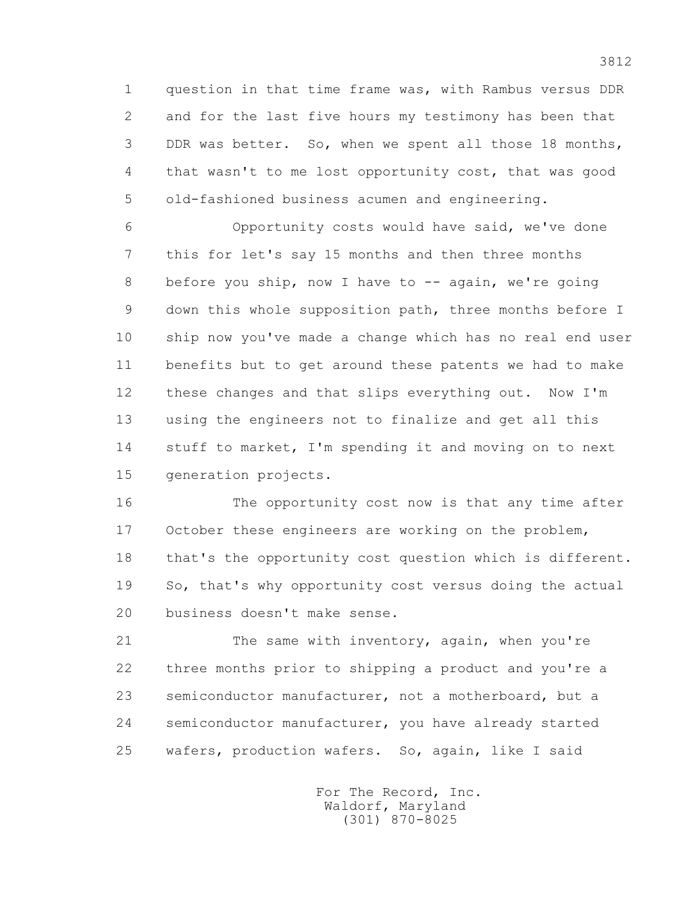1 question in that time frame was, with Rambus versus DDR 2 and for the last five hours my testimony has been that 3 DDR was better. So, when we spent all those 18 months, 4 that wasn't to me lost opportunity cost, that was good 5 old-fashioned business acumen and engineering.

 6 Opportunity costs would have said, we've done 7 this for let's say 15 months and then three months 8 before you ship, now I have to -- again, we're going 9 down this whole supposition path, three months before I 10 ship now you've made a change which has no real end user 11 benefits but to get around these patents we had to make 12 these changes and that slips everything out. Now I'm 13 using the engineers not to finalize and get all this 14 stuff to market, I'm spending it and moving on to next 15 generation projects.

 16 The opportunity cost now is that any time after 17 October these engineers are working on the problem, 18 that's the opportunity cost question which is different. 19 So, that's why opportunity cost versus doing the actual 20 business doesn't make sense.

 21 The same with inventory, again, when you're 22 three months prior to shipping a product and you're a 23 semiconductor manufacturer, not a motherboard, but a 24 semiconductor manufacturer, you have already started 25 wafers, production wafers. So, again, like I said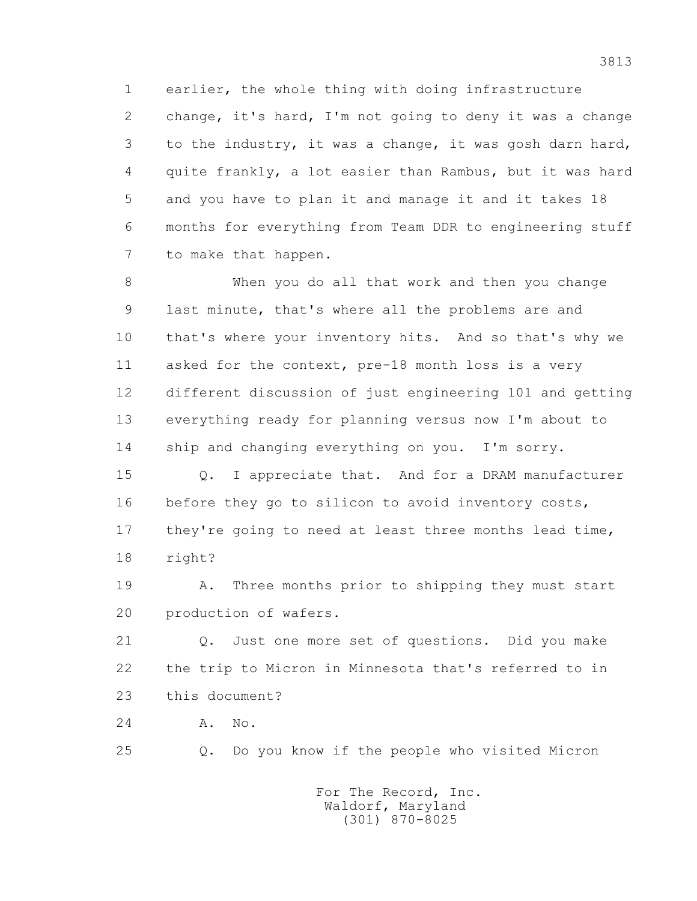1 earlier, the whole thing with doing infrastructure 2 change, it's hard, I'm not going to deny it was a change 3 to the industry, it was a change, it was gosh darn hard, 4 quite frankly, a lot easier than Rambus, but it was hard 5 and you have to plan it and manage it and it takes 18 6 months for everything from Team DDR to engineering stuff 7 to make that happen.

 8 When you do all that work and then you change 9 last minute, that's where all the problems are and 10 that's where your inventory hits. And so that's why we 11 asked for the context, pre-18 month loss is a very 12 different discussion of just engineering 101 and getting 13 everything ready for planning versus now I'm about to 14 ship and changing everything on you. I'm sorry.

 15 Q. I appreciate that. And for a DRAM manufacturer 16 before they go to silicon to avoid inventory costs, 17 they're going to need at least three months lead time, 18 right?

 19 A. Three months prior to shipping they must start 20 production of wafers.

 21 Q. Just one more set of questions. Did you make 22 the trip to Micron in Minnesota that's referred to in 23 this document?

24 A. No.

25 Q. Do you know if the people who visited Micron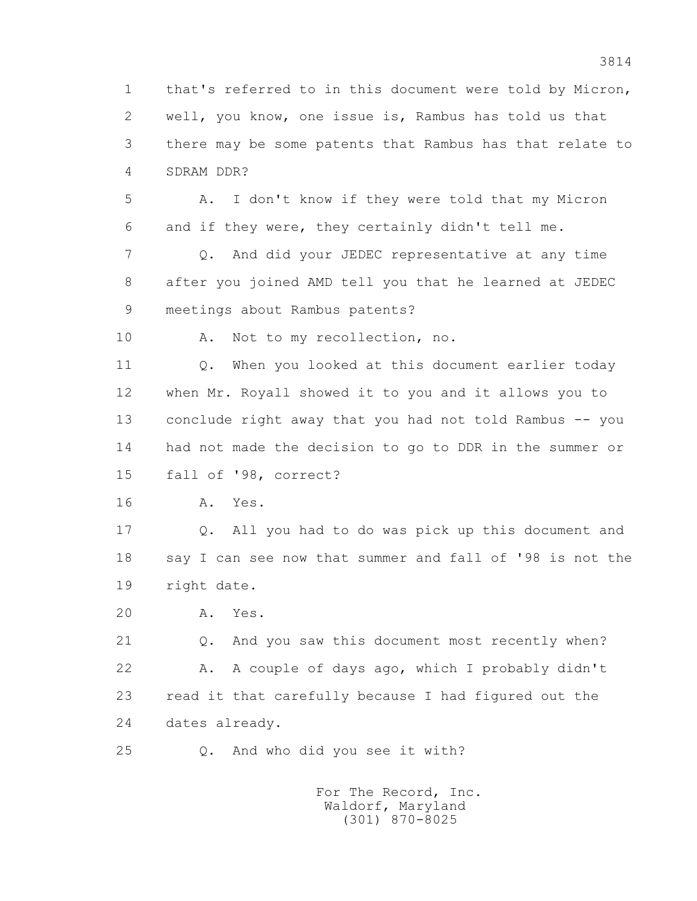1 that's referred to in this document were told by Micron, 2 well, you know, one issue is, Rambus has told us that 3 there may be some patents that Rambus has that relate to 4 SDRAM DDR?

 5 A. I don't know if they were told that my Micron 6 and if they were, they certainly didn't tell me.

 7 Q. And did your JEDEC representative at any time 8 after you joined AMD tell you that he learned at JEDEC 9 meetings about Rambus patents?

10 A. Not to my recollection, no.

 11 Q. When you looked at this document earlier today 12 when Mr. Royall showed it to you and it allows you to 13 conclude right away that you had not told Rambus -- you 14 had not made the decision to go to DDR in the summer or 15 fall of '98, correct?

16 A. Yes.

 17 Q. All you had to do was pick up this document and 18 say I can see now that summer and fall of '98 is not the 19 right date.

20 A. Yes.

 21 Q. And you saw this document most recently when? 22 A. A couple of days ago, which I probably didn't 23 read it that carefully because I had figured out the 24 dates already.

25 Q. And who did you see it with?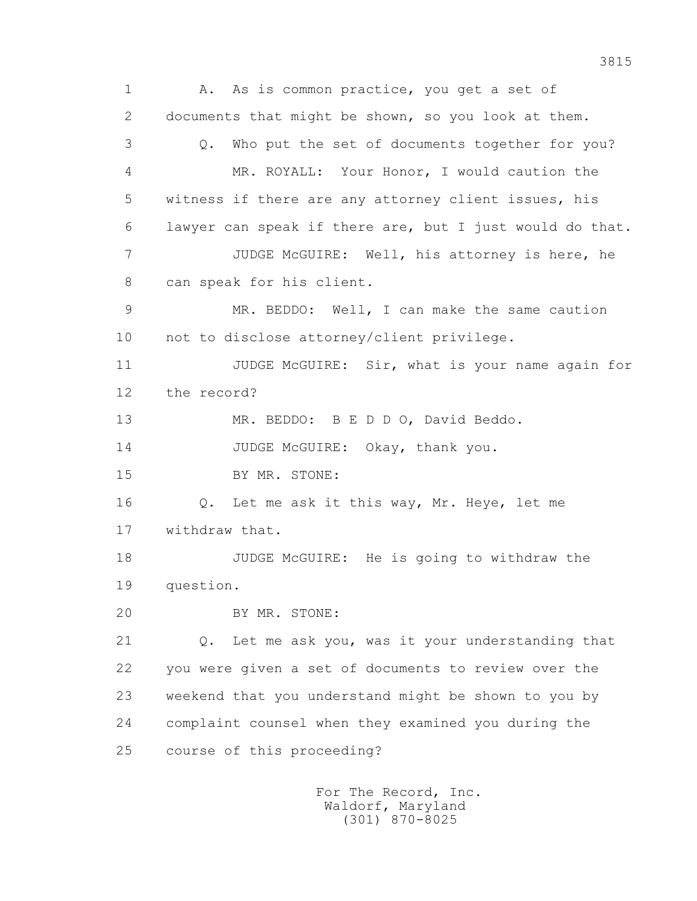1 A. As is common practice, you get a set of 2 documents that might be shown, so you look at them. 3 Q. Who put the set of documents together for you? 4 MR. ROYALL: Your Honor, I would caution the 5 witness if there are any attorney client issues, his 6 lawyer can speak if there are, but I just would do that. 7 JUDGE McGUIRE: Well, his attorney is here, he 8 can speak for his client. 9 MR. BEDDO: Well, I can make the same caution 10 not to disclose attorney/client privilege. 11 JUDGE McGUIRE: Sir, what is your name again for 12 the record? 13 MR. BEDDO: B E D D O, David Beddo. 14 JUDGE McGUIRE: Okay, thank you. 15 BY MR. STONE: 16 Q. Let me ask it this way, Mr. Heye, let me 17 withdraw that. 18 JUDGE McGUIRE: He is going to withdraw the 19 question. 20 BY MR. STONE: 21 Q. Let me ask you, was it your understanding that 22 you were given a set of documents to review over the 23 weekend that you understand might be shown to you by 24 complaint counsel when they examined you during the 25 course of this proceeding? For The Record, Inc.

3815

 Waldorf, Maryland (301) 870-8025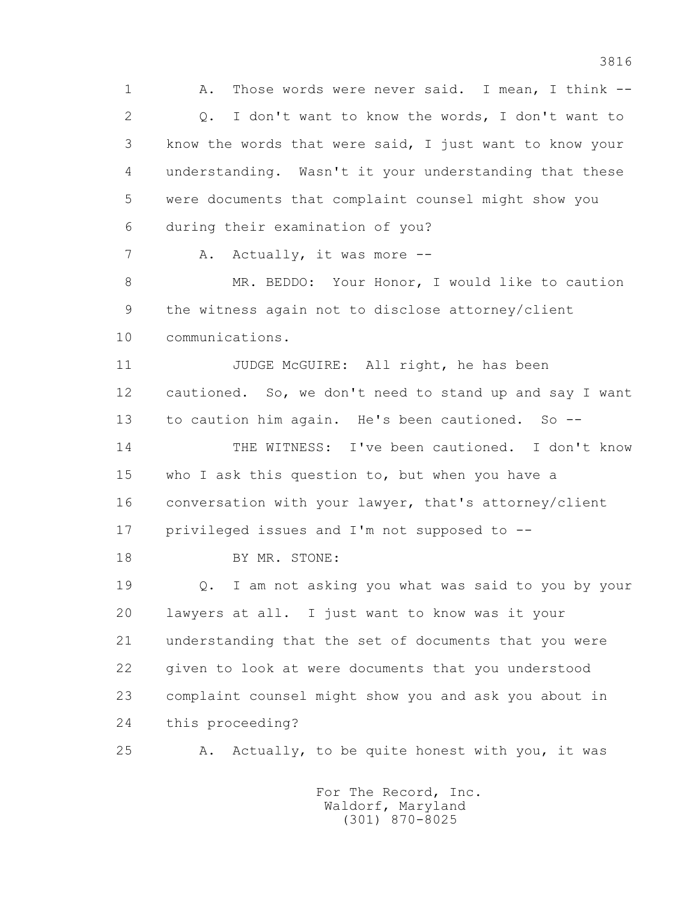1 A. Those words were never said. I mean, I think -- 2 Q. I don't want to know the words, I don't want to 3 know the words that were said, I just want to know your 4 understanding. Wasn't it your understanding that these 5 were documents that complaint counsel might show you 6 during their examination of you? 7 A. Actually, it was more -- 8 MR. BEDDO: Your Honor, I would like to caution 9 the witness again not to disclose attorney/client 10 communications. 11 JUDGE McGUIRE: All right, he has been 12 cautioned. So, we don't need to stand up and say I want 13 to caution him again. He's been cautioned. So -- 14 THE WITNESS: I've been cautioned. I don't know 15 who I ask this question to, but when you have a 16 conversation with your lawyer, that's attorney/client 17 privileged issues and I'm not supposed to -- 18 BY MR. STONE: 19 Q. I am not asking you what was said to you by your 20 lawyers at all. I just want to know was it your 21 understanding that the set of documents that you were 22 given to look at were documents that you understood 23 complaint counsel might show you and ask you about in 24 this proceeding? 25 A. Actually, to be quite honest with you, it was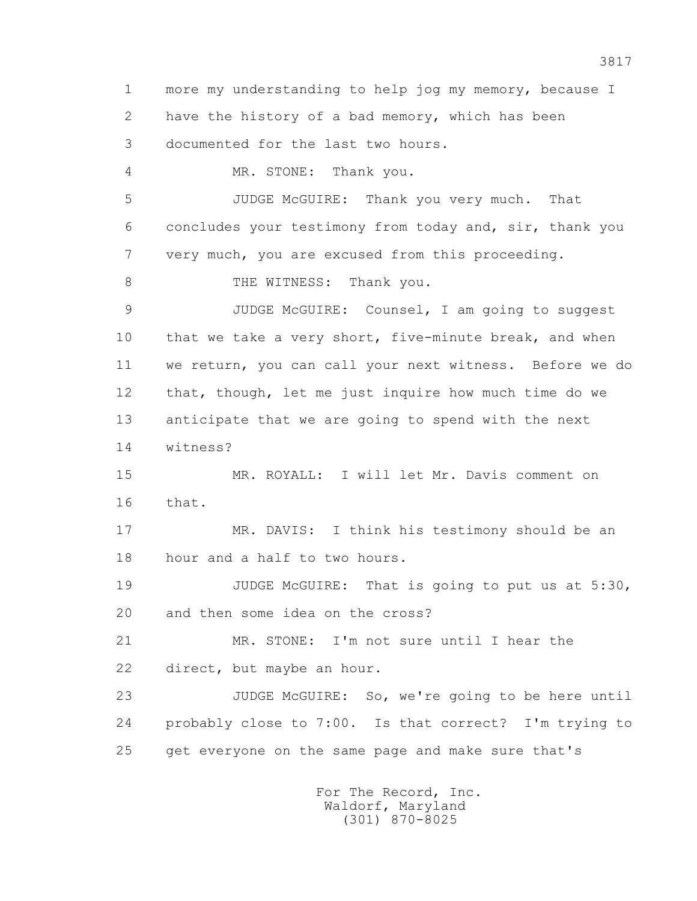1 more my understanding to help jog my memory, because I 2 have the history of a bad memory, which has been 3 documented for the last two hours. 4 MR. STONE: Thank you. 5 JUDGE McGUIRE: Thank you very much. That 6 concludes your testimony from today and, sir, thank you 7 very much, you are excused from this proceeding. 8 THE WITNESS: Thank you. 9 JUDGE McGUIRE: Counsel, I am going to suggest 10 that we take a very short, five-minute break, and when 11 we return, you can call your next witness. Before we do 12 that, though, let me just inquire how much time do we 13 anticipate that we are going to spend with the next 14 witness? 15 MR. ROYALL: I will let Mr. Davis comment on 16 that. 17 MR. DAVIS: I think his testimony should be an 18 hour and a half to two hours. 19 JUDGE McGUIRE: That is going to put us at 5:30, 20 and then some idea on the cross? 21 MR. STONE: I'm not sure until I hear the 22 direct, but maybe an hour. 23 JUDGE McGUIRE: So, we're going to be here until 24 probably close to 7:00. Is that correct? I'm trying to 25 get everyone on the same page and make sure that's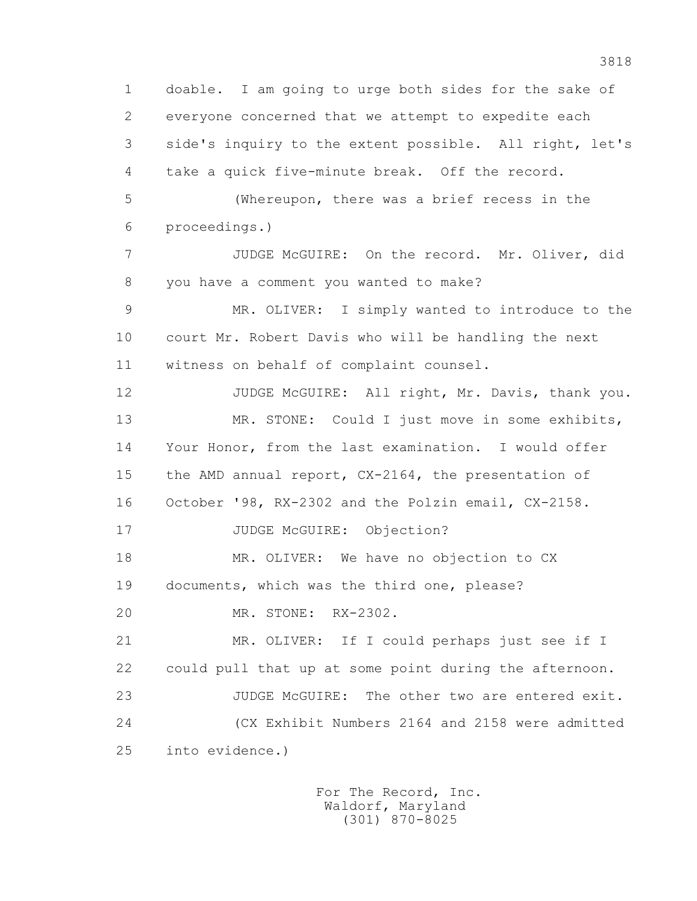1 doable. I am going to urge both sides for the sake of 2 everyone concerned that we attempt to expedite each 3 side's inquiry to the extent possible. All right, let's 4 take a quick five-minute break. Off the record. 5 (Whereupon, there was a brief recess in the 6 proceedings.) 7 JUDGE McGUIRE: On the record. Mr. Oliver, did 8 you have a comment you wanted to make? 9 MR. OLIVER: I simply wanted to introduce to the 10 court Mr. Robert Davis who will be handling the next 11 witness on behalf of complaint counsel. 12 JUDGE McGUIRE: All right, Mr. Davis, thank you. 13 MR. STONE: Could I just move in some exhibits, 14 Your Honor, from the last examination. I would offer 15 the AMD annual report, CX-2164, the presentation of 16 October '98, RX-2302 and the Polzin email, CX-2158. 17 JUDGE McGUIRE: Objection? 18 MR. OLIVER: We have no objection to CX 19 documents, which was the third one, please? 20 MR. STONE: RX-2302. 21 MR. OLIVER: If I could perhaps just see if I 22 could pull that up at some point during the afternoon. 23 JUDGE McGUIRE: The other two are entered exit. 24 (CX Exhibit Numbers 2164 and 2158 were admitted 25 into evidence.)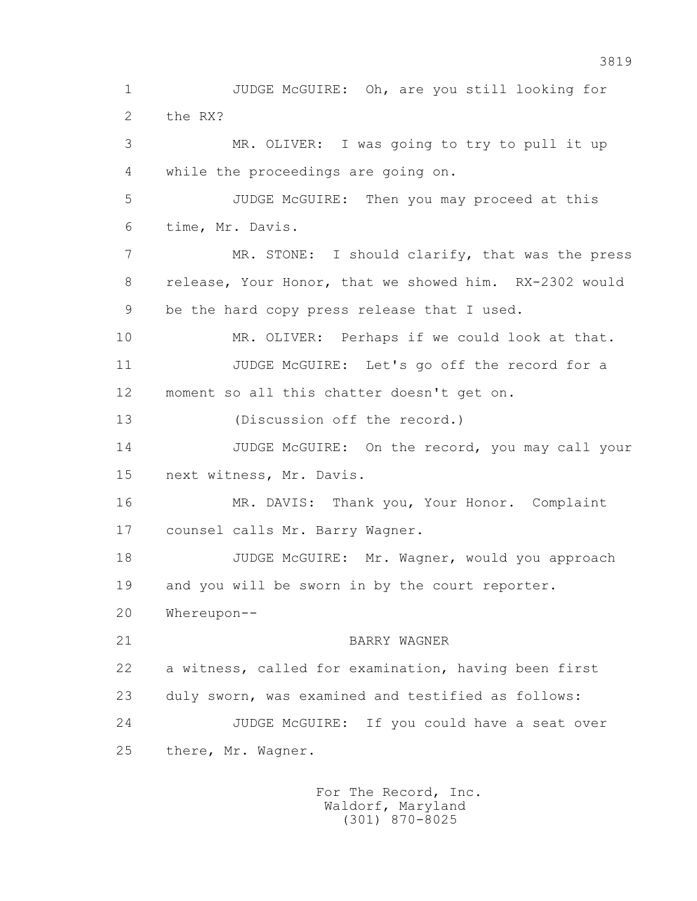1 JUDGE McGUIRE: Oh, are you still looking for 2 the RX? 3 MR. OLIVER: I was going to try to pull it up 4 while the proceedings are going on. 5 JUDGE McGUIRE: Then you may proceed at this 6 time, Mr. Davis. 7 MR. STONE: I should clarify, that was the press 8 release, Your Honor, that we showed him. RX-2302 would 9 be the hard copy press release that I used. 10 MR. OLIVER: Perhaps if we could look at that. 11 JUDGE McGUIRE: Let's go off the record for a 12 moment so all this chatter doesn't get on. 13 (Discussion off the record.) 14 JUDGE McGUIRE: On the record, you may call your 15 next witness, Mr. Davis. 16 MR. DAVIS: Thank you, Your Honor. Complaint 17 counsel calls Mr. Barry Wagner. 18 JUDGE McGUIRE: Mr. Wagner, would you approach 19 and you will be sworn in by the court reporter. 20 Whereupon-- 21 BARRY WAGNER 22 a witness, called for examination, having been first 23 duly sworn, was examined and testified as follows: 24 JUDGE McGUIRE: If you could have a seat over 25 there, Mr. Wagner.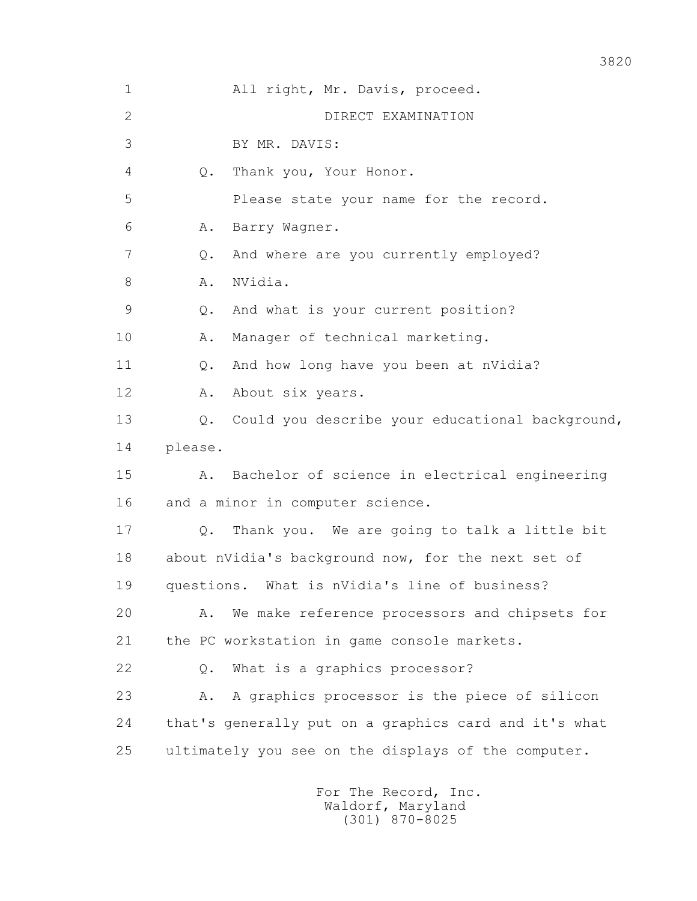| $\mathbf 1$ | All right, Mr. Davis, proceed.                        |
|-------------|-------------------------------------------------------|
| 2           | DIRECT EXAMINATION                                    |
| 3           | BY MR. DAVIS:                                         |
| 4           | Thank you, Your Honor.<br>Q.                          |
| 5           | Please state your name for the record.                |
| 6           | Barry Wagner.<br>Α.                                   |
| 7           | And where are you currently employed?<br>Q.           |
| 8           | NVidia.<br>Α.                                         |
| 9           | And what is your current position?<br>Q.              |
| 10          | Manager of technical marketing.<br>Α.                 |
| 11          | And how long have you been at nVidia?<br>Q.           |
| 12          | About six years.<br>Α.                                |
| 13          | Could you describe your educational background,<br>Q. |
| 14          | please.                                               |
| 15          | Bachelor of science in electrical engineering<br>Α.   |
| 16          | and a minor in computer science.                      |
| 17          | Thank you. We are going to talk a little bit<br>$Q$ . |
| 18          | about nVidia's background now, for the next set of    |
| 19          | What is nVidia's line of business?<br>questions.      |
| 20          | We make reference processors and chipsets for<br>Α.   |
| 21          | the PC workstation in game console markets.           |
| 22          | What is a graphics processor?<br>Q.                   |
| 23          | A graphics processor is the piece of silicon<br>Α.    |
| 24          | that's generally put on a graphics card and it's what |
| 25          | ultimately you see on the displays of the computer.   |
|             |                                                       |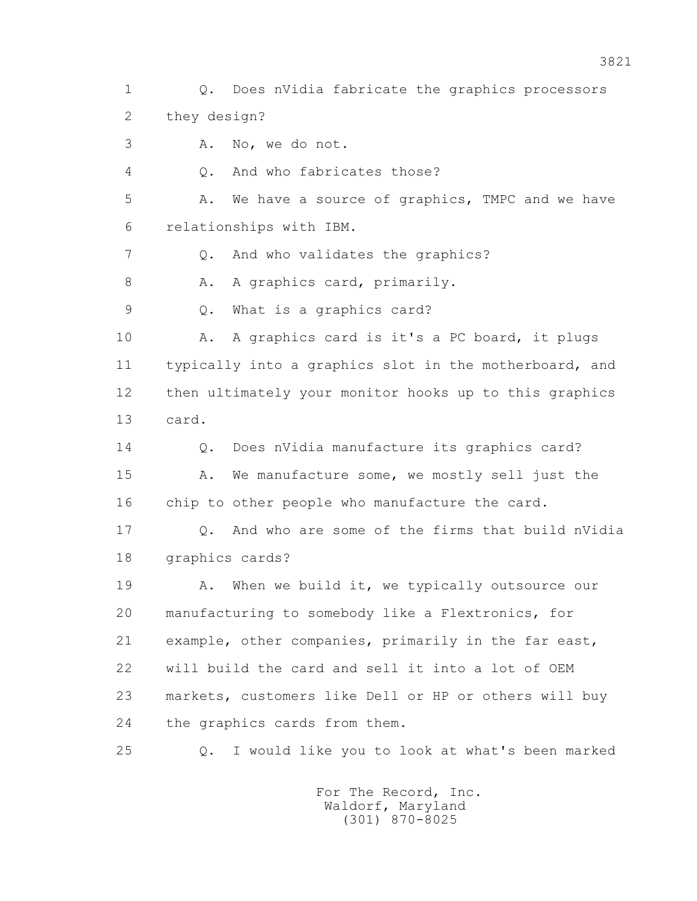1 Q. Does nVidia fabricate the graphics processors 2 they design?

3 A. No, we do not.

4 Q. And who fabricates those?

 5 A. We have a source of graphics, TMPC and we have 6 relationships with IBM.

7 Q. And who validates the graphics?

8 A. A graphics card, primarily.

9 Q. What is a graphics card?

10 A. A graphics card is it's a PC board, it plugs 11 typically into a graphics slot in the motherboard, and 12 then ultimately your monitor hooks up to this graphics 13 card.

14 0. Does nVidia manufacture its graphics card?

15 A. We manufacture some, we mostly sell just the 16 chip to other people who manufacture the card.

 17 Q. And who are some of the firms that build nVidia 18 graphics cards?

19 A. When we build it, we typically outsource our 20 manufacturing to somebody like a Flextronics, for 21 example, other companies, primarily in the far east, 22 will build the card and sell it into a lot of OEM 23 markets, customers like Dell or HP or others will buy 24 the graphics cards from them.

25 Q. I would like you to look at what's been marked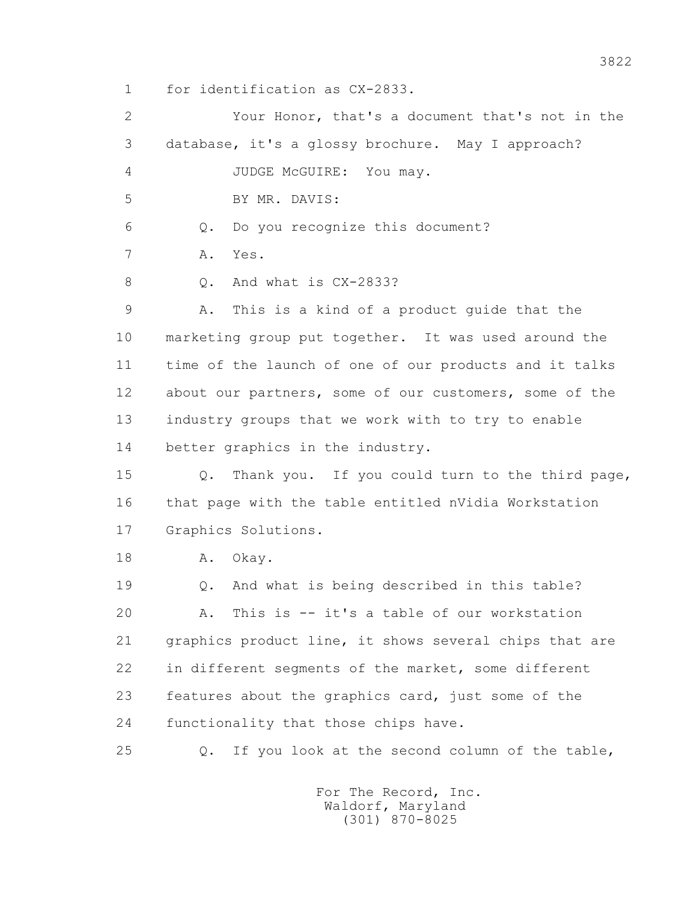1 for identification as CX-2833.

 2 Your Honor, that's a document that's not in the 3 database, it's a glossy brochure. May I approach? 4 JUDGE McGUIRE: You may. 5 BY MR. DAVIS: 6 Q. Do you recognize this document? 7 A. Yes. 8 Q. And what is CX-2833? 9 A. This is a kind of a product guide that the 10 marketing group put together. It was used around the 11 time of the launch of one of our products and it talks 12 about our partners, some of our customers, some of the 13 industry groups that we work with to try to enable 14 better graphics in the industry. 15 Q. Thank you. If you could turn to the third page, 16 that page with the table entitled nVidia Workstation 17 Graphics Solutions. 18 A. Okay. 19 Q. And what is being described in this table? 20 A. This is -- it's a table of our workstation 21 graphics product line, it shows several chips that are 22 in different segments of the market, some different 23 features about the graphics card, just some of the 24 functionality that those chips have. 25 Q. If you look at the second column of the table,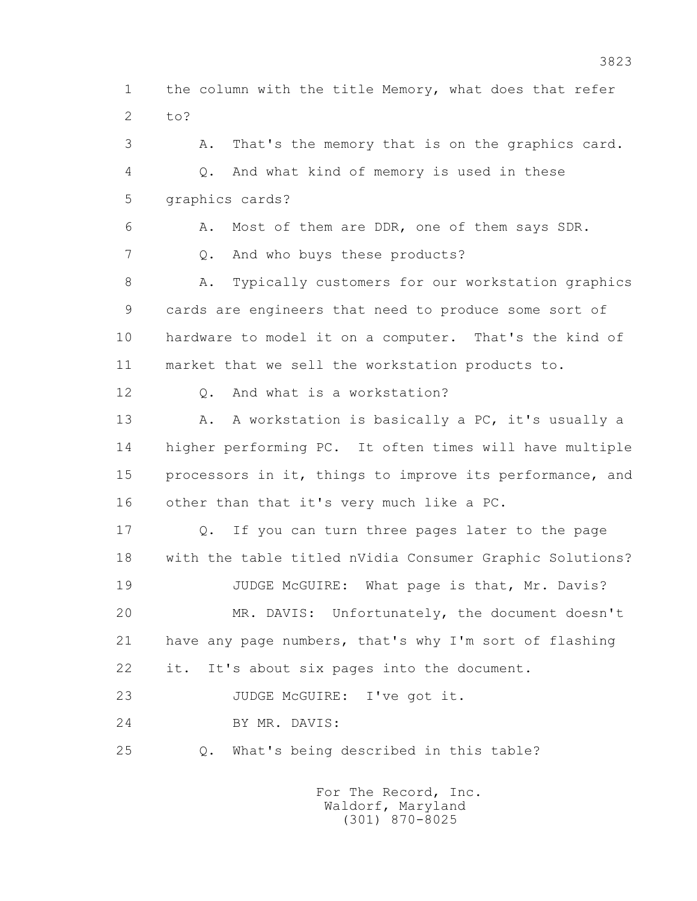1 the column with the title Memory, what does that refer 2 to?

 3 A. That's the memory that is on the graphics card. 4 Q. And what kind of memory is used in these 5 graphics cards? 6 A. Most of them are DDR, one of them says SDR. 7 Q. And who buys these products? 8 A. Typically customers for our workstation graphics 9 cards are engineers that need to produce some sort of 10 hardware to model it on a computer. That's the kind of 11 market that we sell the workstation products to. 12 0. And what is a workstation? 13 A. A workstation is basically a PC, it's usually a 14 higher performing PC. It often times will have multiple 15 processors in it, things to improve its performance, and 16 other than that it's very much like a PC. 17 Q. If you can turn three pages later to the page 18 with the table titled nVidia Consumer Graphic Solutions? 19 JUDGE McGUIRE: What page is that, Mr. Davis? 20 MR. DAVIS: Unfortunately, the document doesn't 21 have any page numbers, that's why I'm sort of flashing 22 it. It's about six pages into the document. 23 JUDGE McGUIRE: I've got it. 24 BY MR. DAVIS:

25 Q. What's being described in this table?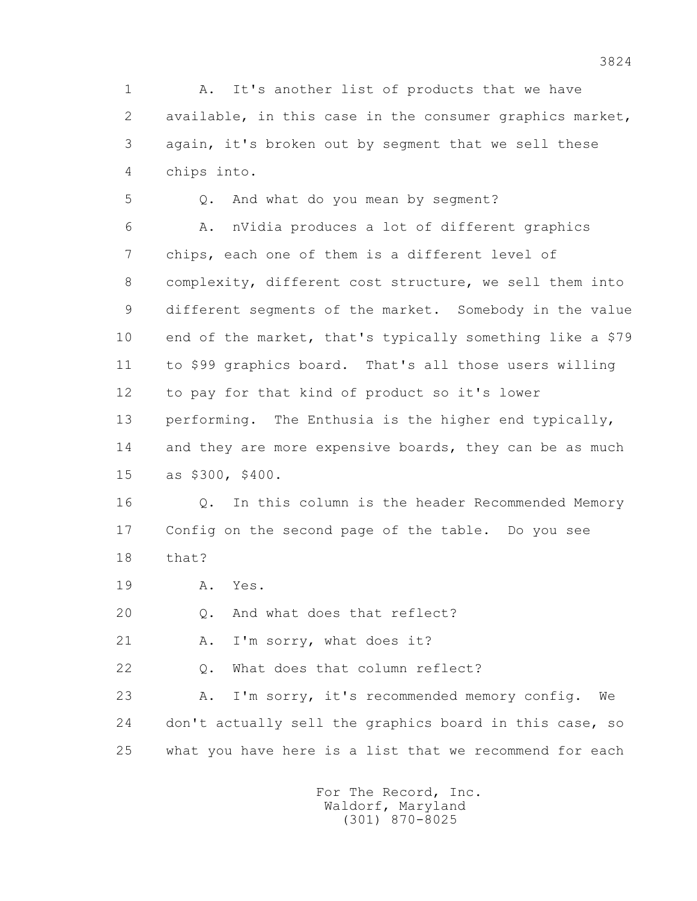1 A. It's another list of products that we have 2 available, in this case in the consumer graphics market, 3 again, it's broken out by segment that we sell these 4 chips into.

 5 Q. And what do you mean by segment? 6 A. nVidia produces a lot of different graphics 7 chips, each one of them is a different level of 8 complexity, different cost structure, we sell them into 9 different segments of the market. Somebody in the value 10 end of the market, that's typically something like a \$79 11 to \$99 graphics board. That's all those users willing 12 to pay for that kind of product so it's lower 13 performing. The Enthusia is the higher end typically, 14 and they are more expensive boards, they can be as much 15 as \$300, \$400.

 16 Q. In this column is the header Recommended Memory 17 Config on the second page of the table. Do you see 18 that?

19 A. Yes.

20 Q. And what does that reflect?

21 A. I'm sorry, what does it?

22 Q. What does that column reflect?

 23 A. I'm sorry, it's recommended memory config. We 24 don't actually sell the graphics board in this case, so 25 what you have here is a list that we recommend for each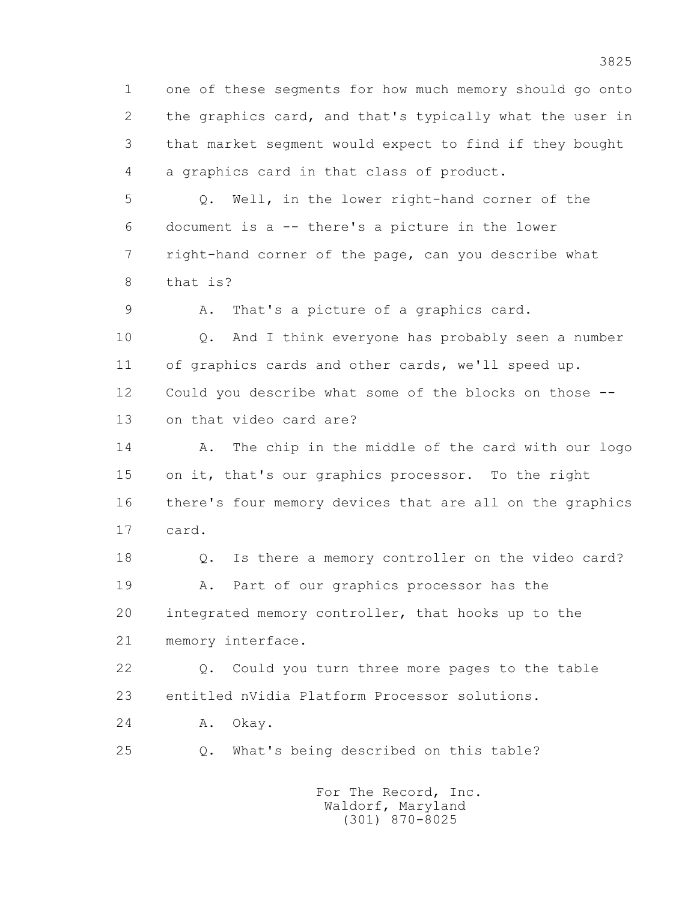1 one of these segments for how much memory should go onto 2 the graphics card, and that's typically what the user in 3 that market segment would expect to find if they bought 4 a graphics card in that class of product.

 5 Q. Well, in the lower right-hand corner of the 6 document is a -- there's a picture in the lower 7 right-hand corner of the page, can you describe what 8 that is?

9 A. That's a picture of a graphics card.

 10 Q. And I think everyone has probably seen a number 11 of graphics cards and other cards, we'll speed up. 12 Could you describe what some of the blocks on those -- 13 on that video card are?

 14 A. The chip in the middle of the card with our logo 15 on it, that's our graphics processor. To the right 16 there's four memory devices that are all on the graphics 17 card.

 18 Q. Is there a memory controller on the video card? 19 A. Part of our graphics processor has the 20 integrated memory controller, that hooks up to the 21 memory interface.

 22 Q. Could you turn three more pages to the table 23 entitled nVidia Platform Processor solutions.

24 A. Okay.

25 Q. What's being described on this table?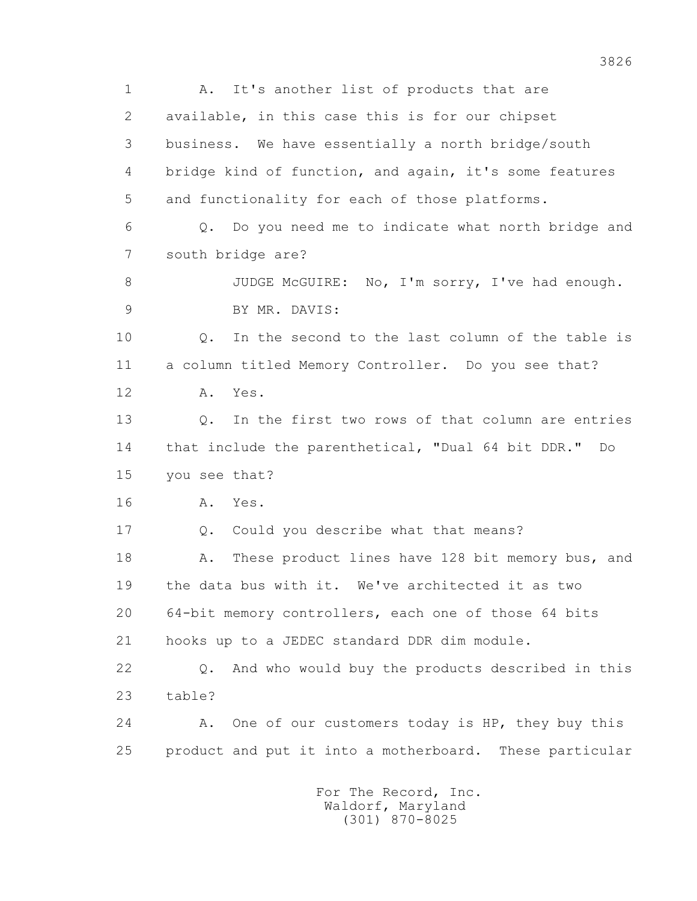1 A. It's another list of products that are 2 available, in this case this is for our chipset 3 business. We have essentially a north bridge/south 4 bridge kind of function, and again, it's some features 5 and functionality for each of those platforms. 6 Q. Do you need me to indicate what north bridge and 7 south bridge are? 8 JUDGE McGUIRE: No, I'm sorry, I've had enough. 9 BY MR. DAVIS: 10 Q. In the second to the last column of the table is 11 a column titled Memory Controller. Do you see that? 12 A. Yes. 13 Q. In the first two rows of that column are entries 14 that include the parenthetical, "Dual 64 bit DDR." Do 15 you see that? 16 A. Yes. 17 Q. Could you describe what that means? 18 A. These product lines have 128 bit memory bus, and 19 the data bus with it. We've architected it as two 20 64-bit memory controllers, each one of those 64 bits 21 hooks up to a JEDEC standard DDR dim module. 22 Q. And who would buy the products described in this 23 table? 24 A. One of our customers today is HP, they buy this 25 product and put it into a motherboard. These particular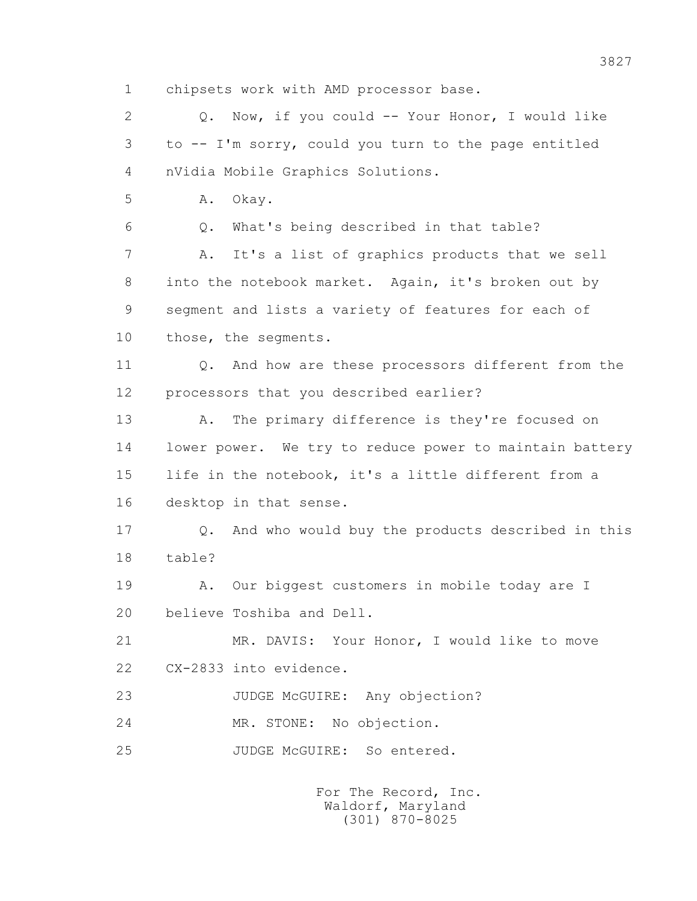1 chipsets work with AMD processor base.

 2 Q. Now, if you could -- Your Honor, I would like 3 to -- I'm sorry, could you turn to the page entitled 4 nVidia Mobile Graphics Solutions.

5 A. Okay.

6 Q. What's being described in that table?

 7 A. It's a list of graphics products that we sell 8 into the notebook market. Again, it's broken out by 9 segment and lists a variety of features for each of 10 those, the segments.

11 0. And how are these processors different from the 12 processors that you described earlier?

 13 A. The primary difference is they're focused on 14 lower power. We try to reduce power to maintain battery 15 life in the notebook, it's a little different from a 16 desktop in that sense.

 17 Q. And who would buy the products described in this 18 table?

19 A. Our biggest customers in mobile today are I 20 believe Toshiba and Dell.

 21 MR. DAVIS: Your Honor, I would like to move 22 CX-2833 into evidence.

23 JUDGE McGUIRE: Any objection?

24 MR. STONE: No objection.

25 JUDGE McGUIRE: So entered.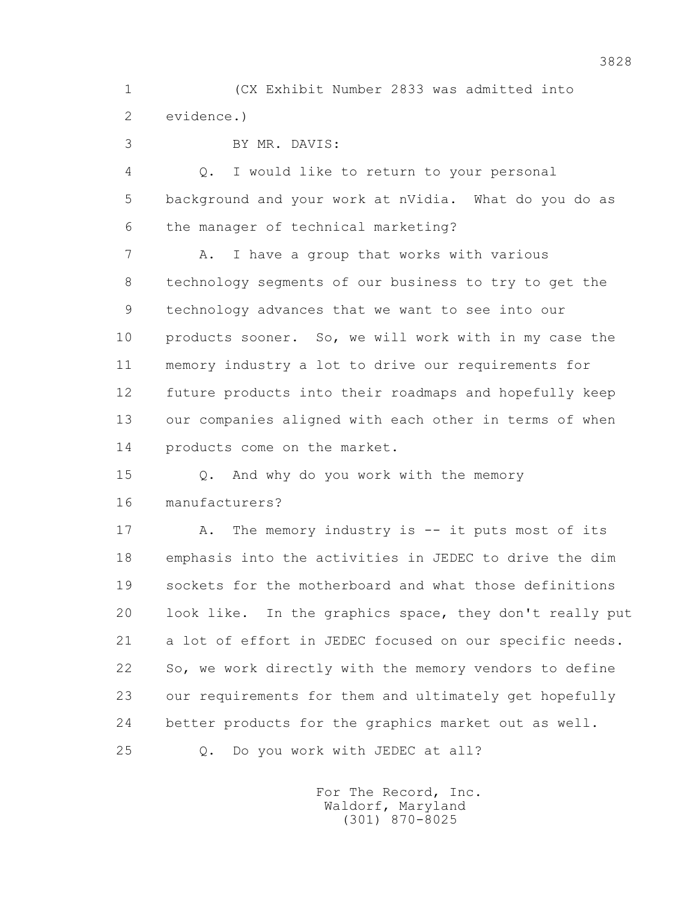1 (CX Exhibit Number 2833 was admitted into 2 evidence.)

3 BY MR. DAVIS:

 4 Q. I would like to return to your personal 5 background and your work at nVidia. What do you do as 6 the manager of technical marketing?

 7 A. I have a group that works with various 8 technology segments of our business to try to get the 9 technology advances that we want to see into our 10 products sooner. So, we will work with in my case the 11 memory industry a lot to drive our requirements for 12 future products into their roadmaps and hopefully keep 13 our companies aligned with each other in terms of when 14 products come on the market.

 15 Q. And why do you work with the memory 16 manufacturers?

 17 A. The memory industry is -- it puts most of its 18 emphasis into the activities in JEDEC to drive the dim 19 sockets for the motherboard and what those definitions 20 look like. In the graphics space, they don't really put 21 a lot of effort in JEDEC focused on our specific needs. 22 So, we work directly with the memory vendors to define 23 our requirements for them and ultimately get hopefully 24 better products for the graphics market out as well. 25 Q. Do you work with JEDEC at all?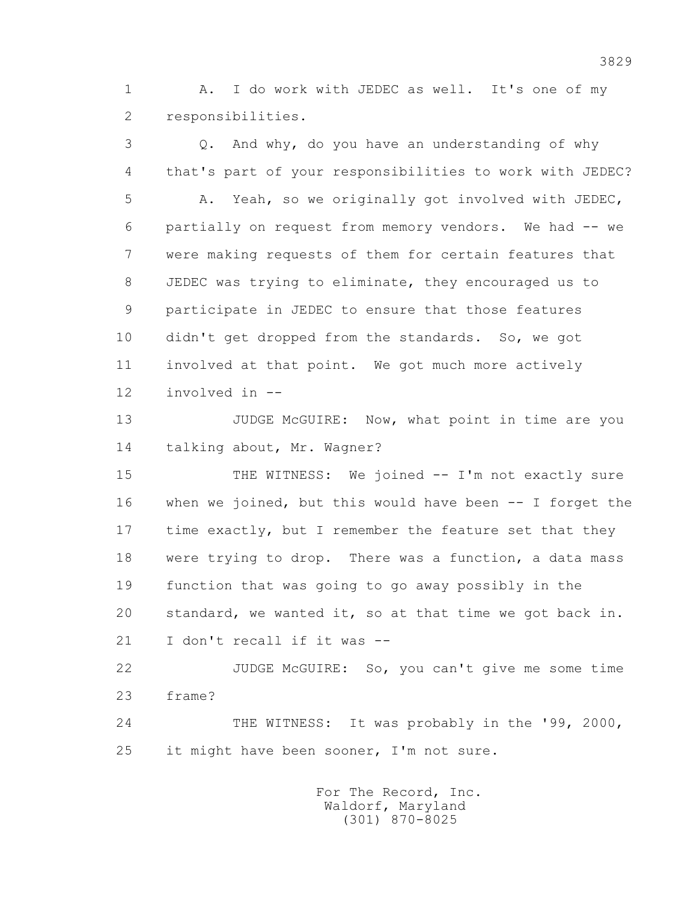1 A. I do work with JEDEC as well. It's one of my 2 responsibilities.

 3 Q. And why, do you have an understanding of why 4 that's part of your responsibilities to work with JEDEC? 5 A. Yeah, so we originally got involved with JEDEC, 6 partially on request from memory vendors. We had -- we 7 were making requests of them for certain features that 8 JEDEC was trying to eliminate, they encouraged us to 9 participate in JEDEC to ensure that those features 10 didn't get dropped from the standards. So, we got 11 involved at that point. We got much more actively 12 involved in -- 13 JUDGE McGUIRE: Now, what point in time are you

14 talking about, Mr. Wagner?

 15 THE WITNESS: We joined -- I'm not exactly sure 16 when we joined, but this would have been -- I forget the 17 time exactly, but I remember the feature set that they 18 were trying to drop. There was a function, a data mass 19 function that was going to go away possibly in the 20 standard, we wanted it, so at that time we got back in. 21 I don't recall if it was --

 22 JUDGE McGUIRE: So, you can't give me some time 23 frame?

 24 THE WITNESS: It was probably in the '99, 2000, 25 it might have been sooner, I'm not sure.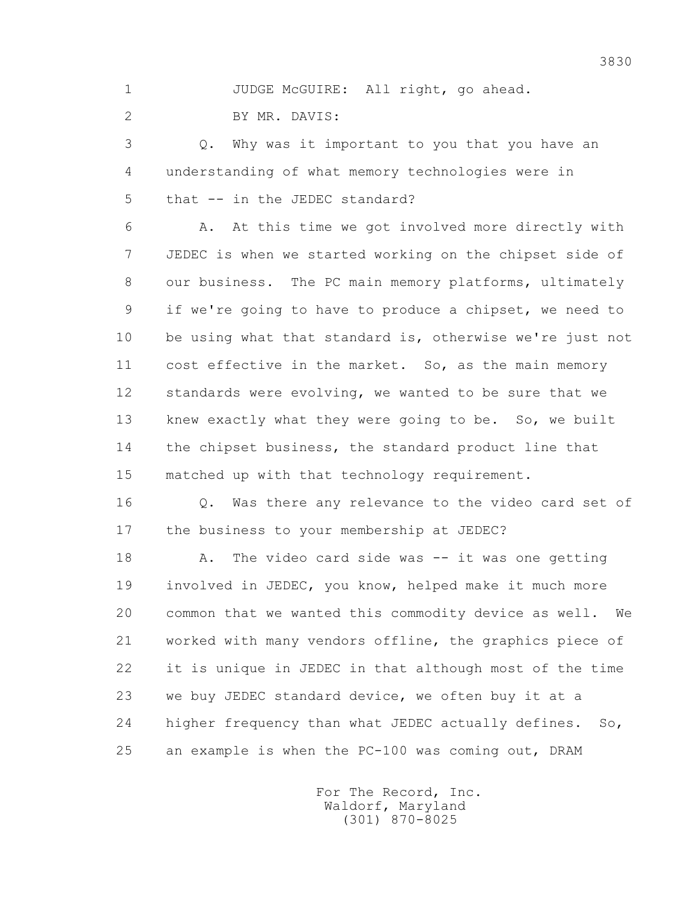1 JUDGE McGUIRE: All right, go ahead.

2 BY MR. DAVIS:

 3 Q. Why was it important to you that you have an 4 understanding of what memory technologies were in 5 that -- in the JEDEC standard?

 6 A. At this time we got involved more directly with 7 JEDEC is when we started working on the chipset side of 8 our business. The PC main memory platforms, ultimately 9 if we're going to have to produce a chipset, we need to 10 be using what that standard is, otherwise we're just not 11 cost effective in the market. So, as the main memory 12 standards were evolving, we wanted to be sure that we 13 knew exactly what they were going to be. So, we built 14 the chipset business, the standard product line that 15 matched up with that technology requirement.

 16 Q. Was there any relevance to the video card set of 17 the business to your membership at JEDEC?

18 A. The video card side was -- it was one getting 19 involved in JEDEC, you know, helped make it much more 20 common that we wanted this commodity device as well. We 21 worked with many vendors offline, the graphics piece of 22 it is unique in JEDEC in that although most of the time 23 we buy JEDEC standard device, we often buy it at a 24 higher frequency than what JEDEC actually defines. So, 25 an example is when the PC-100 was coming out, DRAM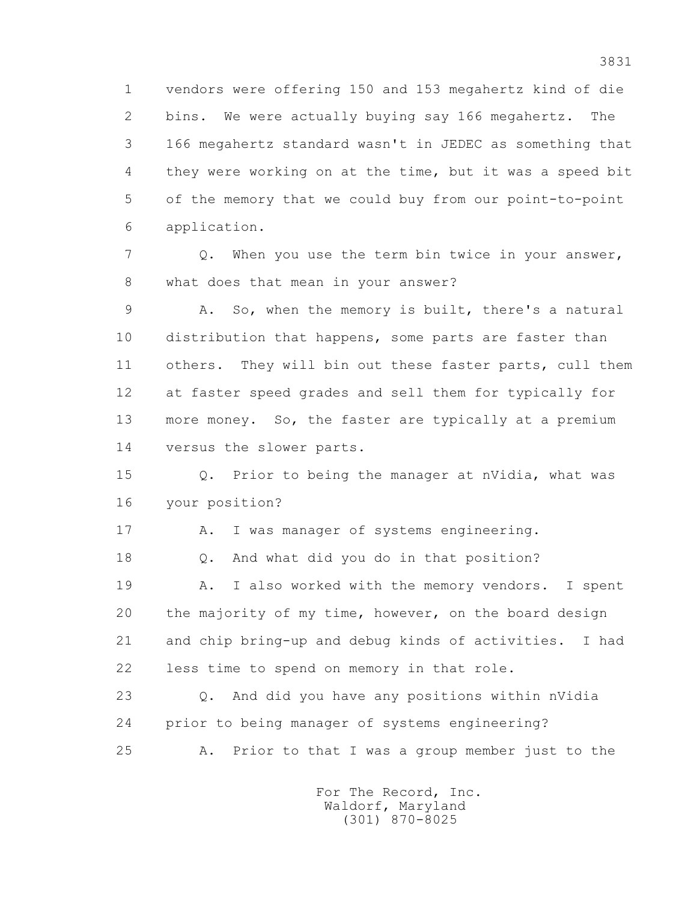1 vendors were offering 150 and 153 megahertz kind of die 2 bins. We were actually buying say 166 megahertz. The 3 166 megahertz standard wasn't in JEDEC as something that 4 they were working on at the time, but it was a speed bit 5 of the memory that we could buy from our point-to-point 6 application.

 7 Q. When you use the term bin twice in your answer, 8 what does that mean in your answer?

 9 A. So, when the memory is built, there's a natural 10 distribution that happens, some parts are faster than 11 others. They will bin out these faster parts, cull them 12 at faster speed grades and sell them for typically for 13 more money. So, the faster are typically at a premium 14 versus the slower parts.

 15 Q. Prior to being the manager at nVidia, what was 16 your position?

17 A. I was manager of systems engineering.

18 Q. And what did you do in that position?

 19 A. I also worked with the memory vendors. I spent 20 the majority of my time, however, on the board design 21 and chip bring-up and debug kinds of activities. I had 22 less time to spend on memory in that role.

 23 Q. And did you have any positions within nVidia 24 prior to being manager of systems engineering? 25 A. Prior to that I was a group member just to the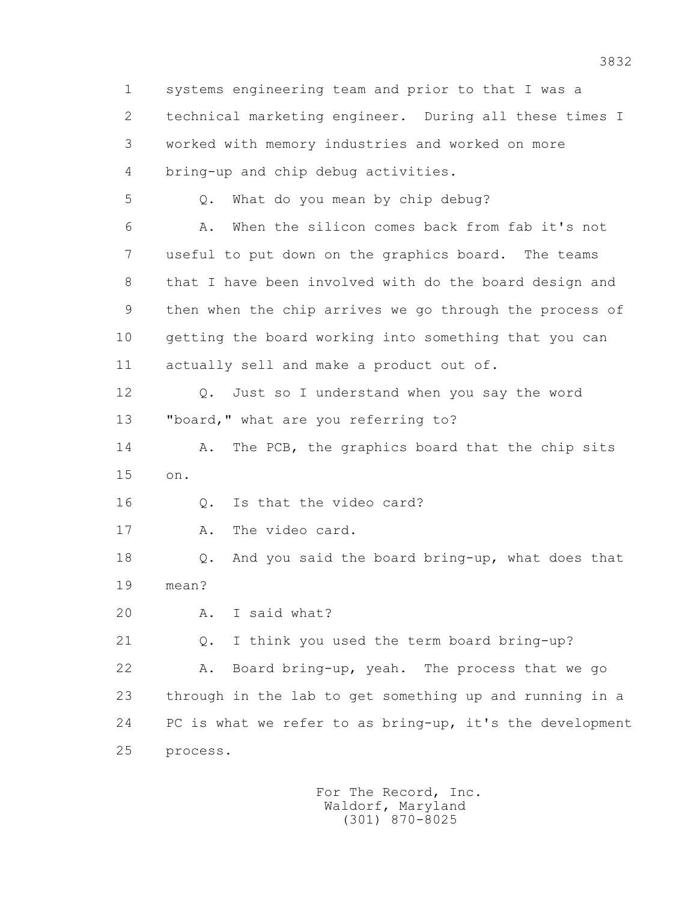1 systems engineering team and prior to that I was a 2 technical marketing engineer. During all these times I 3 worked with memory industries and worked on more 4 bring-up and chip debug activities. 5 Q. What do you mean by chip debug? 6 A. When the silicon comes back from fab it's not 7 useful to put down on the graphics board. The teams 8 that I have been involved with do the board design and 9 then when the chip arrives we go through the process of 10 getting the board working into something that you can 11 actually sell and make a product out of. 12 Q. Just so I understand when you say the word 13 "board," what are you referring to? 14 A. The PCB, the graphics board that the chip sits 15 on. 16 0. Is that the video card? 17 A. The video card. 18 Q. And you said the board bring-up, what does that 19 mean? 20 A. I said what? 21 Q. I think you used the term board bring-up? 22 A. Board bring-up, yeah. The process that we go 23 through in the lab to get something up and running in a 24 PC is what we refer to as bring-up, it's the development 25 process.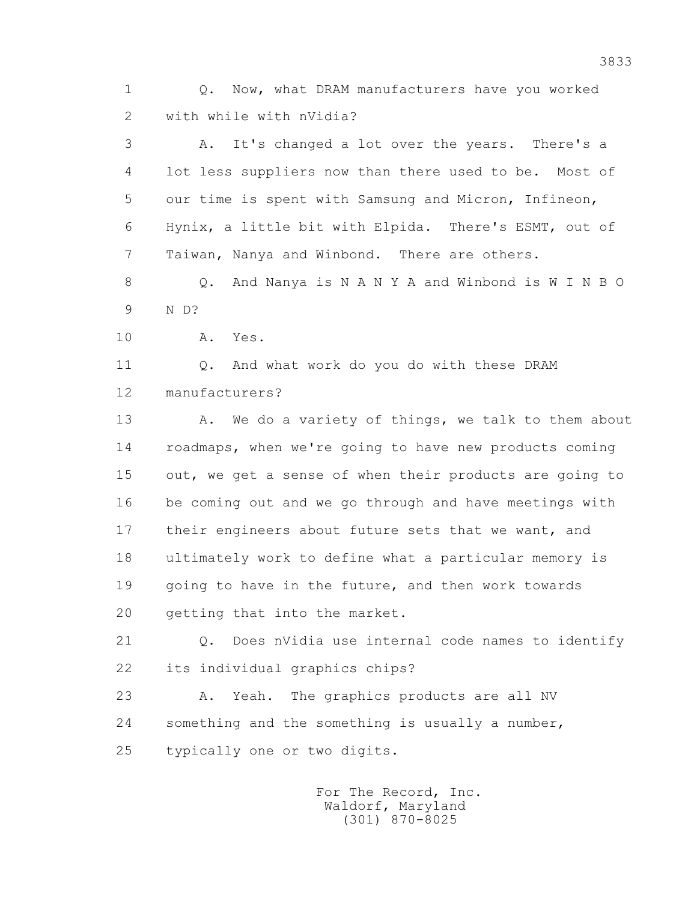1 Q. Now, what DRAM manufacturers have you worked 2 with while with nVidia?

 3 A. It's changed a lot over the years. There's a 4 lot less suppliers now than there used to be. Most of 5 our time is spent with Samsung and Micron, Infineon, 6 Hynix, a little bit with Elpida. There's ESMT, out of 7 Taiwan, Nanya and Winbond. There are others.

 8 Q. And Nanya is N A N Y A and Winbond is W I N B O 9 N D?

10 A. Yes.

 11 Q. And what work do you do with these DRAM 12 manufacturers?

13 A. We do a variety of things, we talk to them about 14 roadmaps, when we're going to have new products coming 15 out, we get a sense of when their products are going to 16 be coming out and we go through and have meetings with 17 their engineers about future sets that we want, and 18 ultimately work to define what a particular memory is 19 going to have in the future, and then work towards 20 getting that into the market.

 21 Q. Does nVidia use internal code names to identify 22 its individual graphics chips?

 23 A. Yeah. The graphics products are all NV 24 something and the something is usually a number, 25 typically one or two digits.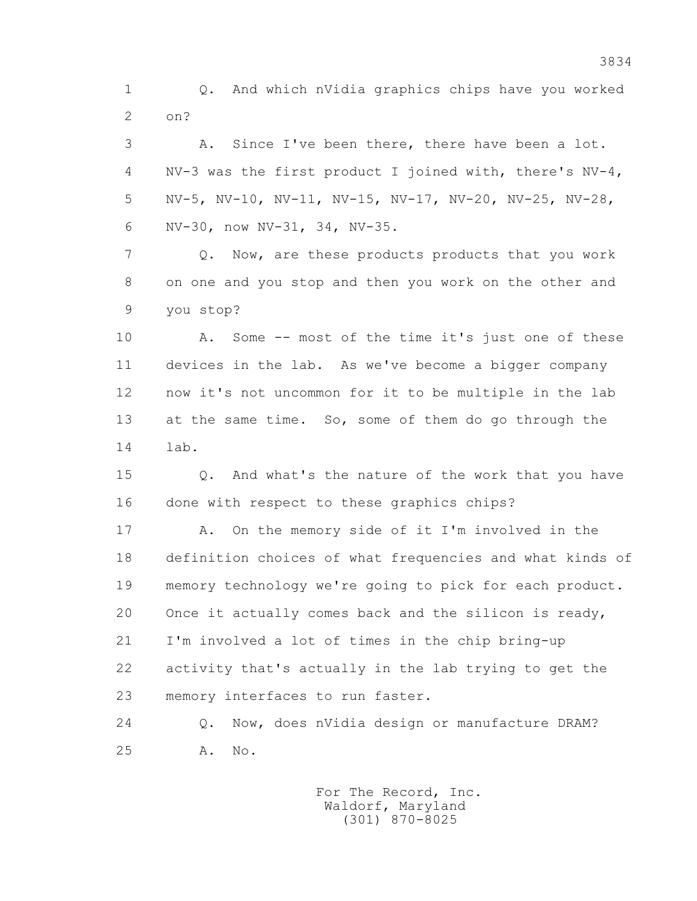1 Q. And which nVidia graphics chips have you worked 2 on?

 3 A. Since I've been there, there have been a lot. 4 NV-3 was the first product I joined with, there's NV-4, 5 NV-5, NV-10, NV-11, NV-15, NV-17, NV-20, NV-25, NV-28, 6 NV-30, now NV-31, 34, NV-35.

 7 Q. Now, are these products products that you work 8 on one and you stop and then you work on the other and 9 you stop?

 10 A. Some -- most of the time it's just one of these 11 devices in the lab. As we've become a bigger company 12 now it's not uncommon for it to be multiple in the lab 13 at the same time. So, some of them do go through the 14 lab.

 15 Q. And what's the nature of the work that you have 16 done with respect to these graphics chips?

 17 A. On the memory side of it I'm involved in the 18 definition choices of what frequencies and what kinds of 19 memory technology we're going to pick for each product. 20 Once it actually comes back and the silicon is ready, 21 I'm involved a lot of times in the chip bring-up 22 activity that's actually in the lab trying to get the 23 memory interfaces to run faster.

 24 Q. Now, does nVidia design or manufacture DRAM? 25 A. No.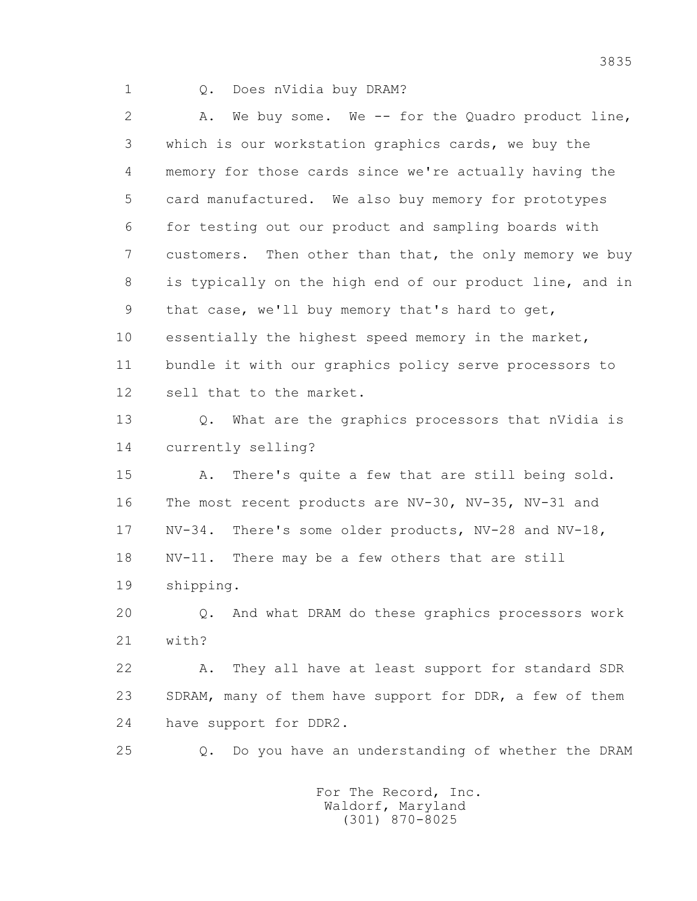## 1 Q. Does nVidia buy DRAM?

 2 A. We buy some. We -- for the Quadro product line, 3 which is our workstation graphics cards, we buy the 4 memory for those cards since we're actually having the 5 card manufactured. We also buy memory for prototypes 6 for testing out our product and sampling boards with 7 customers. Then other than that, the only memory we buy 8 is typically on the high end of our product line, and in 9 that case, we'll buy memory that's hard to get, 10 essentially the highest speed memory in the market, 11 bundle it with our graphics policy serve processors to 12 sell that to the market.

 13 Q. What are the graphics processors that nVidia is 14 currently selling?

 15 A. There's quite a few that are still being sold. 16 The most recent products are NV-30, NV-35, NV-31 and 17 NV-34. There's some older products, NV-28 and NV-18, 18 NV-11. There may be a few others that are still 19 shipping.

 20 Q. And what DRAM do these graphics processors work 21 with?

 22 A. They all have at least support for standard SDR 23 SDRAM, many of them have support for DDR, a few of them 24 have support for DDR2.

25 Q. Do you have an understanding of whether the DRAM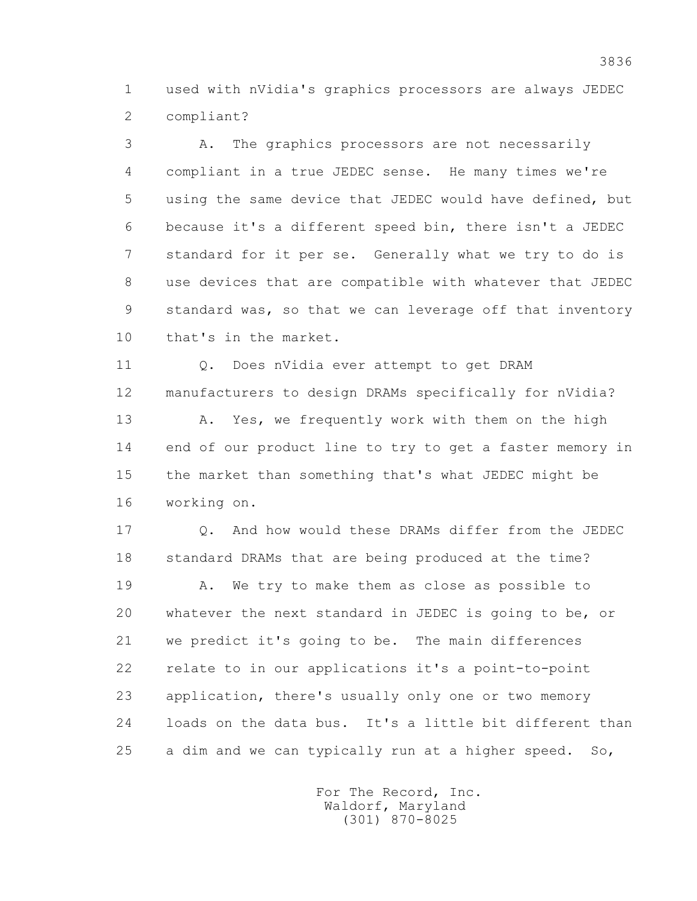1 used with nVidia's graphics processors are always JEDEC 2 compliant?

 3 A. The graphics processors are not necessarily 4 compliant in a true JEDEC sense. He many times we're 5 using the same device that JEDEC would have defined, but 6 because it's a different speed bin, there isn't a JEDEC 7 standard for it per se. Generally what we try to do is 8 use devices that are compatible with whatever that JEDEC 9 standard was, so that we can leverage off that inventory 10 that's in the market.

11 0. Does nVidia ever attempt to get DRAM 12 manufacturers to design DRAMs specifically for nVidia?

 13 A. Yes, we frequently work with them on the high 14 end of our product line to try to get a faster memory in 15 the market than something that's what JEDEC might be 16 working on.

 17 Q. And how would these DRAMs differ from the JEDEC 18 standard DRAMs that are being produced at the time?

 19 A. We try to make them as close as possible to 20 whatever the next standard in JEDEC is going to be, or 21 we predict it's going to be. The main differences 22 relate to in our applications it's a point-to-point 23 application, there's usually only one or two memory 24 loads on the data bus. It's a little bit different than 25 a dim and we can typically run at a higher speed. So,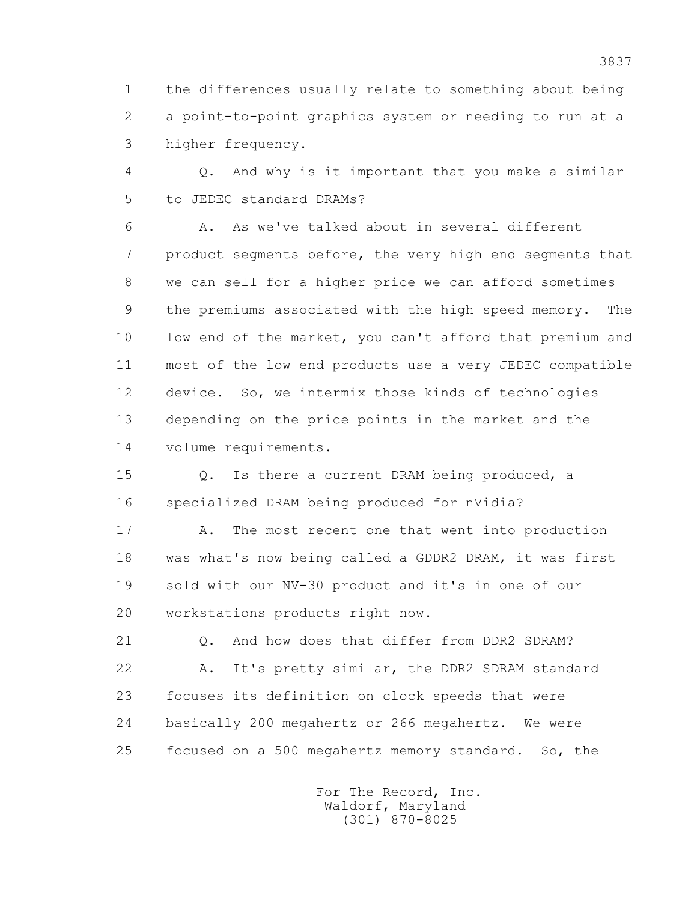1 the differences usually relate to something about being 2 a point-to-point graphics system or needing to run at a 3 higher frequency.

 4 Q. And why is it important that you make a similar 5 to JEDEC standard DRAMs?

 6 A. As we've talked about in several different 7 product segments before, the very high end segments that 8 we can sell for a higher price we can afford sometimes 9 the premiums associated with the high speed memory. The 10 low end of the market, you can't afford that premium and 11 most of the low end products use a very JEDEC compatible 12 device. So, we intermix those kinds of technologies 13 depending on the price points in the market and the 14 volume requirements.

 15 Q. Is there a current DRAM being produced, a 16 specialized DRAM being produced for nVidia?

17 A. The most recent one that went into production 18 was what's now being called a GDDR2 DRAM, it was first 19 sold with our NV-30 product and it's in one of our 20 workstations products right now.

 21 Q. And how does that differ from DDR2 SDRAM? 22 A. It's pretty similar, the DDR2 SDRAM standard 23 focuses its definition on clock speeds that were 24 basically 200 megahertz or 266 megahertz. We were 25 focused on a 500 megahertz memory standard. So, the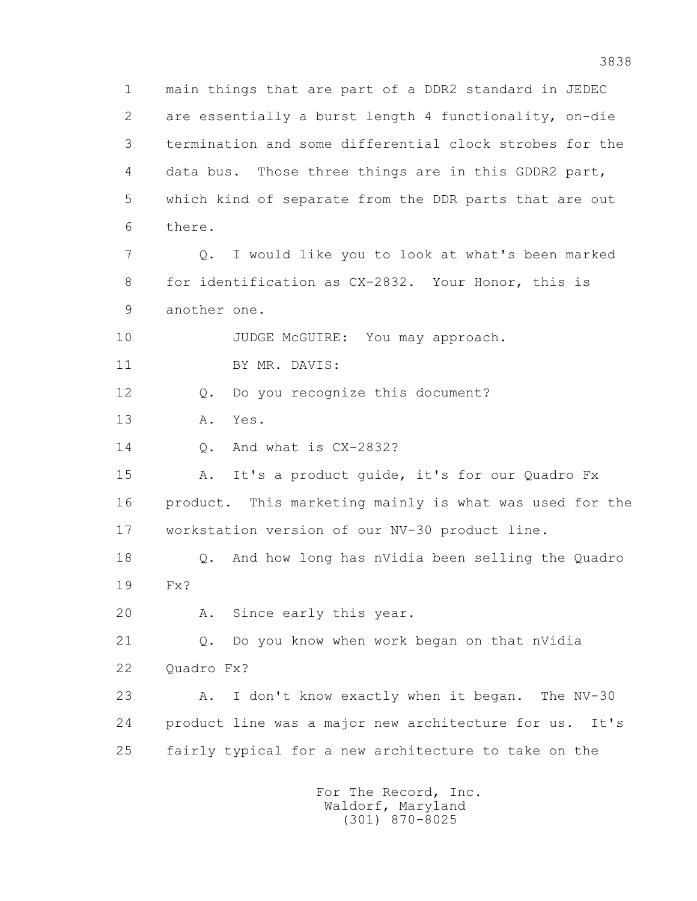1 main things that are part of a DDR2 standard in JEDEC 2 are essentially a burst length 4 functionality, on-die 3 termination and some differential clock strobes for the 4 data bus. Those three things are in this GDDR2 part, 5 which kind of separate from the DDR parts that are out 6 there. 7 Q. I would like you to look at what's been marked 8 for identification as CX-2832. Your Honor, this is 9 another one. 10 JUDGE McGUIRE: You may approach. 11 BY MR. DAVIS: 12 Q. Do you recognize this document? 13 A. Yes. 14 Q. And what is CX-2832? 15 A. It's a product guide, it's for our Quadro Fx 16 product. This marketing mainly is what was used for the 17 workstation version of our NV-30 product line. 18 Q. And how long has nVidia been selling the Quadro 19 Fx? 20 A. Since early this year. 21 Q. Do you know when work began on that nVidia 22 Ouadro Fx? 23 A. I don't know exactly when it began. The NV-30 24 product line was a major new architecture for us. It's 25 fairly typical for a new architecture to take on the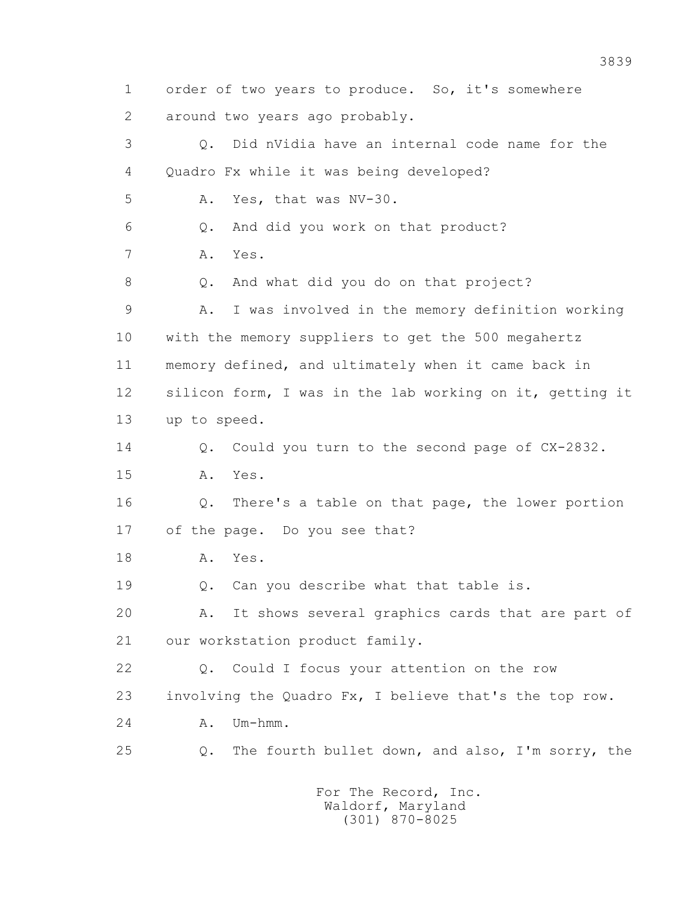1 order of two years to produce. So, it's somewhere 2 around two years ago probably. 3 Q. Did nVidia have an internal code name for the 4 Quadro Fx while it was being developed? 5 A. Yes, that was NV-30. 6 Q. And did you work on that product? 7 A. Yes. 8 Q. And what did you do on that project? 9 A. I was involved in the memory definition working 10 with the memory suppliers to get the 500 megahertz 11 memory defined, and ultimately when it came back in 12 silicon form, I was in the lab working on it, getting it 13 up to speed. 14 Q. Could you turn to the second page of CX-2832. 15 A. Yes. 16 Q. There's a table on that page, the lower portion 17 of the page. Do you see that? 18 A. Yes. 19 0. Can you describe what that table is. 20 A. It shows several graphics cards that are part of 21 our workstation product family. 22 Q. Could I focus your attention on the row 23 involving the Quadro Fx, I believe that's the top row. 24 A. Um-hmm. 25 Q. The fourth bullet down, and also, I'm sorry, the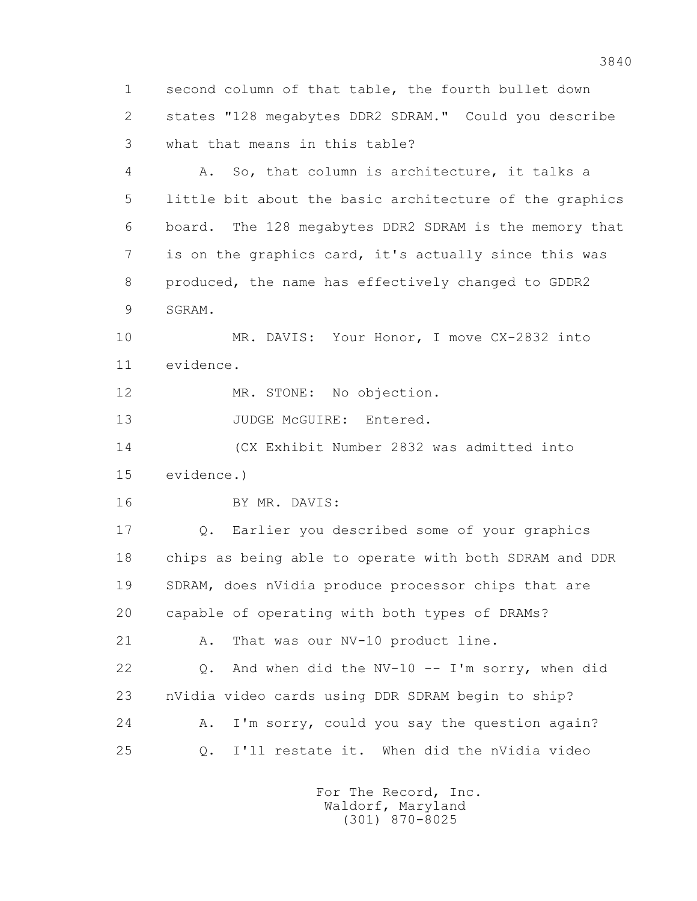1 second column of that table, the fourth bullet down 2 states "128 megabytes DDR2 SDRAM." Could you describe 3 what that means in this table?

 4 A. So, that column is architecture, it talks a 5 little bit about the basic architecture of the graphics 6 board. The 128 megabytes DDR2 SDRAM is the memory that 7 is on the graphics card, it's actually since this was 8 produced, the name has effectively changed to GDDR2 9 SGRAM.

10 MR. DAVIS: Your Honor, I move CX-2832 into 11 evidence.

12 MR. STONE: No objection.

13 JUDGE McGUIRE: Entered.

 14 (CX Exhibit Number 2832 was admitted into 15 evidence.)

16 BY MR. DAVIS:

 17 Q. Earlier you described some of your graphics 18 chips as being able to operate with both SDRAM and DDR 19 SDRAM, does nVidia produce processor chips that are 20 capable of operating with both types of DRAMs? 21 A. That was our NV-10 product line. 22 Q. And when did the NV-10 -- I'm sorry, when did 23 nVidia video cards using DDR SDRAM begin to ship? 24 A. I'm sorry, could you say the question again? 25 Q. I'll restate it. When did the nVidia video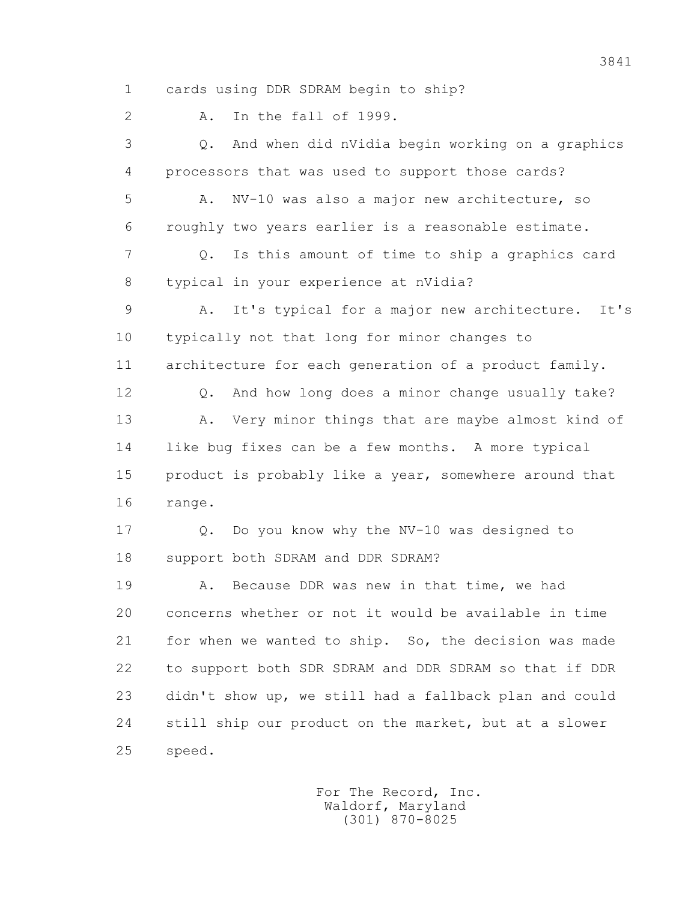1 cards using DDR SDRAM begin to ship?

2 A. In the fall of 1999.

 3 Q. And when did nVidia begin working on a graphics 4 processors that was used to support those cards? 5 A. NV-10 was also a major new architecture, so 6 roughly two years earlier is a reasonable estimate. 7 Q. Is this amount of time to ship a graphics card 8 typical in your experience at nVidia? 9 A. It's typical for a major new architecture. It's 10 typically not that long for minor changes to 11 architecture for each generation of a product family. 12 Q. And how long does a minor change usually take? 13 A. Very minor things that are maybe almost kind of 14 like bug fixes can be a few months. A more typical 15 product is probably like a year, somewhere around that 16 range. 17 Q. Do you know why the NV-10 was designed to 18 support both SDRAM and DDR SDRAM? 19 A. Because DDR was new in that time, we had 20 concerns whether or not it would be available in time 21 for when we wanted to ship. So, the decision was made 22 to support both SDR SDRAM and DDR SDRAM so that if DDR 23 didn't show up, we still had a fallback plan and could 24 still ship our product on the market, but at a slower 25 speed.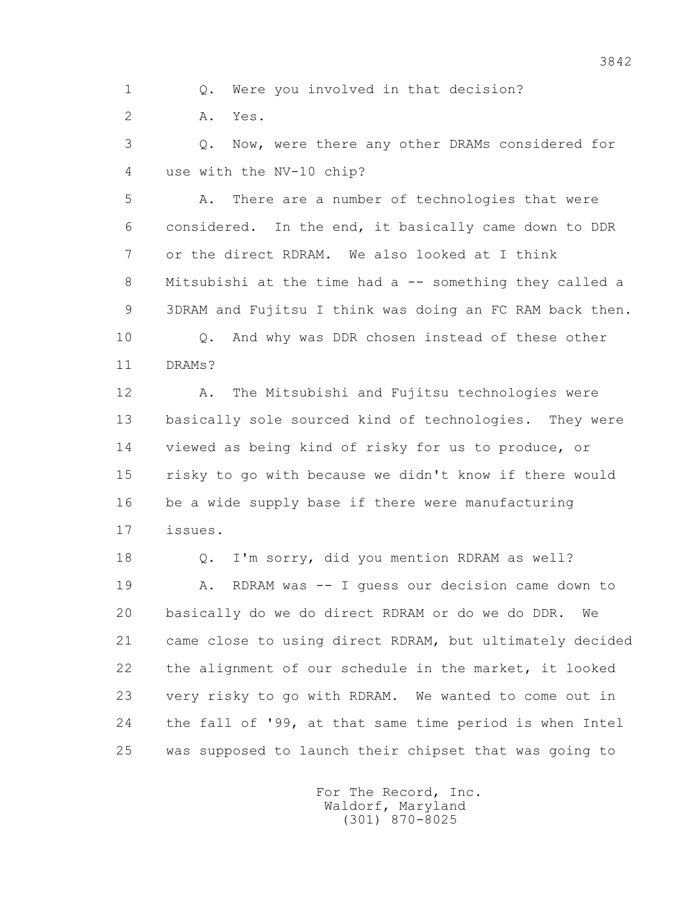1 Q. Were you involved in that decision?

2 A. Yes.

 3 Q. Now, were there any other DRAMs considered for 4 use with the NV-10 chip?

 5 A. There are a number of technologies that were 6 considered. In the end, it basically came down to DDR 7 or the direct RDRAM. We also looked at I think 8 Mitsubishi at the time had a -- something they called a 9 3DRAM and Fujitsu I think was doing an FC RAM back then. 10 Q. And why was DDR chosen instead of these other

11 DRAMs?

 12 A. The Mitsubishi and Fujitsu technologies were 13 basically sole sourced kind of technologies. They were 14 viewed as being kind of risky for us to produce, or 15 risky to go with because we didn't know if there would 16 be a wide supply base if there were manufacturing 17 issues.

 18 Q. I'm sorry, did you mention RDRAM as well? 19 A. RDRAM was -- I guess our decision came down to 20 basically do we do direct RDRAM or do we do DDR. We 21 came close to using direct RDRAM, but ultimately decided 22 the alignment of our schedule in the market, it looked 23 very risky to go with RDRAM. We wanted to come out in 24 the fall of '99, at that same time period is when Intel 25 was supposed to launch their chipset that was going to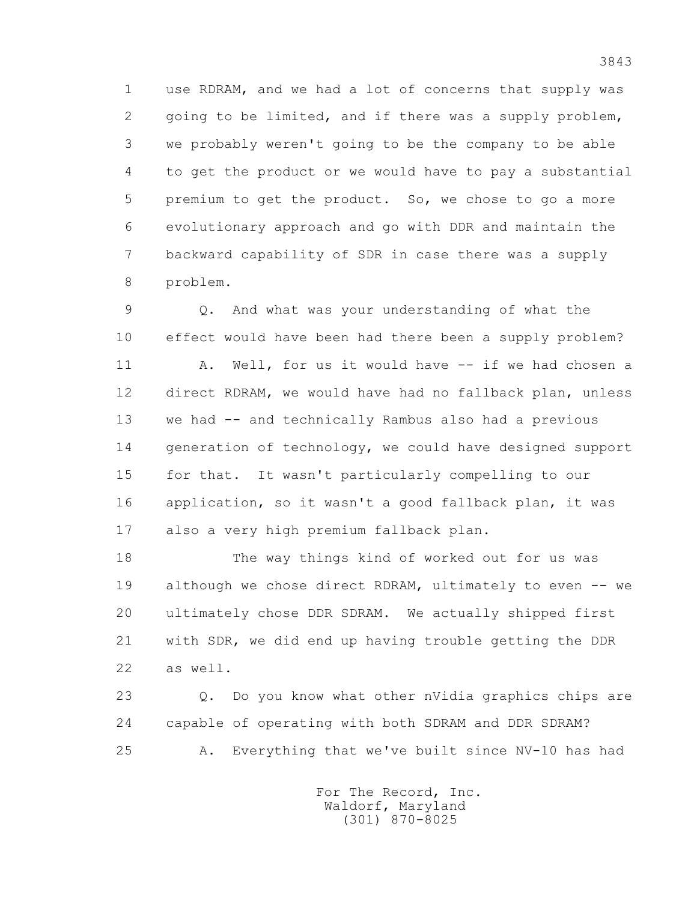1 use RDRAM, and we had a lot of concerns that supply was 2 going to be limited, and if there was a supply problem, 3 we probably weren't going to be the company to be able 4 to get the product or we would have to pay a substantial 5 premium to get the product. So, we chose to go a more 6 evolutionary approach and go with DDR and maintain the 7 backward capability of SDR in case there was a supply 8 problem.

 9 Q. And what was your understanding of what the 10 effect would have been had there been a supply problem? 11 A. Well, for us it would have -- if we had chosen a 12 direct RDRAM, we would have had no fallback plan, unless 13 we had -- and technically Rambus also had a previous 14 generation of technology, we could have designed support 15 for that. It wasn't particularly compelling to our 16 application, so it wasn't a good fallback plan, it was 17 also a very high premium fallback plan.

 18 The way things kind of worked out for us was 19 although we chose direct RDRAM, ultimately to even -- we 20 ultimately chose DDR SDRAM. We actually shipped first 21 with SDR, we did end up having trouble getting the DDR 22 as well.

 23 Q. Do you know what other nVidia graphics chips are 24 capable of operating with both SDRAM and DDR SDRAM? 25 A. Everything that we've built since NV-10 has had

> For The Record, Inc. Waldorf, Maryland (301) 870-8025

3843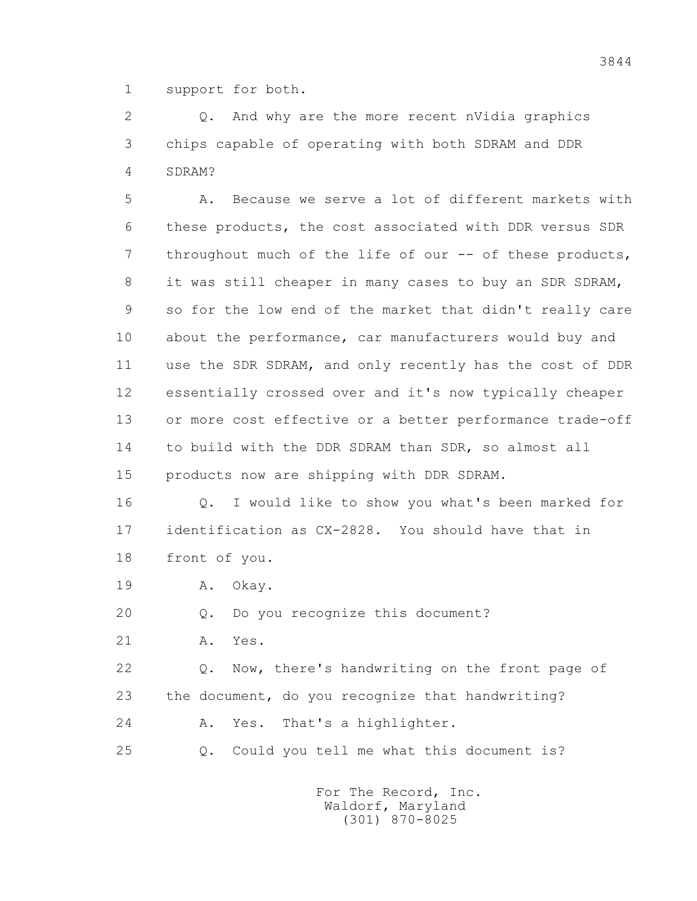1 support for both.

 2 Q. And why are the more recent nVidia graphics 3 chips capable of operating with both SDRAM and DDR 4 SDRAM?

 5 A. Because we serve a lot of different markets with 6 these products, the cost associated with DDR versus SDR 7 throughout much of the life of our -- of these products, 8 it was still cheaper in many cases to buy an SDR SDRAM, 9 so for the low end of the market that didn't really care 10 about the performance, car manufacturers would buy and 11 use the SDR SDRAM, and only recently has the cost of DDR 12 essentially crossed over and it's now typically cheaper 13 or more cost effective or a better performance trade-off 14 to build with the DDR SDRAM than SDR, so almost all 15 products now are shipping with DDR SDRAM.

 16 Q. I would like to show you what's been marked for 17 identification as CX-2828. You should have that in 18 front of you.

19 A. Okay.

20 Q. Do you recognize this document?

21 A. Yes.

 22 Q. Now, there's handwriting on the front page of 23 the document, do you recognize that handwriting? 24 A. Yes. That's a highlighter.

25 Q. Could you tell me what this document is?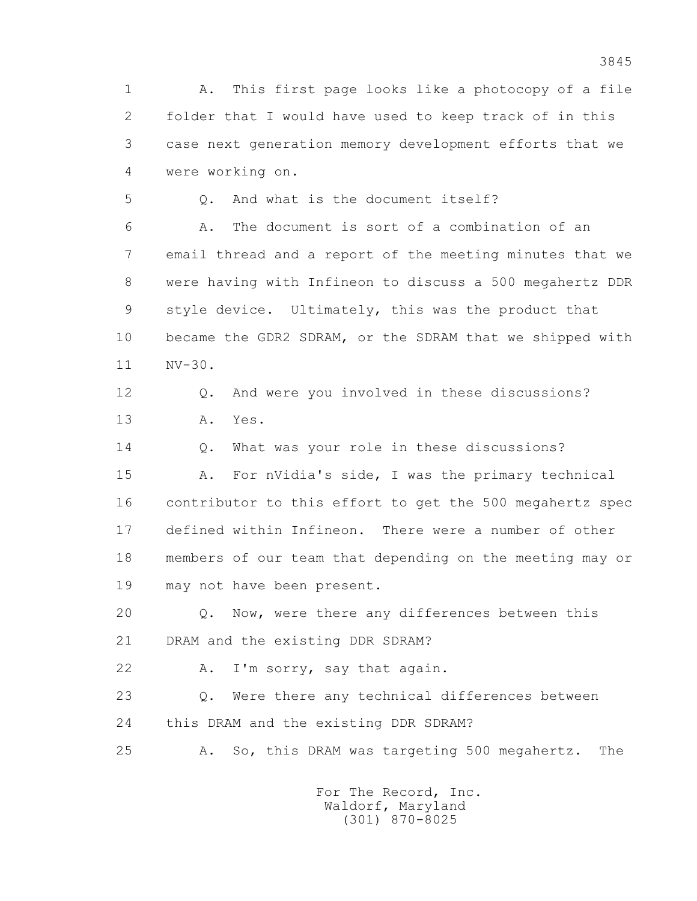1 A. This first page looks like a photocopy of a file 2 folder that I would have used to keep track of in this 3 case next generation memory development efforts that we 4 were working on.

5 Q. And what is the document itself?

 6 A. The document is sort of a combination of an 7 email thread and a report of the meeting minutes that we 8 were having with Infineon to discuss a 500 megahertz DDR 9 style device. Ultimately, this was the product that 10 became the GDR2 SDRAM, or the SDRAM that we shipped with 11 NV-30.

 12 Q. And were you involved in these discussions? 13 A. Yes.

14 0. What was your role in these discussions?

 15 A. For nVidia's side, I was the primary technical 16 contributor to this effort to get the 500 megahertz spec 17 defined within Infineon. There were a number of other 18 members of our team that depending on the meeting may or 19 may not have been present.

 20 Q. Now, were there any differences between this 21 DRAM and the existing DDR SDRAM?

22 A. I'm sorry, say that again.

 23 Q. Were there any technical differences between 24 this DRAM and the existing DDR SDRAM?

25 A. So, this DRAM was targeting 500 megahertz. The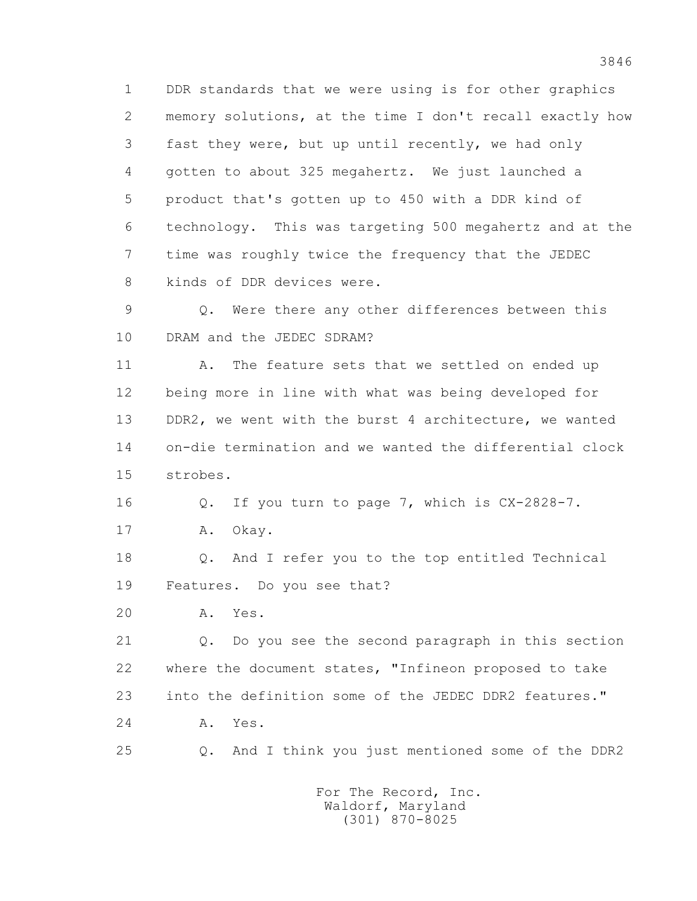1 DDR standards that we were using is for other graphics 2 memory solutions, at the time I don't recall exactly how 3 fast they were, but up until recently, we had only 4 gotten to about 325 megahertz. We just launched a 5 product that's gotten up to 450 with a DDR kind of 6 technology. This was targeting 500 megahertz and at the 7 time was roughly twice the frequency that the JEDEC 8 kinds of DDR devices were.

 9 Q. Were there any other differences between this 10 DRAM and the JEDEC SDRAM?

11 A. The feature sets that we settled on ended up 12 being more in line with what was being developed for 13 DDR2, we went with the burst 4 architecture, we wanted 14 on-die termination and we wanted the differential clock 15 strobes.

16 Q. If you turn to page 7, which is CX-2828-7.

17 A. Okay.

 18 Q. And I refer you to the top entitled Technical 19 Features. Do you see that?

20 A. Yes.

 21 Q. Do you see the second paragraph in this section 22 where the document states, "Infineon proposed to take 23 into the definition some of the JEDEC DDR2 features." 24 A. Yes.

25 Q. And I think you just mentioned some of the DDR2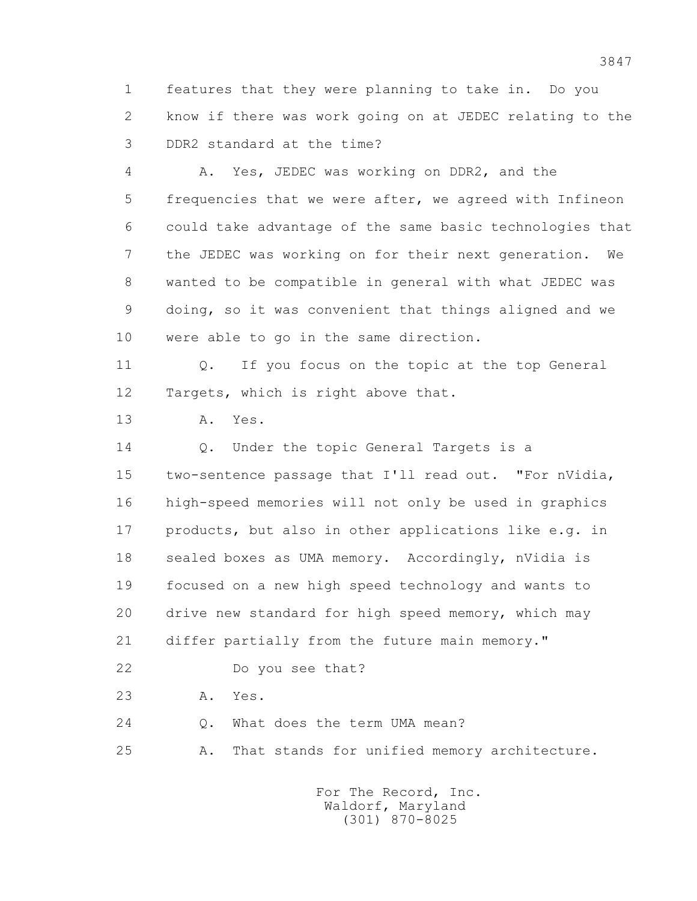1 features that they were planning to take in. Do you 2 know if there was work going on at JEDEC relating to the 3 DDR2 standard at the time?

 4 A. Yes, JEDEC was working on DDR2, and the 5 frequencies that we were after, we agreed with Infineon 6 could take advantage of the same basic technologies that 7 the JEDEC was working on for their next generation. We 8 wanted to be compatible in general with what JEDEC was 9 doing, so it was convenient that things aligned and we 10 were able to go in the same direction.

 11 Q. If you focus on the topic at the top General 12 Targets, which is right above that.

13 A. Yes.

14 O. Under the topic General Targets is a

 15 two-sentence passage that I'll read out. "For nVidia, 16 high-speed memories will not only be used in graphics 17 products, but also in other applications like e.g. in 18 sealed boxes as UMA memory. Accordingly, nVidia is 19 focused on a new high speed technology and wants to 20 drive new standard for high speed memory, which may 21 differ partially from the future main memory."

22 Do you see that?

23 A. Yes.

24 0. What does the term UMA mean?

25 A. That stands for unified memory architecture.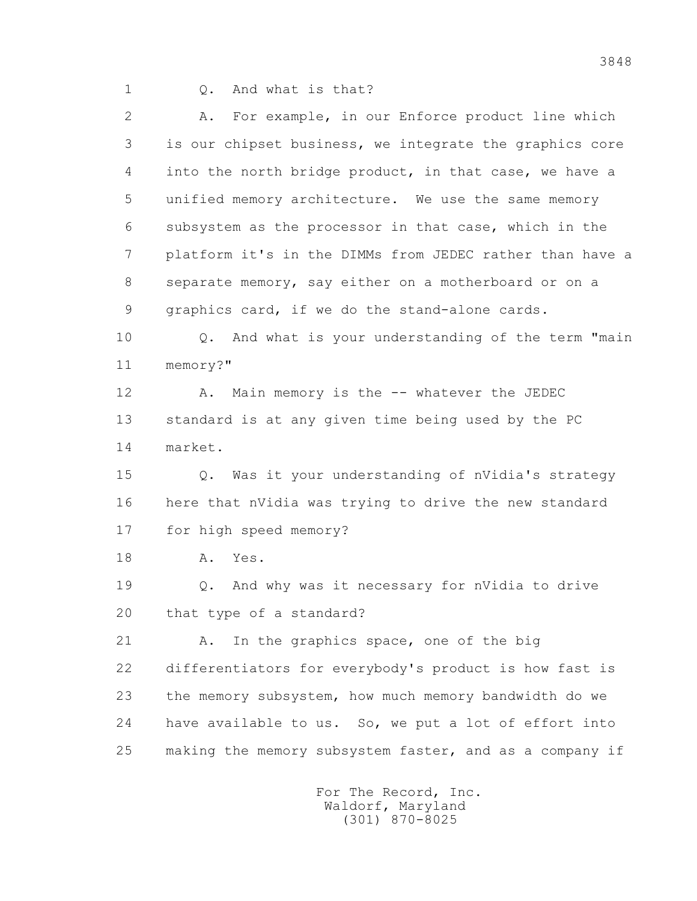1 Q. And what is that?

 2 A. For example, in our Enforce product line which 3 is our chipset business, we integrate the graphics core 4 into the north bridge product, in that case, we have a 5 unified memory architecture. We use the same memory 6 subsystem as the processor in that case, which in the 7 platform it's in the DIMMs from JEDEC rather than have a 8 separate memory, say either on a motherboard or on a 9 graphics card, if we do the stand-alone cards.

 10 Q. And what is your understanding of the term "main 11 memory?"

12 A. Main memory is the -- whatever the JEDEC 13 standard is at any given time being used by the PC 14 market.

 15 Q. Was it your understanding of nVidia's strategy 16 here that nVidia was trying to drive the new standard 17 for high speed memory?

18 A. Yes.

 19 Q. And why was it necessary for nVidia to drive 20 that type of a standard?

21 A. In the graphics space, one of the big 22 differentiators for everybody's product is how fast is 23 the memory subsystem, how much memory bandwidth do we 24 have available to us. So, we put a lot of effort into 25 making the memory subsystem faster, and as a company if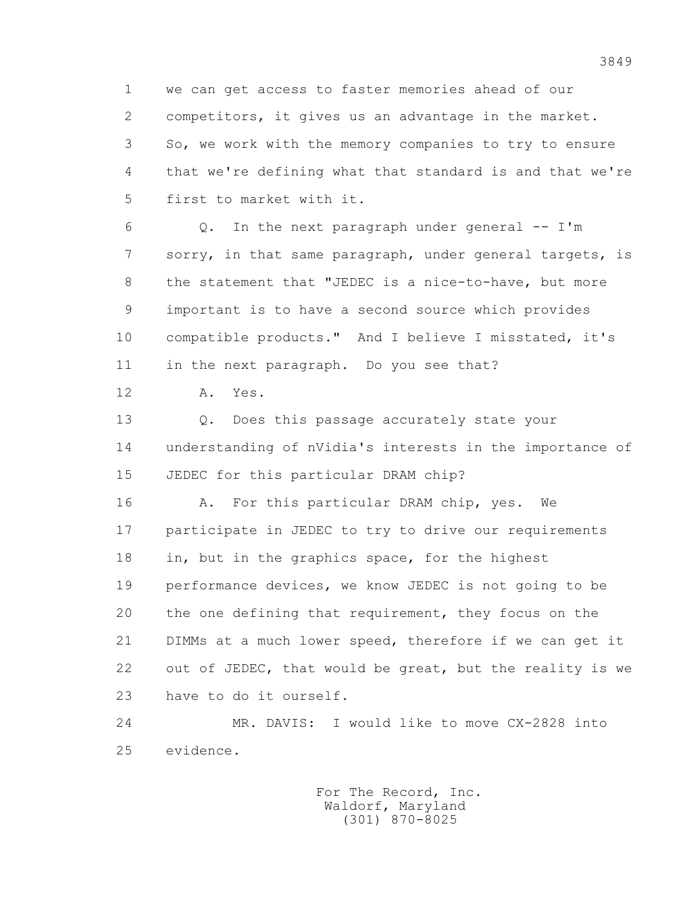1 we can get access to faster memories ahead of our 2 competitors, it gives us an advantage in the market. 3 So, we work with the memory companies to try to ensure 4 that we're defining what that standard is and that we're 5 first to market with it.

 $6$  Q. In the next paragraph under general  $-$  I'm 7 sorry, in that same paragraph, under general targets, is 8 the statement that "JEDEC is a nice-to-have, but more 9 important is to have a second source which provides 10 compatible products." And I believe I misstated, it's 11 in the next paragraph. Do you see that?

12 A. Yes.

13 0. Does this passage accurately state your 14 understanding of nVidia's interests in the importance of 15 JEDEC for this particular DRAM chip?

16 A. For this particular DRAM chip, yes. We 17 participate in JEDEC to try to drive our requirements 18 in, but in the graphics space, for the highest 19 performance devices, we know JEDEC is not going to be 20 the one defining that requirement, they focus on the 21 DIMMs at a much lower speed, therefore if we can get it 22 out of JEDEC, that would be great, but the reality is we 23 have to do it ourself.

 24 MR. DAVIS: I would like to move CX-2828 into 25 evidence.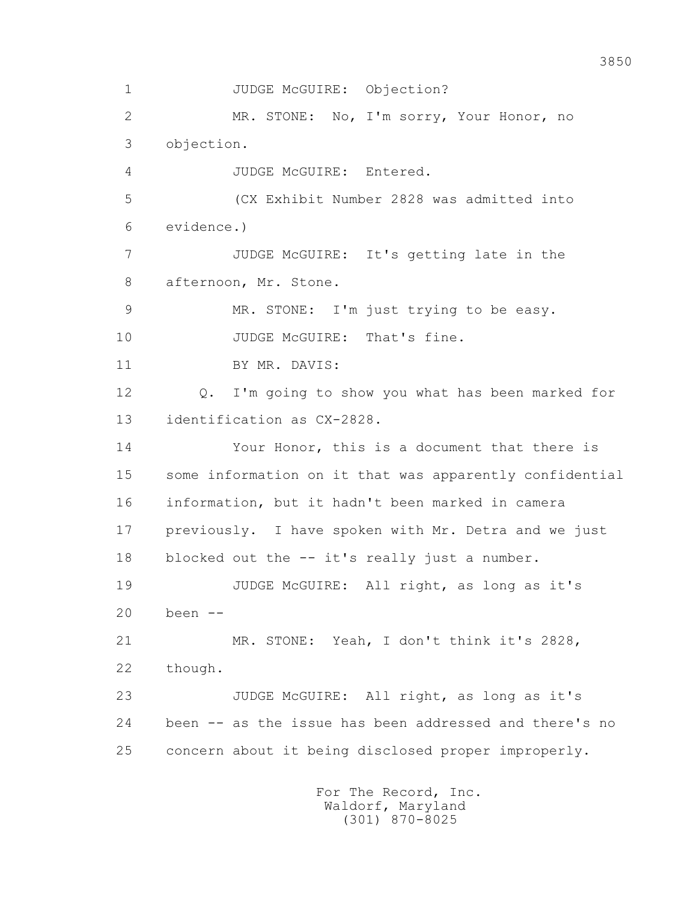1 JUDGE McGUIRE: Objection? 2 MR. STONE: No, I'm sorry, Your Honor, no 3 objection. 4 JUDGE McGUIRE: Entered. 5 (CX Exhibit Number 2828 was admitted into 6 evidence.) 7 JUDGE McGUIRE: It's getting late in the 8 afternoon, Mr. Stone. 9 MR. STONE: I'm just trying to be easy. 10 JUDGE McGUIRE: That's fine. 11 BY MR. DAVIS: 12 Q. I'm going to show you what has been marked for 13 identification as CX-2828. 14 Your Honor, this is a document that there is 15 some information on it that was apparently confidential 16 information, but it hadn't been marked in camera 17 previously. I have spoken with Mr. Detra and we just 18 blocked out the -- it's really just a number. 19 JUDGE McGUIRE: All right, as long as it's 20 been -- 21 MR. STONE: Yeah, I don't think it's 2828, 22 though. 23 JUDGE McGUIRE: All right, as long as it's 24 been -- as the issue has been addressed and there's no 25 concern about it being disclosed proper improperly.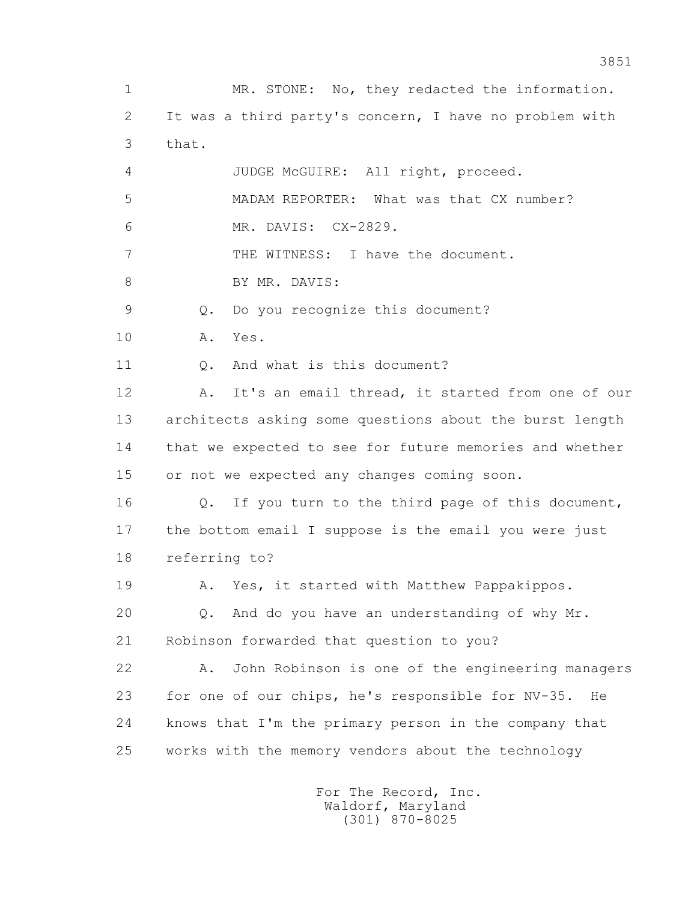1 MR. STONE: No, they redacted the information. 2 It was a third party's concern, I have no problem with 3 that. 4 JUDGE McGUIRE: All right, proceed. 5 MADAM REPORTER: What was that CX number? 6 MR. DAVIS: CX-2829. 7 THE WITNESS: I have the document. 8 BY MR. DAVIS: 9 Q. Do you recognize this document? 10 A. Yes. 11 Q. And what is this document? 12 A. It's an email thread, it started from one of our 13 architects asking some questions about the burst length 14 that we expected to see for future memories and whether 15 or not we expected any changes coming soon. 16 Q. If you turn to the third page of this document, 17 the bottom email I suppose is the email you were just 18 referring to? 19 A. Yes, it started with Matthew Pappakippos. 20 Q. And do you have an understanding of why Mr. 21 Robinson forwarded that question to you? 22 A. John Robinson is one of the engineering managers 23 for one of our chips, he's responsible for NV-35. He 24 knows that I'm the primary person in the company that 25 works with the memory vendors about the technology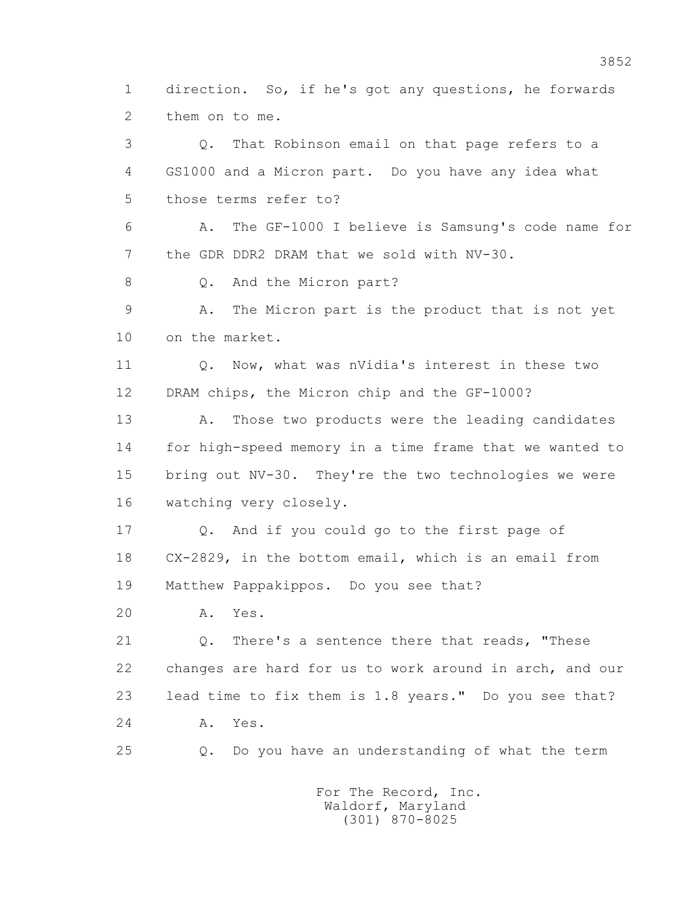1 direction. So, if he's got any questions, he forwards 2 them on to me.

 3 Q. That Robinson email on that page refers to a 4 GS1000 and a Micron part. Do you have any idea what 5 those terms refer to? 6 A. The GF-1000 I believe is Samsung's code name for 7 the GDR DDR2 DRAM that we sold with NV-30. 8 0. And the Micron part? 9 A. The Micron part is the product that is not yet 10 on the market. 11 Q. Now, what was nVidia's interest in these two 12 DRAM chips, the Micron chip and the GF-1000? 13 A. Those two products were the leading candidates 14 for high-speed memory in a time frame that we wanted to 15 bring out NV-30. They're the two technologies we were 16 watching very closely. 17 Q. And if you could go to the first page of 18 CX-2829, in the bottom email, which is an email from

19 Matthew Pappakippos. Do you see that?

20 A. Yes.

 21 Q. There's a sentence there that reads, "These 22 changes are hard for us to work around in arch, and our 23 lead time to fix them is 1.8 years." Do you see that? 24 A. Yes.

25 Q. Do you have an understanding of what the term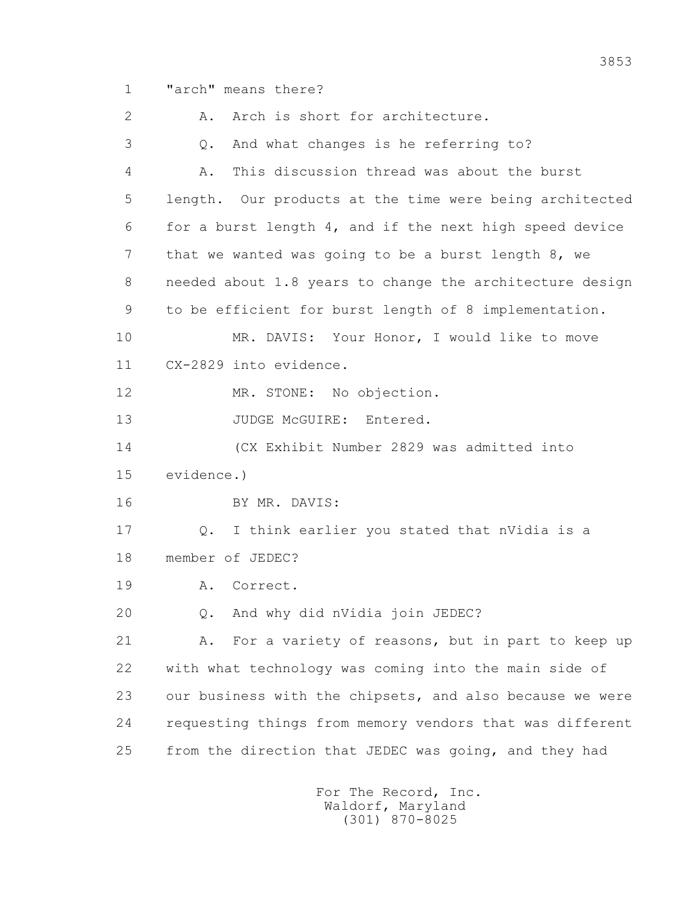1 "arch" means there?

2 A. Arch is short for architecture. 3 Q. And what changes is he referring to? 4 A. This discussion thread was about the burst 5 length. Our products at the time were being architected 6 for a burst length 4, and if the next high speed device 7 that we wanted was going to be a burst length 8, we 8 needed about 1.8 years to change the architecture design 9 to be efficient for burst length of 8 implementation. 10 MR. DAVIS: Your Honor, I would like to move 11 CX-2829 into evidence. 12 MR. STONE: No objection. 13 JUDGE McGUIRE: Entered. 14 (CX Exhibit Number 2829 was admitted into 15 evidence.) 16 BY MR. DAVIS: 17 Q. I think earlier you stated that nVidia is a 18 member of JEDEC? 19 A. Correct. 20 Q. And why did nVidia join JEDEC? 21 A. For a variety of reasons, but in part to keep up 22 with what technology was coming into the main side of 23 our business with the chipsets, and also because we were 24 requesting things from memory vendors that was different 25 from the direction that JEDEC was going, and they had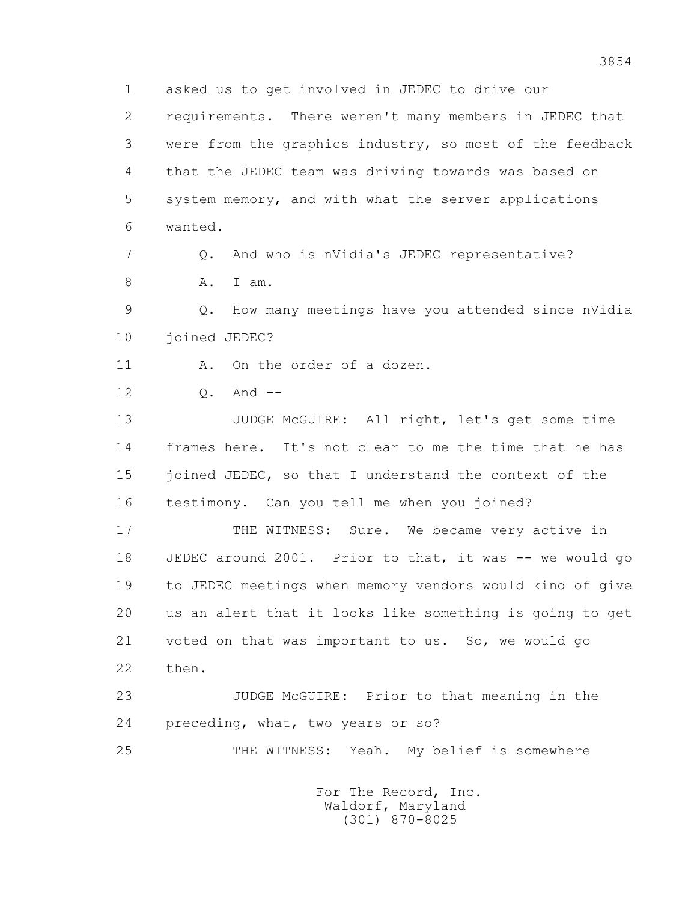1 asked us to get involved in JEDEC to drive our 2 requirements. There weren't many members in JEDEC that 3 were from the graphics industry, so most of the feedback 4 that the JEDEC team was driving towards was based on 5 system memory, and with what the server applications 6 wanted. 7 Q. And who is nVidia's JEDEC representative? 8 A. I am. 9 Q. How many meetings have you attended since nVidia 10 joined JEDEC? 11 A. On the order of a dozen. 12 0. And -- 13 JUDGE McGUIRE: All right, let's get some time 14 frames here. It's not clear to me the time that he has 15 joined JEDEC, so that I understand the context of the 16 testimony. Can you tell me when you joined? 17 THE WITNESS: Sure. We became very active in 18 JEDEC around 2001. Prior to that, it was -- we would go 19 to JEDEC meetings when memory vendors would kind of give 20 us an alert that it looks like something is going to get 21 voted on that was important to us. So, we would go 22 then. 23 JUDGE McGUIRE: Prior to that meaning in the 24 preceding, what, two years or so? 25 THE WITNESS: Yeah. My belief is somewhere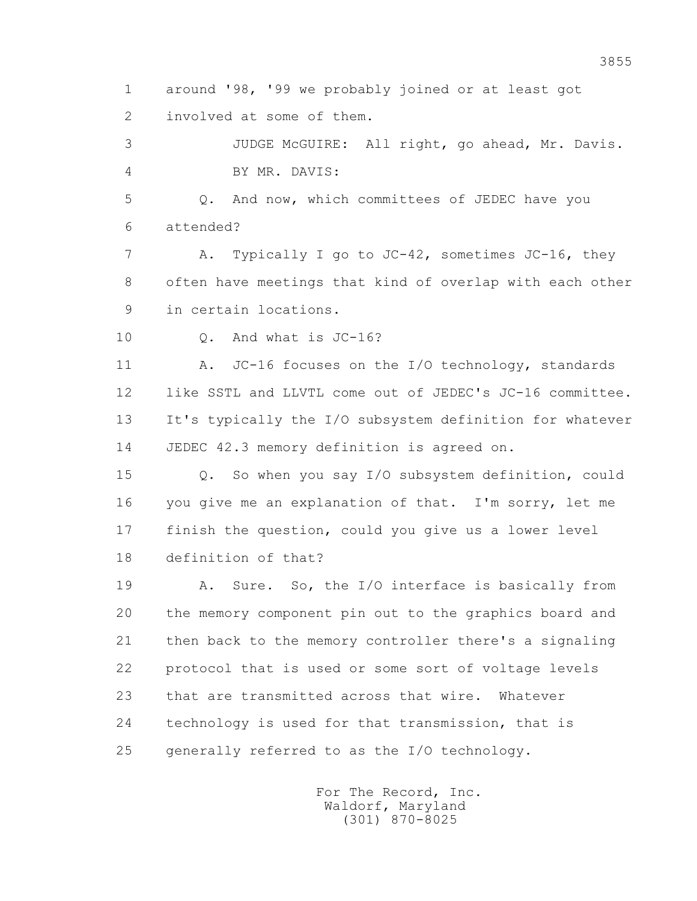1 around '98, '99 we probably joined or at least got 2 involved at some of them.

 3 JUDGE McGUIRE: All right, go ahead, Mr. Davis. 4 BY MR. DAVIS:

 5 Q. And now, which committees of JEDEC have you 6 attended?

 7 A. Typically I go to JC-42, sometimes JC-16, they 8 often have meetings that kind of overlap with each other 9 in certain locations.

10 0. And what is JC-16?

11 A. JC-16 focuses on the I/O technology, standards 12 like SSTL and LLVTL come out of JEDEC's JC-16 committee. 13 It's typically the I/O subsystem definition for whatever 14 JEDEC 42.3 memory definition is agreed on.

 15 Q. So when you say I/O subsystem definition, could 16 you give me an explanation of that. I'm sorry, let me 17 finish the question, could you give us a lower level 18 definition of that?

 19 A. Sure. So, the I/O interface is basically from 20 the memory component pin out to the graphics board and 21 then back to the memory controller there's a signaling 22 protocol that is used or some sort of voltage levels 23 that are transmitted across that wire. Whatever 24 technology is used for that transmission, that is 25 generally referred to as the I/O technology.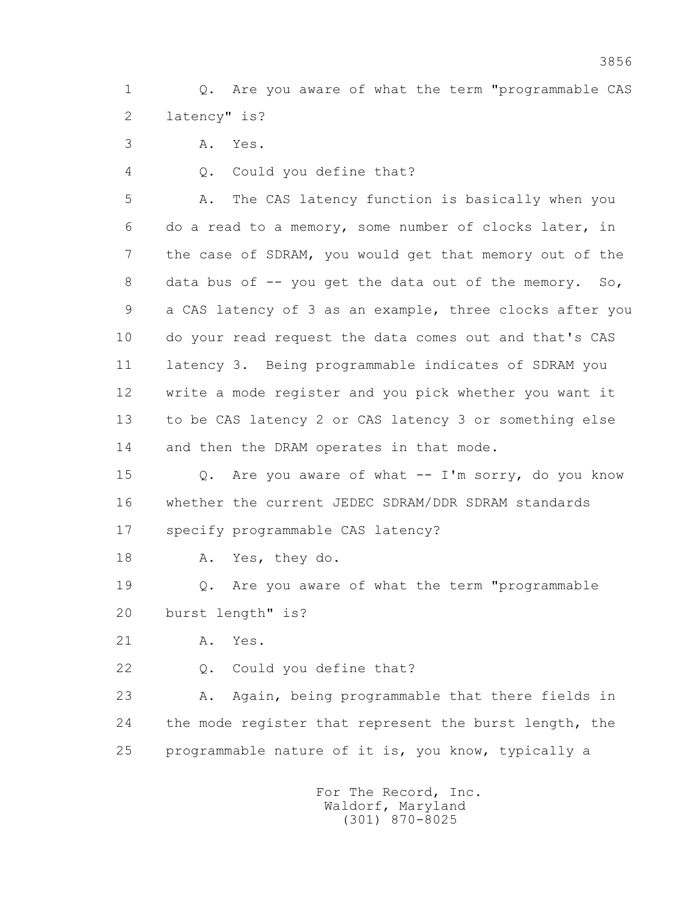1 Q. Are you aware of what the term "programmable CAS 2 latency" is?

3 A. Yes.

4 Q. Could you define that?

 5 A. The CAS latency function is basically when you 6 do a read to a memory, some number of clocks later, in 7 the case of SDRAM, you would get that memory out of the 8 data bus of -- you get the data out of the memory. So, 9 a CAS latency of 3 as an example, three clocks after you 10 do your read request the data comes out and that's CAS 11 latency 3. Being programmable indicates of SDRAM you 12 write a mode register and you pick whether you want it 13 to be CAS latency 2 or CAS latency 3 or something else 14 and then the DRAM operates in that mode.

15 Q. Are you aware of what -- I'm sorry, do you know 16 whether the current JEDEC SDRAM/DDR SDRAM standards 17 specify programmable CAS latency?

18 A. Yes, they do.

 19 Q. Are you aware of what the term "programmable 20 burst length" is?

21 A. Yes.

22 Q. Could you define that?

 23 A. Again, being programmable that there fields in 24 the mode register that represent the burst length, the 25 programmable nature of it is, you know, typically a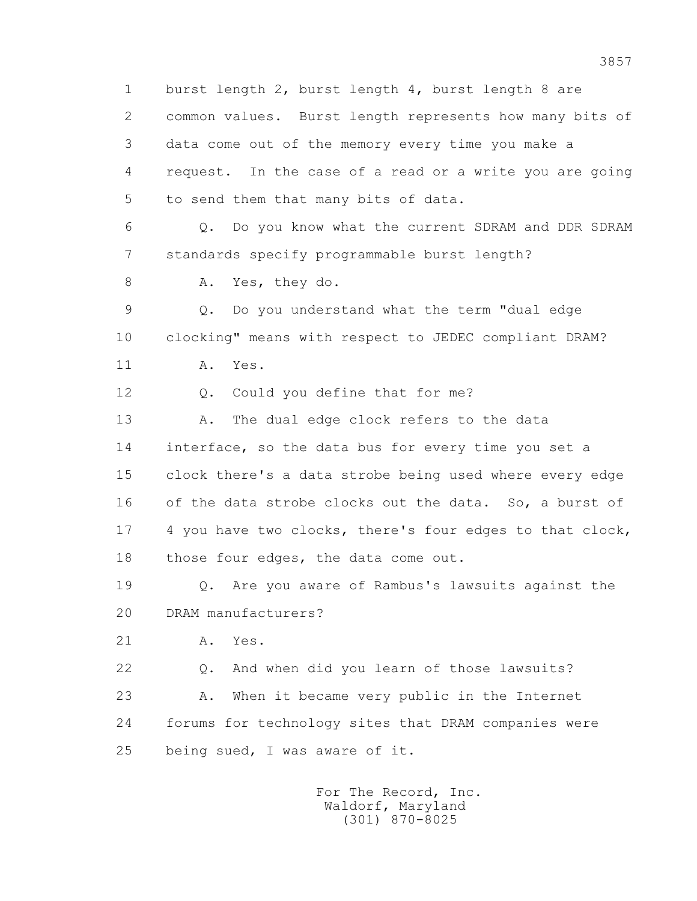1 burst length 2, burst length 4, burst length 8 are 2 common values. Burst length represents how many bits of 3 data come out of the memory every time you make a 4 request. In the case of a read or a write you are going 5 to send them that many bits of data. 6 Q. Do you know what the current SDRAM and DDR SDRAM 7 standards specify programmable burst length? 8 A. Yes, they do. 9 Q. Do you understand what the term "dual edge 10 clocking" means with respect to JEDEC compliant DRAM? 11 A. Yes. 12 Q. Could you define that for me? 13 A. The dual edge clock refers to the data 14 interface, so the data bus for every time you set a 15 clock there's a data strobe being used where every edge 16 of the data strobe clocks out the data. So, a burst of 17 4 you have two clocks, there's four edges to that clock, 18 those four edges, the data come out. 19 Q. Are you aware of Rambus's lawsuits against the 20 DRAM manufacturers? 21 A. Yes. 22 Q. And when did you learn of those lawsuits? 23 A. When it became very public in the Internet 24 forums for technology sites that DRAM companies were 25 being sued, I was aware of it. For The Record, Inc.

 Waldorf, Maryland (301) 870-8025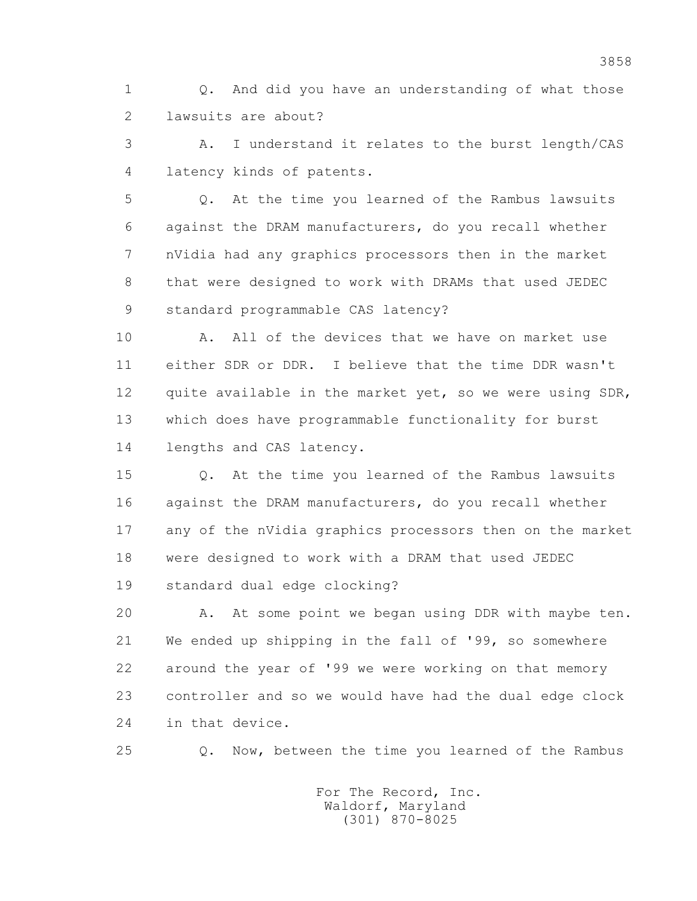1 Q. And did you have an understanding of what those 2 lawsuits are about?

 3 A. I understand it relates to the burst length/CAS 4 latency kinds of patents.

 5 Q. At the time you learned of the Rambus lawsuits 6 against the DRAM manufacturers, do you recall whether 7 nVidia had any graphics processors then in the market 8 that were designed to work with DRAMs that used JEDEC 9 standard programmable CAS latency?

 10 A. All of the devices that we have on market use 11 either SDR or DDR. I believe that the time DDR wasn't 12 quite available in the market yet, so we were using SDR, 13 which does have programmable functionality for burst 14 lengths and CAS latency.

 15 Q. At the time you learned of the Rambus lawsuits 16 against the DRAM manufacturers, do you recall whether 17 any of the nVidia graphics processors then on the market 18 were designed to work with a DRAM that used JEDEC 19 standard dual edge clocking?

 20 A. At some point we began using DDR with maybe ten. 21 We ended up shipping in the fall of '99, so somewhere 22 around the year of '99 we were working on that memory 23 controller and so we would have had the dual edge clock 24 in that device.

25 Q. Now, between the time you learned of the Rambus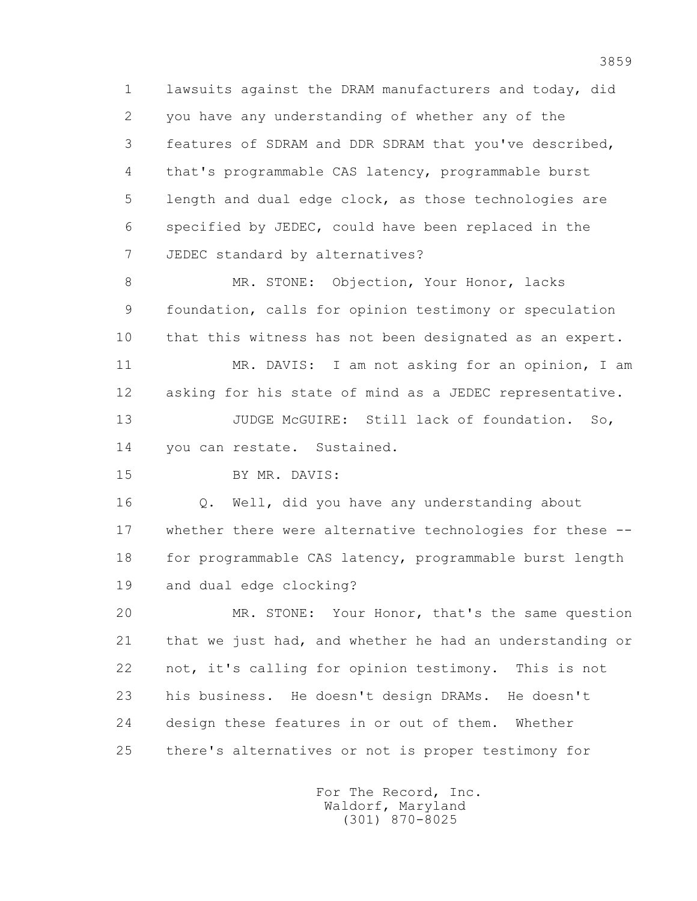1 lawsuits against the DRAM manufacturers and today, did 2 you have any understanding of whether any of the 3 features of SDRAM and DDR SDRAM that you've described, 4 that's programmable CAS latency, programmable burst 5 length and dual edge clock, as those technologies are 6 specified by JEDEC, could have been replaced in the 7 JEDEC standard by alternatives?

8 MR. STONE: Objection, Your Honor, lacks 9 foundation, calls for opinion testimony or speculation 10 that this witness has not been designated as an expert.

 11 MR. DAVIS: I am not asking for an opinion, I am 12 asking for his state of mind as a JEDEC representative.

13 JUDGE McGUIRE: Still lack of foundation. So, 14 you can restate. Sustained.

15 BY MR. DAVIS:

 16 Q. Well, did you have any understanding about 17 whether there were alternative technologies for these -- 18 for programmable CAS latency, programmable burst length 19 and dual edge clocking?

 20 MR. STONE: Your Honor, that's the same question 21 that we just had, and whether he had an understanding or 22 not, it's calling for opinion testimony. This is not 23 his business. He doesn't design DRAMs. He doesn't 24 design these features in or out of them. Whether 25 there's alternatives or not is proper testimony for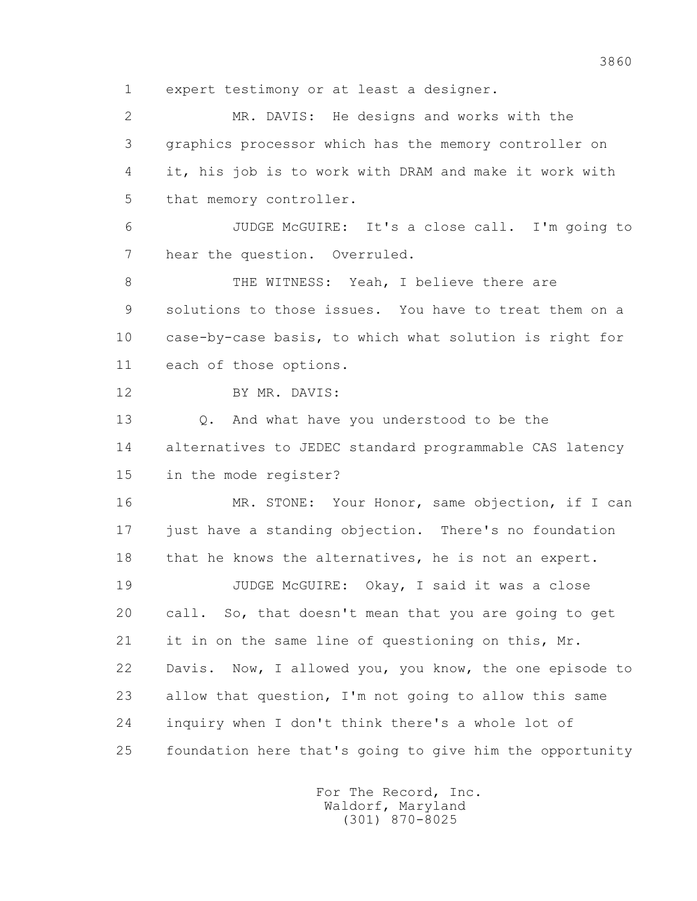1 expert testimony or at least a designer.

 2 MR. DAVIS: He designs and works with the 3 graphics processor which has the memory controller on 4 it, his job is to work with DRAM and make it work with 5 that memory controller.

 6 JUDGE McGUIRE: It's a close call. I'm going to 7 hear the question. Overruled.

8 THE WITNESS: Yeah, I believe there are 9 solutions to those issues. You have to treat them on a 10 case-by-case basis, to which what solution is right for 11 each of those options.

12 BY MR. DAVIS:

13 0. And what have you understood to be the 14 alternatives to JEDEC standard programmable CAS latency 15 in the mode register?

 16 MR. STONE: Your Honor, same objection, if I can 17 just have a standing objection. There's no foundation 18 that he knows the alternatives, he is not an expert.

 19 JUDGE McGUIRE: Okay, I said it was a close 20 call. So, that doesn't mean that you are going to get 21 it in on the same line of questioning on this, Mr. 22 Davis. Now, I allowed you, you know, the one episode to 23 allow that question, I'm not going to allow this same 24 inquiry when I don't think there's a whole lot of 25 foundation here that's going to give him the opportunity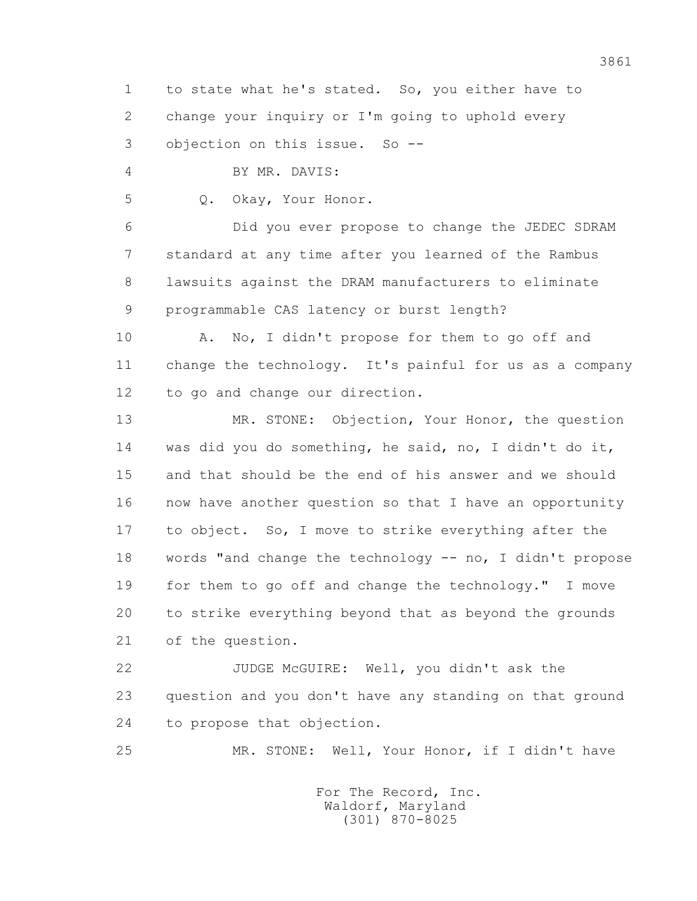1 to state what he's stated. So, you either have to 2 change your inquiry or I'm going to uphold every 3 objection on this issue. So --

4 BY MR. DAVIS:

5 Q. Okay, Your Honor.

 6 Did you ever propose to change the JEDEC SDRAM 7 standard at any time after you learned of the Rambus 8 lawsuits against the DRAM manufacturers to eliminate 9 programmable CAS latency or burst length?

10 A. No, I didn't propose for them to go off and 11 change the technology. It's painful for us as a company 12 to go and change our direction.

13 MR. STONE: Objection, Your Honor, the question 14 was did you do something, he said, no, I didn't do it, 15 and that should be the end of his answer and we should 16 now have another question so that I have an opportunity 17 to object. So, I move to strike everything after the 18 words "and change the technology -- no, I didn't propose 19 for them to go off and change the technology." I move 20 to strike everything beyond that as beyond the grounds 21 of the question.

 22 JUDGE McGUIRE: Well, you didn't ask the 23 question and you don't have any standing on that ground 24 to propose that objection.

25 MR. STONE: Well, Your Honor, if I didn't have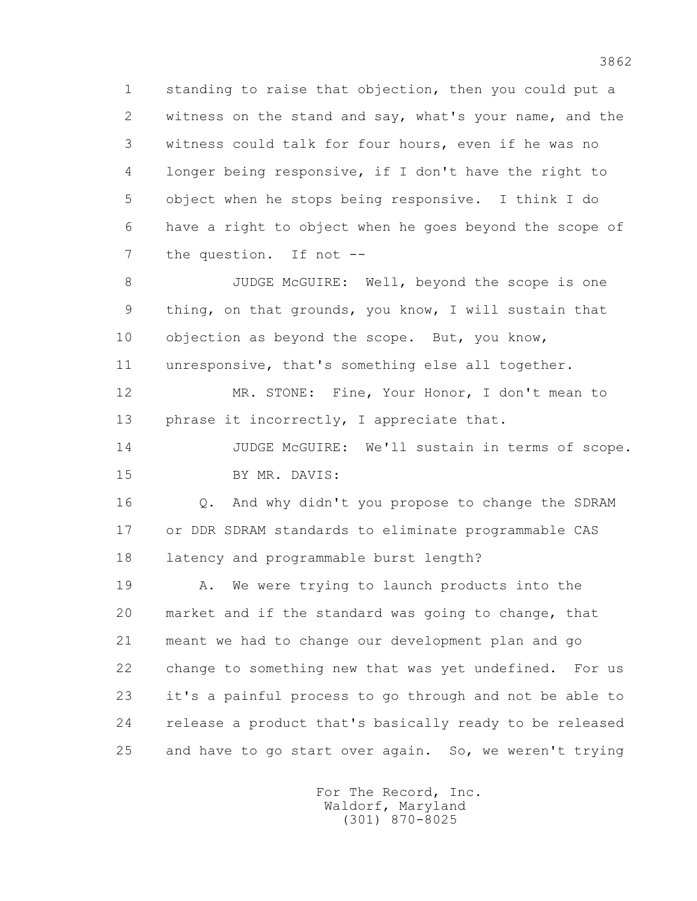1 standing to raise that objection, then you could put a 2 witness on the stand and say, what's your name, and the 3 witness could talk for four hours, even if he was no 4 longer being responsive, if I don't have the right to 5 object when he stops being responsive. I think I do 6 have a right to object when he goes beyond the scope of 7 the question. If not --

 8 JUDGE McGUIRE: Well, beyond the scope is one 9 thing, on that grounds, you know, I will sustain that 10 objection as beyond the scope. But, you know, 11 unresponsive, that's something else all together.

 12 MR. STONE: Fine, Your Honor, I don't mean to 13 phrase it incorrectly, I appreciate that.

 14 JUDGE McGUIRE: We'll sustain in terms of scope. 15 BY MR. DAVIS:

 16 Q. And why didn't you propose to change the SDRAM 17 or DDR SDRAM standards to eliminate programmable CAS 18 latency and programmable burst length?

 19 A. We were trying to launch products into the 20 market and if the standard was going to change, that 21 meant we had to change our development plan and go 22 change to something new that was yet undefined. For us 23 it's a painful process to go through and not be able to 24 release a product that's basically ready to be released 25 and have to go start over again. So, we weren't trying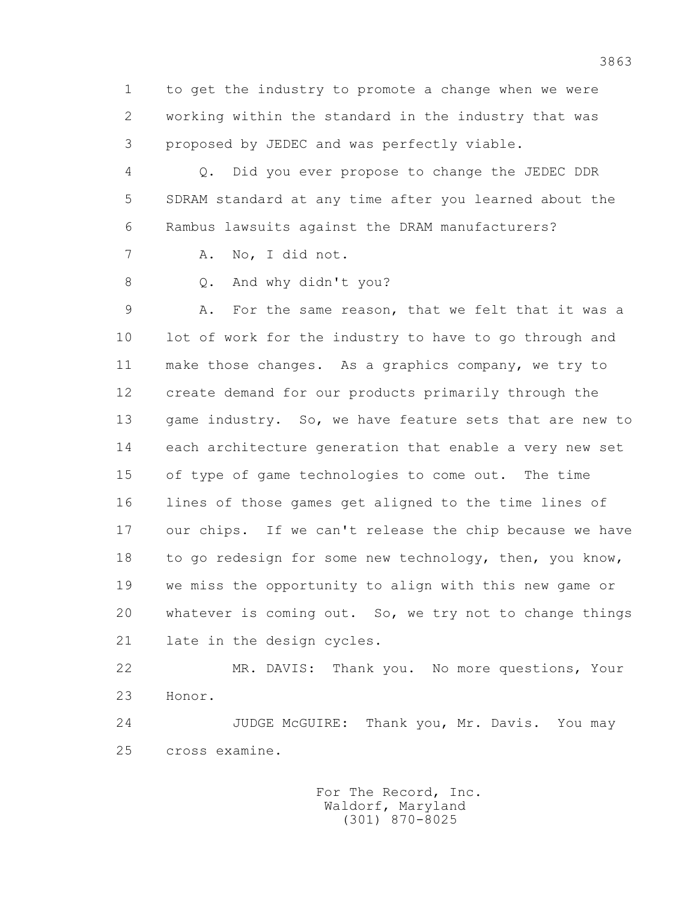1 to get the industry to promote a change when we were 2 working within the standard in the industry that was 3 proposed by JEDEC and was perfectly viable.

 4 Q. Did you ever propose to change the JEDEC DDR 5 SDRAM standard at any time after you learned about the 6 Rambus lawsuits against the DRAM manufacturers?

7 A. No, I did not.

8 Q. And why didn't you?

 9 A. For the same reason, that we felt that it was a 10 lot of work for the industry to have to go through and 11 make those changes. As a graphics company, we try to 12 create demand for our products primarily through the 13 game industry. So, we have feature sets that are new to 14 each architecture generation that enable a very new set 15 of type of game technologies to come out. The time 16 lines of those games get aligned to the time lines of 17 our chips. If we can't release the chip because we have 18 to go redesign for some new technology, then, you know, 19 we miss the opportunity to align with this new game or 20 whatever is coming out. So, we try not to change things 21 late in the design cycles.

 22 MR. DAVIS: Thank you. No more questions, Your 23 Honor.

24 JUDGE McGUIRE: Thank you, Mr. Davis. You may 25 cross examine.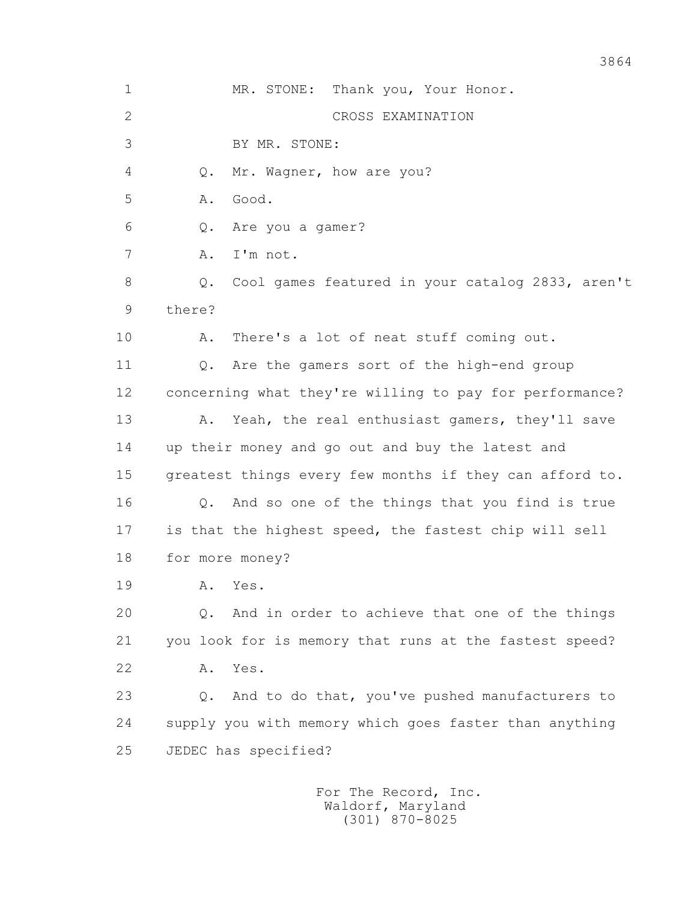1 MR. STONE: Thank you, Your Honor. 2 CROSS EXAMINATION 3 BY MR. STONE: 4 Q. Mr. Wagner, how are you? 5 A. Good. 6 Q. Are you a gamer? 7 A. I'm not. 8 Q. Cool games featured in your catalog 2833, aren't 9 there? 10 A. There's a lot of neat stuff coming out. 11 Q. Are the gamers sort of the high-end group 12 concerning what they're willing to pay for performance? 13 A. Yeah, the real enthusiast gamers, they'll save 14 up their money and go out and buy the latest and 15 greatest things every few months if they can afford to. 16 Q. And so one of the things that you find is true 17 is that the highest speed, the fastest chip will sell 18 for more money? 19 A. Yes. 20 Q. And in order to achieve that one of the things 21 you look for is memory that runs at the fastest speed? 22 A. Yes. 23 Q. And to do that, you've pushed manufacturers to 24 supply you with memory which goes faster than anything 25 JEDEC has specified? For The Record, Inc.

 Waldorf, Maryland (301) 870-8025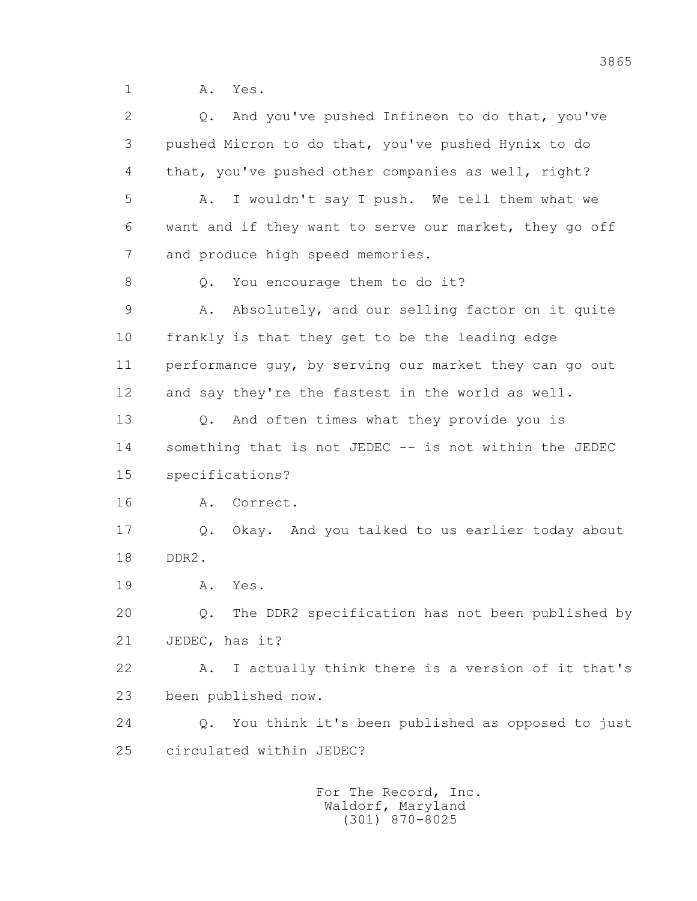1 **A.** Yes.

 2 Q. And you've pushed Infineon to do that, you've 3 pushed Micron to do that, you've pushed Hynix to do 4 that, you've pushed other companies as well, right? 5 A. I wouldn't say I push. We tell them what we 6 want and if they want to serve our market, they go off 7 and produce high speed memories. 8 Q. You encourage them to do it? 9 A. Absolutely, and our selling factor on it quite 10 frankly is that they get to be the leading edge 11 performance guy, by serving our market they can go out 12 and say they're the fastest in the world as well. 13 Q. And often times what they provide you is 14 something that is not JEDEC -- is not within the JEDEC 15 specifications? 16 A. Correct. 17 Q. Okay. And you talked to us earlier today about 18 DDR2. 19 A. Yes. 20 Q. The DDR2 specification has not been published by 21 JEDEC, has it? 22 A. I actually think there is a version of it that's 23 been published now. 24 Q. You think it's been published as opposed to just 25 circulated within JEDEC?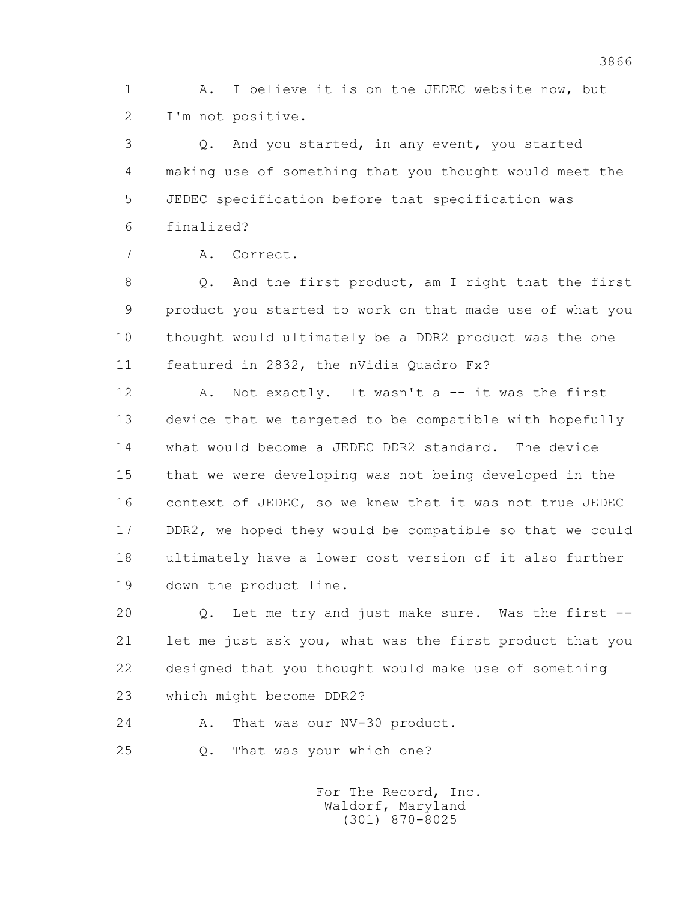1 A. I believe it is on the JEDEC website now, but 2 I'm not positive.

 3 Q. And you started, in any event, you started 4 making use of something that you thought would meet the 5 JEDEC specification before that specification was 6 finalized?

```
 7 A. Correct.
```
 8 Q. And the first product, am I right that the first 9 product you started to work on that made use of what you 10 thought would ultimately be a DDR2 product was the one 11 featured in 2832, the nVidia Quadro Fx?

12 A. Not exactly. It wasn't a -- it was the first 13 device that we targeted to be compatible with hopefully 14 what would become a JEDEC DDR2 standard. The device 15 that we were developing was not being developed in the 16 context of JEDEC, so we knew that it was not true JEDEC 17 DDR2, we hoped they would be compatible so that we could 18 ultimately have a lower cost version of it also further 19 down the product line.

 20 Q. Let me try and just make sure. Was the first -- 21 let me just ask you, what was the first product that you 22 designed that you thought would make use of something 23 which might become DDR2?

24 A. That was our NV-30 product.

25 Q. That was your which one?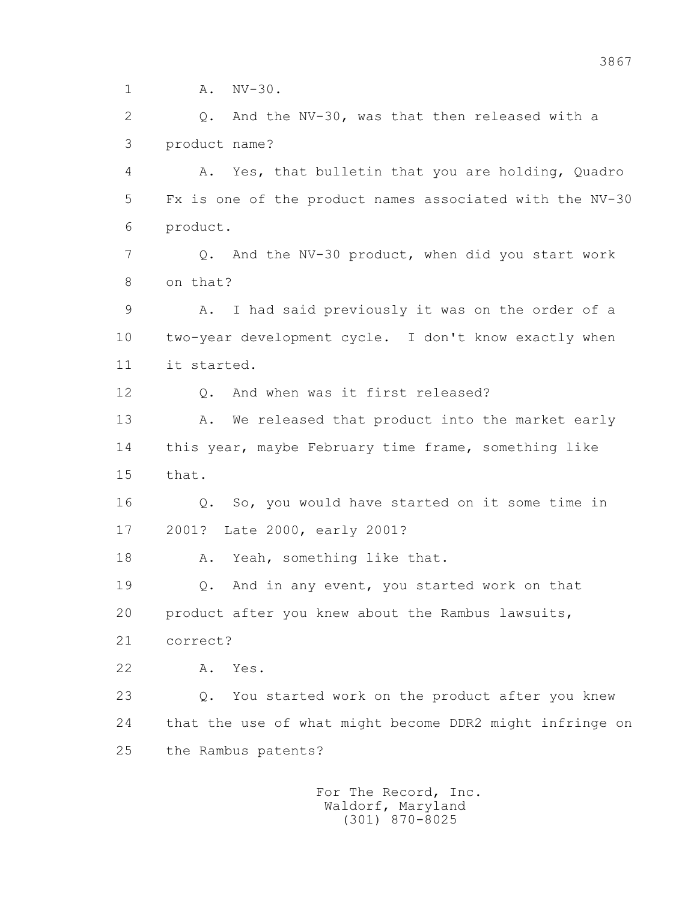1 A. NV-30.

 2 Q. And the NV-30, was that then released with a 3 product name?

 4 A. Yes, that bulletin that you are holding, Quadro 5 Fx is one of the product names associated with the NV-30 6 product.

 7 Q. And the NV-30 product, when did you start work 8 on that?

 9 A. I had said previously it was on the order of a 10 two-year development cycle. I don't know exactly when 11 it started.

12 Q. And when was it first released?

13 A. We released that product into the market early 14 this year, maybe February time frame, something like 15 that.

 16 Q. So, you would have started on it some time in 17 2001? Late 2000, early 2001?

18 A. Yeah, something like that.

 19 Q. And in any event, you started work on that 20 product after you knew about the Rambus lawsuits,

21 correct?

22 A. Yes.

 23 Q. You started work on the product after you knew 24 that the use of what might become DDR2 might infringe on 25 the Rambus patents?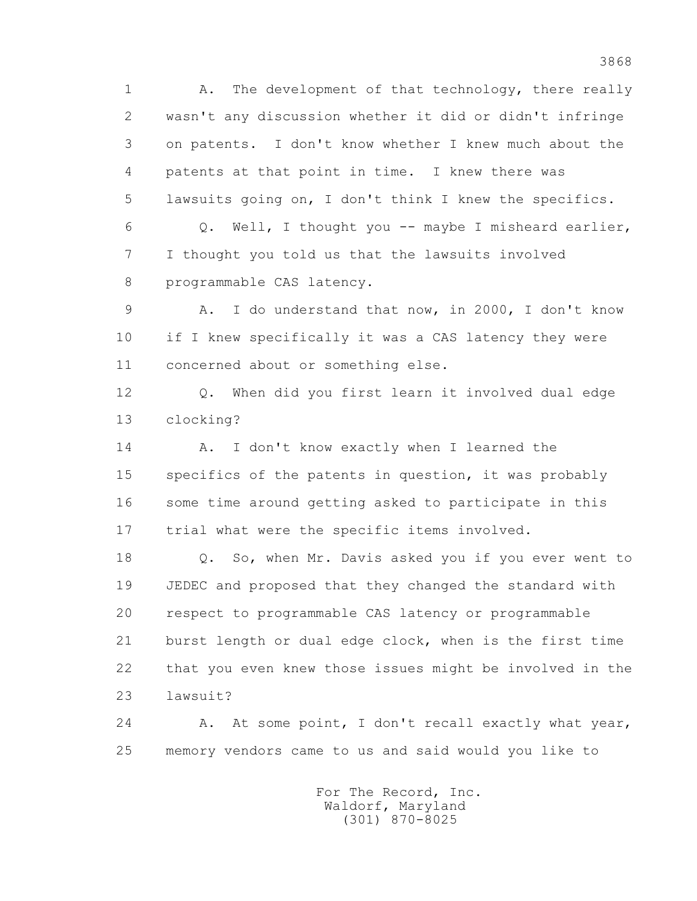1 A. The development of that technology, there really 2 wasn't any discussion whether it did or didn't infringe 3 on patents. I don't know whether I knew much about the 4 patents at that point in time. I knew there was 5 lawsuits going on, I don't think I knew the specifics. 6 Q. Well, I thought you -- maybe I misheard earlier, 7 I thought you told us that the lawsuits involved 8 programmable CAS latency. 9 A. I do understand that now, in 2000, I don't know 10 if I knew specifically it was a CAS latency they were 11 concerned about or something else. 12 Q. When did you first learn it involved dual edge 13 clocking? 14 A. I don't know exactly when I learned the 15 specifics of the patents in question, it was probably 16 some time around getting asked to participate in this 17 trial what were the specific items involved. 18 Q. So, when Mr. Davis asked you if you ever went to 19 JEDEC and proposed that they changed the standard with 20 respect to programmable CAS latency or programmable 21 burst length or dual edge clock, when is the first time 22 that you even knew those issues might be involved in the 23 lawsuit? 24 A. At some point, I don't recall exactly what year,

25 memory vendors came to us and said would you like to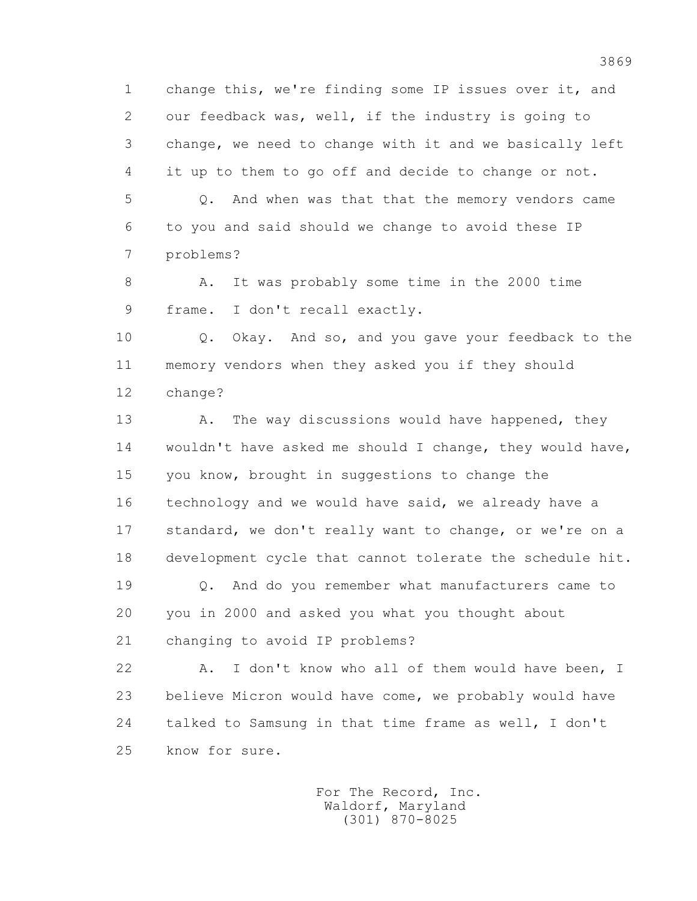1 change this, we're finding some IP issues over it, and 2 our feedback was, well, if the industry is going to 3 change, we need to change with it and we basically left 4 it up to them to go off and decide to change or not. 5 Q. And when was that that the memory vendors came

 6 to you and said should we change to avoid these IP 7 problems?

8 A. It was probably some time in the 2000 time 9 frame. I don't recall exactly.

 10 Q. Okay. And so, and you gave your feedback to the 11 memory vendors when they asked you if they should 12 change?

13 A. The way discussions would have happened, they 14 wouldn't have asked me should I change, they would have, 15 you know, brought in suggestions to change the 16 technology and we would have said, we already have a 17 standard, we don't really want to change, or we're on a 18 development cycle that cannot tolerate the schedule hit.

 19 Q. And do you remember what manufacturers came to 20 you in 2000 and asked you what you thought about 21 changing to avoid IP problems?

 22 A. I don't know who all of them would have been, I 23 believe Micron would have come, we probably would have 24 talked to Samsung in that time frame as well, I don't 25 know for sure.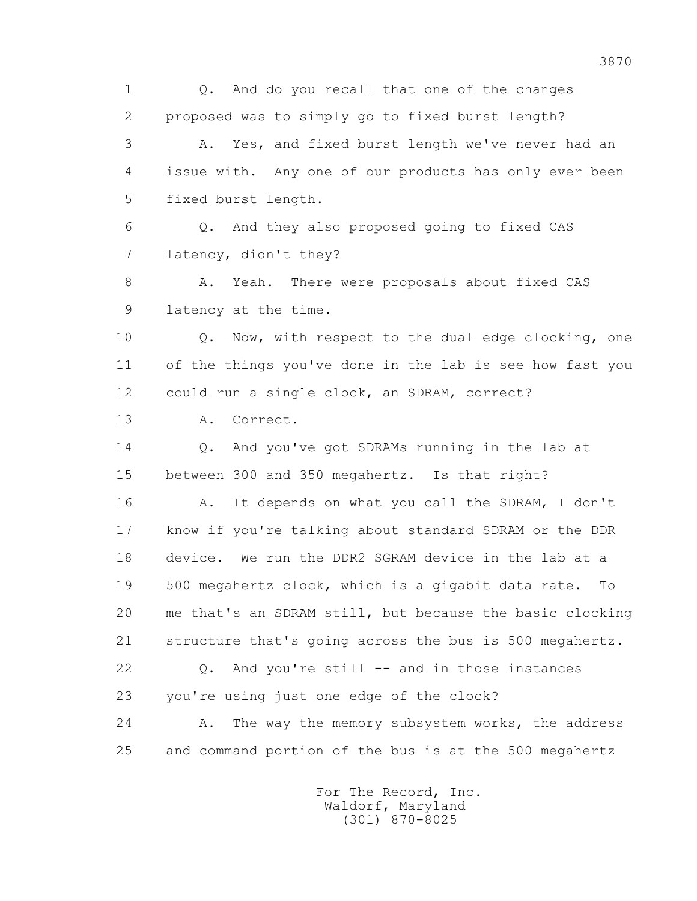1 0. And do you recall that one of the changes 2 proposed was to simply go to fixed burst length? 3 A. Yes, and fixed burst length we've never had an 4 issue with. Any one of our products has only ever been 5 fixed burst length. 6 Q. And they also proposed going to fixed CAS 7 latency, didn't they? 8 A. Yeah. There were proposals about fixed CAS 9 latency at the time. 10 Q. Now, with respect to the dual edge clocking, one 11 of the things you've done in the lab is see how fast you 12 could run a single clock, an SDRAM, correct? 13 A. Correct. 14 0. And you've got SDRAMs running in the lab at 15 between 300 and 350 megahertz. Is that right? 16 A. It depends on what you call the SDRAM, I don't 17 know if you're talking about standard SDRAM or the DDR 18 device. We run the DDR2 SGRAM device in the lab at a 19 500 megahertz clock, which is a gigabit data rate. To 20 me that's an SDRAM still, but because the basic clocking 21 structure that's going across the bus is 500 megahertz. 22 Q. And you're still -- and in those instances 23 you're using just one edge of the clock? 24 A. The way the memory subsystem works, the address 25 and command portion of the bus is at the 500 megahertz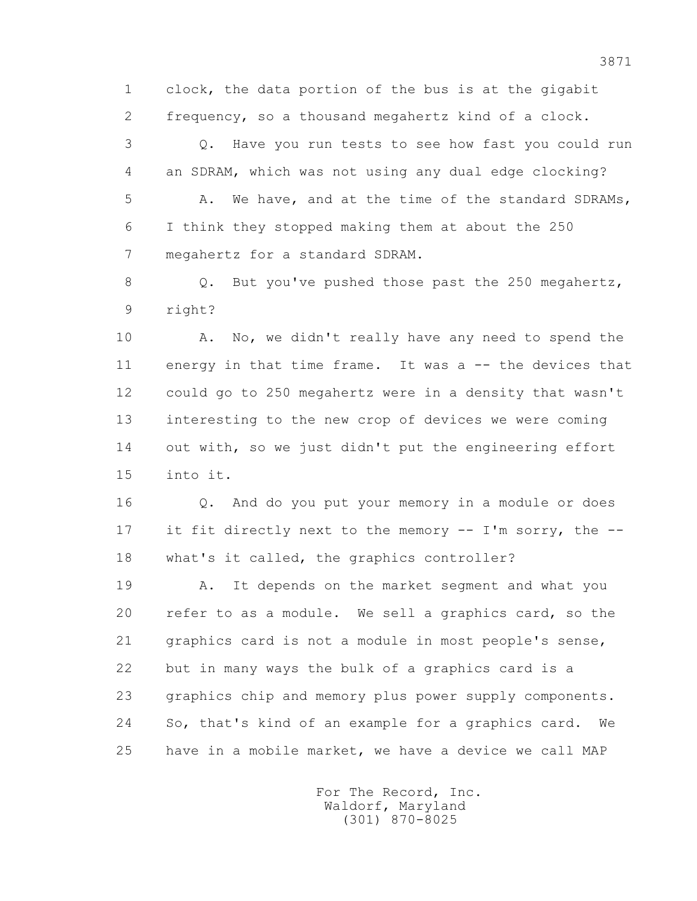1 clock, the data portion of the bus is at the gigabit 2 frequency, so a thousand megahertz kind of a clock.

 3 Q. Have you run tests to see how fast you could run 4 an SDRAM, which was not using any dual edge clocking? 5 A. We have, and at the time of the standard SDRAMs, 6 I think they stopped making them at about the 250 7 megahertz for a standard SDRAM.

 8 Q. But you've pushed those past the 250 megahertz, 9 right?

10 A. No, we didn't really have any need to spend the 11 energy in that time frame. It was a -- the devices that 12 could go to 250 megahertz were in a density that wasn't 13 interesting to the new crop of devices we were coming 14 out with, so we just didn't put the engineering effort 15 into it.

 16 Q. And do you put your memory in a module or does 17 it fit directly next to the memory -- I'm sorry, the -- 18 what's it called, the graphics controller?

 19 A. It depends on the market segment and what you 20 refer to as a module. We sell a graphics card, so the 21 graphics card is not a module in most people's sense, 22 but in many ways the bulk of a graphics card is a 23 graphics chip and memory plus power supply components. 24 So, that's kind of an example for a graphics card. We 25 have in a mobile market, we have a device we call MAP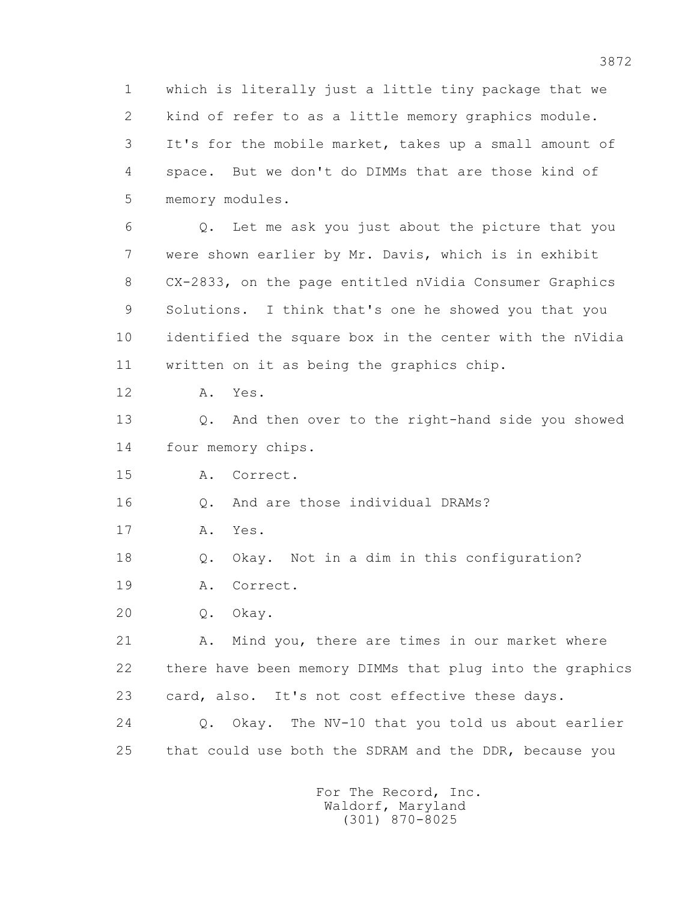1 which is literally just a little tiny package that we 2 kind of refer to as a little memory graphics module. 3 It's for the mobile market, takes up a small amount of 4 space. But we don't do DIMMs that are those kind of 5 memory modules.

 6 Q. Let me ask you just about the picture that you 7 were shown earlier by Mr. Davis, which is in exhibit 8 CX-2833, on the page entitled nVidia Consumer Graphics 9 Solutions. I think that's one he showed you that you 10 identified the square box in the center with the nVidia 11 written on it as being the graphics chip.

12 A. Yes.

 13 Q. And then over to the right-hand side you showed 14 four memory chips.

15 A. Correct.

16 0. And are those individual DRAMs?

17 A. Yes.

18 Q. Okay. Not in a dim in this configuration?

19 A. Correct.

20 Q. Okay.

21 A. Mind you, there are times in our market where 22 there have been memory DIMMs that plug into the graphics 23 card, also. It's not cost effective these days.

 24 Q. Okay. The NV-10 that you told us about earlier 25 that could use both the SDRAM and the DDR, because you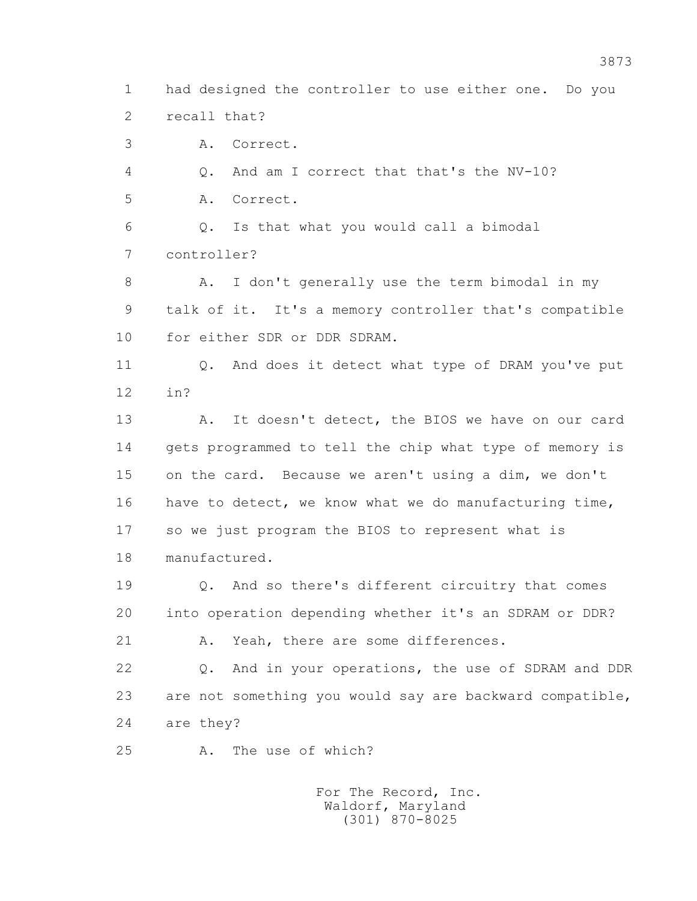1 had designed the controller to use either one. Do you 2 recall that?

3 A. Correct.

4 Q. And am I correct that that's the NV-10?

5 A. Correct.

 6 Q. Is that what you would call a bimodal 7 controller?

 8 A. I don't generally use the term bimodal in my 9 talk of it. It's a memory controller that's compatible 10 for either SDR or DDR SDRAM.

11 0. And does it detect what type of DRAM you've put 12 in?

13 A. It doesn't detect, the BIOS we have on our card 14 gets programmed to tell the chip what type of memory is 15 on the card. Because we aren't using a dim, we don't 16 have to detect, we know what we do manufacturing time, 17 so we just program the BIOS to represent what is 18 manufactured.

 19 Q. And so there's different circuitry that comes 20 into operation depending whether it's an SDRAM or DDR?

21 A. Yeah, there are some differences.

 22 Q. And in your operations, the use of SDRAM and DDR 23 are not something you would say are backward compatible, 24 are they?

25 A. The use of which?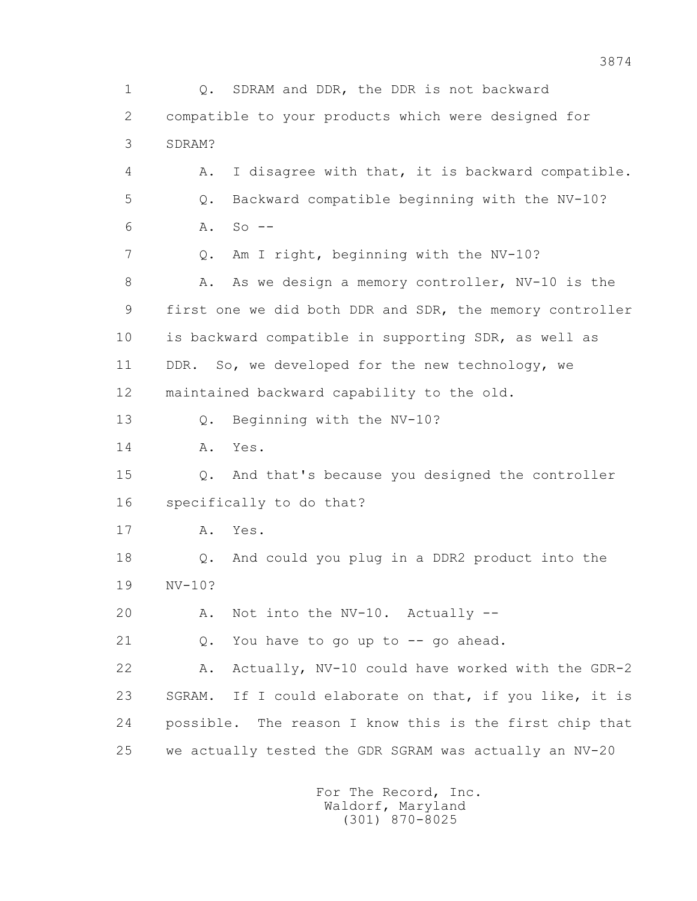1 Q. SDRAM and DDR, the DDR is not backward 2 compatible to your products which were designed for 3 SDRAM? 4 A. I disagree with that, it is backward compatible. 5 Q. Backward compatible beginning with the NV-10? 6 A. So -- 7 Q. Am I right, beginning with the NV-10? 8 A. As we design a memory controller, NV-10 is the 9 first one we did both DDR and SDR, the memory controller 10 is backward compatible in supporting SDR, as well as 11 DDR. So, we developed for the new technology, we 12 maintained backward capability to the old. 13 Q. Beginning with the NV-10? 14 A. Yes. 15 Q. And that's because you designed the controller 16 specifically to do that? 17 A. Yes. 18 Q. And could you plug in a DDR2 product into the 19 NV-10? 20 A. Not into the NV-10. Actually -- 21 Q. You have to go up to -- go ahead. 22 A. Actually, NV-10 could have worked with the GDR-2 23 SGRAM. If I could elaborate on that, if you like, it is 24 possible. The reason I know this is the first chip that 25 we actually tested the GDR SGRAM was actually an NV-20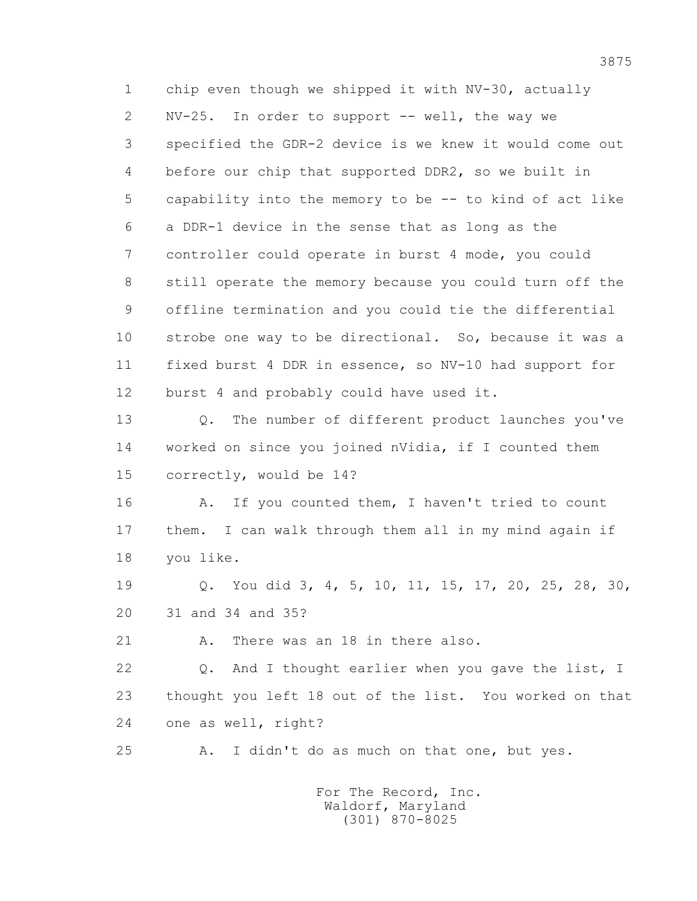1 chip even though we shipped it with NV-30, actually 2 NV-25. In order to support -- well, the way we 3 specified the GDR-2 device is we knew it would come out 4 before our chip that supported DDR2, so we built in 5 capability into the memory to be -- to kind of act like 6 a DDR-1 device in the sense that as long as the 7 controller could operate in burst 4 mode, you could 8 still operate the memory because you could turn off the 9 offline termination and you could tie the differential 10 strobe one way to be directional. So, because it was a 11 fixed burst 4 DDR in essence, so NV-10 had support for 12 burst 4 and probably could have used it.

 13 Q. The number of different product launches you've 14 worked on since you joined nVidia, if I counted them 15 correctly, would be 14?

16 A. If you counted them, I haven't tried to count 17 them. I can walk through them all in my mind again if 18 you like.

 19 Q. You did 3, 4, 5, 10, 11, 15, 17, 20, 25, 28, 30, 20 31 and 34 and 35?

21 A. There was an 18 in there also.

22 Q. And I thought earlier when you gave the list, I 23 thought you left 18 out of the list. You worked on that 24 one as well, right?

25 A. I didn't do as much on that one, but yes.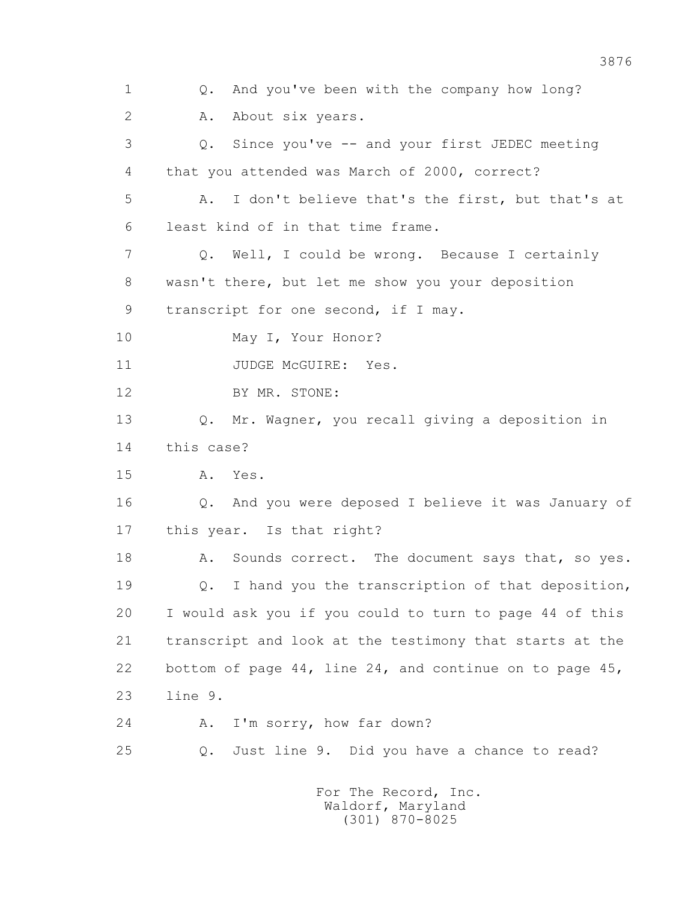1 Q. And you've been with the company how long? 2 A. About six years. 3 Q. Since you've -- and your first JEDEC meeting 4 that you attended was March of 2000, correct? 5 A. I don't believe that's the first, but that's at 6 least kind of in that time frame. 7 Q. Well, I could be wrong. Because I certainly 8 wasn't there, but let me show you your deposition 9 transcript for one second, if I may. 10 May I, Your Honor? 11 JUDGE McGUIRE: Yes. 12 BY MR. STONE: 13 Q. Mr. Wagner, you recall giving a deposition in 14 this case? 15 A. Yes. 16 Q. And you were deposed I believe it was January of 17 this year. Is that right? 18 A. Sounds correct. The document says that, so yes. 19 Q. I hand you the transcription of that deposition, 20 I would ask you if you could to turn to page 44 of this 21 transcript and look at the testimony that starts at the 22 bottom of page 44, line 24, and continue on to page 45, 23 line 9. 24 A. I'm sorry, how far down? 25 Q. Just line 9. Did you have a chance to read? For The Record, Inc. Waldorf, Maryland (301) 870-8025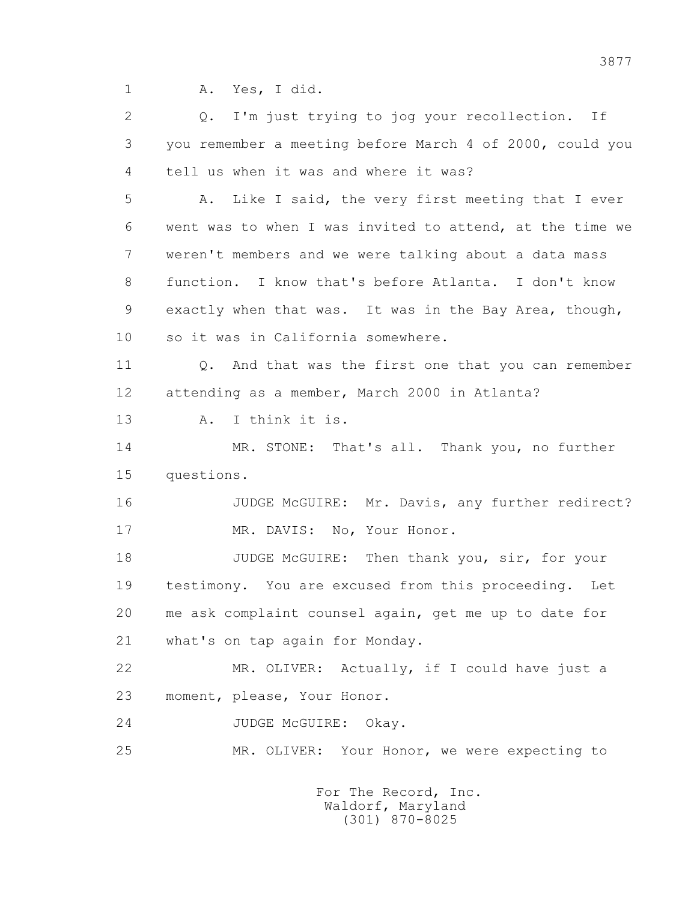1 A. Yes, I did.

 2 Q. I'm just trying to jog your recollection. If 3 you remember a meeting before March 4 of 2000, could you 4 tell us when it was and where it was?

 5 A. Like I said, the very first meeting that I ever 6 went was to when I was invited to attend, at the time we 7 weren't members and we were talking about a data mass 8 function. I know that's before Atlanta. I don't know 9 exactly when that was. It was in the Bay Area, though, 10 so it was in California somewhere.

11 0. And that was the first one that you can remember 12 attending as a member, March 2000 in Atlanta?

13 A. I think it is.

 14 MR. STONE: That's all. Thank you, no further 15 questions.

 16 JUDGE McGUIRE: Mr. Davis, any further redirect? 17 MR. DAVIS: No, Your Honor.

18 JUDGE McGUIRE: Then thank you, sir, for your 19 testimony. You are excused from this proceeding. Let 20 me ask complaint counsel again, get me up to date for 21 what's on tap again for Monday.

 22 MR. OLIVER: Actually, if I could have just a 23 moment, please, Your Honor.

24 JUDGE McGUIRE: Okay.

25 MR. OLIVER: Your Honor, we were expecting to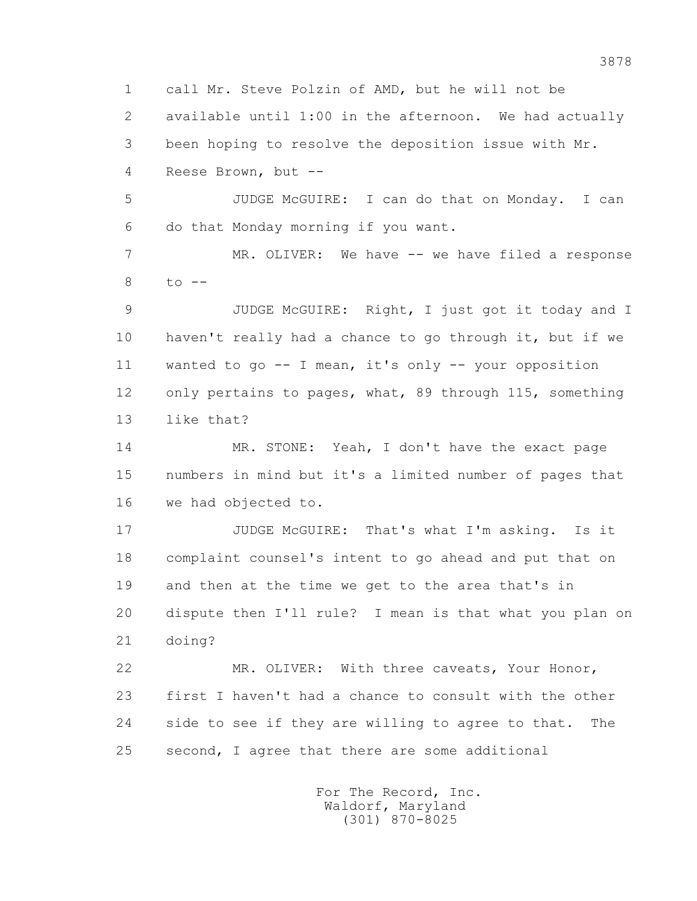1 call Mr. Steve Polzin of AMD, but he will not be

 2 available until 1:00 in the afternoon. We had actually 3 been hoping to resolve the deposition issue with Mr. 4 Reese Brown, but --

 5 JUDGE McGUIRE: I can do that on Monday. I can 6 do that Monday morning if you want.

7 MR. OLIVER: We have -- we have filed a response  $8$  to  $-$ 

 9 JUDGE McGUIRE: Right, I just got it today and I 10 haven't really had a chance to go through it, but if we 11 wanted to go -- I mean, it's only -- your opposition 12 only pertains to pages, what, 89 through 115, something 13 like that?

 14 MR. STONE: Yeah, I don't have the exact page 15 numbers in mind but it's a limited number of pages that 16 we had objected to.

 17 JUDGE McGUIRE: That's what I'm asking. Is it 18 complaint counsel's intent to go ahead and put that on 19 and then at the time we get to the area that's in 20 dispute then I'll rule? I mean is that what you plan on 21 doing?

 22 MR. OLIVER: With three caveats, Your Honor, 23 first I haven't had a chance to consult with the other 24 side to see if they are willing to agree to that. The 25 second, I agree that there are some additional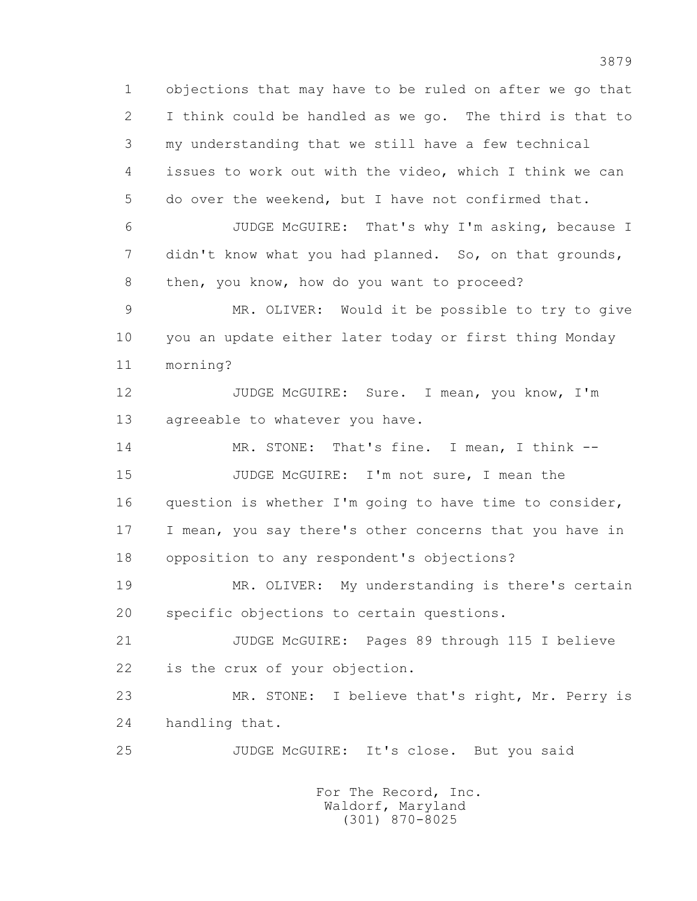1 objections that may have to be ruled on after we go that 2 I think could be handled as we go. The third is that to 3 my understanding that we still have a few technical 4 issues to work out with the video, which I think we can 5 do over the weekend, but I have not confirmed that. 6 JUDGE McGUIRE: That's why I'm asking, because I 7 didn't know what you had planned. So, on that grounds, 8 then, you know, how do you want to proceed? 9 MR. OLIVER: Would it be possible to try to give 10 you an update either later today or first thing Monday 11 morning? 12 JUDGE McGUIRE: Sure. I mean, you know, I'm 13 agreeable to whatever you have. 14 MR. STONE: That's fine. I mean, I think -- 15 JUDGE McGUIRE: I'm not sure, I mean the 16 question is whether I'm going to have time to consider, 17 I mean, you say there's other concerns that you have in 18 opposition to any respondent's objections? 19 MR. OLIVER: My understanding is there's certain 20 specific objections to certain questions. 21 JUDGE McGUIRE: Pages 89 through 115 I believe 22 is the crux of your objection. 23 MR. STONE: I believe that's right, Mr. Perry is 24 handling that. 25 JUDGE McGUIRE: It's close. But you said For The Record, Inc.

 Waldorf, Maryland (301) 870-8025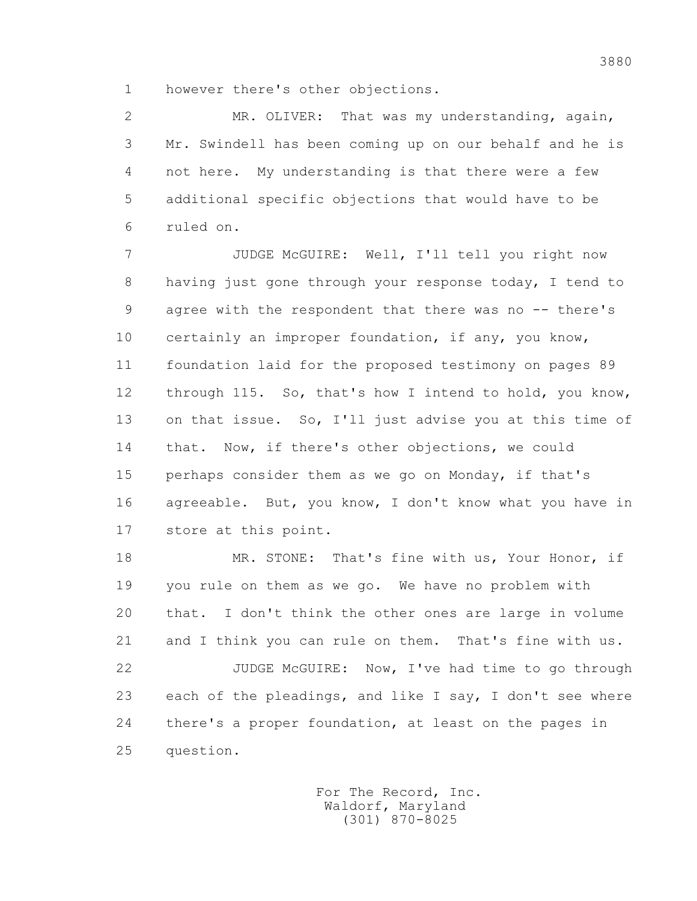1 however there's other objections.

 2 MR. OLIVER: That was my understanding, again, 3 Mr. Swindell has been coming up on our behalf and he is 4 not here. My understanding is that there were a few 5 additional specific objections that would have to be 6 ruled on.

 7 JUDGE McGUIRE: Well, I'll tell you right now 8 having just gone through your response today, I tend to 9 agree with the respondent that there was no -- there's 10 certainly an improper foundation, if any, you know, 11 foundation laid for the proposed testimony on pages 89 12 through 115. So, that's how I intend to hold, you know, 13 on that issue. So, I'll just advise you at this time of 14 that. Now, if there's other objections, we could 15 perhaps consider them as we go on Monday, if that's 16 agreeable. But, you know, I don't know what you have in 17 store at this point.

 18 MR. STONE: That's fine with us, Your Honor, if 19 you rule on them as we go. We have no problem with 20 that. I don't think the other ones are large in volume 21 and I think you can rule on them. That's fine with us. 22 JUDGE McGUIRE: Now, I've had time to go through 23 each of the pleadings, and like I say, I don't see where 24 there's a proper foundation, at least on the pages in 25 question.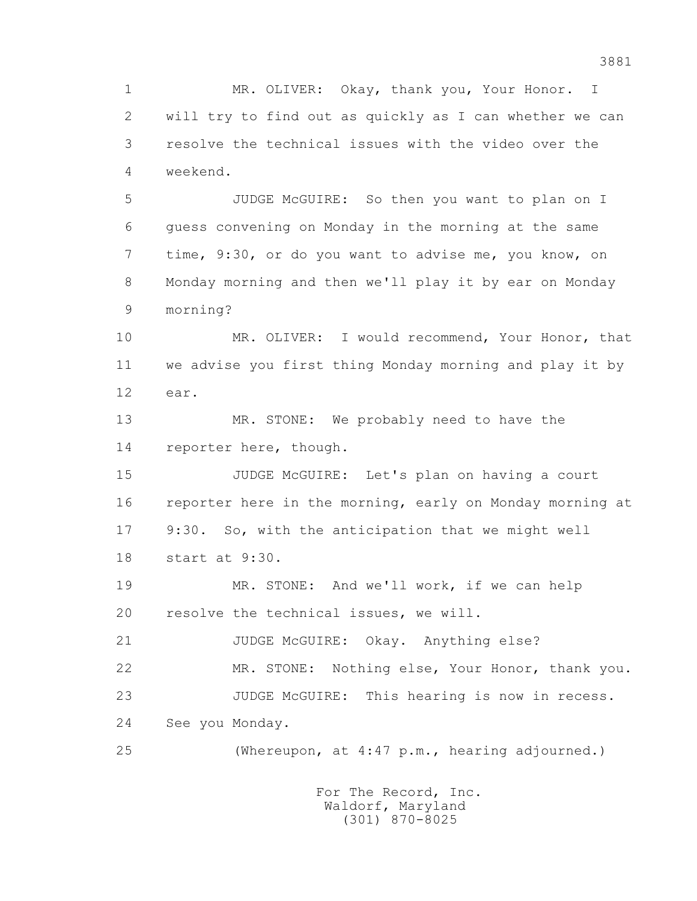1 MR. OLIVER: Okay, thank you, Your Honor. I 2 will try to find out as quickly as I can whether we can 3 resolve the technical issues with the video over the 4 weekend.

 5 JUDGE McGUIRE: So then you want to plan on I 6 guess convening on Monday in the morning at the same 7 time, 9:30, or do you want to advise me, you know, on 8 Monday morning and then we'll play it by ear on Monday 9 morning?

 10 MR. OLIVER: I would recommend, Your Honor, that 11 we advise you first thing Monday morning and play it by 12 ear.

 13 MR. STONE: We probably need to have the 14 reporter here, though.

 15 JUDGE McGUIRE: Let's plan on having a court 16 reporter here in the morning, early on Monday morning at 17 9:30. So, with the anticipation that we might well 18 start at 9:30.

 19 MR. STONE: And we'll work, if we can help 20 resolve the technical issues, we will.

21 JUDGE McGUIRE: Okay. Anything else?

22 MR. STONE: Nothing else, Your Honor, thank you.

23 JUDGE McGUIRE: This hearing is now in recess.

24 See you Monday.

25 (Whereupon, at 4:47 p.m., hearing adjourned.)